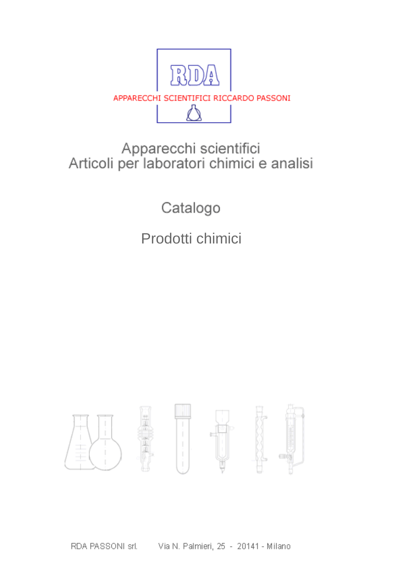

## Apparecchi scientifici<br>Articoli per laboratori chimici e analisi

Catalogo

Prodotti chimici

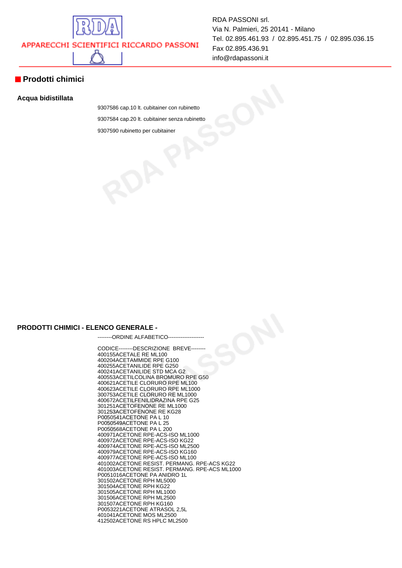

**Prodotti chimici**

## **Acqua bidistillata**

9307586 cap.10 lt. cubitainer con rubinetto 9307584 cap.20 lt. cubitainer senza rubinetto 9307590 rubinetto per cubitainer

RDA PASSONI srl.

Fax 02.895.436.91 info@rdapassoni.it

Via N. Palmieri, 25 20141 - Milano

Tel. 02.895.461.93 / 02.895.451.75 / 02.895.036.15

## **PRODOTTI CHIMICI - ELENCO GENERALE -**

--------ORDINE ALFABETICO---------------

CODICE--------DESCRIZIONE BREVE-------- 400155 ACETALE RE ML100 400204 ACETAMMIDE RPE G100 400255 ACETANILIDE RPE G250 400241 ACETANILIDE STD MCA G2 400553 ACETILCOLINA BROMURO RPE G50 400621 ACETILE CLORURO RPE ML100 400623 ACETILE CLORURO RPE ML1000 300753 ACETILE CLORURO RE ML1000 400672 ACETILFENILIDRAZINA RPE G25 301251 ACETOFENONE RE ML1000 301253 ACETOFENONE RE KG28 P0050541 ACETONE PA L 10 P0050549 ACETONE PA L 25 P0050568 ACETONE PA L 200 400971 ACETONE RPE-ACS-ISO ML1000 400972 ACETONE RPE-ACS-ISO KG22 400974 ACETONE RPE-ACS-ISO ML2500 400979 ACETONE RPE-ACS-ISO KG160 400977 ACETONE RPE-ACS-ISO ML100 401002 ACETONE RESIST. PERMANG. RPE-ACS KG22 401003 ACETONE RESIST. PERMANG. RPE-ACS ML1000 P0051016 ACETONE PA ANIDRO 1L 301502 ACETONE RPH ML5000 301504 ACETONE RPH KG22 301505 ACETONE RPH ML1000 301506 ACETONE RPH ML2500 301507 ACETONE RPH KG160 P0053221 ACETONE ATRASOL 2,5L 401041 ACETONE MOS ML2500 412502 ACETONE RS HPLC ML2500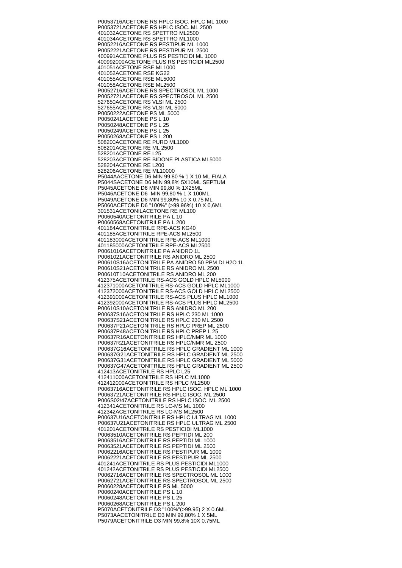P0053716 ACETONE RS HPLC ISOC. HPLC ML 1000 P0053721 ACETONE RS HPLC ISOC. ML 2500 401032 ACETONE RS SPETTRO ML2500 401034 ACETONE RS SPETTRO ML1000 P0052216 ACETONE RS PESTIPUR ML 1000 P0052221 ACETONE RS PESTIPUR ML 2500 400991 ACETONE PLUS RS PESTICIDI ML 1000 400992000 ACETONE PLUS RS PESTICIDI ML2500 401051 ACETONE RSE ML1000 401052 ACETONE RSE KG22 401055 ACETONE RSE ML5000 401058 ACETONE RSE ML2500 P0052716 ACETONE RS SPECTROSOL ML 1000 P0052721 ACETONE RS SPECTROSOL ML 2500 527650 ACETONE RS VLSI ML 2500 527655 ACETONE RS VLSI ML 5000 P0050222 ACETONE PS ML 5000 P0050241 ACETONE PS L 10 P0050248 ACETONE PS L 25 P0050249 ACETONE PS L 25 P0050268 ACETONE PS L 200 508200 ACETONE RE PURO ML1000 508201 ACETONE RE ML 2500 528201 ACETONE RE L25 528203 ACETONE RE BIDONE PLASTICA ML5000 528204 ACETONE RE L200 528206 ACETONE RE ML10000 P5044A ACETONE D6 MIN 99,80 % 1 X 10 ML FIALA P5044S ACETONE D6 MIN 99,8% 5X10ML SEPTUM P5045 ACETONE D6 MIN 99,80 % 1X25ML P5046 ACETONE D6 MIN 99,80 % 1 X 100ML P5049 ACETONE D6 MIN 99,80% 10 X 0.75 ML P5060 ACETONE D6 "100%" (>99.96%) 10 X 0,6ML 301531 ACETONILACETONE RE ML100 P0060540 ACETONITRILE PA L 10 P0060568 ACETONITRILE PA L 200 401184 ACETONITRILE RPE-ACS KG40 401185 ACETONITRILE RPE-ACS ML2500 401183000 ACETONITRILE RPE-ACS ML1000 401185000 ACETONITRILE RPE-ACS ML2500 P0061016 ACETONITRILE PA ANIDRO 1L P0061021 ACETONITRILE RS ANIDRO ML 2500 P00610S16 ACETONITRILE PA ANIDRO 50 PPM DI H2O 1L P00610S21 ACETONITRILE RS ANIDRO ML 2500 P00610T10 ACETONITRILE RS ANIDRO ML 200 412375 ACETONITRILE RS-ACS GOLD HPLC ML5000 412371000 ACETONITRILE RS-ACS GOLD HPLC ML1000 412372000 ACETONITRILE RS-ACS GOLD HPLC ML2500 412391000 ACETONITRILE RS-ACS PLUS HPLC ML1000 412392000 ACETONITRILE RS-ACS PLUS HPLC ML2500 P00610S10 ACETONITRILE RS ANIDRO ML 200 P00637S16 ACETONITRILE RS HPLC 230 ML 1000 P00637S21 ACETONITRILE RS HPLC 230 ML 2500 P00637P21 ACETONITRILE RS HPLC PREP ML 2500 P00637P48 ACETONITRILE RS HPLC PREP L 25 P00637R16 ACETONITRILE RS HPLC/NMR ML 1000 P00637R21 ACETONITRILE RS HPLC/NMR ML 2500 P00637G16 ACETONITRILE RS HPLC GRADIENT ML 1000 P00637G21 ACETONITRILE RS HPLC GRADIENT ML 2500 P00637G31 ACETONITRILE RS HPLC GRADIENT ML 5000 P00637G47 ACETONITRILE RS HPLC GRADIENT ML 2500 412413 ACETONITRILE RS HPLC L25 412411000 ACETONITRILE RS HPLC ML1000 412412000 ACETONITRILE RS HPLC ML2500 P0063716 ACETONITRILE RS HPLC ISOC. HPLC ML 1000 P0063721 ACETONITRILE RS HPLC ISOC. ML 2500 P006S02/47 ACETONITRILE RS HPLC ISOC. ML 2500 412341 ACETONITRILE RS LC-MS ML 1000 412342 ACETONITRILE RS LC-MS ML2500 P00637U16 ACETONITRILE RS HPLC ULTRAG ML 1000 P00637U21 ACETONITRILE RS HPLC ULTRAG ML 2500 401201 ACETONITRILE RS PESTICIDI ML1000 P0063510 ACETONITRILE RS PEPTIDI ML 200 P0063516 ACETONITRILE RS PEPTIDI ML 1000 P0063521 ACETONITRILE RS PEPTIDI ML 2500 P0062216 ACETONITRILE RS PESTIPUR ML 1000 P0062221 ACETONITRILE RS PESTIPUR ML 2500 401241 ACETONITRILE RS PLUS PESTICIDI ML1000 401242 ACETONITRILE RS PLUS PESTICIDI ML2500 P0062716 ACETONITRILE RS SPECTROSOL ML 1000 P0062721 ACETONITRILE RS SPECTROSOL ML 2500 P0060228 ACETONITRILE PS ML 5000 P0060240 ACETONITRILE PS L 10 P0060248 ACETONITRILE PS L 25 P0060268 ACETONITRILE PS L 200 P5070 ACETONITRILE D3 "100%"(>99.95) 2 X 0.6ML P5073A ACETONITRILE D3 MIN 99,80% 1 X 5ML P5079 ACETONITRILE D3 MIN 99,8% 10X 0.75ML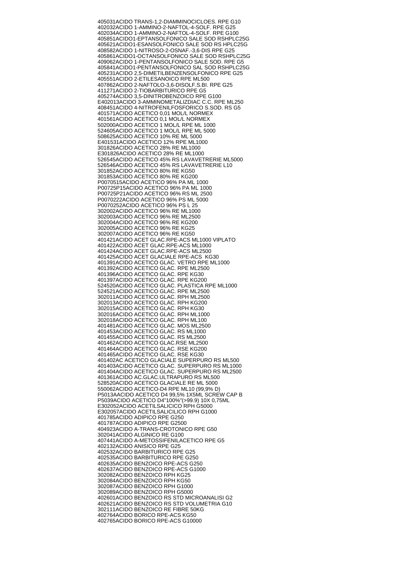405031 ACIDO TRANS-1,2-DIAMMINOCICLOES. RPE G10 402032 ACIDO 1-AMMINO-2-NAFTOL-4-SOLF. RPE G25 402034 ACIDO 1-AMMINO-2-NAFTOL-4-SOLF. RPE G100 405851 ACIDO1-EPTANSOLFONICO SALE SOD RSHPLC25G 405621 ACIDO1-ESANSOLFONICO SALE SOD RS HPLC25G 408582 ACIDO 1-NITROSO-2-OSNAF.-3,6-DIS RPE G25 405861 ACIDO1-OCTANSOLFONICO SALE SOD RSHPLC25G 409062 ACIDO 1-PENTANSOLFONICO SALE SOD. RPE G5 405841 ACIDO1-PENTANSOLFONICO SAL SOD RSHPLC25G 405231 ACIDO 2,5-DIMETILBENZENSOLFONICO RPE G25 405551 ACIDO 2-ETILESANOICO RPE ML500 407862 ACIDO 2-NAFTOLO-3,6-DISOLF.S.BI. RPE G25 411271 ACIDO 2-TIOBARBITURICO RPE G5 405274 ACIDO 3,5-DINITROBENZOICO RPE G100 E402013 ACIDO 3-AMMINOMETALIZDIAC C.C. RPE ML250 408451 ACIDO 4-NITROFENILFOSFORICO S.SOD. RS G5 401571 ACIDO ACETICO 0,01 MOL/L NORMEX 401561 ACIDO ACETICO 0,1 MOL/L NORMEX 502000 ACIDO ACETICO 1 MOL/L RPE ML 1000 524605 ACIDO ACETICO 1 MOL/L RPE ML 5000 508625 ACIDO ACETICO 10% RE ML 5000 E401531 ACIDO ACETICO 12% RPE ML1000 301826 ACIDO ACETICO 28% RE ML1000 E301826 ACIDO ACETICO 28% RE ML1000 526545 ACIDO ACETICO 45% RS LAVAVETRERIE ML5000 526546 ACIDO ACETICO 45% RS LAVAVETRERIE L10 301852 ACIDO ACETICO 80% RE KG50 301853 ACIDO ACETICO 80% RE KG200 P0070515 ACIDO ACETICO 96% PA ML 1000 P00725P15 ACIDO ACETICO 96% PA ML 1000 P00725P21 ACIDO ACETICO 96% RS ML 2500 P0070222 ACIDO ACETICO 96% PS ML 5000 P0070252 ACIDO ACETICO 96% PS L 25 302002 ACIDO ACETICO 96% RE ML1000 302003 ACIDO ACETICO 96% RE ML2500 302004 ACIDO ACETICO 96% RE KG200 302005 ACIDO ACETICO 96% RE KG25 302007 ACIDO ACETICO 96% RE KG50 401421 ACIDO ACET GLAC.RPE-ACS ML1000 VIPLATO 401422 ACIDO ACET GLAC.RPE-ACS ML1000 401424 ACIDO ACET GLAC.RPE-ACS ML2500 401425 ACIDO ACET GLACIALE RPE-ACS KG30 401391 ACIDO ACETICO GLAC. VETRO RPE ML1000 401392 ACIDO ACETICO GLAC. RPE ML2500 401396 ACIDO ACETICO GLAC. RPE KG30 401397 ACIDO ACETICO GLAC. RPE KG200 524520 ACIDO ACETICO GLAC. PLASTICA RPE ML1000 524521 ACIDO ACETICO GLAC. RPE ML2500 302011 ACIDO ACETICO GLAC. RPH ML2500 302013 ACIDO ACETICO GLAC. RPH KG200 302015 ACIDO ACETICO GLAC. RPH KG30 302016 ACIDO ACETICO GLAC. RPH ML1000 302018 ACIDO ACETICO GLAC. RPH ML100 401481 ACIDO ACETICO GLAC. MOS ML2500 401453 ACIDO ACETICO GLAC. RS ML1000 401455 ACIDO ACETICO GLAC. RS ML2500 401462 ACIDO ACETICO GLAC.RSE ML2500 401464 ACIDO ACETICO GLAC. RSE KG200 401465 ACIDO ACETICO GLAC. RSE KG30 401402 AC ACETICO GLACIALE SUPERPURO RS ML500 401403 ACIDO ACETICO GLAC. SUPERPURO RS ML1000 401404 ACIDO ACETICO GLAC. SUPERPURO RS ML2500 401361 ACIDO AC.GLAC.ULTRAPURO RS ML500 528520 ACIDO ACETICO GLACIALE RE ML 5000 550062 ACIDO ACETICO-D4 RPE ML10 (99,9% D) P5013A ACIDO ACETICO D4 99,5% 1X5ML SCREW CAP B P5039 ACIDO ACETICO D4"100%"(>99.9) 10X 0,75ML E302052 ACIDO ACETILSALICICO RPH G5000 E302057 ACIDO ACETILSALICILICO RPH G1000 401785 ACIDO ADIPICO RPE G250 401787 ACIDO ADIPICO RPE G2500 404923 ACIDO A-TRANS-CROTONICO RPE G50 302041 ACIDO ALGINICO RE G100 407441 ACIDO A-METOSSIFENILACETICO RPE G5 402132 ACIDO ANISICO RPE G25 402532 ACIDO BARBITURICO RPE G25 402535 ACIDO BARBITURICO RPE G250 402635 ACIDO BENZOICO RPE-ACS G250 402637 ACIDO BENZOICO RPE-ACS G1000 302082 ACIDO BENZOICO RPH KG25 302084 ACIDO BENZOICO RPH KG50 302087 ACIDO BENZOICO RPH G1000 302089 ACIDO BENZOICO RPH G5000 402601 ACIDO BENZOICO RS STD MICROANALISI G2 402621 ACIDO BENZOICO RS STD VOLUMETRIA G10 302111 ACIDO BENZOICO RE FIBRE 50KG 402764 ACIDO BORICO RPE-ACS KG50 402765 ACIDO BORICO RPE-ACS G10000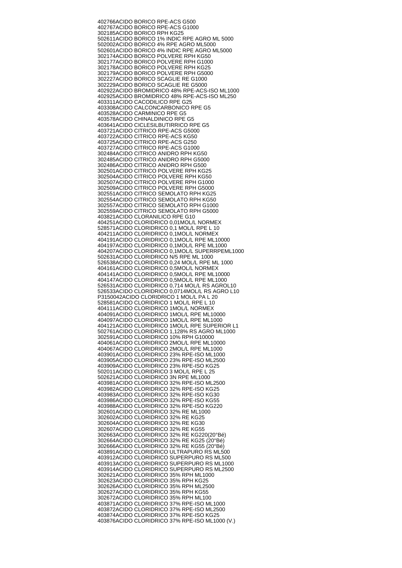402766 ACIDO BORICO RPE-ACS G500 402767 ACIDO BORICO RPE-ACS G1000 302185 ACIDO BORICO RPH KG25 502611 ACIDO BORICO 1% INDIC RPE AGRO ML 5000 502002 ACIDO BORICO 4% RPE AGRO ML5000 502601 ACIDO BORICO 4% INDIC RPE AGRO ML5000 302174 ACIDO BORICO POLVERE RPH KG50 302177 ACIDO BORICO POLVERE RPH G1000 302178 ACIDO BORICO POLVERE RPH KG25 302179 ACIDO BORICO POLVERE RPH G5000 302227 ACIDO BORICO SCAGLIE RE G1000 302229 ACIDO BORICO SCAGLIE RE G5000 402922 ACIDO BROMIDRICO 48% RPE-ACS-ISO ML1000 402925 ACIDO BROMIDRICO 48% RPE-ACS-ISO ML250 403311 ACIDO CACODILICO RPE G25 403308 ACIDO CALCONCARBONICO RPE G5 403528 ACIDO CARMINICO RPE G5 403578 ACIDO CHINALDINICO RPE G5 403641 ACIDO CICLESILBUTIRRICO RPE G5 403721 ACIDO CITRICO RPE-ACS G5000 403722 ACIDO CITRICO RPE-ACS KG50 403725 ACIDO CITRICO RPE-ACS G250 403727 ACIDO CITRICO RPE-ACS G1000 302484 ACIDO CITRICO ANIDRO RPH KG50 302485 ACIDO CITRICO ANIDRO RPH G5000 302486 ACIDO CITRICO ANIDRO RPH G500 302501 ACIDO CITRICO POLVERE RPH KG25 302504 ACIDO CITRICO POLVERE RPH KG50 302507 ACIDO CITRICO POLVERE RPH G1000 302509 ACIDO CITRICO POLVERE RPH G5000 302551 ACIDO CITRICO SEMOLATO RPH KG25 302554 ACIDO CITRICO SEMOLATO RPH KG50 302557 ACIDO CITRICO SEMOLATO RPH G1000 302559 ACIDO CITRICO SEMOLATO RPH G5000 403821 ACIDO CLORANILICO RPE G10 404251 ACIDO CLORIDRICO 0,01MOL/L NORMEX 528571 ACIDO CLORIDRICO 0,1 MOL/L RPE L 10 404211 ACIDO CLORIDRICO 0,1MOL/L NORMEX 404191 ACIDO CLORIDRICO 0,1MOL/L RPE ML10000 404197 ACIDO CLORIDRICO 0,1MOL/L RPE ML1000 404207 ACIDO CLORIDRICO 0,1MOL/L SUPERRPEML1000 502631 ACIDO CLORIDRICO N/5 RPE ML 1000 526538 ACIDO CLORIDRICO 0,24 MOL/L RPE ML 1000 404161 ACIDO CLORIDRICO 0,5MOL/L NORMEX 404141 ACIDO CLORIDRICO 0,5MOL/L RPE ML10000 404147 ACIDO CLORIDRICO 0,5MOL/L RPE ML1000 526531 ACIDO CLORIDRICO 0,714 MOL/L RS AGROL10 526533 ACIDO CLORIDRICO 0,0714MOL/L RS AGRO L10 P3150042 ACIDO CLORIDRICO 1 MOL/L PA L 20 528581 ACIDO CLORIDRICO 1 MOL/L RPE L 10 404111 ACIDO CLORIDRICO 1MOL/L NORMEX 404091 ACIDO CLORIDRICO 1MOL/L RPE ML10000 404097 ACIDO CLORIDRICO 1MOL/L RPE ML1000 404121 ACIDO CLORIDRICO 1MOL/L RPE SUPERIOR L1 502761 ACIDO CLORIDRICO 1,128% RS AGRO ML1000 302591 ACIDO CLORIDRICO 10% RPH G10000 404061 ACIDO CLORIDRICO 2MOL/L RPE ML10000 404067 ACIDO CLORIDRICO 2MOL/L RPE ML1000 403901 ACIDO CLORIDRICO 23% RPE-ISO ML1000 403905 ACIDO CLORIDRICO 23% RPE-ISO ML2500 403909 ACIDO CLORIDRICO 23% RPE-ISO KG25 502011 ACIDO CLORIDRICO 3 MOL/L RPE L 25 502621 ACIDO CLORIDRICO 3N RPE ML1000 403981 ACIDO CLORIDRICO 32% RPE-ISO ML2500 403982 ACIDO CLORIDRICO 32% RPE-ISO KG25 403983 ACIDO CLORIDRICO 32% RPE-ISO KG30 403986 ACIDO CLORIDRICO 32% RPE-ISO KG55 403988 ACIDO CLORIDRICO 32% RPE-ISO KG220 302601 ACIDO CLORIDRICO 32% RE ML1000 302602 ACIDO CLORIDRICO 32% RE KG25 302604 ACIDO CLORIDRICO 32% RE KG30 302607 ACIDO CLORIDRICO 32% RE KG55 302663 ACIDO CLORIDRICO 32% RE KG220(20°Bé) 302664 ACIDO CLORIDRICO 32% RE KG25 (20°Bé) 302666 ACIDO CLORIDRICO 32% RE KG55 (20°Bé) 403891 ACIDO CLORIDRICO ULTRAPURO RS ML500 403912 ACIDO CLORIDRICO SUPERPURO RS ML500 403913 ACIDO CLORIDRICO SUPERPURO RS ML1000 403914 ACIDO CLORIDRICO SUPERPURO RS ML2500 302621 ACIDO CLORIDRICO 35% RPH ML1000 302623 ACIDO CLORIDRICO 35% RPH KG25 302626 ACIDO CLORIDRICO 35% RPH ML2500 302627 ACIDO CLORIDRICO 35% RPH KG55 302672 ACIDO CLORIDRICO 35% RPH ML100 403871 ACIDO CLORIDRICO 37% RPE-ISO ML1000 403872 ACIDO CLORIDRICO 37% RPE-ISO ML2500 403874 ACIDO CLORIDRICO 37% RPE-ISO KG25 403876 ACIDO CLORIDRICO 37% RPE-ISO ML1000 (V.)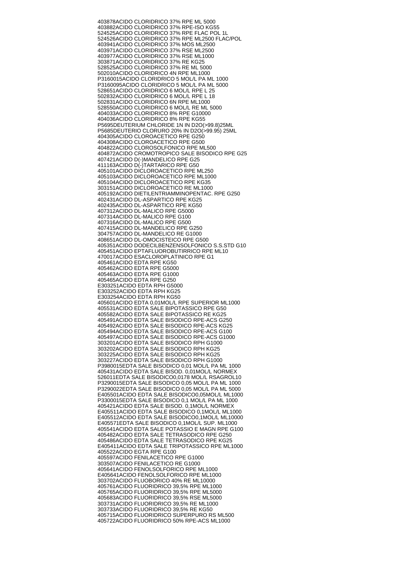403878 ACIDO CLORIDRICO 37% RPE ML 5000 403882 ACIDO CLORIDRICO 37% RPE-ISO KG55 524525 ACIDO CLORIDRICO 37% RPE FLAC POL 1L 524526 ACIDO CLORIDRICO 37% RPE ML2500 FLAC/POL 403941 ACIDO CLORIDRICO 37% MOS ML2500 403971 ACIDO CLORIDRICO 37% RSE ML2500 403977 ACIDO CLORIDRICO 37% RSE ML1000 303871 ACIDO CLORIDRICO 37% RE KG25 528525 ACIDO CLORIDRICO 37% RE ML 5000 502010 ACIDO CLORIDRICO 4N RPE ML1000 P3160015 ACIDO CLORIDRICO 5 MOL/L PA ML 1000 P3160095 ACIDO CLORIDRICO 5 MOL/L PA ML 5000 528651 ACIDO CLORIDRICO 6 MOL/L RPE L 25 502832 ACIDO CLORIDRICO 6 MOL/L RPE L 18 502831 ACIDO CLORIDRICO 6N RPE ML1000 528550 ACIDO CLORIDRICO 6 MOL/L RE ML 5000 404033 ACIDO CLORIDRICO 8% RPE G10000 404036 ACIDO CLORIDRICO 8% RPE KG55 P5695 DEUTERIUM CHLORIDE 1N IN D2O(>99.8)25ML P5685 DEUTERIO CLORURO 20% IN D2O(>99.95) 25ML 404305 ACIDO CLOROACETICO RPE G250 404308 ACIDO CLOROACETICO RPE G500 404822 ACIDO CLOROSOLFONICO RPE ML500 404872 ACIDO CROMOTROPICO SALE BISODICO RPE G25 407421 ACIDO D(-)MANDELICO RPE G25 411163 ACIDO D(-)TARTARICO RPE G50 405101 ACIDO DICLOROACETICO RPE ML250 405103 ACIDO DICLOROACETICO RPE ML1000 405104 ACIDO DICLOROACETICO RPE KG35 303151 ACIDO DICLOROACETICO RE ML1000 405192 ACIDO DIETILENTRIAMMINOPENTAC. RPE G250 402431 ACIDO DL-ASPARTICO RPE KG25 402435 ACIDO DL-ASPARTICO RPE KG50 407312 ACIDO DL-MALICO RPE G5000 407314 ACIDO DL-MALICO RPE G100 407316 ACIDO DL-MALICO RPE G500 407415 ACIDO DL-MANDELICO RPE G250 304757 ACIDO DL-MANDELICO RE G1000 408651 ACIDO DL-OMOCISTEICO RPE G500 405351 ACIDO DODECILBENZENSOLFONICO S.S.STD G10 405451 ACIDO EPTAFLUOROBUTIRRICO RPE ML10 470017 ACIDO ESACLOROPLATINICO RPE G1 405461 ACIDO EDTA RPE KG50 405462 ACIDO EDTA RPE G5000 405463 ACIDO EDTA RPE G1000 405465 ACIDO EDTA RPE G250 E303251 ACIDO EDTA RPH G5000 E303252 ACIDO EDTA RPH KG25 E303254 ACIDO EDTA RPH KG50 405601 ACIDO EDTA 0,01MOL/L RPE SUPERIOR ML1000 405531 ACIDO EDTA SALE BIPOTASSICO RPE G50 405582 ACIDO EDTA SALE BIPOTASSICO RE KG25 405491 ACIDO EDTA SALE BISODICO RPE-ACS G250 405492 ACIDO EDTA SALE BISODICO RPE-ACS KG25 405494 ACIDO EDTA SALE BISODICO RPE-ACS G100 405497 ACIDO EDTA SALE BISODICO RPE-ACS G1000 303201 ACIDO EDTA SALE BISODICO RPH G1000 303202 ACIDO EDTA SALE BISODICO RPH KG25 303225 ACIDO EDTA SALE BISODICO RPH KG25 303227 ACIDO EDTA SALE BISODICO RPH G1000 P3980015 EDTA SALE BISODICO 0,01 MOL/L PA ML 1000 405431 ACIDO EDTA SALE BISOD. 0,01MOL/L NORMEX 526011 EDTA SALE BISODICO0,0178 MOL/L RSAGROL10 P3290015 EDTA SALE BISODICO 0,05 MOL/L PA ML 1000 P3290022 EDTA SALE BISODICO 0,05 MOL/L PA ML 5000 E405501 ACIDO EDTA SALE BISODICO0,05MOL/L ML1000 P3300015 EDTA SALE BISODICO 0,1 MOL/L PA ML 1000 405421 ACIDO EDTA SALE BISOD. 0,1MOL/L NORMEX E405511 ACIDO EDTA SALE BISODICO 0,1MOL/L ML1000 E405512 ACIDO EDTA SALE BISODICO0,1MOL/L ML10000 E405571 EDTA SALE BISODICO 0,1MOL/L SUP. ML1000 405541 ACIDO EDTA SALE POTASSIO E MAGN RPE G100 405482 ACIDO EDTA SALE TETRASODICO RPE G250 405486 ACIDO EDTA SALE TETRASODICO RPE KG25 E405411 ACIDO EDTA SALE TRIPOTASSICO RPE ML1000 405522 ACIDO EGTA RPE G100 405597 ACIDO FENILACETICO RPE G1000 303507 ACIDO FENILACETICO RE G1000 405641 ACIDO FENOLSOLFORICO RPE ML1000 E405641 ACIDO FENOLSOLFORICO RPE ML1000 303702 ACIDO FLUOBORICO 40% RE ML10000 405761 ACIDO FLUORIDRICO 39,5% RPE ML1000 405765 ACIDO FLUORIDRICO 39,5% RPE ML5000 405683 ACIDO FLUORIDRICO 39,5% RSE ML5000 303731 ACIDO FLUORIDRICO 39,5% RE ML1000 303733 ACIDO FLUORIDRICO 39,5% RE KG50 405715 ACIDO FLUORIDRICO SUPERPURO RS ML500 405722 ACIDO FLUORIDRICO 50% RPE-ACS ML1000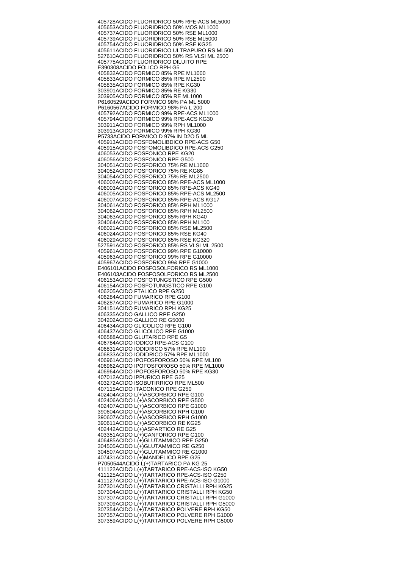405728 ACIDO FLUORIDRICO 50% RPE-ACS ML5000 405653 ACIDO FLUORIDRICO 50% MOS ML1000 405737 ACIDO FLUORIDRICO 50% RSE ML1000 405739 ACIDO FLUORIDRICO 50% RSE ML5000 405754 ACIDO FLUORIDRICO 50% RSE KG25 405611 ACIDO FLUORIDRICO ULTRAPURO RS ML500 527610 ACIDO FLUORIDRICO 50% RS VLSI ML 2500 405775 ACIDO FLUORIDRICO DILUITO RPE E390308 ACIDO FOLICO RPH G5 405832 ACIDO FORMICO 85% RPE ML1000 405833 ACIDO FORMICO 85% RPE ML2500 405835 ACIDO FORMICO 85% RPE KG30 303901 ACIDO FORMICO 85% RE KG30 303905 ACIDO FORMICO 85% RE ML1000 P6160529 ACIDO FORMICO 98% PA ML 5000 P6160567 ACIDO FORMICO 98% PA L 200 405792 ACIDO FORMICO 99% RPE-ACS ML1000 405794 ACIDO FORMICO 99% RPE-ACS KG30 303911 ACIDO FORMICO 99% RPH ML1000 303913 ACIDO FORMICO 99% RPH KG30 P5733 ACIDO FORMICO D 97% IN D2O 5 ML 405913 ACIDO FOSFOMOLIBDICO RPE-ACS G50 405915 ACIDO FOSFOMOLIBDICO RPE-ACS G250 406053 ACIDO FOSFONICO RPE KG20 406056 ACIDO FOSFONICO RPE G500 304051 ACIDO FOSFORICO 75% RE ML1000 304052 ACIDO FOSFORICO 75% RE KG85 304054 ACIDO FOSFORICO 75% RE ML2500 406002 ACIDO FOSFORICO 85% RPE-ACS ML1000 406003 ACIDO FOSFORICO 85% RPE-ACS KG40 406005 ACIDO FOSFORICO 85% RPE-ACS ML2500 406007 ACIDO FOSFORICO 85% RPE-ACS KG17 304061 ACIDO FOSFORICO 85% RPH ML1000 304062 ACIDO FOSFORICO 85% RPH ML2500 304063 ACIDO FOSFORICO 85% RPH KG40 304064 ACIDO FOSFORICO 85% RPH ML100 406021 ACIDO FOSFORICO 85% RSE ML2500 406024 ACIDO FOSFORICO 85% RSE KG40 406029 ACIDO FOSFORICO 85% RSE KG320 527591 ACIDO FOSFORICO 85% RS VLSI ML 2500 405961 ACIDO FOSFORICO 99% RPE G10000 405963 ACIDO FOSFORICO 99% RPE G10000 405967 ACIDO FOSFORICO 99& RPE G1000 E406101 ACIDO FOSFOSOLFORICO RS ML1000 E406103 ACIDO FOSFOSOLFORICO RS ML2500 406153 ACIDO FOSFOTUNGSTICO RPE G500 406154 ACIDO FOSFOTUNGSTICO RPE G100 406205 ACIDO FTALICO RPE G250 406284 ACIDO FUMARICO RPE G100 406287 ACIDO FUMARICO RPE G1000 304151 ACIDO FUMARICO RPH KG25 406335 ACIDO GALLICO RPE G250 304202 ACIDO GALLICO RE G5000 406434 ACIDO GLICOLICO RPE G100 406437 ACIDO GLICOLICO RPE G1000 406588 ACIDO GLUTARICO RPE G5 406784 ACIDO IODICO RPE-ACS G100 406831 ACIDO IODIDRICO 57% RPE ML100 406833 ACIDO IODIDRICO 57% RPE ML1000 406961 ACIDO IPOFOSFOROSO 50% RPE ML100 406962 ACIDO IPOFOSFOROSO 50% RPE ML1000 406964 ACIDO IPOFOSFOROSO 50% RPE KG30 407012 ACIDO IPPURICO RPE G25 403272 ACIDO ISOBUTIRRICO RPE ML500 407115 ACIDO ITACONICO RPE G250 402404 ACIDO L(+)ASCORBICO RPE G100 402406 ACIDO L(+)ASCORBICO RPE G500 402407 ACIDO L(+)ASCORBICO RPE G1000 390604 ACIDO L(+)ASCORBICO RPH G100 390607 ACIDO L(+)ASCORBICO RPH G1000 390611 ACIDO L(+)ASCORBICO RE KG25 402442 ACIDO L(+)ASPARTICO RE G25 403351 ACIDO L(+)CANFORICO RPE G100 406485 ACIDO L(+)GLUTAMMICO RPE G250 304505 ACIDO L(+)GLUTAMMICO RE G250 304507 ACIDO L(+)GLUTAMMICO RE G1000 407431 ACIDO L(+)MANDELICO RPE G25 P7050544 ACIDO L(+)TARTARICO PA KG 25 411122 ACIDO L(+)TARTARICO RPE-ACS-ISO KG50 411125 ACIDO L(+)TARTARICO RPE-ACS-ISO G250 411127 ACIDO L(+)TARTARICO RPE-ACS-ISO G1000 307301 ACIDO L(+)TARTARICO CRISTALLI RPH KG25 307304 ACIDO L(+)TARTARICO CRISTALLI RPH KG50 307307 ACIDO L(+)TARTARICO CRISTALLI RPH G1000 307309 ACIDO L(+)TARTARICO CRISTALLI RPH G5000 307354 ACIDO L(+)TARTARICO POLVERE RPH KG50 307357 ACIDO L(+)TARTARICO POLVERE RPH G1000 307359 ACIDO L(+)TARTARICO POLVERE RPH G5000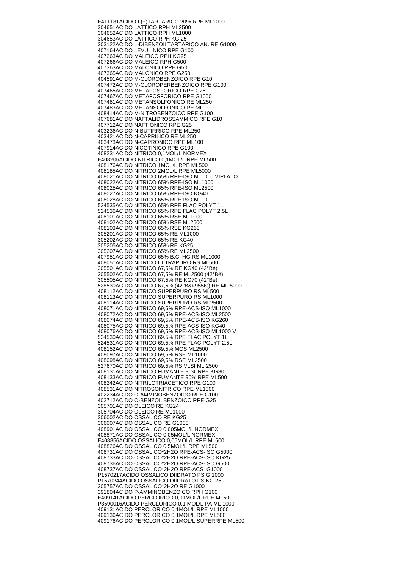E411131 ACIDO L(+)TARTARICO 20% RPE ML1000 304651 ACIDO LATTICO RPH ML2500 304652 ACIDO LATTICO RPH ML1000 304653 ACIDO LATTICO RPH KG 25 303122 ACIDO L-DIBENZOILTARTARICO AN. RE G1000 407164 ACIDO LEVULINICO RPE G100 407263 ACIDO MALEICO RPH KG25 407266 ACIDO MALEICO RPH G500 407363 ACIDO MALONICO RPE G50 407365 ACIDO MALONICO RPE G250 404591 ACIDO M-CLOROBENZOICO RPE G10 407472 ACIDO M-CLOROPERBENZOICO RPE G100 407465 ACIDO METAFOSFORICO RPE G250 407467 ACIDO METAFOSFORICO RPE G1000 407481 ACIDO METANSOLFONICO RE ML250 407483 ACIDO METANSOLFONICO RE ML 1000 408414 ACIDO M-NITROBENZOICO RPE G100 407681 ACIDO NAFTALIDROSSAMMICO RPE G10 407712 ACIDO NAFTIONICO RPE G25 403236 ACIDO N-BUTIRRICO RPE ML250 403421 ACIDO N-CAPRILICO RE ML250 403473 ACIDO N-CAPRONICO RPE ML100 407914 ACIDO NICOTINICO RPE G100 408231 ACIDO NITRICO 0,1MOL/L NORMEX E408206 ACIDO NITRICO 0,1MOL/L RPE ML500 408176 ACIDO NITRICO 1MOL/L RPE ML500 408185 ACIDO NITRICO 2MOL/L RPE ML5000 408021 ACIDO NITRICO 65% RPE-ISO ML1000 VIPLATO 408022 ACIDO NITRICO 65% RPE-ISO ML1000 408025 ACIDO NITRICO 65% RPE-ISO ML2500 408027 ACIDO NITRICO 65% RPE-ISO KG40 408028 ACIDO NITRICO 65% RPE-ISO ML100 524535 ACIDO NITRICO 65% RPE FLAC POLYT 1L 524536 ACIDO NITRICO 65% RPE FLAC POLYT 2,5L 408101 ACIDO NITRICO 65% RSE ML1000 408102 ACIDO NITRICO 65% RSE ML2500 408103 ACIDO NITRICO 65% RSE KG260 305201 ACIDO NITRICO 65% RE ML1000 305202 ACIDO NITRICO 65% RE KG40 305205 ACIDO NITRICO 65% RE KG25 305207 ACIDO NITRICO 65% RE ML2500 407951 ACIDO NITRICO 65% B.C. HG RS ML1000 408051 ACIDO NITRICO ULTRAPURO RS ML500 305501 ACIDO NITRICO 67,5% RE KG40 (42°Bé) 305502 ACIDO NITRICO 67,5% RE ML2500 (42°Bé) 305505 ACIDO NITRICO 67,5% RE KG70 (42°Bé) 528530 ACIDO NITRICO 67,5% (42°B╔) RE ML 5000 408112 ACIDO NITRICO SUPERPURO RS ML500 408113 ACIDO NITRICO SUPERPURO RS ML1000 408114 ACIDO NITRICO SUPERPURO RS ML2500 408071 ACIDO NITRICO 69,5% RPE-ACS-ISO ML1000 408072 ACIDO NITRICO 69,5% RPE-ACS-ISO ML2500 408074 ACIDO NITRICO 69,5% RPE-ACS-ISO KG260 408075 ACIDO NITRICO 69,5% RPE-ACS-ISO KG40 408076 ACIDO NITRICO 69,5% RPE-ACS-ISO ML1000 V 524530 ACIDO NITRICO 69.5% RPE FLAC POLYT 1L 524531 ACIDO NITRICO 69.5% RPE FLAC POLYT 2,5L 408152 ACIDO NITRICO 69,5% MOS ML2500 408097 ACIDO NITRICO 69,5% RSE ML1000 408098 ACIDO NITRICO 69,5% RSE ML2500 527670 ACIDO NITRICO 69,5% RS VLSI ML 2500 408131 ACIDO NITRICO FUMANTE 90% RPE KG30 408133 ACIDO NITRICO FUMANTE 90% RPE ML500 408242 ACIDO NITRILOTRIACETICO RPE G100 408531 ACIDO NITROSONITRICO RPE ML1000 402234 ACIDO O-AMMINOBENZOICO RPE G100 402712 ACIDO O-BENZOILBENZOICO RPE G25 305701 ACIDO OLEICO RE KG24 305704 ACIDO OLEICO RE ML1000 306002 ACIDO OSSALICO RE KG25 306007 ACIDO OSSALICO RE G1000 408901 ACIDO OSSALICO 0,005MOL/L NORMEX 408871 ACIDO OSSALICO 0,05MOL/L NORMEX E408856 ACIDO OSSALICO 0,05MOL/L RPE ML500 408826 ACIDO OSSALICO 0,5MOL/L RPE ML500 408731 ACIDO OSSALICO\*2H2O RPE-ACS-ISO G5000 408733 ACIDO OSSALICO\*2H2O RPE-ACS-ISO KG25 408736 ACIDO OSSALICO\*2H2O RPE-ACS-ISO G500 408737 ACIDO OSSALICO\*2H2O RPE-ACS G1000 P1570217 ACIDO OSSALICO DIIDRATO PS G 1000 P1570244 ACIDO OSSALICO DIIDRATO PS KG 25 305757 ACIDO OSSALICO\*2H2O RE G1000 391804 ACIDO P-AMMINOBENZOICO RPH G100 E409141 ACIDO PERCLORICO 0,01MOL/L RPE ML500 P3590016 ACIDO PERCLORICO 0,1 MOL/L PA ML 1000 409131 ACIDO PERCLORICO 0,1MOL/L RPE ML1000 409136 ACIDO PERCLORICO 0,1MOL/L RPE ML500 409176 ACIDO PERCLORICO 0,1MOL/L SUPERRPE ML500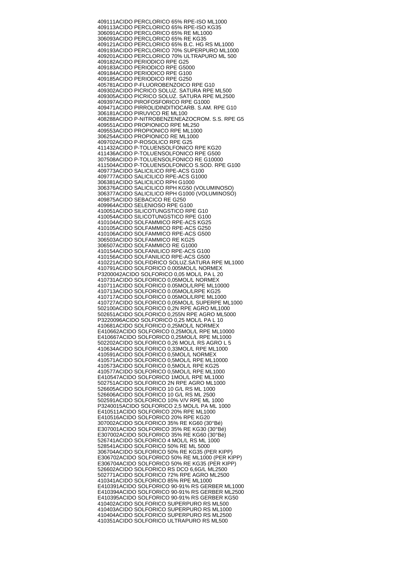409111 ACIDO PERCLORICO 65% RPE-ISO ML1000 409113 ACIDO PERCLORICO 65% RPE-ISO KG35 306091 ACIDO PERCLORICO 65% RE ML1000 306093 ACIDO PERCLORICO 65% RE KG35 409121 ACIDO PERCLORICO 65% B.C. HG RS ML1000 409193 ACIDO PERCLORICO 70% SUPERPURO ML1000 409201 ACIDO PERCLORICO 70% ULTRAPURO ML 500 409182 ACIDO PERIODICO RPE G25 409183 ACIDO PERIODICO RPE G5000 409184 ACIDO PERIODICO RPE G100 409185 ACIDO PERIODICO RPE G250 405781 ACIDO P-FLUOROBENZOICO RPE G10 409302 ACIDO PICRICO SOLUZ. SATURA RPE ML500 409305 ACIDO PICRICO SOLUZ. SATURA RPE ML2500 409397 ACIDO PIROFOSFORICO RPE G1000 409471 ACIDO PIRROLIDINDITIOCARB. S.AM. RPE G10 306181 ACIDO PIRUVICO RE ML100 408288 ACIDO P-NITROBENZENEAZOCROM. S.S. RPE G5 409551 ACIDO PROPIONICO RPE ML250 409553 ACIDO PROPIONICO RPE ML1000 306254 ACIDO PROPIONICO RE ML1000 409702 ACIDO P-ROSOLICO RPE G25 411432 ACIDO P-TOLUENSOLFONICO RPE KG20 411436 ACIDO P-TOLUENSOLFONICO RPE G500 307508 ACIDO P-TOLUENSOLFONICO RE G10000 411504 ACIDO P-TOLUENSOLFONICO S.SOD. RPE G100 409773 ACIDO SALICILICO RPE-ACS G100 409777 ACIDO SALICILICO RPE-ACS G1000 306381 ACIDO SALICILICO RPH G1000 306376 ACIDO SALICILICO RPH KG50 (VOLUMINOSO) 306377 ACIDO SALICILICO RPH G1000 (VOLUMINOSO) 409875 ACIDO SEBACICO RE G250 409964 ACIDO SELENIOSO RPE G100 410051 ACIDO SILICOTUNGSTICO RPE G10 410054 ACIDO SILICOTUNGSTICO RPE G100 410104 ACIDO SOLFAMMICO RPE-ACS KG25 410105 ACIDO SOLFAMMICO RPE-ACS G250 410106 ACIDO SOLFAMMICO RPE-ACS G500 306503 ACIDO SOLFAMMICO RE KG25 306507 ACIDO SOLFAMMICO RE G1000 410154 ACIDO SOLFANILICO RPE-ACS G100 410156 ACIDO SOLFANILICO RPE-ACS G500 410221 ACIDO SOLFIDRICO SOLUZ.SATURA RPE ML1000 410791 ACIDO SOLFORICO 0.005MOL/L NORMEX P3200042 ACIDO SOLFORICO 0,05 MOL/L PA L 20 410731 ACIDO SOLFORICO 0,05MOL/L NORMEX 410711 ACIDO SOLFORICO 0.05MOL/LRPE ML10000 410713 ACIDO SOLFORICO 0.05MOL/LRPE KG25 410717 ACIDO SOLFORICO 0.05MOL/LRPE ML1000 410727 ACIDO SOLFORICO 0,05MOL/L SUPERPE ML1000 502100 ACIDO SOLFORICO 0,2N RPE AGRO ML1000 502651 ACIDO SOLFORICO 0,255N RPE AGRO ML5000 P3220096 ACIDO SOLFORICO 0,25 MOL/L PA L 10 410681 ACIDO SOLFORICO 0,25MOL/L NORMEX E410662 ACIDO SOLFORICO 0,25MOL/L RPE ML10000 E410667 ACIDO SOLFORICO 0,25MOL/L RPE ML1000 502202 ACIDO SOLFORICO 0,26 MOL/L RS AGRO L 5 410634 ACIDO SOLFORICO 0,33MOL/L RPE ML1000 410591 ACIDO SOLFORICO 0,5MOL/L NORMEX 410571 ACIDO SOLFORICO 0,5MOL/L RPE ML10000 410573 ACIDO SOLFORICO 0,5MOL/L RPE KG25 410577 ACIDO SOLFORICO 0,5MOL/L RPE ML1000 E410547 ACIDO SOLFORICO 1MOL/L RPE ML1000 502751 ACIDO SOLFORICO 2N RPE AGRO ML1000 526605 ACIDO SOLFORICO 10 G/L RS ML 1000 526606 ACIDO SOLFORICO 10 G/L RS ML 2500 502591 ACIDO SOLFORICO 10% V/V RPE ML 1000 P3240015 ACIDO SOLFORICO 2,5 MOL/L PA ML 1000 E410511 ACIDO SOLFORICO 20% RPE ML1000 E410511 ACIDO SOLFORICO 20% RPE KG20 307002 ACIDO SOLFORICO 35% RE KG60 (30°Bé) E307001 ACIDO SOLFORICO 35% RE KG30 (30°Bé) E307002 ACIDO SOLFORICO 35% RE KG60 (30°Bé) 526741 ACIDO SOLFORICO 4 MOL/L RS ML 1000 528541 ACIDO SOLFORICO 50% RE ML 5000 306704 ACIDO SOLFORICO 50% RE KG35 (PER KIPP) E306702 ACIDO SOLFORICO 50% RE ML1000 (PER KIPP) E306704 ACIDO SOLFORICO 50% RE KG35 (PER KIPP) 526602 ACIDO SOLFORICO RS DCO 6,6G/L ML2500 502771 ACIDO SOLFORICO 72% RPE AGRO ML2500 410341 ACIDO SOLFORICO 85% RPE ML1000 E410391 ACIDO SOLFORICO 90-91% RS GERBER ML1000 E410394 ACIDO SOLFORICO 90-91% RS GERBER ML2500 E410395 ACIDO SOLFORICO 90-91% RS GERBER KG50 410402 ACIDO SOLFORICO SUPERPURO RS ML500 410403 ACIDO SOLFORICO SUPERPURO RS ML1000 410404 ACIDO SOLFORICO SUPERPURO RS ML2500 410351 ACIDO SOLFORICO ULTRAPURO RS ML500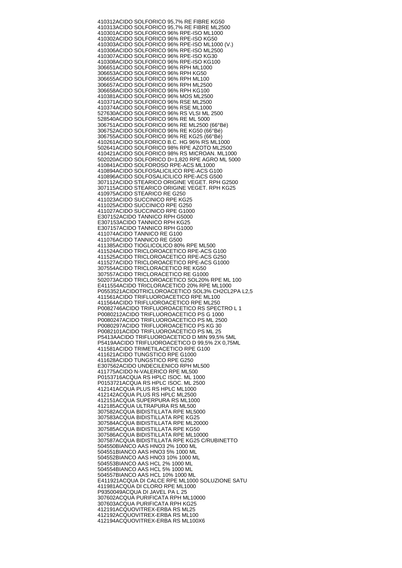410312 ACIDO SOLFORICO 95,7% RE FIBRE KG50 410313 ACIDO SOLFORICO 95,7% RE FIBRE ML2500 410301 ACIDO SOLFORICO 96% RPE-ISO ML1000 410302 ACIDO SOLFORICO 96% RPE-ISO KG50 410303 ACIDO SOLFORICO 96% RPE-ISO ML1000 (V.) 410306 ACIDO SOLFORICO 96% RPE-ISO ML2500 410307 ACIDO SOLFORICO 96% RPE-ISO KG30 410308 ACIDO SOLFORICO 96% RPE-ISO KG100 306651 ACIDO SOLFORICO 96% RPH ML1000 306653 ACIDO SOLFORICO 96% RPH KG50 306655 ACIDO SOLFORICO 96% RPH ML100 306657 ACIDO SOLFORICO 96% RPH ML2500 306658 ACIDO SOLFORICO 96% RPH KG100 410381 ACIDO SOLFORICO 96% MOS ML2500 410371 ACIDO SOLFORICO 96% RSE ML2500 410374 ACIDO SOLFORICO 96% RSE ML1000 527630 ACIDO SOLFORICO 96% RS VLSI ML 2500 528540 ACIDO SOLFORICO 96% RE ML 5000 306751 ACIDO SOLFORICO 96% RE ML2500 (66°Bé) 306752 ACIDO SOLFORICO 96% RE KG50 (66°Bé) 306755 ACIDO SOLFORICO 96% RE KG25 (66°Bé) 410261 ACIDO SOLFORICO B.C. HG 96% RS ML1000 502641 ACIDO SOLFORICO 98% RPE AZOTO ML2500 410421 ACIDO SOLFORICO 98% RS MICROAN. ML1000 502020 ACIDO SOLFORICO D=1,820 RPE AGRO ML 5000 410841 ACIDO SOLFOROSO RPE-ACS ML1000 410894 ACIDO SOLFOSALICILICO RPE-ACS G100 410896 ACIDO SOLFOSALICILICO RPE-ACS G500 307112 ACIDO STEARICO ORIGINE VEGET. RPH G2500 307115 ACIDO STEARICO ORIGINE VEGET. RPH KG25 410975 ACIDO STEARICO RE G250 411023 ACIDO SUCCINICO RPE KG25 411025 ACIDO SUCCINICO RPE G250 411027 ACIDO SUCCINICO RPE G1000 E307152 ACIDO TANNICO RPH G5000 E307153 ACIDO TANNICO RPH KG25 E307157 ACIDO TANNICO RPH G1000 411074 ACIDO TANNICO RE G100 411076 ACIDO TANNICO RE G500 411385 ACIDO TIOGLICOLICO 80% RPE ML500 411524 ACIDO TRICLOROACETICO RPE-ACS G100 411525 ACIDO TRICLOROACETICO RPE-ACS G250 411527 ACIDO TRICLOROACETICO RPE-ACS G1000 307554 ACIDO TRICLORACETICO RE KG50 307557 ACIDO TRICLORACETICO RE G1000 502073 ACIDO TRICLOROACETICO SOL20% RPE ML 100 E411554 ACIDO TRICLORACETICO 20% RPE ML1000 P0553521 ACIDOTRICLOROACETICO SOL3% CH2CL2PA L2,5 411561 ACIDO TRIFLUOROACETICO RPE ML100 411564 ACIDO TRIFLUOROACETICO RPE ML250 P0082746 ACIDO TRIFLUOROACETICO RS SPECTRO L 1 P0080212 ACIDO TRIFLUOROACETICO PS G 1000 P0080247 ACIDO TRIFLUOROACETICO PS ML 2500 P0080297 ACIDO TRIFLUOROACETICO PS KG 30 P0082101 ACIDO TRIFLUOROACETICO PS ML 25 P5413A ACIDO TRIFLUOROACETICO D MIN 99,5% 5ML P5419A ACIDO TRIFLUOROACETICO D 99,5% 2X 0,75ML 411581 ACIDO TRIMETILACETICO RPE G100 411621 ACIDO TUNGSTICO RPE G1000 411628 ACIDO TUNGSTICO RPE G250 E307562 ACIDO UNDECILENICO RPH ML500 411775 ACIDO N-VALERICO RPE ML500 P0153716 ACQUA RS HPLC ISOC. ML 1000 P0153721 ACQUA RS HPLC ISOC. ML 2500 412141 ACQUA PLUS RS HPLC ML1000 412142 ACQUA PLUS RS HPLC ML2500 412151 ACQUA SUPERPURA RS ML1000 412185 ACQUA ULTRAPURA RS ML500 307582 ACQUA BIDISTILLATA RPE ML5000 307583 ACQUA BIDISTILLATA RPE KG25 307584 ACQUA BIDISTILLATA RPE ML20000 307585 ACQUA BIDISTILLATA RPE KG50 307586 ACQUA BIDISTILLATA RPE ML10000 307587 ACQUA BIDISTILLATA RPE KG25 C/RUBINETTO 504550 BIANCO AAS HNO3 2% 1000 ML 504551 BIANCO AAS HNO3 5% 1000 ML 504552 BIANCO AAS HNO3 10% 1000 ML 504553 BIANCO AAS HCL 2% 1000 ML 504554 BIANCO AAS HCL 5% 1000 ML 504557 BIANCO AAS HCL 10% 1000 ML E411921 ACQUA DI CALCE RPE ML1000 SOLUZIONE SATU 411981 ACQUA DI CLORO RPE ML1000 P9350049 ACQUA DI JAVEL PA L 25 307602 ACQUA PURIFICATA RPH ML10000 307603 ACQUA PURIFICATA RPH KG25 412191 ACQUOVITREX-ERBA RS ML25 412192 ACQUOVITREX-ERBA RS ML100 412194 ACQUOVITREX-ERBA RS ML100X6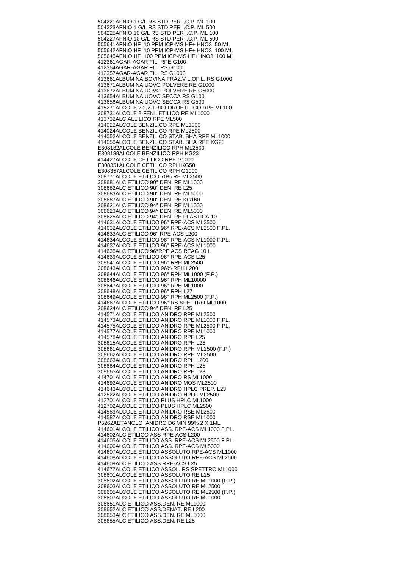504221 AFNIO 1 G/L RS STD PER I.C.P. ML 100 504223 AFNIO 1 G/L RS STD PER I.C.P. ML 500 504225 AFNIO 10 G/L RS STD PER I.C.P. ML 100 504227 AFNIO 10 G/L RS STD PER I.C.P. ML 500 505641 AFNIO HF 10 PPM ICP-MS HF+ HNO3 50 ML 505642 AFNIO HF 10 PPM ICP-MS HF+ HNO3 100 ML 505645 AFNIO HF 100 PPM ICP-MS HF+HNO3 100 ML 412361 AGAR-AGAR FILI RPE G100 412354 AGAR-AGAR FILI RS G100 412357 AGAR-AGAR FILI RS G1000 413661 ALBUMINA BOVINA FRAZ.V LIOFIL. RS G1000 413671 ALBUMINA UOVO POLVERE RE G1000 413672 ALBUMINA UOVO POLVERE RE G5000 413654 ALBUMINA UOVO SECCA RS G100 413656 ALBUMINA UOVO SECCA RS G500 415271 ALCOLE 2,2,2-TRICLOROETILICO RPE ML100 308731 ALCOLE 2-FENILETILICO RE ML1000 413732 ALC ALLILICO RPE ML500 414022 ALCOLE BENZILICO RPE ML1000 414024 ALCOLE BENZILICO RPE ML2500 414052 ALCOLE BENZILICO STAB. BHA RPE ML1000 414056 ALCOLE BENZILICO STAB. BHA RPE KG23 E308132 ALCOLE BENZILICO RPH ML2500 E308138 ALCOLE BENZILICO RPH KG23 414427 ALCOLE CETILICO RPE G1000 E308351 ALCOLE CETILICO RPH KG50 E308357 ALCOLE CETILICO RPH G1000 308771 ALCOLE ETILICO 70% RE ML2500 308681 ALC ETILICO 90° DEN. RE ML1000 308682 ALC ETILICO 90° DEN. RE L25 308683 ALC ETILICO 90° DEN. RE ML5000 308687 ALC ETILICO 90° DEN. RE KG160 308621 ALC ETILICO 94° DEN. RE ML1000 308623 ALC ETILICO 94° DEN. RE ML5000 308625 ALC ETILICO 94° DEN. RE PLASTICA 10 L 414631 ALCOLE ETILICO 96° RPE-ACS ML2500 414632 ALCOLE ETILICO 96° RPE-ACS ML2500 F.PL. 414633 ALC ETILICO 96° RPE-ACS L200 414634 ALCOLE ETILICO 96° RPE-ACS ML1000 F.PL. 414637 ALCOLE ETILICO 96° RPE-ACS ML1000 414638 ALC ETILICO 96°RPE ACS REAG 10 L 414639 ALCOLE ETILICO 96° RPE-ACS L25 308641 ALCOLE ETILICO 96° RPH ML2500 308643 ALCOLE ETILICO 96% RPH L200 308644 ALCOLE ETILICO 96° RPH ML1000 (F.P.) 308646 ALCOLE ETILICO 96° RPH ML10000 308647 ALCOLE ETILICO 96° RPH ML1000 308648 ALCOLE ETILICO 96° RPH L27 308649 ALCOLE ETILICO 96° RPH ML2500 (F.P.) 414667 ALCOLE ETILICO 96° RS SPETTRO ML1000 308624 ALC ETILICO 94° DEN. RE L25 414571 ALCOLE ETILICO ANIDRO RPE ML2500 414573 ALCOLE ETILICO ANIDRO RPE ML1000 F.PL. 414575 ALCOLE ETILICO ANIDRO RPE ML2500 F.PL. 414577 ALCOLE ETILICO ANIDRO RPE ML1000 414578 ALCOLE ETILICO ANIDRO RPE L25 308615 ALCOLE ETILICO ANIDRO RPH L25 308661 ALCOLE ETILICO ANIDRO RPH ML2500 (F.P.) 308662 ALCOLE ETILICO ANIDRO RPH ML2500 308663 ALCOLE ETILICO ANIDRO RPH L200 308664 ALCOLE ETILICO ANIDRO RPH L25 308665 ALCOLE ETILICO ANIDRO RPH L23 414701 ALCOLE ETILICO ANIDRO RS ML1000 414692 ALCOLE ETILICO ANIDRO MOS ML2500 414643 ALCOLE ETILICO ANIDRO HPLC PREP. L23 412522 ALCOLE ETILICO ANIDRO HPLC ML2500 412701 ALCOLE ETILICO PLUS HPLC ML1000 412702 ALCOLE ETILICO PLUS HPLC ML2500 414583 ALCOLE ETILICO ANIDRO RSE ML2500 414587 ALCOLE ETILICO ANIDRO RSE ML1000 P5262A ETANOLO ANIDRO D6 MIN 99% 2 X 1ML 414601 ALCOLE ETILICO ASS. RPE-ACS ML1000 F.PL. 414602 ALC ETILICO ASS RPE-ACS L200 414605 ALCOLE ETILICO ASS. RPE-ACS ML2500 F.PL. 414606 ALCOLE ETILICO ASS. RPE-ACS ML5000 414607 ALCOLE ETILICO ASSOLUTO RPE-ACS ML1000 414608 ALCOLE ETILICO ASSOLUTO RPE-ACS ML2500 414609 ALC ETILICO ASS RPE-ACS L25 414677 ALCOLE ETILICO ASSOL. RS SPETTRO ML1000 308601 ALCOLE ETILICO ASSOLUTO RE L25 308602 ALCOLE ETILICO ASSOLUTO RE ML1000 (F.P.) 308603 ALCOLE ETILICO ASSOLUTO RE ML2500 308605 ALCOLE ETILICO ASSOLUTO RE ML2500 (F.P.) 308607 ALCOLE ETILICO ASSOLUTO RE ML1000 308651 ALC ETILICO ASS.DEN. RE ML1000 308652 ALC ETILICO ASS.DENAT. RE L200 308653 ALC ETILICO ASS.DEN. RE ML5000 308655 ALC ETILICO ASS.DEN. RE L25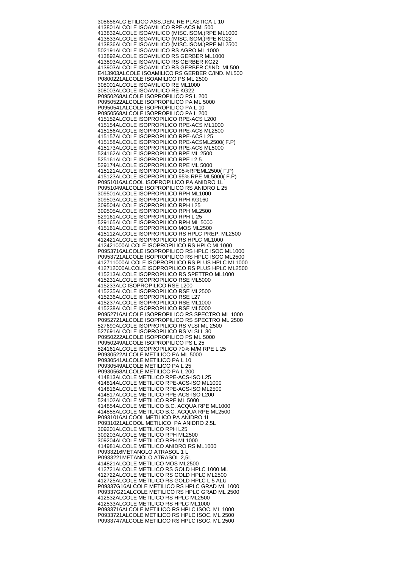308656 ALC ETILICO ASS.DEN. RE PLASTICA L 10 413801 ALCOLE ISOAMILICO RPE-ACS ML500 413832 ALCOLE ISOAMILICO (MISC.ISOM.)RPE ML1000 413833 ALCOLE ISOAMILICO (MISC.ISOM.)RPE KG22 413836 ALCOLE ISOAMILICO (MISC.ISOM.)RPE ML2500 502191 ALCOLE ISOAMILICO RS AGRO ML 1000 413892 ALCOLE ISOAMILICO RS GERBER ML1000 413893 ALCOLE ISOAMILICO RS GERBER KG22 413903 ALCOLE ISOAMILICO RS GERBER C/IND ML500 E413903 ALCOLE ISOAMILICO RS GERBER C/IND. ML500 P0800221 ALCOLE ISOAMILICO PS ML 2500 308001 ALCOLE ISOAMILICO RE ML1000 308003 ALCOLE ISOAMILICO RE KG22 P0950268 ALCOLE ISOPROPILICO PS L 200 P0950522 ALCOLE ISOPROPILICO PA ML 5000 P0950541 ALCOLE ISOPROPILICO PA L 10 P0950568 ALCOLE ISOPROPILICO PA L 200 415152 ALCOLE ISOPROPILICO RPE-ACS L200 415154 ALCOLE ISOPROPILICO RPE-ACS ML1000 415156 ALCOLE ISOPROPILICO RPE-ACS ML2500 415157 ALCOLE ISOPROPILICO RPE-ACS L25 415158 ALCOLE ISOPROPILICO RPE-ACSML2500( F.P) 415173 ALCOLE ISOPROPILICO RPE-ACS ML5000 524162 ALCOLE ISOPROPILICO RPE ML 2500 525161 ALCOLE ISOPROPILICO RPE L2,5 529174 ALCOLE ISOPROPILICO RPE ML 5000 415121 ALCOLE ISOPROPILICO 95%RPEML2500( F.P) 415123 ALCOLE ISOPROPILICO 95% RPE ML5000( F.P) P0951016 ALCOOL ISOPROPILICO PA ANIDRO 1L P0951049 ALCOLE ISOPROPILICO RS ANIDRO L 25 309501 ALCOLE ISOPROPILICO RPH ML1000 309503 ALCOLE ISOPROPILICO RPH KG160 309504 ALCOLE ISOPROPILICO RPH L25 309505 ALCOLE ISOPROPILICO RPH ML2500 529161 ALCOLE ISOPROPILICO RPH L 25 529165 ALCOLE ISOPROPILICO RPH ML 5000 415161 ALCOLE ISOPROPILICO MOS ML2500 415112 ALCOLE ISOPROPILICO RS HPLC PREP. ML2500 412421 ALCOLE ISOPROPILICO RS HPLC ML1000 412421000 ALCOLE ISOPROPILICO RS HPLC ML1000 P0953716 ALCOLE ISOPROPILICO RS HPLC ISOC ML1000 P0953721 ALCOLE ISOPROPILICO RS HPLC ISOC ML2500 412711000 ALCOLE ISOPROPILICO RS PLUS HPLC ML1000 412712000 ALCOLE ISOPROPILICO RS PLUS HPLC ML2500 415213 ALCOLE ISOPROPILICO RS SPETTRO ML1000 415231 ALCOLE ISOPROPILICO RSE ML5000 415233 ALC ISOPROPILICO RSE L200 415235 ALCOLE ISOPROPILICO RSE ML2500 415236 ALCOLE ISOPROPILICO RSE L27 415237 ALCOLE ISOPROPILICO RSE ML1000 415238 ALCOLE ISOPROPILICO RSE ML5000 P0952716 ALCOLE ISOPROPILICO RS SPECTRO ML 1000 P0952721 ALCOLE ISOPROPILICO RS SPECTRO ML 2500 527690 ALCOLE ISOPROPILICO RS VLSI ML 2500 527691 ALCOLE ISOPROPILICO RS VLSI L 30 P0950222 ALCOLE ISOPROPILICO PS ML 5000 P0950249 ALCOLE ISOPROPILICO PS L 25 524161 ALCOLE ISOPROPILICO 70% M/M RPE L 25 P0930522 ALCOLE METILICO PA ML 5000 P0930541 ALCOLE METILICO PA L 10 P0930549 ALCOLE METILICO PA L 25 P0930568 ALCOLE METILICO PA L 200 414813 ALCOLE METILICO RPE-ACS-ISO L25 414814 ALCOLE METILICO RPE-ACS-ISO ML1000 414816 ALCOLE METILICO RPE-ACS-ISO ML2500 414817 ALCOLE METILICO RPE-ACS-ISO L200 524102 ALCOLE METILICO RPE ML 5000 414854 ALCOLE METILICO B.C. ACQUA RPE ML1000 414855 ALCOLE METILICO B.C. ACQUA RPE ML2500 P0931016 ALCOOL METILICO PA ANIDRO 1L P0931021 ALCOOL METILICO PA ANIDRO 2,5L 309201 ALCOLE METILICO RPH L25 309203 ALCOLE METILICO RPH ML2500 309204 ALCOLE METILICO RPH ML1000 414981 ALCOLE METILICO ANIDRO RS ML1000 P0933216 METANOLO ATRASOL 1 L P0933221 METANOLO ATRASOL 2,5L 414821 ALCOLE METILICO MOS ML2500 412721 ALCOLE METILICO RS GOLD HPLC 1000 ML 412722 ALCOLE METILICO RS GOLD HPLC ML2500 412725 ALCOLE METILICO RS GOLD HPLC L 5 ALU P09337G16 ALCOLE METILICO RS HPLC GRAD ML 1000 P09337G21 ALCOLE METILICO RS HPLC GRAD ML 2500 412532 ALCOLE METILICO RS HPLC ML2500 412533 ALCOLE METILICO RS HPLC ML1000 P0933716 ALCOLE METILICO RS HPLC ISOC. ML 1000 P0933721 ALCOLE METILICO RS HPLC ISOC. ML 2500 P0933747 ALCOLE METILICO RS HPLC ISOC. ML 2500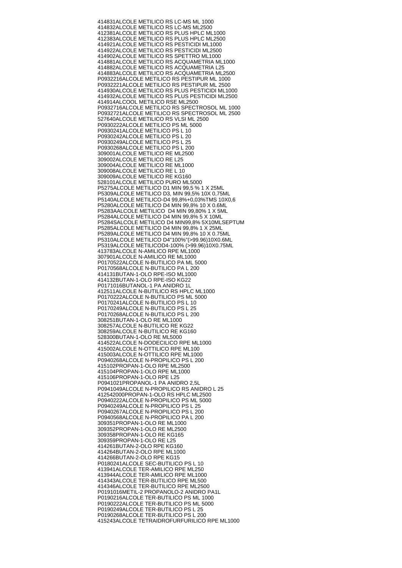414831 ALCOLE METILICO RS LC-MS ML 1000 414832 ALCOLE METILICO RS LC-MS ML2500 412381 ALCOLE METILICO RS PLUS HPLC ML1000 412383 ALCOLE METILICO RS PLUS HPLC ML2500 414921 ALCOLE METILICO RS PESTICIDI ML1000 414922 ALCOLE METILICO RS PESTICIDI ML2500 414902 ALCOLE METILICO RS SPETTRO ML1000 414881 ALCOLE METILICO RS ACQUAMETRIA ML1000 414882 ALCOLE METILICO RS ACQUAMETRIA L25 414883 ALCOLE METILICO RS ACQUAMETRIA ML2500 P0932216 ALCOLE METILICO RS PESTIPUR ML 1000 P0932221 ALCOLE METILICO RS PESTIPUR ML 2500 414930 ALCOLE METILICO RS PLUS PESTICIDI ML1000 414932 ALCOLE METILICO RS PLUS PESTICIDI ML2500 414914 ALCOOL METILICO RSE ML2500 P0932716 ALCOLE METILICO RS SPECTROSOL ML 1000 P0932721 ALCOLE METILICO RS SPECTROSOL ML 2500 527640 ALCOLE METILICO RS VLSI ML 2500 P0930222 ALCOLE METILICO PS ML 5000 P0930241 ALCOLE METILICO PS L 10 P0930242 ALCOLE METILICO PS L 20 P0930249 ALCOLE METILICO PS L 25 P0930268 ALCOLE METILICO PS L 200 309001 ALCOLE METILICO RE ML2500 309002 ALCOLE METILICO RE L25 309004 ALCOLE METILICO RE ML1000 309008 ALCOLE METILICO RE L 10 309009 ALCOLE METILICO RE KG160 528101 ALCOLE METILICO PURO ML5000 P5275 ALCOLE METILICO D1 MIN 99,5 % 1 X 25ML P5309 ALCOLE METILICO D3, MIN 99,5% 10X 0,75ML P5140 ALCOLE METILICO-D4 99,8%+0,03%TMS 10X0,6 P5280 ALCOLE METILICO D4 MIN 99,8% 10 X 0.6ML P5283A ALCOLE METILICO D4 MIN 99,80% 1 X 5ML P5284 ALCOLE METILICO D4 MIN 99,8% 5 X 10ML P5284S ALCOLE METILICO D4 MIN99,8% 5X10MLSEPTUM P5285 ALCOLE METILICO D4 MIN 99,8% 1 X 25ML P5289 ALCOLE METILICO D4 MIN 99,8% 10 X 0.75ML P5310 ALCOLE METILICO D4"100%"(>99.96)10X0.6ML P5319 ALCOLE METILICOD4-100% (>99.96)10X0.75ML 413783 ALCOLE N-AMILICO RPE ML1000 307901 ALCOLE N-AMILICO RE ML1000 P0170522 ALCOLE N-BUTILICO PA ML 5000 P0170568 ALCOLE N-BUTILICO PA L 200 414131 BUTAN-1-OLO RPE-ISO ML1000 414132 BUTAN-1-OLO RPE-ISO KG22 P0171016 BUTANOL-1 PA ANIDRO 1L 412511 ALCOLE N-BUTILICO RS HPLC ML1000 P0170222 ALCOLE N-BUTILICO PS ML 5000 P0170241 ALCOLE N-BUTILICO PS L 10 P0170249 ALCOLE N-BUTILICO PS L 25 P0170268 ALCOLE N-BUTILICO PS L 200 308251 BUTAN-1-OLO RE ML1000 308257 ALCOLE N-BUTILICO RE KG22 308259 ALCOLE N-BUTILICO RE KG160 528300 BUTAN-1-OLO RE ML5000 414522 ALCOLE N-DODECILICO RPE ML1000 415002 ALCOLE N-OTTILICO RPE ML100 415003 ALCOLE N-OTTILICO RPE ML1000 P0940268 ALCOLE N-PROPILICO PS L 200 415102 PROPAN-1-OLO RPE ML2500 415104 PROPAN-1-OLO RPE ML1000 415106 PROPAN-1-OLO RPE L25 P0941021 PROPANOL-1 PA ANIDRO 2,5L P0941049 ALCOLE N-PROPILICO RS ANIDRO L 25 412542000 PROPAN-1-OLO RS HPLC ML2500 P0940222 ALCOLE N-PROPILICO PS ML 5000 P0940249 ALCOLE N-PROPILICO PS L 25 P0940267 ALCOLE N-PROPILICO PS L 200 P0940568 ALCOLE N-PROPILICO PA L 200 309351 PROPAN-1-OLO RE ML1000 309352 PROPAN-1-OLO RE ML2500 309358 PROPAN-1-OLO RE KG165 309359 PROPAN-1-OLO RE L25 414261 BUTAN-2-OLO RPE KG160 414264 BUTAN-2-OLO RPE ML1000 414266 BUTAN-2-OLO RPE KG15 P0180241 ALCOLE SEC-BUTILICO PS L 10 413941 ALCOLE TER-AMILICO RPE ML250 413944 ALCOLE TER-AMILICO RPE ML1000 414343 ALCOLE TER-BUTILICO RPE ML500 414346 ALCOLE TER-BUTILICO RPE ML2500 P0191016 METIL-2 PROPANOLO-2 ANIDRO PA1L P0190216 ALCOLE TER-BUTILICO PS ML 1000 P0190222 ALCOLE TER-BUTILICO PS ML 5000 P0190249 ALCOLE TER-BUTILICO PS L 25 P0190268 ALCOLE TER-BUTILICO PS L 200 415243 ALCOLE TETRAIDROFURFURILICO RPE ML1000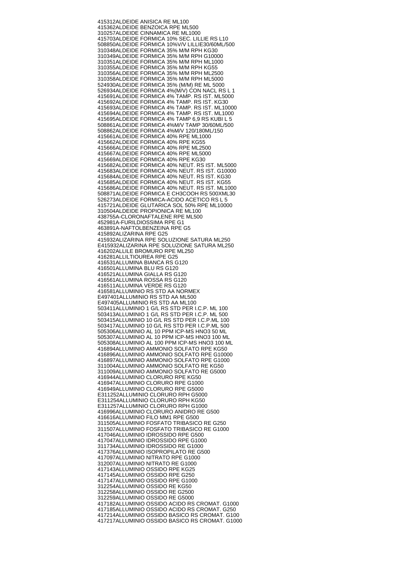415312 ALDEIDE ANISICA RE ML100 415362 ALDEIDE BENZOICA RPE ML500 310257 ALDEIDE CINNAMICA RE ML1000 415703 ALDEIDE FORMICA 10% SEC. LILLIE RS L10 508850 ALDEIDE FORMICA 10%V/V LILLIE30/60ML/500 310348 ALDEIDE FORMICA 35% M/M RPH KG30 310349 ALDEIDE FORMICA 35% M/M RPH G10000 310351 ALDEIDE FORMICA 35% M/M RPH ML1000 310355 ALDEIDE FORMICA 35% M/M RPH KG55 310356 ALDEIDE FORMICA 35% M/M RPH ML2500 310358 ALDEIDE FORMICA 35% M/M RPH ML5000 524930 ALDEIDE FORMICA 35% (M/M) RE ML 5000 526934 ALDEIDE FORMICA 4%(M/V) CON NACL RS L 1 415691 ALDEIDE FORMICA 4% TAMP. RS IST. ML5000 415692 ALDEIDE FORMICA 4% TAMP. RS IST. KG30 415693 ALDEIDE FORMICA 4% TAMP. RS IST. ML10000 415694 ALDEIDE FORMICA 4% TAMP. RS IST. ML1000 415695 ALDEIDE FORMICA 4% TAMP 6,9 RS KUBI L 5 508861 ALDEIDE FORMICA 4%M/V TAMP 30/60ML/500 508862 ALDEIDE FORMICA 4%M/V 120/180ML/150 415661 ALDEIDE FORMICA 40% RPE ML1000 415662 ALDEIDE FORMICA 40% RPE KG55 415666 ALDEIDE FORMICA 40% RPE ML2500 415667 ALDEIDE FORMICA 40% RPE ML5000 415669 ALDEIDE FORMICA 40% RPE KG30 415682 ALDEIDE FORMICA 40% NEUT. RS IST. ML5000 415683 ALDEIDE FORMICA 40% NEUT. RS IST. G10000 415684 ALDEIDE FORMICA 40% NEUT. RS IST. KG30 415685 ALDEIDE FORMICA 40% NEUT. RS IST. KG55 415686 ALDEIDE FORMICA 40% NEUT. RS IST. ML1000 508871 ALDEIDE FORMICA E CH3COOH RS 500XML30 526273 ALDEIDE FORMICA-ACIDO ACETICO RS L 5 415721 ALDEIDE GLUTARICA SOL 50% RPE ML10000 310504 ALDEIDE PROPIONICA RE ML100 438755 A-CLORONAFTAL FNF RPF ML500 452981 A-FURILDIOSSIMA RPE G1 463891 A-NAFTOLBENZEINA RPE G5 415892 ALIZARINA RPE G25 415932 ALIZARINA RPE SOLUZIONE SATURA ML250 E415932 ALIZARINA RPE SOLUZIONE SATURA ML250 416202 ALLILE BROMURO RPE ML250 416281 ALLILTIOUREA RPE G25 416531 ALLUMINA BIANCA RS G120 416501 ALLUMINA BLU RS G120 416521 ALLUMINA GIALLA RS G120 416561 ALLUMINA ROSSA RS G120 416511 ALLUMINA VERDE RS G120 416581 ALLUMINIO RS STD AA NORMEX E497401 ALLUMINIO RS STD AA ML500 E497405 ALLUMINIO RS STD AA ML100 503411 ALLUMINIO 1 G/L RS STD PER I.C.P. ML 100 503413 ALLUMINIO 1 G/L RS STD PER I.C.P. ML 500 503415 ALLUMINIO 10 G/L RS STD PER I.C.P.ML 100 503417 ALLUMINIO 10 G/L RS STD PER I.C.P.ML 500 505306 ALLUMINIO AL 10 PPM ICP-MS HNO3 50 ML 505307 ALLUMINIO AL 10 PPM ICP-MS HNO3 100 ML 505308 ALLUMINIO AL 100 PPM ICP-MS HNO3 100 ML 416894 ALLUMINIO AMMONIO SOLFATO RPE KG50 416896 ALLUMINIO AMMONIO SOLFATO RPE G10000 416897 ALLUMINIO AMMONIO SOLFATO RPE G1000 311004 ALLUMINIO AMMONIO SOLFATO RE KG50 311009 ALLUMINIO AMMONIO SOLFATO RE G5000 416944 ALLUMINIO CLORURO RPE KG50 416947 ALLUMINIO CLORURO RPE G1000 416949 ALLUMINIO CLORURO RPE G5000 E311252 ALLUMINIO CLORURO RPH G5000 E311254 ALLUMINIO CLORURO RPH KG50 E311257 ALLUMINIO CLORURO RPH G1000 416996 ALLUMINIO CLORURO ANIDRO RE G500 416616 ALLUMINIO FILO MM1 RPE G500 311505 ALLUMINIO FOSFATO TRIBASICO RE G250 311507 ALLUMINIO FOSFATO TRIBASICO RE G1000 417046 ALLUMINIO IDROSSIDO RPE G500 417047 ALLUMINIO IDROSSIDO RPE G1000 311734 ALLUMINIO IDROSSIDO RE G1000 417376 ALLUMINIO ISOPROPILATO RE G500 417097 ALLUMINIO NITRATO RPE G1000 312007 ALLUMINIO NITRATO RE G1000 417143 ALLUMINIO OSSIDO RPE KG25 417145 ALLUMINIO OSSIDO RPE G250 417147 ALLUMINIO OSSIDO RPE G1000 312254 ALLUMINIO OSSIDO RE KG50 312258 ALLUMINIO OSSIDO RE G2500 312259 ALLUMINIO OSSIDO RE G5000 417182 ALLUMINIO OSSIDO ACIDO RS CROMAT. G1000 417185 ALLUMINIO OSSIDO ACIDO RS CROMAT. G250 417214 ALLUMINIO OSSIDO BASICO RS CROMAT. G100 417217 ALLUMINIO OSSIDO BASICO RS CROMAT. G1000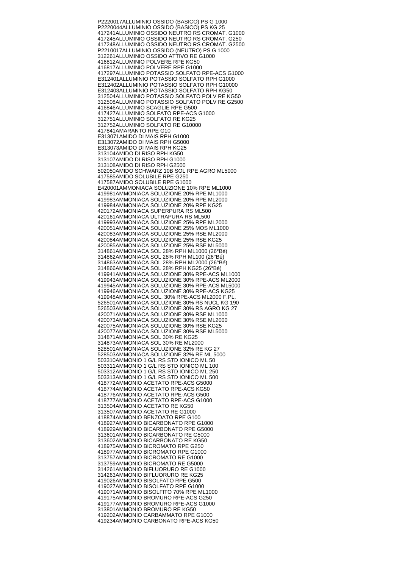P2220017 ALLUMINIO OSSIDO (BASICO) PS G 1000 P2220044 ALLUMINIO OSSIDO (BASICO) PS KG 25 417241 ALLUMINIO OSSIDO NEUTRO RS CROMAT. G1000 417245 ALLUMINIO OSSIDO NEUTRO RS CROMAT. G250 417248 ALLUMINIO OSSIDO NEUTRO RS CROMAT. G2500 P2210017 ALLUMINIO OSSIDO (NEUTRO) PS G 1000 312261 ALLUMINIO OSSIDO ATTIVO RE G1000 416812 ALLUMINIO POLVERE RPE KG50 416817 ALLUMINIO POLVERE RPE G1000 417297 ALLUMINIO POTASSIO SOLFATO RPE-ACS G1000 E312401 ALLUMINIO POTASSIO SOLFATO RPH G1000 E312402 ALLUMINIO POTASSIO SOLFATO RPH G10000 E312403 ALLUMINIO POTASSIO SOLFATO RPH KG50 312504 ALLUMINIO POTASSIO SOLFATO POLV RE KG50 312508 ALLUMINIO POTASSIO SOLFATO POLV RE G2500 416846 ALLUMINIO SCAGLIE RPE G500 417427 ALLUMINIO SOLFATO RPE-ACS G1000 312751 ALLUMINIO SOLFATO RE KG25 312752 ALLUMINIO SOLFATO RE G10000 417841 AMARANTO RPE G10 E313071 AMIDO DI MAIS RPH G1000 E313072 AMIDO DI MAIS RPH G5000 E313073 AMIDO DI MAIS RPH KG25 313104 AMIDO DI RISO RPH KG50 313107 AMIDO DI RISO RPH G1000 313108 AMIDO DI RISO RPH G2500 502050 AMIDO SCHWARZ 10B SOL RPE AGRO ML5000 417585 AMIDO SOLUBILE RPE G250 417587 AMIDO SOLUBILE RPE G1000 E420001 AMMONIACA SOLUZIONE 10% RPE ML1000 419981 AMMONIACA SOLUZIONE 20% RPE ML1000 419983 AMMONIACA SOLUZIONE 20% RPE ML2000 419984 AMMONIACA SOLUZIONE 20% RPE KG25 420172 AMMONIACA SUPERPURA RS ML500 420161 AMMONIACA ULTRAPURA RS ML500 419993 AMMONIACA SOLUZIONE 25% RPE ML2000 420051 AMMONIACA SOLUZIONE 25% MOS ML1000 420083 AMMONIACA SOLUZIONE 25% RSE ML2000 420084 AMMONIACA SOLUZIONE 25% RSE KG25 420085 AMMONIACA SOLUZIONE 25% RSE ML5000 314861 AMMONIACA SOL 28% RPH ML1000 (26°Bé) 314862 AMMONIACA SOL 28% RPH ML100 (26°Bé) 314863 AMMONIACA SOL 28% RPH ML2000 (26°Bé) 314866 AMMONIACA SOL 28% RPH KG25 (26°Bé) 419941 AMMONIACA SOLUZIONE 30% RPE-ACS ML1000 419943 AMMONIACA SOLUZIONE 30% RPE-ACS ML2000 419945 AMMONIACA SOLUZIONE 30% RPE-ACS ML5000 419946 AMMONIACA SOLUZIONE 30% RPE-ACS KG25 419948 AMMONIACA SOL. 30% RPE-ACS ML2000 F.PL. 526501 AMMONIACA SOLUZIONE 30% RS NUCL KG 190 526503 AMMONIACA SOLUZIONE 30% RS AGRO KG 27 420071 AMMONIACA SOLUZIONE 30% RSE ML1000 420073 AMMONIACA SOLUZIONE 30% RSE ML2000 420075 AMMONIACA SOLUZIONE 30% RSE KG25 420077 AMMONIACA SOLUZIONE 30% RSE ML5000 314871 AMMONIACA SOL 30% RE KG25 314873 AMMONIACA SOL 30% RE ML2000 528501 AMMONIACA SOLUZIONE 32% RE KG 27 528503 AMMONIACA SOLUZIONE 32% RE ML 5000 503310 AMMONIO 1 G/L RS STD IONICO ML 50 503311 AMMONIO 1 G/L RS STD IONICO ML 100 503312 AMMONIO 1 G/L RS STD IONICO ML 250 503313 AMMONIO 1 G/L RS STD IONICO ML 500 418772 AMMONIO ACETATO RPE-ACS G5000 418774 AMMONIO ACETATO RPE-ACS KG50 418776 AMMONIO ACETATO RPE-ACS G500 418777 AMMONIO ACETATO RPE-ACS G1000 313504 AMMONIO ACETATO RE KG50 313507 AMMONIO ACETATO RE G1000 418874 AMMONIO BENZOATO RPE G100 418927 AMMONIO BICARBONATO RPE G1000 418929 AMMONIO BICARBONATO RPE G5000 313601 AMMONIO BICARBONATO RE G5000 313602 AMMONIO BICARBONATO RE KG50 418975 AMMONIO BICROMATO RPE G250 418977 AMMONIO BICROMATO RPE G1000 313757 AMMONIO BICROMATO RE G1000 313759 AMMONIO BICROMATO RE G5000 314261 AMMONIO BIFLUORURO RE G1000 314263 AMMONIO BIFLUORURO RE KG25 419026 AMMONIO BISOLFATO RPE G500 419027 AMMONIO BISOLFATO RPE G1000 419071 AMMONIO BISOLFITO 70% RPE ML1000 419175 AMMONIO BROMURO RPE-ACS G250 419177 AMMONIO BROMURO RPE-ACS G1000 313801 AMMONIO BROMURO RE KG50 419202 AMMONIO CARBAMMATO RPE G1000 419234 AMMONIO CARBONATO RPE-ACS KG50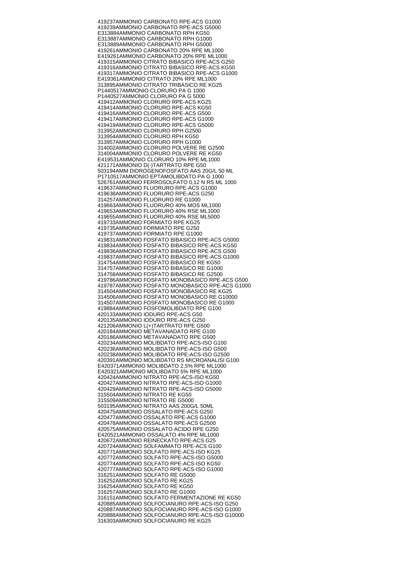419237 AMMONIO CARBONATO RPE-ACS G1000 419239 AMMONIO CARBONATO RPE-ACS G5000 E313884 AMMONIO CARBONATO RPH KG50 E313887 AMMONIO CARBONATO RPH G1000 E313889 AMMONIO CARBONATO RPH G5000 419261 AMMONIO CARBONATO 20% RPE ML1000 E419261 AMMONIO CARBONATO 20% RPE ML1000 419315 AMMONIO CITRATO BIBASICO RPE-ACS G250 419316 AMMONIO CITRATO BIBASICO RPE-ACS KG50 419317 AMMONIO CITRATO BIBASICO RPE-ACS G1000 E419361 AMMONIO CITRATO 20% RPE ML1000 313895 AMMONIO CITRATO TRIBASICO RE KG25 P1440517 AMMONIO CLORURO PA G 1000 P1440527 AMMONIO CLORURO PA G 5000 419412 AMMONIO CLORURO RPE-ACS KG25 419414 AMMONIO CLORURO RPE-ACS KG50 419416 AMMONIO CLORURO RPE-ACS G500 419417 AMMONIO CLORURO RPE-ACS G1000 419419 AMMONIO CLORURO RPE-ACS G5000 313952 AMMONIO CLORURO RPH G2500 313954 AMMONIO CLORURO RPH KG50 313957 AMMONIO CLORURO RPH G1000 314002 AMMONIO CLORURO POLVERE RE G2500 314004 AMMONIO CLORURO POLVERE RE KG50 E419531 AMMONIO CLORURO 10% RPE ML1000 421171 AMMONIO D(-)TARTRATO RPE G50 503194 AMM DIDROGENOFOSFATO AAS 20G/L 50 ML P1710517 AMMONIO EPTAMOLIBDATO PA G 1000 526761 AMMONIO FERROSOLFATO 0,12 N RS ML 1000 419637 AMMONIO FLUORURO RPE-ACS G1000 419638 AMMONIO FLUORURO RPE-ACS G250 314257 AMMONIO FLUORURO RE G1000 419663 AMMONIO FLUORURO 40% MOS ML1000 419653 AMMONIO FLUORURO 40% RSE ML1000 419655 AMMONIO FLUORURO 40% RSE ML5000 419733 AMMONIO FORMIATO RPE KG25 419735 AMMONIO FORMIATO RPE G250 419737 AMMONIO FORMIATO RPE G1000 419831 AMMONIO FOSFATO BIBASICO RPE-ACS G5000 419834 AMMONIO FOSFATO BIBASICO RPE-ACS KG50 419836 AMMONIO FOSFATO BIBASICO RPE-ACS G500 419837 AMMONIO FOSFATO BIBASICO RPE-ACS G1000 314754 AMMONIO FOSFATO BIBASICO RE KG50 314757 AMMONIO FOSFATO BIBASICO RE G1000 314758 AMMONIO FOSFATO BIBASICO RE G2500 419786 AMMONIO FOSFATO MONOBASICO RPE-ACS G500 419787 AMMONIO FOSFATO MONOBASICO RPE-ACS G1000 314504 AMMONIO FOSFATO MONOBASICO RE KG25 314506 AMMONIO FOSFATO MONOBASICO RE G10000 314507 AMMONIO FOSFATO MONOBASICO RE G1000 419884 AMMONIO FOSFOMOLIBDATO RPE G100 420133 AMMONIO IODURO RPE-ACS G50 420135 AMMONIO IODURO RPE-ACS G250 421206 AMMONIO L(+)TARTRATO RPE G500 420184 AMMONIO METAVANADATO RPE G100 420186 AMMONIO METAVANADATO RPE G500 420234 AMMONIO MOLIBDATO RPE-ACS-ISO G100 420236 AMMONIO MOLIBDATO RPE-ACS-ISO G500 420238 AMMONIO MOLIBDATO RPE-ACS-ISO G2500 420391 AMMONIO MOLIBDATO RS MICROANALISI G100 E420371 AMMONIO MOLIBDATO 2,5% RPE ML1000 E420321 AMMONIO MOLIBDATO 5% RPE ML1000 420424 AMMONIO NITRATO RPE-ACS-ISO KG50 420427 AMMONIO NITRATO RPE-ACS-ISO G1000 420429 AMMONIO NITRATO RPE-ACS-ISO G5000 315504 AMMONIO NITRATO RE KG50 315509 AMMONIO NITRATO RE G5000 503195 AMMONIO NITRATO AAS 200G/L 50ML 420475 AMMONIO OSSALATO RPE-ACS G250 420477 AMMONIO OSSALATO RPE-ACS G1000 420478 AMMONIO OSSALATO RPE-ACS G2500 420575 AMMONIO OSSALATO ACIDO RPE G250 E420521 AMMONIO OSSALATO 4% RPE ML1000 420672 AMMONIO REINECKATO RPE-ACS G25 420724 AMMONIO SOLFAMMATO RPE-ACS G100 420771 AMMONIO SOLFATO RPE-ACS-ISO KG25 420772 AMMONIO SOLFATO RPE-ACS-ISO G5000 420774 AMMONIO SOLFATO RPE-ACS-ISO KG50 420777 AMMONIO SOLFATO RPE-ACS-ISO G1000 316251 AMMONIO SOLFATO RE G5000 316252 AMMONIO SOLFATO RE KG25 316254 AMMONIO SOLFATO RE KG50 316257 AMMONIO SOLFATO RE G1000 316151 AMMONIO SOLFATO FERMENTAZIONE RE KG50 420885 AMMONIO SOLFOCIANURO RPE-ACS-ISO G250 420887 AMMONIO SOLFOCIANURO RPE-ACS-ISO G1000 420888 AMMONIO SOLFOCIANURO RPE-ACS-ISO G10000 316303 AMMONIO SOLFOCIANURO RE KG25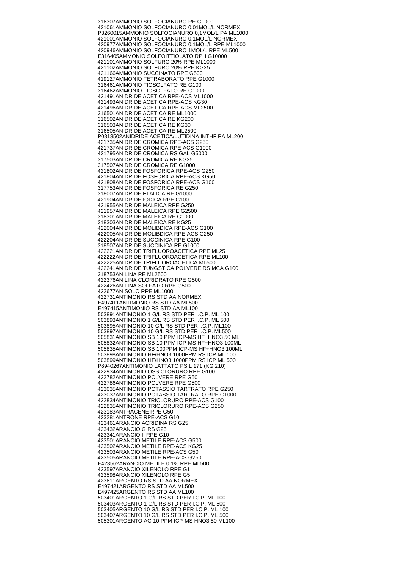316307 AMMONIO SOLFOCIANURO RE G1000 421061 AMMONIO SOLFOCIANURO 0,01MOL/L NORMEX P3260015 AMMONIO SOLFOCIANURO 0,1MOL/L PA ML1000 421001 AMMONIO SOLFOCIANURO 0,1MOL/L NORMEX 420977 AMMONIO SOLFOCIANURO 0,1MOL/L RPE ML1000 420946 AMMONIO SOLFOCIANURO 1MOL/L RPE ML500 E316405 AMMONIO SOLFOITTIOLATO RPH G10000 421101 AMMONIO SOLFURO 20% RPE ML1000 421102 AMMONIO SOLFURO 20% RPE KG25 421166 AMMONIO SUCCINATO RPE G500 419127 AMMONIO TETRABORATO RPE G1000 316461 AMMONIO TIOSOLFATO RE G100 316462 AMMONIO TIOSOLFATO RE G1000 421491 ANIDRIDE ACETICA RPE-ACS ML1000 421493 ANIDRIDE ACETICA RPE-ACS KG30 421496 ANIDRIDE ACETICA RPE-ACS ML2500 316501 ANIDRIDE ACETICA RE ML1000 316502 ANIDRIDE ACETICA RE KG200 316503 ANIDRIDE ACETICA RE KG30 316505 ANIDRIDE ACETICA RE ML2500 P0813502 ANIDRIDE ACETICA/LUTIDINA INTHF PA ML200 421735 ANIDRIDE CROMICA RPE-ACS G250 421737 ANIDRIDE CROMICA RPE-ACS G1000 421795 ANIDRIDE CROMICA RS GAL G5000 317503 ANIDRIDE CROMICA RE KG25 317507 ANIDRIDE CROMICA RE G1000 421802 ANIDRIDE FOSFORICA RPE-ACS G250 421804 ANIDRIDE FOSFORICA RPE-ACS KG50 421808 ANIDRIDE FOSFORICA RPE-ACS G100 317753 ANIDRIDE FOSFORICA RE G250 318007 ANIDRIDE FTALICA RE G1000 421904 ANIDRIDE IODICA RPE G100 421955 ANIDRIDE MALEICA RPE G250 421957 ANIDRIDE MALEICA RPE G2500 318301 ANIDRIDE MALEICA RE G1000 318303 ANIDRIDE MALEICA RE KG25 422004 ANIDRIDE MOLIBDICA RPE-ACS G100 422005 ANIDRIDE MOLIBDICA RPE-ACS G250 422204 ANIDRIDE SUCCINICA RPE G100 318507 ANIDRIDE SUCCINICA RE G1000 422221 ANIDRIDE TRIFLUOROACETICA RPE ML25 422222 ANIDRIDE TRIFLUOROACETICA RPE ML100 422225 ANIDRIDE TRIFLUOROACETICA ML500 422241 ANIDRIDE TUNGSTICA POLVERE RS MCA G100 318753 ANILINA RE ML2500 422376 ANILINA CLORIDRATO RPE G500 422426 ANILINA SOLFATO RPE G500 422677 ANISOLO RPE ML1000 422731 ANTIMONIO RS STD AA NORMEX E497411 ANTIMONIO RS STD AA ML500 E497415 ANTIMONIO RS STD AA ML100 503891 ANTIMONIO 1 G/L RS STD PER I.C.P. ML 100 503893 ANTIMONIO 1 G/L RS STD PER I.C.P. ML 500 503895 ANTIMONIO 10 G/L RS STD PER I.C.P. ML100 503897 ANTIMONIO 10 G/L RS STD PER I.C.P. ML500 505831 ANTIMONIO SB 10 PPM ICP-MS HF+HNO3 50 ML 505832 ANTIMONIO SB 10 PPM ICP-MS HF+HNO3 100ML 505835 ANTIMONIO SB 100PPM ICP-MS HF+HNO3 100ML 503898 ANTIMONIO HF/HNO3 1000PPM RS ICP ML 100 503899 ANTIMONIO HF/HNO3 1000PPM RS ICP ML 500 P8940267 ANTIMONIO LATTATO PS L 171 (KG 210) 422934 ANTIMONIO OSSICLORURO RPE G100 422782 ANTIMONIO POLVERE RPE G50 422786 ANTIMONIO POLVERE RPE G500 423035 ANTIMONIO POTASSIO TARTRATO RPE G250 423037 ANTIMONIO POTASSIO TARTRATO RPE G1000 422834 ANTIMONIO TRICLORURO RPE-ACS G100 422835 ANTIMONIO TRICLORURO RPE-ACS G250 423183 ANTRACENE RPE G50 423281 ANTRONE RPE-ACS G10 423461 ARANCIO ACRIDINA RS G25 423432 ARANCIO G RS G25 423341 ARANCIO II RPE G10 423501 ARANCIO METILE RPE-ACS G500 423502 ARANCIO METILE RPE-ACS KG25 423503 ARANCIO METILE RPE-ACS G50 423505 ARANCIO METILE RPE-ACS G250 E423562 ARANCIO METILE 0,1% RPE ML500 423597 ARANCIO XILENOLO RPE G1 423598 ARANCIO XILENOLO RPE G5 423611 ARGENTO RS STD AA NORMEX E497421 ARGENTO RS STD AA ML500 E497425 ARGENTO RS STD AA ML100 503401 ARGENTO 1 G/L RS STD PER I.C.P. ML 100 503403 ARGENTO 1 G/L RS STD PER I.C.P. ML 500 503405 ARGENTO 10 G/L RS STD PER I.C.P. ML 100 503407 ARGENTO 10 G/L RS STD PER I.C.P. ML 500 505301 ARGENTO AG 10 PPM ICP-MS HNO3 50 ML100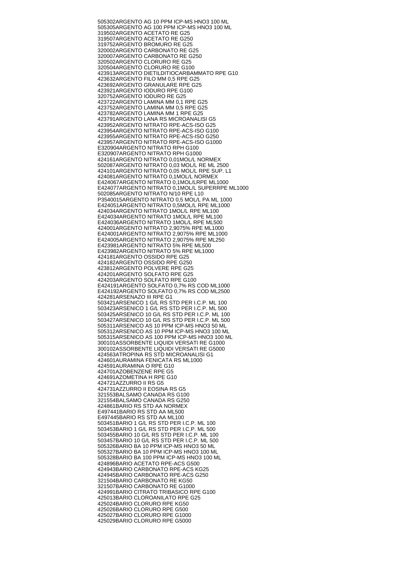505302 ARGENTO AG 10 PPM ICP-MS HNO3 100 ML 505305 ARGENTO AG 100 PPM ICP-MS HNO3 100 ML 319502 ARGENTO ACETATO RE G25 319507 ARGENTO ACETATO RE G250 319752 ARGENTO BROMURO RE G25 320002 ARGENTO CARBONATO RE G25 320007 ARGENTO CARBONATO RE G250 320502 ARGENTO CLORURO RE G25 320504 ARGENTO CLORURO RE G100 423913 ARGENTO DIETILDITIOCARBAMMATO RPE G10 423632 ARGENTO FILO MM 0,5 RPE G25 423692 ARGENTO GRANULARE RPE G25 423921 ARGENTO IODURO RPE G100 320752 ARGENTO IODURO RE G25 423722 ARGENTO LAMINA MM 0,1 RPE G25 423752 ARGENTO LAMINA MM 0,5 RPE G25 423782 ARGENTO LAMINA MM 1 RPE G25 423791 ARGENTO LANA RS MICROANALISI G5 423952 ARGENTO NITRATO RPE-ACS-ISO G25 423954 ARGENTO NITRATO RPE-ACS-ISO G100 423955 ARGENTO NITRATO RPE-ACS-ISO G250 423957 ARGENTO NITRATO RPE-ACS-ISO G1000 E320904 ARGENTO NITRATO RPH G100 E320907 ARGENTO NITRATO RPH G1000 424161 ARGENTO NITRATO 0,01MOL/L NORMEX 502087 ARGENTO NITRATO 0,03 MOL/L RE ML 2500 424101 ARGENTO NITRATO 0,05 MOL/L RPE SUP. L1 424081 ARGENTO NITRATO 0,1MOL/L NORMEX E424067 ARGENTO NITRATO 0,1MOL/LRPE ML1000 E424077 ARGENTO NITRATO 0,1MOL/L SUPERRPE ML1000 502085 ARGENTO NITRATO N/10 RPE L10 P3540015 ARGENTO NITRATO 0,5 MOL/L PA ML 1000 E424051 ARGENTO NITRATO 0,5MOL/L RPE ML1000 424034 ARGENTO NITRATO 1MOL/L RPE ML100 E424034 ARGENTO NITRATO 1MOL/L RPE ML100 E424036 ARGENTO NITRATO 1MOL/L RPE ML500 424001 ARGENTO NITRATO 2,9075% RPE ML1000 E424001 ARGENTO NITRATO 2,9075% RPE ML1000 E424005 ARGENTO NITRATO 2,9075% RPE ML250 E423981 ARGENTO NITRATO 5% RPE ML500 E423982 ARGENTO NITRATO 5% RPE ML1000 424181 ARGENTO OSSIDO RPE G25 424182 ARGENTO OSSIDO RPE G250 423812 ARGENTO POLVERE RPE G25 424201 ARGENTO SOLFATO RPE G25 424203 ARGENTO SOLFATO RPE G100 E424191 ARGENTO SOLFATO 0,7% RS COD ML1000 E424192 ARGENTO SOLFATO 0,7% RS COD ML2500 424281 ARSENAZO III RPE G1 503421 ARSENICO 1 G/L RS STD PER I.C.P. ML 100 503423 ARSENICO 1 G/L RS STD PER I.C.P. ML 500 503425 ARSENICO 10 G/L RS STD PER I.C.P. ML 100 503427 ARSENICO 10 G/L RS STD PER I.C.P. ML 500 505311 ARSENICO AS 10 PPM ICP-MS HNO3 50 ML 505312 ARSENICO AS 10 PPM ICP-MS HNO3 100 ML 505315 ARSENICO AS 100 PPM ICP-MS HNO3 100 ML 300101 ASSORBENTE LIQUIDI VERSATI RE G1000 300102 ASSORBENTE LIQUIDI VERSATI RE G5000 424563 ATROPINA RS STD MICROANALISI G1 424601 AURAMINA FENICATA RS ML1000 424591 AURAMINA O RPE G10 424701 AZOBENZENE RPE G5 424691 AZOMETINA H RPE G10 424721 AZZURRO II RS G5 424731 AZZURRO II EOSINA RS G5 321553 BALSAMO CANADA RS G100 321554 BALSAMO CANADA RS G250 424861 BARIO RS STD AA NORMEX E497441 BARIO RS STD AA ML500 E497445 BARIO RS STD AA ML100 503451 BARIO 1 G/L RS STD PER I.C.P. ML 100 503453 BARIO 1 G/L RS STD PER I.C.P. ML 500 503455 BARIO 10 G/L RS STD PER I.C.P. ML 100 503457 BARIO 10 G/L RS STD PER I.C.P. ML 500 505326 BARIO BA 10 PPM ICP-MS HNO3 50 ML 505327 BARIO BA 10 PPM ICP-MS HNO3 100 ML 505328 BARIO BA 100 PPM ICP-MS HNO3 100 ML 424896 BARIO ACETATO RPE-ACS G500 424943 BARIO CARBONATO RPE-ACS KG25 424945 BARIO CARBONATO RPE-ACS G250 321504 BARIO CARBONATO RE KG50 321507 BARIO CARBONATO RE G1000 424991 BARIO CITRATO TRIBASICO RPE G100 425013 BARIO CLOROANILATO RPE G25 425024 BARIO CLORURO RPE KG50 425026 BARIO CLORURO RPE G500 425027 BARIO CLORURO RPE G1000 425029 BARIO CLORURO RPE G5000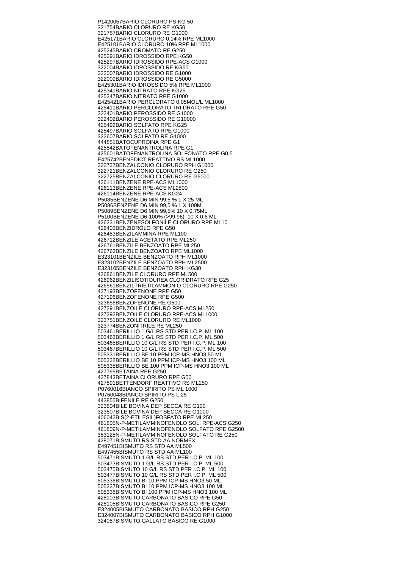P1420057 BARIO CLORURO PS KG 50 321754 BARIO CLORURO RE KG50 321757 BARIO CLORURO RE G1000 E425171 BARIO CLORURO 0,14% RPE ML1000 E425101 BARIO CLORURO 10% RPE ML1000 425245 BARIO CROMATO RE G250 425291 BARIO IDROSSIDO RPE KG50 425297 BARIO IDROSSIDO RPE-ACS G1000 322004 BARIO IDROSSIDO RE KG50 322007 BARIO IDROSSIDO RE G1000 322009 BARIO IDROSSIDO RE G5000 E425301 BARIO IDROSSIDO 5% RPE ML1000 425341 BARIO NITRATO RPE KG25 425347 BARIO NITRATO RPE G1000 E425421 BARIO PERCLORATO 0,05MOL/L ML1000 425411 BARIO PERCLORATO TRIIDRATO RPE G50 322401 BARIO PEROSSIDO RE G1000 322402 BARIO PEROSSIDO RE G10000 425492 BARIO SOLFATO RPE KG25 425497 BARIO SOLFATO RPE G1000 322607 BARIO SOLFATO RE G1000 444851 BATOCUPROINA RPE G1 425542 BATOFENANTROLINA RPE G1 425601 BATOFENANTROLINA SOLFONATO RPE G0,5 E425742 BENEDICT REATTIVO RS ML1000 322737 BENZALCONIO CLORURO RPH G1000 322721 BENZALCONIO CLORURO RE G250 322725 BENZALCONIO CLORURO RE G5000 426111 BENZENE RPE-ACS ML1000 426113 BENZENE RPE-ACS ML2500 426114 BENZENE RPE-ACS KG24 P5085 BENZENE D6 MIN 99,5 % 1 X 25 ML P5086 BENZENE D6 MIN 99,5 % 1 X 100ML P5089 BENZENE D6 MIN 99,5% 10 X 0,75ML P5100 BENZENE D6-100% (>99.96) 10 X 0,6 ML 426231 BENZENESOLFONILE CLORURO RPE ML10 426403 BENZIDROLO RPE G50 426453 BENZILAMMINA RPE ML100 426712 BENZILE ACETATO RPE ML250 426761 BENZILE BENZOATO RPE ML250 426763 BENZILE BENZOATO RPE ML1000 E323101 BENZILE BENZOATO RPH ML1000 E323102 BENZILE BENZOATO RPH ML2500 E323105 BENZILE BENZOATO RPH KG30 426861 BENZILE CLORURO RPE ML500 426962 BENZILISOTIOUREA CLORIDRATO RPE G25 426561 BENZILTRIETILAMMONIO CLORURO RPE G250 427193 BENZOFENONE RPE G50 427196 BENZOFENONE RPE G500 323656 BENZOFENONE RE G500 427291 BENZOILE CLORURO RPE-ACS ML250 427292 BENZOILE CLORURO RPE-ACS ML1000 323751 BENZOILE CLORURO RE ML1000 323774 BENZONITRILE RE ML250 503461 BERILLIO 1 G/L RS STD PER I.C.P. ML 100 503463 BERILLIO 1 G/L RS STD PER I.C.P. ML 500 503465 BERILLIO 10 G/L RS STD PER I.C.P. ML 100 503467 BERILLIO 10 G/L RS STD PER I.C.P. ML 500 505331 BERILLIO BE 10 PPM ICP-MS HNO3 50 ML 505332 BERILLIO BE 10 PPM ICP-MS HNO3 100 ML 505335 BERILLIO BE 100 PPM ICP-MS HNO3 100 ML 427795 BETAINA RPE G250 427843 BETAINA CLORURO RPE G50 427891 BETTENDORF REATTIVO RS ML250 P0760016 BIANCO SPIRITO PS ML 1000 P0760048 BIANCO SPIRITO PS L 25 443855 BIFENILE RE G250 323804 BILE BOVINA DEP SECCA RE G100 323807 BILE BOVINA DEP SECCA RE G1000 406042 BIS(2-ETILESIL)FOSFATO RPE ML250 461805 N-P-METILAMMINOFENOLO SOL. RPE-ACS G250 461809 N-P-METILAMMINOFENOLO SOLFATO RPE G2500 353125 N-P-METILAMMINOFENOLO SOLFATO RE G250 428071 BISMUTO RS STD AA NORMEX E497451 BISMUTO RS STD AA ML500 E497455 BISMUTO RS STD AA ML100 503471 BISMUTO 1 G/L RS STD PER I.C.P. ML 100 503473 BISMUTO 1 G/L RS STD PER I.C.P. ML 500 503475 BISMUTO 10 G/L RS STD PER I.C.P. ML 100 503477 BISMUTO 10 G/L RS STD PER I.C.P. ML 500 505336 BISMUTO BI 10 PPM ICP-MS HNO3 50 ML 505337 BISMUTO BI 10 PPM ICP-MS HNO3 100 ML 505338 BISMUTO BI 100 PPM ICP-MS HNO3 100 ML 428103 BISMUTO CARBONATO BASICO RPE G50 428105 BISMUTO CARBONATO BASICO RPE G250 E324005 BISMUTO CARBONATO BASICO RPH G250 E324007 BISMUTO CARBONATO BASICO RPH G1000 324087 BISMUTO GALLATO BASICO RE G1000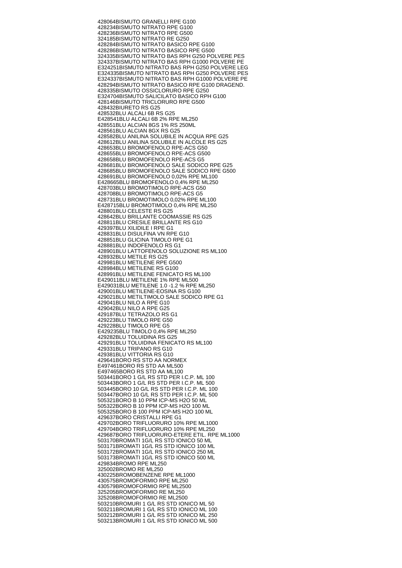428064 BISMUTO GRANELLI RPE G100 428234 BISMUTO NITRATO RPE G100 428236 BISMUTO NITRATO RPE G500 324185 BISMUTO NITRATO RE G250 428284 BISMUTO NITRATO BASICO RPE G100 428286 BISMUTO NITRATO BASICO RPE G500 324335 BISMUTO NITRATO BAS RPH G250 POLVERE PES 324337 BISMUTO NITRATO BAS RPH G1000 POLVERE PE E324251 BISMUTO NITRATO BAS RPH G250 POLVERE LEG E324335 BISMUTO NITRATO BAS RPH G250 POLVERE PES E324337 BISMUTO NITRATO BAS RPH G1000 POLVERE PE 428294 BISMUTO NITRATO BASICO RPE G100 DRAGEND. 428335 BISMUTO OSSICLORURO RPE G250 E324704 BISMUTO SALICILATO BASICO RPH G100 428146 BISMUTO TRICLORURO RPE G500 428432 BIURETO RS G25 428532 BLU ALCALI 6B RS G25 E428541 BLU ALCALI 6B 2% RPE ML250 428551 BLU ALCIAN 8GS 1% RS 250ML 428561 BLU ALCIAN 8GX RS G25 428582 BLU ANILINA SOLUBILE IN ACQUA RPE G25 428612 BLU ANILINA SOLUBILE IN ALCOLE RS G25 428653 BLU BROMOFENOLO RPE-ACS G50 428655 BLU BROMOFENOLO RPE-ACS G500 428658 BLU BROMOFENOLO RPE-ACS G5 428681 BLU BROMOFENOLO SALE SODICO RPE G25 428685 BLU BROMOFENOLO SALE SODICO RPE G500 428691 BLU BROMOFENOLO 0,02% RPE ML100 E428665 BLU BROMOFENOLO 0,4% RPE ML250 428703 BLU BROMOTIMOLO RPE-ACS G50 428708 BLU BROMOTIMOLO RPE-ACS G5 428731 BLU BROMOTIMOLO 0,02% RPE ML100 E428715 BLU BROMOTIMOLO 0,4% RPE ML250 428801 BLU CELESTE RS G25 428642 BLU BRILLANTE COOMASSIE RS G25 428811 BLU CRESILE BRILLANTE RS G10 429397 BLU XILIDILE I RPE G1 428831 BLU DISULFINA VN RPE G10 428851 BLU GLICINA TIMOLO RPE G1 428881 BLU INDOFENOLO RS G1 428901 BLU LATTOFENOLO SOLUZIONE RS ML100 428932 BLU METILE RS G25 429981 BLU METILENE RPE G500 428984 BLU METILENE RS G100 428991 BLU METILENE FENICATO RS ML100 E429011 BLU METILENE 1% RPE ML500 E429031 BLU METILENE 1.0 -1.2 % RPE ML250 429001 BLU METILENE-EOSINA RS G100 429021 BLU METILTIMOLO SALE SODICO RPE G1 429041 BLU NILO A RPE G10 429042 BLU NILO A RPE G25 429187 BLU TETRAZOLO RS G1 429223 BLU TIMOLO RPE G50 429228 BLU TIMOLO RPE G5 E429235 BLU TIMOLO 0,4% RPE ML250 429282 BLU TOLUIDINA RS G25 429291 BLU TOLUIDINA FENICATO RS ML100 429331 BLU TRIPANO RS G10 429381 BLU VITTORIA RS G10 429641 BORO RS STD AA NORMEX E497461 BORO RS STD AA ML500 E497465 BORO RS STD AA ML100 503441 BORO 1 G/L RS STD PER I.C.P. ML 100 503443 BORO 1 G/L RS STD PER I.C.P. ML 500 503445 BORO 10 G/L RS STD PER I.C.P. ML 100 503447 BORO 10 G/L RS STD PER I.C.P. ML 500 505321 BORO B 10 PPM ICP-MS H2O 50 ML 505322 BORO B 10 PPM ICP-MS H2O 100 ML 505325 BORO B 100 PPM ICP-MS H2O 100 ML 429637 BORO CRISTALLI RPE G1 429702 BORO TRIFLUORURO 10% RPE ML1000 429704 BORO TRIFLUORURO 10% RPE ML250 429687 BORO TRIFLUORURO-ETERE ETIL. RPE ML1000 503170 BROMATI 1G/L RS STD IONICO 50 ML 503171 BROMATI 1G/L RS STD IONICO 100 ML 503172 BROMATI 1G/L RS STD IONICO 250 ML 503173 BROMATI 1G/L RS STD IONICO 500 ML 429834 BROMO RPE ML250 325002 BROMO RE ML250 430225 BROMOBENZENE RPE ML1000 430575 BROMOFORMIO RPE ML250 430579 BROMOFORMIO RPE ML2500 325205 BROMOFORMIO RE ML250 325208 BROMOFORMIO RE ML2500 503210 BROMURI 1 G/L RS STD IONICO ML 50 503211 BROMURI 1 G/L RS STD IONICO ML 100 503212 BROMURI 1 G/L RS STD IONICO ML 250 503213 BROMURI 1 G/L RS STD IONICO ML 500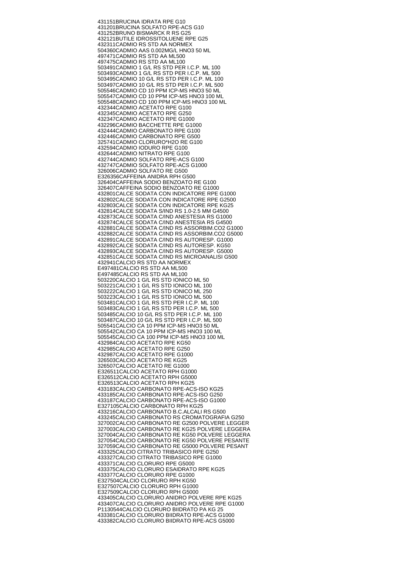431151 BRUCINA IDRATA RPE G10 431201 BRUCINA SOLFATO RPE-ACS G10 431252 BRUNO BISMARCK R RS G25 432121 BUTILE IDROSSITOLUENE RPE G25 432311 CADMIO RS STD AA NORMEX 504360 CADMIO AAS 0.002MG/L HNO3 50 ML 497471 CADMIO RS STD AA ML500 497475 CADMIO RS STD AA ML100 503491 CADMIO 1 G/L RS STD PER I.C.P. ML 100 503493 CADMIO 1 G/L RS STD PER I.C.P. ML 500 503495 CADMIO 10 G/L RS STD PER I.C.P. ML 100 503497 CADMIO 10 G/L RS STD PER I.C.P. ML 500 505546 CADMIO CD 10 PPM ICP-MS HNO3 50 ML 505547 CADMIO CD 10 PPM ICP-MS HNO3 100 ML 505548 CADMIO CD 100 PPM ICP-MS HNO3 100 ML 432344 CADMIO ACETATO RPE G100 432345 CADMIO ACETATO RPE G250 432347 CADMIO ACETATO RPE G1000 432296 CADMIO BACCHETTE RPE G1000 432444 CADMIO CARBONATO RPE G100 432446 CADMIO CARBONATO RPE G500 325741 CADMIO CLORURO\*H2O RE G100 432594 CADMIO IODURO RPE G100 432644 CADMIO NITRATO RPE G100 432744 CADMIO SOLFATO RPE-ACS G100 432747 CADMIO SOLFATO RPE-ACS G1000 326006 CADMIO SOLFATO RE G500 E326356 CAFFEINA ANIDRA RPH G500 326404 CAFFEINA SODIO BENZOATO RE G100 326407 CAFFEINA SODIO BENZOATO RE G1000 432801 CALCE SODATA CON INDICATORE RPE G1000 432802 CALCE SODATA CON INDICATORE RPE G2500 432803 CALCE SODATA CON INDICATORE RPE KG25 432814 CALCE SODATA S/IND RS 1.0-2.5 MM G4500 432873 CALCE SODATA C/IND ANESTESIA RS G1000 432874 CALCE SODATA C/IND ANESTESIA RS G4500 432881 CALCE SODATA C/IND RS ASSORBIM.CO2 G1000 432882 CALCE SODATA C/IND RS ASSORBIM.CO2 G5000 432891 CALCE SODATA C/IND RS AUTORESP. G1000 432892 CALCE SODATA C/IND RS AUTORESP. KG50 432893 CALCE SODATA C/IND RS AUTORESP. G5000 432851 CALCE SODATA C/IND RS MICROANALISI G500 432941 CALCIO RS STD AA NORMEX E497481 CALCIO RS STD AA ML500 E497485 CALCIO RS STD AA ML100 503220 CALCIO 1 G/L RS STD IONICO ML 50 503221 CALCIO 1 G/L RS STD IONICO ML 100 503222 CALCIO 1 G/L RS STD IONICO ML 250 503223 CALCIO 1 G/L RS STD IONICO ML 500 503481 CALCIO 1 G/L RS STD PER I.C.P. ML 100 503483 CALCIO 1 G/L RS STD PER I.C.P. ML 500 503485 CALCIO 10 G/L RS STD PER I.C.P. ML 100 503487 CALCIO 10 G/L RS STD PER I.C.P. ML 500 505541 CALCIO CA 10 PPM ICP-MS HNO3 50 ML 505542 CALCIO CA 10 PPM ICP-MS HNO3 100 ML 505545 CALCIO CA 100 PPM ICP-MS HNO3 100 ML 432984 CALCIO ACETATO RPE KG50 432985 CALCIO ACETATO RPE G250 432987 CALCIO ACETATO RPE G1000 326503 CALCIO ACETATO RE KG25 326507 CALCIO ACETATO RE G1000 E326511 CALCIO ACETATO RPH G1000 E326512 CALCIO ACETATO RPH G5000 E326513 CALCIO ACETATO RPH KG25 433183 CALCIO CARBONATO RPE-ACS-ISO KG25 433185 CALCIO CARBONATO RPE-ACS-ISO G250 433187 CALCIO CARBONATO RPE-ACS-ISO G1000 E327105 CALCIO CARBONATO RPH KG25 433216 CALCIO CARBONATO B.C.ALCALI RS G500 433245 CALCIO CARBONATO RS CROMATOGRAFIA G250 327002 CALCIO CARBONATO RE G2500 POLVERE LEGGER 327003 CALCIO CARBONATO RE KG25 POLVERE LEGGERA 327004 CALCIO CARBONATO RE KG50 POLVERE LEGGERA 327054 CALCIO CARBONATO RE KG50 POLVERE PESANTE 327059 CALCIO CARBONATO RE G5000 POLVERE PESANT 433325 CALCIO CITRATO TRIBASICO RPE G250 433327 CALCIO CITRATO TRIBASICO RPE G1000 433371 CALCIO CLORURO RPE G5000 433375 CALCIO CLORURO ESAIDRATO RPE KG25 433377 CALCIO CLORURO RPE G1000 E327504 CALCIO CLORURO RPH KG50 E327507 CALCIO CLORURO RPH G1000 E327509 CALCIO CLORURO RPH G5000 433405 CALCIO CLORURO ANIDRO POLVERE RPE KG25 433407 CALCIO CLORURO ANIDRO POLVERE RPE G1000 P1130544 CALCIO CLORURO BIIDRATO PA KG 25 433381 CALCIO CLORURO BIIDRATO RPE-ACS G1000 433382 CALCIO CLORURO BIIDRATO RPE-ACS G5000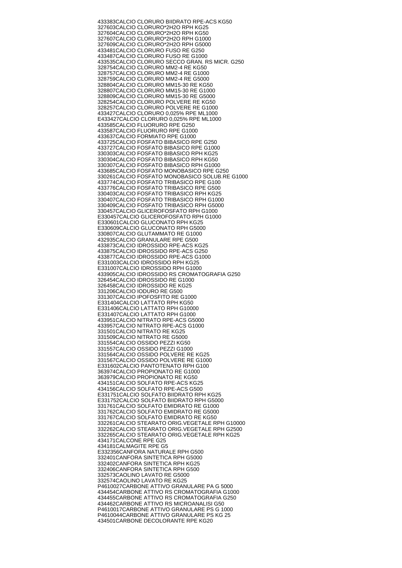433383 CALCIO CLORURO BIIDRATO RPE-ACS KG50 327603 CALCIO CLORURO\*2H2O RPH KG25 327604 CALCIO CLORURO\*2H2O RPH KG50 327607 CALCIO CLORURO\*2H2O RPH G1000 327609 CALCIO CLORURO\*2H2O RPH G5000 433481 CALCIO CLORURO FUSO RE G250 433487 CALCIO CLORURO FUSO RE G1000 433535 CALCIO CLORURO SECCO GRAN. RS MICR. G250 328754 CALCIO CLORURO MM2-4 RE KG50 328757 CALCIO CLORURO MM2-4 RE G1000 328759 CALCIO CLORURO MM2-4 RE G5000 328804 CALCIO CLORURO MM15-30 RE KG50 328807 CALCIO CLORURO MM15-30 RE G1000 328809 CALCIO CLORURO MM15-30 RE G5000 328254 CALCIO CLORURO POLVERE RE KG50 328257 CALCIO CLORURO POLVERE RE G1000 433427 CALCIO CLORURO 0,025% RPE ML1000 E433427 CALCIO CLORURO 0,025% RPE ML1000 433585 CALCIO FLUORURO RPE G250 433587 CALCIO FLUORURO RPE G1000 433637 CALCIO FORMIATO RPE G1000 433725 CALCIO FOSFATO BIBASICO RPE G250 433727 CALCIO FOSFATO BIBASICO RPE G1000 330303 CALCIO FOSFATO BIBASICO RPH KG25 330304 CALCIO FOSFATO BIBASICO RPH KG50 330307 CALCIO FOSFATO BIBASICO RPH G1000 433685 CALCIO FOSFATO MONOBASICO RPE G250 330261 CALCIO FOSFATO MONOBASICO SOLUB.RE G1000 433774 CALCIO FOSFATO TRIBASICO RPE G100 433776 CALCIO FOSFATO TRIBASICO RPE G500 330403 CALCIO FOSFATO TRIBASICO RPH KG25 330407 CALCIO FOSFATO TRIBASICO RPH G1000 330409 CALCIO FOSFATO TRIBASICO RPH G5000 330457 CALCIO GLICEROFOSFATO RPH G1000 E330457 CALCIO GLICEROFOSFATO RPH G1000 E330601 CALCIO GLUCONATO RPH KG25 E330609 CALCIO GLUCONATO RPH G5000 330807 CALCIO GLUTAMMATO RE G1000 432935 CALCIO GRANULARE RPE G500 433873 CALCIO IDROSSIDO RPE-ACS KG25 433875 CALCIO IDROSSIDO RPE-ACS G250 433877 CALCIO IDROSSIDO RPE-ACS G1000 E331003 CALCIO IDROSSIDO RPH KG25 E331007 CALCIO IDROSSIDO RPH G1000 433905 CALCIO IDROSSIDO RS CROMATOGRAFIA G250 326454 CALCIO IDROSSIDO RE G1000 326458 CALCIO IDROSSIDO RE KG25 331206 CALCIO IODURO RE G500 331307 CALCIO IPOFOSFITO RE G1000 E331404 CALCIO LATTATO RPH KG50 E331406 CALCIO LATTATO RPH G10000 E331407 CALCIO LATTATO RPH G1000 433951 CALCIO NITRATO RPE-ACS G5000 433957 CALCIO NITRATO RPE-ACS G1000 331501 CALCIO NITRATO RE KG25 331509 CALCIO NITRATO RE G5000 331554 CALCIO OSSIDO PEZZI KG50 331557 CALCIO OSSIDO PEZZI G1000 331564 CALCIO OSSIDO POLVERE RE KG25 331567 CALCIO OSSIDO POLVERE RE G1000 E331602 CALCIO PANTOTENATO RPH G100 363974 CALCIO PROPIONATO RE G1000 363979 CALCIO PROPIONATO RE KG50 434151 CALCIO SOLFATO RPE-ACS KG25 434156 CALCIO SOLFATO RPE-ACS G500 E331751 CALCIO SOLFATO BIIDRATO RPH KG25 E331752 CALCIO SOLFATO BIIDRATO RPH G5000 331761 CALCIO SOLFATO EMIDRATO RE G1000 331762 CALCIO SOLFATO EMIDRATO RE G5000 331767 CALCIO SOLFATO EMIDRATO RE KG50 332261 CALCIO STEARATO ORIG.VEGETALE RPH G10000 332262 CALCIO STEARATO ORIG.VEGETALE RPH G2500 332265 CALCIO STEARATO ORIG.VEGETALE RPH KG25 434171 CALCONE RPE G25 434181 CALMAGITE RPE G5 E332356 CANFORA NATURALE RPH G500 332401 CANFORA SINTETICA RPH G5000 332402 CANFORA SINTETICA RPH KG25 332406 CANFORA SINTETICA RPH G500 332573 CAOLINO LAVATO RE G5000 332574 CAOLINO LAVATO RE KG25 P4610027 CARBONE ATTIVO GRANULARE PA G 5000 434454 CARBONE ATTIVO RS CROMATOGRAFIA G1000 434455 CARBONE ATTIVO RS CROMATOGRAFIA G250 434462 CARBONE ATTIVO RS MICROANALISI G50 P4610017 CARBONE ATTIVO GRANULARE PS G 1000 P4610044 CARBONE ATTIVO GRANULARE PS KG 25 434501 CARBONE DECOLORANTE RPE KG20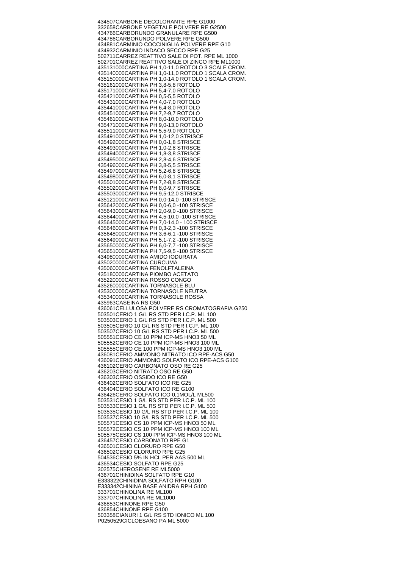434507 CARBONE DECOLORANTE RPE G1000 332658 CARBONE VEGETALE POLVERE RE G2500 434766 CARBORUNDO GRANULARE RPE G500 434786 CARBORUNDO POLVERE RPE G500 434881 CARMINIO COCCINIGLIA POLVERE RPE G10 434932 CARMINIO INDACO SECCO RPE G25 502711 CARREZ REATTIVO SALE DI POT. RPE ML 1000 502701 CARREZ REATTIVO SALE DI ZINCO RPE ML1000 435131000 CARTINA PH 1,0-11,0 ROTOLO 3 SCALE CROM. 435140000 CARTINA PH 1,0-11,0 ROTOLO 1 SCALA CROM. 435150000 CARTINA PH 1,0-14,0 ROTOLO 1 SCALA CROM. 435161000 CARTINA PH 3,8-5,8 ROTOLO 435171000 CARTINA PH 5,4-7,0 ROTOLO 435421000 CARTINA PH 0,5-5,5 ROTOLO 435431000 CARTINA PH 4,0-7,0 ROTOLO 435441000 CARTINA PH 6,4-8,0 ROTOLO 435451000 CARTINA PH 7,2-9,7 ROTOLO 435461000 CARTINA PH 8,0-10,0 ROTOLO 435471000 CARTINA PH 9,0-13,0 ROTOLO 435511000 CARTINA PH 5,5-9,0 ROTOLO 435491000 CARTINA PH 1,0-12,0 STRISCE 435492000 CARTINA PH 0,0-1,8 STRISCE 435493000 CARTINA PH 1,0-2,8 STRISCE 435494000 CARTINA PH 1,8-3,8 STRISCE 435495000 CARTINA PH 2,8-4,6 STRISCE 435496000 CARTINA PH 3,8-5,5 STRISCE 435497000 CARTINA PH 5,2-6,8 STRISCE 435498000 CARTINA PH 6,0-8,1 STRISCE 435501000 CARTINA PH 7,2-8,8 STRISCE 435502000 CARTINA PH 8,0-9,7 STRISCE 435503000 CARTINA PH 9,5-12,0 STRISCE 435121000 CARTINA PH 0,0-14,0 -100 STRISCE 435642000 CARTINA PH 0,0-6,0 -100 STRISCE 435643000 CARTINA PH 2,0-9,0 -100 STRISCE 435644000 CARTINA PH 4,5-10,0 -100 STRISCE 435645000 CARTINA PH 7,0-14,0 - 100 STRISCE 435646000 CARTINA PH 0,3-2,3 -100 STRISCE 435648000 CARTINA PH 3,6-6,1 -100 STRISCE 435649000 CARTINA PH 5,1-7,2 -100 STRISCE 435650000 CARTINA PH 6,0-7,7 -100 STRISCE 435651000 CARTINA PH 7,5-9,5 -100 STRISCE 434980000 CARTINA AMIDO IODURATA 435020000 CARTINA CURCUMA 435060000 CARTINA FENOLFTALEINA 435180000 CARTINA PIOMBO ACETATO 435220000 CARTINA ROSSO CONGO 435260000 CARTINA TORNASOLE BLU 435300000 CARTINA TORNASOLE NEUTRA 435340000 CARTINA TORNASOLE ROSSA 435963 CASEINA RS G50 436061 CELLULOSA POLVERE RS CROMATOGRAFIA G250 503501 CERIO 1 G/L RS STD PER I.C.P. ML 100 503503 CERIO 1 G/L RS STD PER I.C.P. ML 500 503505 CERIO 10 G/L RS STD PER I.C.P. ML 100 503507 CERIO 10 G/L RS STD PER I.C.P. ML 500 505551 CERIO CE 10 PPM ICP-MS HNO3 50 ML 505552 CERIO CE 10 PPM ICP-MS HNO3 100 ML 505555 CERIO CE 100 PPM ICP-MS HNO3 100 ML 436081 CERIO AMMONIO NITRATO ICO RPE-ACS G50 436091 CERIO AMMONIO SOLFATO ICO RPE-ACS G100 436102 CERIO CARBONATO OSO RE G25 436203 CERIO NITRATO OSO RE G50 436303 CERIO OSSIDO ICO RE G50 436402 CERIO SOLFATO ICO RE G25 436404 CERIO SOLFATO ICO RE G100 436426 CERIO SOLFATO ICO 0,1MOL/L ML500 503531 CESIO 1 G/L RS STD PER I.C.P. ML 100 503533 CESIO 1 G/L RS STD PER I.C.P. ML 500 503535 CESIO 10 G/L RS STD PER I.C.P. ML 100 503537 CESIO 10 G/L RS STD PER I.C.P. ML 500 505571 CESIO CS 10 PPM ICP-MS HNO3 50 ML 505572 CESIO CS 10 PPM ICP-MS HNO3 100 ML 505575 CESIO CS 100 PPM ICP-MS HNO3 100 ML 436457 CESIO CARBONATO RPE G1 436501 CESIO CLORURO RPE G50 436502 CESIO CLORURO RPE G25 504536 CESIO 5% IN HCL PER AAS 500 ML 436534 CESIO SOLFATO RPE G25 302575 CHEROSENE RE ML5000 436701 CHINIDINA SOLFATO RPE G10 E333322 CHINIDINA SOLFATO RPH G100 E333342 CHININA BASE ANIDRA RPH G100 333701 CHINOLINA RE ML100 333707 CHINOLINA RE ML1000 436853 CHINONE RPE G50 436854 CHINONE RPE G100 503358 CIANURI 1 G/L RS STD IONICO ML 100 P0250529 CICLOESANO PA ML 5000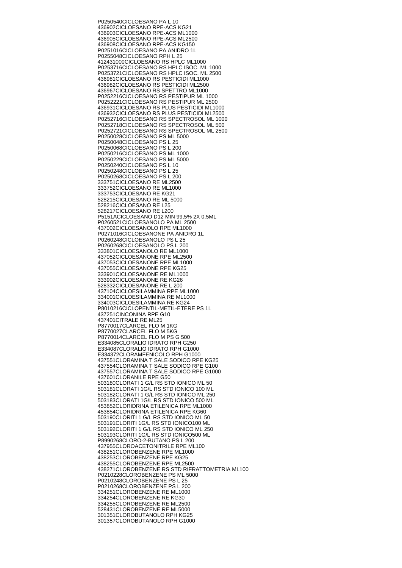P0250540 CICLOESANO PA L 10 436902 CICLOESANO RPE-ACS KG21 436903 CICLOESANO RPE-ACS ML1000 436905 CICLOESANO RPE-ACS ML2500 436908 CICLOESANO RPE-ACS KG150 P0251016 CICLOESANO PA ANIDRO 1L P0255048 CICLOESANO RPH L 25 412431000 CICLOESANO RS HPLC ML1000 P0253716 CICLOESANO RS HPLC ISOC. ML 1000 P0253721 CICLOESANO RS HPLC ISOC. ML 2500 436981 CICLOESANO RS PESTICIDI ML1000 436982 CICLOESANO RS PESTICIDI ML2500 436967 CICLOESANO RS SPETTRO ML1000 P0252216 CICLOESANO RS PESTIPUR ML 1000 P0252221 CICLOESANO RS PESTIPUR ML 2500 436931 CICLOESANO RS PLUS PESTICIDI ML1000 436932 CICLOESANO RS PLUS PESTICIDI ML2500 P0252716 CICLOESANO RS SPECTROSOL ML 1000 P0252718 CICLOESANO RS SPECTROSOL ML 500 P0252721 CICLOESANO RS SPECTROSOL ML 2500 P0250028 CICLOESANO PS ML 5000 P0250048 CICLOESANO PS L 25 P0250068 CICLOESANO PS L 200 P0250216 CICLOESANO PS ML 1000 P0250229 CICLOESANO PS ML 5000 P0250240 CICLOESANO PS L 10 P0250248 CICLOESANO PS L 25 P0250268 CICLOESANO PS L 200 333751 CICLOESANO RE ML2500 333752 CICLOESANO RE ML1000 333753 CICLOESANO RE KG21 528215 CICLOESANO RE ML 5000 528216 CICLOESANO RE L25 528217 CICLOESANO RE L200 P5151A CICLOESANO D12 MIN 99,5% 2X 0,5ML P0260521 CICLOESANOLO PA ML 2500 437002 CICLOESANOLO RPE ML1000 P0271016 CICLOESANONE PA ANIDRO 1L P0260248 CICLOESANOLO PS L 25 P0260268 CICLOESANOLO PS L 200 333801 CICLOESANOLO RE ML1000 437052 CICLOESANONE RPE ML2500 437053 CICLOESANONE RPE ML1000 437055 CICLOESANONE RPE KG25 333901 CICLOESANONE RE ML1000 333902 CICLOESANONE RE KG26 528332 CICLOESANONE RE L 200 437104 CICLOESILAMMINA RPE ML1000 334001 CICLOESILAMMINA RE ML1000 334003 CICLOESILAMMINA RE KG24 P8010216 CICLOPENTIL-METIL-ETERE PS 1L 437251 CINCONINA RPE G10 437401 CITRALE RE ML25 P8770017 CLARCEL FLO M 1KG P8770027 CLARCEL FLO M 5KG P8770014 CLARCEL FLO M PS G 500 E334085 CLORALIO IDRATO RPH G250 E334087 CLORALIO IDRATO RPH G1000 E334372 CLORAMFENICOLO RPH G1000 437551 CLORAMINA T SALE SODICO RPE KG25 437554 CLORAMINA T SALE SODICO RPE G100 437557 CLORAMINA T SALE SODICO RPE G1000 437601 CLORANILE RPE G50 503180 CLORATI 1 G/L RS STD IONICO ML 50 503181 CLORATI 1G/L RS STD IONICO 100 ML 503182 CLORATI 1 G/L RS STD IONICO ML 250 503183 CLORATI 1G/L RS STD IONICO 500 ML 453852 CLORIDRINA ETILENICA RPE ML1000 453854 CLORIDRINA ETILENICA RPE KG60 503190 CLORITI 1 G/L RS STD IONICO ML 50 503191 CLORITI 1G/L RS STD IONICO100 ML 503192 CLORITI 1 G/L RS STD IONICO ML 250 503193 CLORITI 1G/L RS STD IONICO500 ML P8990268 CLORO-2-BUTANO PS L 200 437955 CLOROACETONITRILE RPE ML100 438251 CLOROBENZENE RPE ML1000 438253 CLOROBENZENE RPE KG25 438255 CLOROBENZENE RPE ML2500 438271 CLOROBENZENE RS STD RIFRATTOMETRIA ML100 P0210228 CLOROBENZENE PS ML 5000 P0210248 CLOROBENZENE PS L 25 P0210268 CLOROBENZENE PS L 200 334251 CLOROBENZENE RE ML1000 334254 CLOROBENZENE RE KG30 334255 CLOROBENZENE RE ML2500 528431 CLOROBENZENE RE ML5000 301351 CLOROBUTANOLO RPH KG25 301357 CLOROBUTANOLO RPH G1000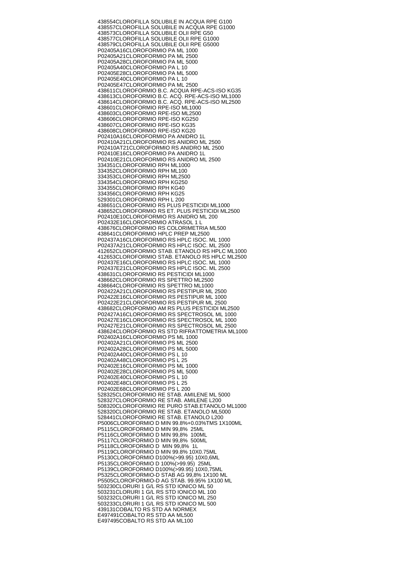438554 CLOROFILLA SOLUBILE IN ACQUA RPE G100 438557 CLOROFILLA SOLUBILE IN ACQUA RPE G1000 438573 CLOROFILLA SOLUBILE OLII RPE G50 438577 CLOROFILLA SOLUBILE OLII RPE G1000 438579 CLOROFILLA SOLUBILE OLII RPE G5000 P02405A16 CLOROFORMIO PA ML 1000 P02405A21 CLOROFORMIO PA ML 2500 P02405A28 CLOROFORMIO PA ML 5000 P02405A40 CLOROFORMIO PA L 10 P02405E28 CLOROFORMIO PA ML 5000 P02405E40 CLOROFORMIO PA L 10 P02405E47 CLOROFORMIO PA ML 2500 438611 CLOROFORMIO B.C. ACQUA RPE-ACS-ISO KG35 438613 CLOROFORMIO B.C. ACQ. RPE-ACS-ISO ML1000 438614 CLOROFORMIO B.C. ACQ. RPE-ACS-ISO ML2500 438601 CLOROFORMIO RPE-ISO ML1000 438603 CLOROFORMIO RPE-ISO ML2500 438606 CLOROFORMIO RPE-ISO KG250 438607 CLOROFORMIO RPE-ISO KG35 438608 CLOROFORMIO RPE-ISO KG20 P02410A16 CLOROFORMIO PA ANIDRO 1L P02410A21 CLOROFORMIO RS ANIDRO ML 2500 P02410AT21 CLOROFORMIO RS ANIDRO ML 2500 P02410E16 CLOROFORMIO PA ANIDRO 1L P02410E21 CLOROFORMIO RS ANIDRO ML 2500 334351 CLOROFORMIO RPH ML1000 334352 CLOROFORMIO RPH ML100 334353 CLOROFORMIO RPH ML2500 334354 CLOROFORMIO RPH KG250 334355 CLOROFORMIO RPH KG40 334356 CLOROFORMIO RPH KG25 529301 CLOROFORMIO RPH L 200 438651 CLOROFORMIO RS PLUS PESTICIDI ML1000 438652 CLOROFORMIO RS ET. PLUS PESTICIDI ML2500 P02410E10 CLOROFORMIO RS ANIDRO ML 200 P02432E16 CLOROFORMIO ATRASOL 1 L 438676 CLOROFORMIO RS COLORIMETRIA ML500 438641 CLOROFORMIO HPLC PREP ML2500 P02437A16 CLOROFORMIO RS HPLC ISOC. ML 1000 P02437A21 CLOROFORMIO RS HPLC ISOC. ML 2500 412652 CLOROFORMIO STAB. ETANOLO RS HPLC ML1000 412653 CLOROFORMIO STAB. ETANOLO RS HPLC ML2500 P02437E16 CLOROFORMIO RS HPLC ISOC. ML 1000 P02437E21 CLOROFORMIO RS HPLC ISOC. ML 2500 438631 CLOROFORMIO RS PESTICIDI ML1000 438662 CLOROFORMIO RS SPETTRO ML2500 438664 CLOROFORMIO RS SPETTRO ML1000 P02422A21 CLOROFORMIO RS PESTIPUR ML 2500 P02422E16 CLOROFORMIO RS PESTIPUR ML 1000 P02422E21 CLOROFORMIO RS PESTIPUR ML 2500 438682 CLOROFORMIO AM RS PLUS PESTICIDI ML2500 P02427A16 CLOROFORMIO RS SPECTROSOL ML 1000 P02427E16 CLOROFORMIO RS SPECTROSOL ML 1000 P02427E21 CLOROFORMIO RS SPECTROSOL ML 2500 438624 CLOROFORMIO RS STD RIFRATTOMETRIA ML1000 P02402A16 CLOROFORMIO PS ML 1000 P02402A21 CLOROFORMIO PS ML 2500 P02402A28 CLOROFORMIO PS ML 5000 P02402A40 CLOROFORMIO PS L 10 P02402A48 CLOROFORMIO PS L 25 P02402E16 CLOROFORMIO PS ML 1000 P02402E28 CLOROFORMIO PS ML 5000 P02402E40 CLOROFORMIO PS L 10 P02402E48 CLOROFORMIO PS L 25 P02402E68 CLOROFORMIO PS L 200 528325 CLOROFORMIO RE STAB. AMILENE ML 5000 528327 CLOROFORMIO RE STAB. AMILENE L200 508320 CLOROFORMIO RE PURO STAB.ETANOLO ML1000 528320 CLOROFORMIO RE STAB. ETANOLO ML5000 528441 CLOROFORMIO RE STAB. ETANOLO L200 P5006 CLOROFORMIO D MIN 99.8%+0.03%TMS 1X100ML P5115 CLOROFORMIO D MIN 99,8% 25ML P5116 CLOROFORMIO D MIN 99,8% 100ML P5117 CLOROFORMIO D MIN 99,8% 500ML P5118 CLOROFORMIO D MIN 99,8% 1L P5119 CLOROFORMIO D MIN 99.8% 10X0.75ML P5130 CLOROFORMIO D100%(>99.95) 10X0,6ML P5135 CLOROFORMIO D 100%(>99.95) 25ML P5139 CLOROFORMIO D100%(>99.95) 10X0,75ML P5325 CLOROFORMIO-D STAB AG 99,8% 1X100 ML P5505 CLOROFORMIO-D AG STAB. 99.95% 1X100 ML 503230 CLORURI 1 G/L RS STD IONICO ML 50 503231 CLORURI 1 G/L RS STD IONICO ML 100 503232 CLORURI 1 G/L RS STD IONICO ML 250 503233 CLORURI 1 G/L RS STD IONICO ML 500 439131 COBALTO RS STD AA NORMEX E497491 COBALTO RS STD AA ML500 E497495 COBALTO RS STD AA ML100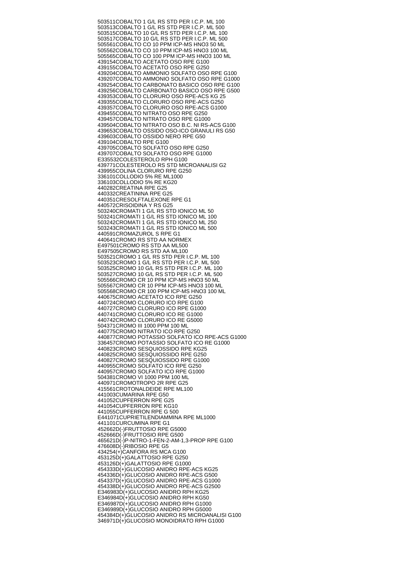503511 COBALTO 1 G/L RS STD PER I.C.P. ML 100 503513 COBALTO 1 G/L RS STD PER I.C.P. ML 500 503515 COBALTO 10 G/L RS STD PER I.C.P. ML 100 503517 COBALTO 10 G/L RS STD PER I.C.P. ML 500 505561 COBALTO CO 10 PPM ICP-MS HNO3 50 ML 505562 COBALTO CO 10 PPM ICP-MS HNO3 100 ML 505565 COBALTO CO 100 PPM ICP-MS HNO3 100 ML 439154 COBALTO ACETATO OSO RPE G100 439155 COBALTO ACETATO OSO RPE G250 439204 COBALTO AMMONIO SOLFATO OSO RPE G100 439207 COBALTO AMMONIO SOLFATO OSO RPE G1000 439254 COBALTO CARBONATO BASICO OSO RPE G100 439256 COBALTO CARBONATO BASICO OSO RPE G500 439353 COBALTO CLORURO OSO RPE-ACS KG 25 439355 COBALTO CLORURO OSO RPE-ACS G250 439357 COBALTO CLORURO OSO RPE-ACS G1000 439455 COBALTO NITRATO OSO RPE G250 439457 COBALTO NITRATO OSO RPE G1000 439504 COBALTO NITRATO OSO B.C. NI RS-ACS G100 439653 COBALTO OSSIDO OSO-ICO GRANULI RS G50 439603 COBALTO OSSIDO NERO RPE G50 439104 COBALTO RPE G100 439705 COBALTO SOLFATO OSO RPE G250 439707 COBALTO SOLFATO OSO RPE G1000 E335532 COLESTEROLO RPH G100 439771 COLESTEROLO RS STD MICROANALISI G2 439955 COLINA CLORURO RPE G250 336101 COLLODIO 5% RE ML1000 336103 COLLODIO 5% RE KG20 440282 CREATINA RPE G25 440332 CREATININA RPE G25 440351 CRESOLFTALEXONE RPE G1 440572 CRISOIDINA Y RS G25 503240 CROMATI 1 G/L RS STD IONICO ML 50 503241 CROMATI 1 G/L RS STD IONICO ML 100 503242 CROMATI 1 G/L RS STD IONICO ML 250 503243 CROMATI 1 G/L RS STD IONICO ML 500 440591 CROMAZUROL S RPE G1 440641 CROMO RS STD AA NORMEX E497501 CROMO RS STD AA ML500 E497505 CROMO RS STD AA ML100 503521 CROMO 1 G/L RS STD PER I.C.P. ML 100 503523 CROMO 1 G/L RS STD PER I.C.P. ML 500 503525 CROMO 10 G/L RS STD PER I.C.P. ML 100 503527 CROMO 10 G/L RS STD PER I.C.P. ML 500 505566 CROMO CR 10 PPM ICP-MS HNO3 50 ML 505567 CROMO CR 10 PPM ICP-MS HNO3 100 ML 505568 CROMO CR 100 PPM ICP-MS HNO3 100 ML 440675 CROMO ACETATO ICO RPE G250 440724 CROMO CLORURO ICO RPE G100 440727 CROMO CLORURO ICO RPE G1000 440741 CROMO CLORURO ICO RE G1000 440742 CROMO CLORURO ICO RE G5000 504371 CROMO III 1000 PPM 100 ML 440775 CROMO NITRATO ICO RPE G250 440877 CROMO POTASSIO SOLFATO ICO RPE-ACS G1000 336457 CROMO POTASSIO SOLFATO ICO RE G1000 440823 CROMO SESQUIOSSIDO RPE KG25 440825 CROMO SESQUIOSSIDO RPE G250 440827 CROMO SESQUIOSSIDO RPE G1000 440955 CROMO SOLFATO ICO RPE G250 440957 CROMO SOLFATO ICO RPE G1000 504381 CROMO VI 1000 PPM 100 ML 440971 CROMOTROPO 2R RPE G25 415561 CROTONALDEIDE RPE ML100 441003 CUMARINA RPE G50 441052 CUPFERRON RPE G25 441054 CUPFERRON RPE KG10 441055 CUPFERRON RPE G 500 E441071 CUPRIETILENDIAMMINA RPE ML1000 441101 CURCUMINA RPE G1 452662 D(-)FRUTTOSIO RPE G5000 452666 D(-)FRUTTOSIO RPE G500 465621 D(-)P-NITRO-1-FEN-2-AM-1,3-PROP RPE G100 476608 D(-)RIBOSIO RPE G5 434254 (+)CANFORA RS MCA G100 453125 D(+)GALATTOSIO RPE G250 453126 D(+)GALATTOSIO RPE G1000 454333 D(+)GLUCOSIO ANIDRO RPE-ACS KG25 454336 D(+)GLUCOSIO ANIDRO RPE-ACS G500 454337 D(+)GLUCOSIO ANIDRO RPE-ACS G1000 454338 D(+)GLUCOSIO ANIDRO RPE-ACS G2500 E346983 D(+)GLUCOSIO ANIDRO RPH KG25 E346984 D(+)GLUCOSIO ANIDRO RPH KG50 E346987 D(+)GLUCOSIO ANIDRO RPH G1000 E346989 D(+)GLUCOSIO ANIDRO RPH G5000 454384 D(+)GLUCOSIO ANIDRO RS MICROANALISI G100 346971 D(+)GLUCOSIO MONOIDRATO RPH G1000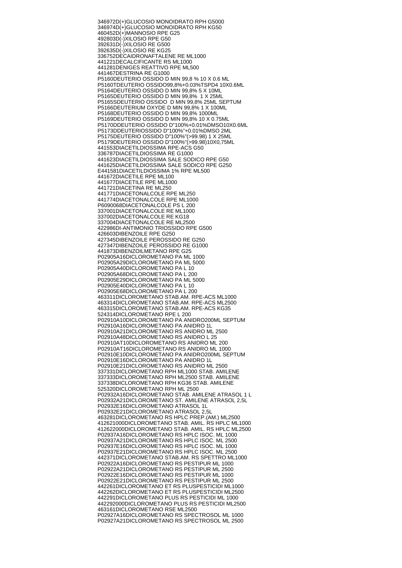346972 D(+)GLUCOSIO MONOIDRATO RPH G5000 346974 D(+)GLUCOSIO MONOIDRATO RPH KG50 460452 D(+)MANNOSIO RPE G25 492803 D(-)XILOSIO RPE G50 392631 D(-)XILOSIO RE G500 392635 D(-)XILOSIO RE KG25 336752 DECAIDRONAFTALENE RE ML1000 441221 DECALCIFICANTE RS ML1000 441281 DENIGES REATTIVO RPE ML500 441467 DESTRINA RE G1000 P5160 DEUTERIO OSSIDO D MIN 99,8 % 10 X 0.6 ML P5160T DEUTERIO OSSIDO99,8%+0.03%TSPD4 10X0.6ML P5164 DEUTERIO OSSIDO D MIN 99,8% 5 X 10ML P5165 DEUTERIO OSSIDO D MIN 99,8% 1 X 25ML P5165S DEUTERIO OSSIDO D MIN 99,8% 25ML SEPTUM P5166 DEUTERIUM OXYDE D MIN 99,8% 1 X 100ML P5168 DEUTERIO OSSIDO D MIN 99,8% 1000ML P5169 DEUTERIO OSSIDO D MIN 99,8% 10 X 0.75ML P5170D DEUTERIO OSSIDO D"100%+0.01%DMSO10X0.6ML P5173D DEUTERIOSSIDO D"100%"+0.01%DMSO 2ML P5175 DEUTERIO OSSIDO D"100%"(>99.98) 1 X 25ML P5179 DEUTERIO OSSIDO D"100%"(>99.98)10X0,75ML 441553 DIACETILDIOSSIMA RPE-ACS G50 336787 DIACETILDIOSSIMA RE G1000 441623 DIACETILDIOSSIMA SALE SODICO RPE G50 441625 DIACETILDIOSSIMA SALE SODICO RPE G250 E441581 DIACETILDIOSSIMA 1% RPE ML500 441672 DIACETILE RPE ML100 441677 DIACETILE RPE ML1000 441721 DIACETINA RE ML250 441771 DIACETONALCOLE RPE ML250 441774 DIACETONALCOLE RPE ML1000 P6090068 DIACETONALCOLE PS L 200 337001 DIACETONALCOLE RE ML1000 337002 DIACETONALCOLE RE KG18 337004 DIACETONALCOLE RE ML2500 422986 DI-ANTIMONIO TRIOSSIDO RPE G500 426603 DIBENZOILE RPE G250 427345 DIBENZOILE PEROSSIDO RE G250 427347 DIBENZOILE PEROSSIDO RE G1000 441873 DIBENZOILMETANO RPE G25 P02905A16 DICLOROMETANO PA ML 1000 P02905A29 DICLOROMETANO PA ML 5000 P02905A40 DICLOROMETANO PA L 10 P02905A68 DICLOROMETANO PA L 200 P02905E29 DICLOROMETANO PA ML 5000 P02905E40 DICLOROMETANO PA L 10 P02905E68 DICLOROMETANO PA L 200 463311 DICLOROMETANO STAB.AM. RPE-ACS ML1000 463314 DICLOROMETANO STAB.AM. RPE-ACS ML2500 463315 DICLOROMETANO STAB.AM. RPE-ACS KG35 524314 DICLOROMETANO RPE L 200 P02910A10 DICLOROMETANO PA ANIDRO200ML SEPTUM P02910A16 DICLOROMETANO PA ANIDRO 1L P02910A21 DICLOROMETANO RS ANIDRO ML 2500 P02910A48 DICLOROMETANO RS ANIDRO L 25 P02910AT10 DICLOROMETANO RS ANIDRO ML 200 P02910AT16 DICLOROMETANO RS ANIDRO ML 1000 P02910E10 DICLOROMETANO PA ANIDRO200ML SEPTUM P02910E16 DICLOROMETANO PA ANIDRO 1L P02910E21 DICLOROMETANO RS ANIDRO ML 2500 337331 DICLOROMETANO RPH ML1000 STAB. AMILENE 337333 DICLOROMETANO RPH ML2500 STAB. AMILENE 337338 DICLOROMETANO RPH KG36 STAB. AMILENE 525320 DICLOROMETANO RPH ML 2500 P02932A16 DICLOROMETANO STAB. AMILENE ATRASOL 1 L P02932A21 DICLOROMETANO ST. AMILENE ATRASOL 2,5L P02932E16 DICLOROMETANO ATRASOL 1L P02932E21 DICLOROMETANO ATRASOL 2,5L 463281 DICLOROMETANO RS HPLC PREP.(AM.) ML2500 412621000 DICLOROMETANO STAB. AMIL. RS HPLC ML1000 412622000 DICLOROMETANO STAB. AMIL. RS HPLC ML2500 P02937A16 DICLOROMETANO RS HPLC ISOC. ML 1000 P02937A21 DICLOROMETANO RS HPLC ISOC. ML 2500 P02937E16 DICLOROMETANO RS HPLC ISOC. ML 1000 P02937E21 DICLOROMETANO RS HPLC ISOC. ML 2500 442371 DICLOROMETANO STAB.AM. RS SPETTRO ML1000 P02922A16 DICLOROMETANO RS PESTIPUR ML 1000 P02922A21 DICLOROMETANO RS PESTIPUR ML 2500 P02922E16 DICLOROMETANO RS PESTIPUR ML 1000 P02922E21 DICLOROMETANO RS PESTIPUR ML 2500 442261 DICLOROMETANO ET RS PLUSPESTICIDI ML1000 442262 DICLOROMETANO ET RS PLUSPESTICIDI ML2500 442291 DICLOROMETANO PLUS RS PESTICIDI ML 1000 442292000 DICLOROMETANO PLUS RS PESTICIDI ML2500 463161 DICLOROMETANO RSE ML2500 P02927A16 DICLOROMETANO RS SPECTROSOL ML 1000 P02927A21 DICLOROMETANO RS SPECTROSOL ML 2500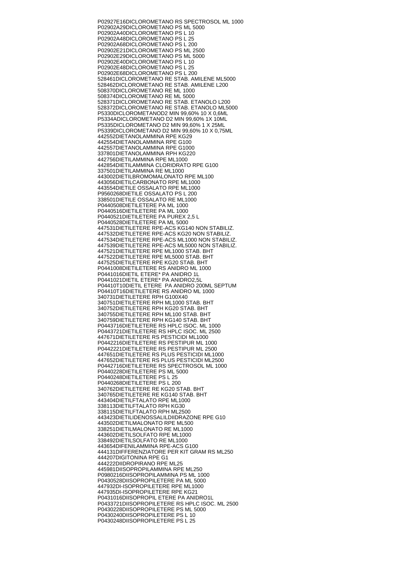P02927E16 DICLOROMETANO RS SPECTROSOL ML 1000 P02902A29 DICLOROMETANO PS ML 5000 P02902A40 DICLOROMETANO PS L 10 P02902A48 DICLOROMETANO PS L 25 P02902A68 DICLOROMETANO PS L 200 P02902E21 DICLOROMETANO PS ML 2500 P02902E29 DICLOROMETANO PS ML 5000 P02902E40 DICLOROMETANO PS L 10 P02902E48 DICLOROMETANO PS L 25 P02902E68 DICLOROMETANO PS L 200 528461 DICLOROMETANO RE STAB. AMILENE ML5000 528462 DICLOROMETANO RE STAB. AMILENE L200 508370 DICLOROMETANO RE ML 1000 508374 DICLOROMETANO RE ML 5000 528371 DICLOROMETANO RE STAB. ETANOLO L200 528372 DICLOROMETANO RE STAB. ETANOLO ML5000 P5330 DICLOROMETANOD2 MIN 99,60% 10 X 0,6ML P5334A DICLOROMETANO D2 MIN 99,60% 1X 10ML P5335 DICLOROMETANO D2 MIN 99,60% 1 X 25ML P5339 DICLOROMETANO D2 MIN 99,60% 10 X 0,75ML 442552 DIETANOLAMMINA RPE KG29 442554 DIETANOLAMMINA RPE G100 442557 DIETANOLAMMINA RPE G1000 337801 DIETANOLAMMINA RPH KG220 442756 DIETILAMMINA RPE ML1000 442854 DIETILAMMINA CLORIDRATO RPE G100 337501 DIETILAMMINA RE ML1000 443002 DIETILBROMOMALONATO RPE ML100 443056 DIETILCARBONATO RPE ML1000 443554 DIETILE OSSALATO RPE ML1000 P9560268 DIETILE OSSALATO PS L 200 338501 DIETILE OSSALATO RE ML1000 P0440508 DIETILETERE PA ML 1000 P0440516 DIETILETERE PA ML 1000 P0440521 DIETILETERE PA PUREX 2,5 L P0440528 DIETILETERE PA ML 5000 447531 DIETILETERE RPE-ACS KG140 NON STABILIZ. 447532 DIETILETERE RPE-ACS KG20 NON STABILIZ. 447534 DIETILETERE RPE-ACS ML1000 NON STABILIZ. 447539 DIETILETERE RPE-ACS ML5000 NON STABILIZ. 447521 DIETILETERE RPE ML1000 STAB. BHT 447522 DIETILETERE RPE ML5000 STAB. BHT 447525 DIETILETERE RPE KG20 STAB. BHT P0441008 DIETILETERE RS ANIDRO ML 1000 P0441016 DIETIL ETERE\* PA ANIDRO 1L P0441021 DIETIL ETERE\* PA ANIDRO2,5L P04410T10 DIETIL ETERE PA ANIDRO 200ML SEPTUM P04410T16 DIETILETERE RS ANIDRO ML 1000 340731 DIETILETERE RPH G100X40 340751 DIETILETERE RPH ML1000 STAB. BHT 340752 DIETILETERE RPH KG20 STAB. BHT 340755 DIETILETERE RPH ML100 STAB. BHT 340759 DIETILETERE RPH KG140 STAB. BHT P0443716 DIETILETERE RS HPLC ISOC. ML 1000 P0443721 DIETILETERE RS HPLC ISOC. ML 2500 447671 DIETILETERE RS PESTICIDI ML1000 P0442216 DIETILETERE RS PESTIPUR ML 1000 P0442221 DIETILETERE RS PESTIPUR ML 2500 447651 DIETILETERE RS PLUS PESTICIDI ML1000 447652 DIETILETERE RS PLUS PESTICIDI ML2500 P0442716 DIETILETERE RS SPECTROSOL ML 1000 P0440228 DIETILETERE PS ML 5000 P0440248 DIETILETERE PS L 25 P0440268 DIETILETERE PS L 200 340762 DIETILETERE RE KG20 STAB. BHT 340765 DIETILETERE RE KG140 STAB. BHT 443404 DIETILFTALATO RPE ML1000 338113 DIETILFTALATO RPH KG30 338115 DIETILFTALATO RPH ML2500 443423 DIETILIDENOSSALILDIIDRAZONE RPE G10 443502 DIETILMALONATO RPE ML500 338251 DIETILMALONATO RE ML1000 443602 DIETILSOLFATO RPE ML1000 338492 DIETILSOLFATO RE ML1000 443654 DIFENILAMMINA RPE-ACS G100 444131 DIFFERENZIATORE PER KIT GRAM RS ML250 444207 DIGITONINA RPE G1 444222 DIIDROPIRANO RPE ML25 445981 DIISOPROPILAMMINA RPE ML250 P0980216 DIISOPROPILAMMINA PS ML 1000 P0430528 DIISOPROPILETERE PA ML 5000 447932 DI-ISOPROPILETERE RPE ML1000 447935 DI-ISOPROPILETERE RPE KG21 P0431016 DIISOPROPIL ETERE PA ANIDRO1L P0433721 DIISOPROPILETERE RS HPLC ISOC. ML 2500 P0430228 DIISOPROPILETERE PS ML 5000 P0430240 DIISOPROPILETERE PS L 10 P0430248 DIISOPROPILETERE PS L 25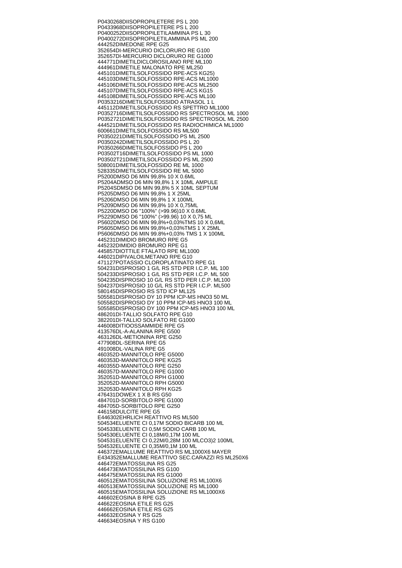P0430268 DIISOPROPILETERE PS L 200 P0433968 DIISOPROPILETERE PS L 200 P0400252 DIISOPROPILETILAMMINA PS L 30 P0400272 DIISOPROPILETILAMMINA PS ML 200 444252 DIMEDONE RPE G25 352654 DI-MERCURIO DICLORURO RE G100 352657 DI-MERCURIO DICLORURO RE G1000 444771 DIMETILDICLOROSILANO RPE ML100 444961 DIMETILE MALONATO RPE ML250 445101 DIMETILSOLFOSSIDO RPE-ACS KG25) 445103 DIMETILSOLFOSSIDO RPE-ACS ML1000 445106 DIMETILSOLFOSSIDO RPE-ACS ML2500 445107 DIMETILSOLFOSSIDO RPE-ACS KG15 445108 DIMETILSOLFOSSIDO RPE-ACS ML100 P0353216 DIMETILSOLFOSSIDO ATRASOL 1 L 445112 DIMETILSOLFOSSIDO RS SPETTRO ML1000 P0352716 DIMETILSOLFOSSIDO RS SPECTROSOL ML 1000 P0352721 DIMETILSOLFOSSIDO RS SPECTROSOL ML 2500 444521 DIMETILSOLFOSSIDO RS RADIOCHIMICA ML1000 600661 DIMETILSOLFOSSIDO RS ML500 P0350221 DIMETILSOLFOSSIDO PS ML 2500 P0350242 DIMETILSOLFOSSIDO PS L 20 P0350266 DIMETILSOLFOSSIDO PS L 200 P03502T16 DIMETILSOLFOSSIDO PS ML 1000 P03502T21 DIMETILSOLFOSSIDO PS ML 2500 508001 DIMETILSOLFOSSIDO RE ML 1000 528335 DIMETILSOLFOSSIDO RE ML 5000 P5200 DMSO D6 MIN 99,8% 10 X 0.6ML P5204A DMSO D6 MIN 99,8% 1 X 10ML AMPULE P5204S DMSO D6 MIN 99,8% 5 X 10ML SEPTUM P5205 DMSO D6 MIN 99,8% 1 X 25ML P5206 DMSO D6 MIN 99,8% 1 X 100ML P5209 DMSO D6 MIN 99,8% 10 X 0,75ML P5220 DMSO D6 "100%" (>99.96)10 X 0.6ML P5229 DMSO D6 "100%" (>99.96) 10 X 0,75 ML P5602 DMSO D6 MIN 99,8%+0,03%TMS 10 X 0,6ML P5605 DMSO D6 MIN 99,8%+0,03%TMS 1 X 25ML P5606 DMSO D6 MIN 99.8%+0,03% TMS 1 X 100ML 445231 DIMIDIO BROMURO RPE G5 445232 DIMIDIO BROMURO RPE G1 445857 DIOTTILE FTALATO RPE ML1000 446021 DIPIVALOILMETANO RPE G10 471127 POTASSIO CLOROPLATINATO RPE G1 504231 DISPROSIO 1 G/L RS STD PER I.C.P. ML 100 504233 DISPROSIO 1 G/L RS STD PER I.C.P. ML 500 504235 DISPROSIO 10 G/L RS STD PER I.C.P. ML100 504237 DISPROSIO 10 G/L RS STD PER I.C.P. ML500 580145 DISPROSIO RS STD ICP ML125 505581 DISPROSIO DY 10 PPM ICP-MS HNO3 50 ML 505582 DISPROSIO DY 10 PPM ICP-MS HNO3 100 ML 505585 DISPROSIO DY 100 PPM ICP-MS HNO3 100 ML 486201 DI-TALLIO SOLFATO RPE G10 382201 DI-TALLIO SOLFATO RE G1000 446008 DITIOOSSAMMIDE RPE G5 413576 DL-A-ALANINA RPE G500 463126 DL-METIONINA RPE G250 477908 DL-SERINA RPE G5 491008 DL-VALINA RPE G5 460352 D-MANNITOLO RPE G5000 460353 D-MANNITOLO RPE KG25 460355 D-MANNITOLO RPE G250 460357 D-MANNITOLO RPE G1000 352051 D-MANNITOLO RPH G1000 352052 D-MANNITOLO RPH G5000 352053 D-MANNITOLO RPH KG25 476431 DOWEX 1 X B RS G50 484701 D-SORBITOLO RPE G1000 484705 D-SORBITOLO RPE G250 446158 DULCITE RPE G5 E446302 EHRLICH REATTIVO RS ML500 504534 ELUENTE CI 0,17M SODIO BICARB 100 ML 504533 ELUENTE CI 0,5M SODIO CARB 100 ML 504530 ELUENTE CI 0,18M/0,17M 100 ML 504531 ELUENTE CI 0,22M/0,28M 100 MLCO3)2 100ML 504532 ELUENTE CI 0,35M/0,1M 100 ML 446372 EMALLUME REATTIVO RS ML1000X6 MAYER E434352 EMALLUME REATTIVO SEC.CARAZZI RS ML250X6 446472 EMATOSSILINA RS G25 446473 EMATOSSILINA RS G100 446475 EMATOSSILINA RS G1000 460512 EMATOSSILINA SOLUZIONE RS ML100X6 460513 EMATOSSILINA SOLUZIONE RS ML1000 460515 EMATOSSILINA SOLUZIONE RS ML1000X6 446602 EOSINA B RPE G25 446622 EOSINA ETILE RS G25 446662 EOSINA ETILE RS G25 446632 EOSINA Y RS G25 446634 EOSINA Y RS G100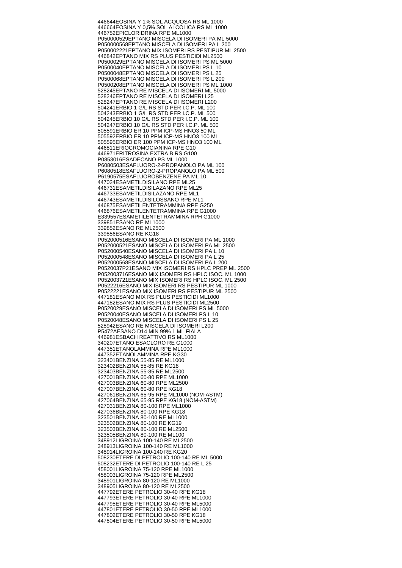446644 EOSINA Y 1% SOL ACQUOSA RS ML 1000 446664 EOSINA Y 0,5% SOL ALCOLICA RS ML 1000 446752 EPICLORIDRINA RPE ML1000 P050000529 EPTANO MISCELA DI ISOMERI PA ML 5000 P050000568 EPTANO MISCELA DI ISOMERI PA L 200 P050002221 EPTANO MIX ISOMERI RS PESTIPUR ML 2500 446842 EPTANO MIX RS PLUS PESTICIDI ML2500 P0500029 EPTANO MISCELA DI ISOMERI PS ML 5000 P0500040 EPTANO MISCELA DI ISOMERI PS L 10 P0500048 EPTANO MISCELA DI ISOMERI PS L 25 P0500068 EPTANO MISCELA DI ISOMERI PS L 200 P0500208 EPTANO MISCELA DI ISOMERI PS ML 1000 528245 EPTANO RE MISCELA DI ISOMERI ML 5000 528246 EPTANO RE MISCELA DI ISOMERI L25 528247 EPTANO RE MISCELA DI ISOMERI L200 504241 ERBIO 1 G/L RS STD PER I.C.P. ML 100 504243 ERBIO 1 G/L RS STD PER I.C.P. ML 500 504245 ERBIO 10 G/L RS STD PER I.C.P. ML 100 504247 ERBIO 10 G/L RS STD PER I.C.P. ML 500 505591 ERBIO ER 10 PPM ICP-MS HNO3 50 ML 505592 ERBIO ER 10 PPM ICP-MS HNO3 100 ML 505595 ERBIO ER 100 PPM ICP-MS HNO3 100 ML 446811 ERIOCROMOCIANINA RPE G10 446971 ERITROSINA EXTRA B RS G100 P0853016 ESADECANO PS ML 1000 P6080503 ESAFLUORO-2-PROPANOLO PA ML 100 P6080518 ESAFLUORO-2-PROPANOLO PA ML 500 P6190575 ESAFLUOROBENZENE PA ML 10 447024 ESAMETILDISILANO RPE ML25 446731 ESAMETILDISILAZANO RPE ML25 446733 ESAMETILDISILAZANO RPE ML1 446743 ESAMETILDISILOSSANO RPE ML1 446875 ESAMETILENTETRAMMINA RPE G250 446876 ESAMETILENTETRAMMINA RPE G1000 E339557 ESAMETILENTETRAMMINA RPH G1000 339851 ESANO RE ML1000 339852 ESANO RE ML2500 339856 ESANO RE KG18 P052000516 ESANO MISCELA DI ISOMERI PA ML 1000 P052000521 ESANO MISCELA DI ISOMERI PA ML 2500 P052000540 ESANO MISCELA DI ISOMERI PA L 10 P052000548 ESANO MISCELA DI ISOMERI PA L 25 P052000568 ESANO MISCELA DI ISOMERI PA L 200 P0520037P21 ESANO MIX ISOMERI RS HPLC PREP ML 2500 P052003716 ESANO MIX ISOMERI RS HPLC ISOC. ML 1000 P052003721 ESANO MIX ISOMERI RS HPLC ISOC. ML 2500 P0522216 ESANO MIX ISOMERI RS PESTIPUR ML 1000 P0522221 ESANO MIX ISOMERI RS PESTIPUR ML 2500 447181 ESANO MIX RS PLUS PESTICIDI ML1000 447182 ESANO MIX RS PLUS PESTICIDI ML2500 P0520029 ESANO MISCELA DI ISOMERI PS ML 5000 P0520040 ESANO MISCELA DI ISOMERI PS L 10 P0520048 ESANO MISCELA DI ISOMERI PS L 25 528942 ESANO RE MISCELA DI ISOMERI L200 P5472A ESANO D14 MIN 99% 1 ML FIALA 446981 ESBACH REATTIVO RS ML1000 340207 ETANO ESACLORO RE G1000 447351 ETANOLAMMINA RPE ML1000 447352 ETANOLAMMINA RPE KG30 323401 BENZINA 55-85 RE ML1000 323402 BENZINA 55-85 RE KG18 323403 BENZINA 55-85 RE ML2500 427001 BENZINA 60-80 RPE ML1000 427003 BENZINA 60-80 RPE ML2500 427007 BENZINA 60-80 RPE KG18 427061 BENZINA 65-95 RPE ML1000 (NOM-ASTM) 427064 BENZINA 65-95 RPE KG18 (NOM-ASTM) 427031 BENZINA 80-100 RPE ML1000 427036 BENZINA 80-100 RPE KG18 323501 BENZINA 80-100 RE ML1000 323502 BENZINA 80-100 RE KG19 323503 BENZINA 80-100 RE ML2500 323505 BENZINA 80-100 RE ML100 348912 LIGROINA 100-140 RE ML2500 348913 LIGROINA 100-140 RE ML1000 348914 LIGROINA 100-140 RE KG20 508230 ETERE DI PETROLIO 100-140 RE ML 5000 508232 ETERE DI PETROLIO 100-140 RE L 25 458001 LIGROINA 75-120 RPE ML1000 458003 LIGROINA 75-120 RPE ML2500 348901 LIGROINA 80-120 RE ML1000 348905 LIGROINA 80-120 RE ML2500 447792 ETERE PETROLIO 30-40 RPE KG18 447793 ETERE PETROLIO 30-40 RPE ML1000 447795 ETERE PETROLIO 30-40 RPE ML5000 447801 ETERE PETROLIO 30-50 RPE ML1000 447802 ETERE PETROLIO 30-50 RPE KG18 447804 ETERE PETROLIO 30-50 RPE ML5000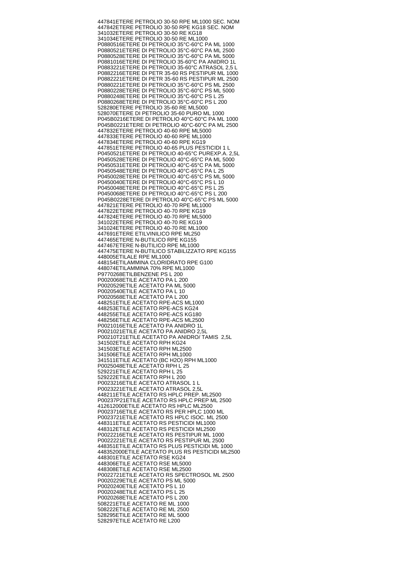447841 ETERE PETROLIO 30-50 RPE ML1000 SEC. NOM 447842 ETERE PETROLIO 30-50 RPE KG18 SEC. NOM 341032 ETERE PETROLIO 30-50 RE KG18 341034 ETERE PETROLIO 30-50 RE ML1000 P0880516 ETERE DI PETROLIO 35°C-60°C PA ML 1000 P0880521 ETERE DI PETROLIO 35°C-60°C PA ML 2500 P0880528 ETERE DI PETROLIO 35°C-60°C PA ML 5000 P0881016 ETERE DI PETROLIO 35-60°C PA ANIDRO 1L P0883221 ETERE DI PETROLIO 35-60°C ATRASOL 2,5 L P0882216 ETERE DI PETR 35-60 RS PESTIPUR ML 1000 P0882221 ETERE DI PETR 35-60 RS PESTIPUR ML 2500 P0880221 ETERE DI PETROLIO 35°C-60°C PS ML 2500 P0880228 ETERE DI PETROLIO 35°C-60°C PS ML 5000 P0880248 ETERE DI PETROLIO 35°C-60°C PS L 25 P0880268 ETERE DI PETROLIO 35°C-60°C PS L 200 528280 ETERE PETROLIO 35-60 RE ML5000 528070 ETERE DI PETROLIO 35-60 PURO ML 1000 P045B0216 ETERE DI PETROLIO 40°C-60°C PA ML 1000 P045B0221 ETERE DI PETROLIO 40°C-60°C PA ML 2500 447832 ETERE PETROLIO 40-60 RPE ML5000 447833 ETERE PETROLIO 40-60 RPE ML1000 447834 ETERE PETROLIO 40-60 RPE KG19 447851 ETERE PETROLIO 40-65 PLUS PESTICIDI 1 L P0450521 ETERE DI PETROLIO 40-65°C PUREXP.A. 2,5L P0450528 ETERE DI PETROLIO 40°C-65°C PA ML 5000 P0450531 ETERE DI PETROLIO 40°C-65°C PA ML 5000 P0450548 ETERE DI PETROLIO 40°C-65°C PA L 25 P0450028 ETERE DI PETROLIO 40°C-65°C PS ML 5000 P0450040 ETERE DI PETROLIO 40°C-65°C PS L 10 P0450048 ETERE DI PETROLIO 40°C-65°C PS L 25 P0450068 ETERE DI PETROLIO 40°C-65°C PS L 200 P045B0228 ETERE DI PETROLIO 40°C-65°C PS ML 5000 447821 ETERE PETROLIO 40-70 RPE ML1000 447822 ETERE PETROLIO 40-70 RPE KG19 447824 ETERE PETROLIO 40-70 RPE ML5000 341022 ETERE PETROLIO 40-70 RE KG19 341024 ETERE PETROLIO 40-70 RE ML1000 447691 ETERE ETILVINILICO RPE ML250 447465 ETERE N-BUTILICO RPE KG155 447467 ETERE N-BUTILICO RPE ML1000 447475 ETERE N-BUTILICO STABILIZZATO RPE KG155 448005 ETILALE RPE ML1000 448154 ETILAMMINA CLORIDRATO RPE G100 448074 ETILAMMINA 70% RPE ML1000 P9770268 ETILBENZENE PS L 200 P0020068 ETILE ACETATO PA L 200 P0020529 ETILE ACETATO PA ML 5000 P0020540 ETILE ACETATO PA L 10 P0020568 ETILE ACETATO PA L 200 448251 ETILE ACETATO RPE-ACS ML1000 448253 ETILE ACETATO RPE-ACS KG24 448255 ETILE ACETATO RPE-ACS KG180 448256 ETILE ACETATO RPE-ACS ML2500 P0021016 ETILE ACETATO PA ANIDRO 1L P0021021 ETILE ACETATO PA ANIDRO 2,5L P00210T21 ETILE ACETATO PA ANIDRO/ TAMIS 2,5L 341502 ETILE ACETATO RPH KG24 341503 ETILE ACETATO RPH ML2500 341506 ETILE ACETATO RPH ML1000 341511 ETILE ACETATO (BC H2O) RPH ML1000 P0025048 ETILE ACETATO RPH L 25 529221 ETILE ACETATO RPH L 25 529222 ETILE ACETATO RPH L 200 P0023216 ETILE ACETATO ATRASOL 1 L P0023221 ETILE ACETATO ATRASOL 2,5L 448211 ETILE ACETATO RS HPLC PREP. ML2500 P00237P21 ETILE ACETATO RS HPLC PREP ML 2500 412612000 ETILE ACETATO RS HPLC ML2500 P0023716 ETILE ACETATO RS PER HPLC 1000 ML P0023721 ETILE ACETATO RS HPLC ISOC. ML 2500 448311 ETILE ACETATO RS PESTICIDI ML1000 448312 ETILE ACETATO RS PESTICIDI ML2500 P0022216 ETILE ACETATO RS PESTIPUR ML 1000 P0022221 ETILE ACETATO RS PESTIPUR ML 2500 448351 ETILE ACETATO RS PLUS PESTICIDI ML 1000 448352000 ETILE ACETATO PLUS RS PESTICIDI ML2500 448301 ETILE ACETATO RSE KG24 448306 ETILE ACETATO RSE ML5000 448308 ETILE ACETATO RSE ML2500 P0022721 ETILE ACETATO RS SPECTROSOL ML 2500 P0020229 ETILE ACETATO PS ML 5000 P0020240 ETILE ACETATO PS L 10 P0020248 ETILE ACETATO PS L 25 P0020268 ETILE ACETATO PS L 200 508221 ETILE ACETATO RE ML 1000 508222 ETILE ACETATO RE ML 2500 528295 ETILE ACETATO RE ML 5000 528297 ETILE ACETATO RE L200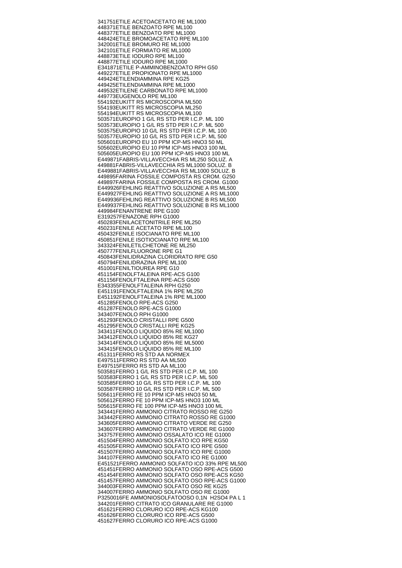341751 ETILE ACETOACETATO RE ML1000 448371 ETILE BENZOATO RPE ML100 448377 ETILE BENZOATO RPE ML1000 448424 ETILE BROMOACETATO RPE ML100 342001 ETILE BROMURO RE ML1000 342101 ETILE FORMIATO RE ML1000 448873 ETILE IODURO RPE ML100 448877 ETILE IODURO RPE ML1000 E341871 ETILE P-AMMINOBENZOATO RPH G50 449227 ETILE PROPIONATO RPE ML1000 449424 ETILENDIAMMINA RPE KG25 449425 ETILENDIAMMINA RPE ML1000 449532 ETILENE CARBONATO RPE ML1000 449773 EUGENOLO RPE ML100 554192 EUKITT RS MICROSCOPIA ML500 554193 EUKITT RS MICROSCOPIA ML250 554194 EUKITT RS MICROSCOPIA ML100 503571 EUROPIO 1 G/L RS STD PER I.C.P. ML 100 503573 EUROPIO 1 G/L RS STD PER I.C.P. ML 500 503575 EUROPIO 10 G/L RS STD PER I.C.P. ML 100 503577 EUROPIO 10 G/L RS STD PER I.C.P. ML 500 505601 EUROPIO EU 10 PPM ICP-MS HNO3 50 ML 505602 EUROPIO EU 10 PPM ICP-MS HNO3 100 ML 505605 EUROPIO EU 100 PPM ICP-MS HNO3 100 ML E449871 FABRIS-VILLAVECCHIA RS ML250 SOLUZ. A 449881 FABRIS-VILLAVECCHIA RS ML1000 SOLUZ. B E449881 FABRIS-VILLAVECCHIA RS ML1000 SOLUZ. B 449895 FARINA FOSSILE COMPOSTA RS CROM. G250 449897 FARINA FOSSILE COMPOSTA RS CROM. G1000 E449926 FEHLING REATTIVO SOLUZIONE A RS ML500 E449927 FEHLING REATTIVO SOLUZIONE A RS ML1000 E449936 FEHLING REATTIVO SOLUZIONE B RS ML500 E449937 FEHLING REATTIVO SOLUZIONE B RS ML1000 449984 FENANTRENE RPE G100 E319257 FENAZONE RPH G1000 450283 FENILACETONITRILE RPE ML250 450231 FENILE ACETATO RPE ML100 450432 FENILE ISOCIANATO RPE ML100 450851 FENILE ISOTIOCIANATO RPE ML100 343324 FENILETILCHETONE RE ML250 450777 FENILFLUORONE RPE G1 450843 FENILIDRAZINA CLORIDRATO RPE G50 450794 FENILIDRAZINA RPE ML100 451001 FENILTIOUREA RPE G10 451154 FENOLFTALEINA RPE-ACS G100 451156 FENOLFTALEINA RPE-ACS G500 E343355 FENOLFTALEINA RPH G250 E451191 FENOLFTALEINA 1% RPE ML250 E451192 FENOLFTALEINA 1% RPE ML1000 451285 FENOLO RPE-ACS G250 451287 FENOLO RPE-ACS G1000 343407 FENOLO RPH G1000 451293 FENOLO CRISTALLI RPE G500 451295 FENOLO CRISTALLI RPE KG25 343411 FENOLO LIQUIDO 85% RE ML1000 343412 FENOLO LIQUIDO 85% RE KG27 343414 FENOLO LIQUIDO 85% RE ML5000 343415 FENOLO LIQUIDO 85% RE ML100 451311 FERRO RS STD AA NORMEX E497511 FERRO RS STD AA ML500 E497515 FERRO RS STD AA ML100 503581 FERRO 1 G/L RS STD PER I.C.P. ML 100 503583 FERRO 1 G/L RS STD PER I.C.P. ML 500 503585 FERRO 10 G/L RS STD PER I.C.P. ML 100 503587 FERRO 10 G/L RS STD PER I.C.P. ML 500 505611 FERRO FE 10 PPM ICP-MS HNO3 50 ML 505612 FERRO FE 10 PPM ICP-MS HNO3 100 ML 505615 FERRO FE 100 PPM ICP-MS HNO3 100 ML 343441 FERRO AMMONIO CITRATO ROSSO RE G250 343442 FERRO AMMONIO CITRATO ROSSO RE G1000 343605 FERRO AMMONIO CITRATO VERDE RE G250 343607 FERRO AMMONIO CITRATO VERDE RE G1000 343757 FERRO AMMONIO OSSALATO ICO RE G1000 451504 FERRO AMMONIO SOLFATO ICO RPE KG50 451505 FERRO AMMONIO SOLFATO ICO RPE G500 451507 FERRO AMMONIO SOLFATO ICO RPE G1000 344107 FERRO AMMONIO SOLFATO ICO RE G1000 E451521 FERRO AMMONIO SOLFATO ICO 33% RPE ML500 451451 FERRO AMMONIO SOLFATO OSO RPE-ACS G500 451454 FERRO AMMONIO SOLFATO OSO RPE-ACS KG50 451457 FERRO AMMONIO SOLFATO OSO RPE-ACS G1000 344003 FERRO AMMONIO SOLFATO OSO RE KG25 344007 FERRO AMMONIO SOLFATO OSO RE G1000 P3250016 FE AMMONIOSOLFATOOSO 0,1N H2SO4 PA L 1 344201 FERRO CITRATO ICO GRANULARE RE G1000 451621 FERRO CLORURO ICO RPE-ACS KG100 451626 FERRO CLORURO ICO RPE-ACS G500 451627 FERRO CLORURO ICO RPE-ACS G1000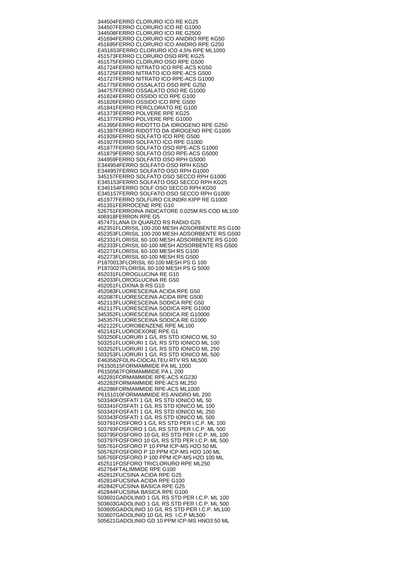344504 FERRO CLORURO ICO RE KG25 344507 FERRO CLORURO ICO RE G1000 344508 FERRO CLORURO ICO RE G2500 451694 FERRO CLORURO ICO ANIDRO RPE KG50 451695 FERRO CLORURO ICO ANIDRO RPE G250 E451653 FERRO CLORURO ICO 4,5% RPE ML1000 451573 FERRO CLORURO OSO RPE KG25 451575 FERRO CLORURO OSO RPE G500 451724 FERRO NITRATO ICO RPE-ACS KG50 451725 FERRO NITRATO ICO RPE-ACS G500 451727 FERRO NITRATO ICO RPE-ACS G1000 451775 FERRO OSSALATO OSO RPE G250 344757 FERRO OSSALATO OSO RE G1000 451824 FERRO OSSIDO ICO RPE G100 451826 FERRO OSSIDO ICO RPE G500 451841 FERRO PERCLORATO RE G100 451373 FERRO POLVERE RPE KG25 451377 FERRO POLVERE RPE G1000 451395 FERRO RIDOTTO DA IDROGENO RPE G250 451397 FERRO RIDOTTO DA IDROGENO RPE G1000 451926 FERRO SOLFATO ICO RPE G500 451927 FERRO SOLFATO ICO RPE G1000 451877 FERRO SOLFATO OSO RPE-ACS G1000 451879 FERRO SOLFATO OSO RPE-ACS G5000 344959 FERRO SOLFATO OSO RPH G5000 E344954 FERRO SOLFATO OSO RPH KG5O E344957 FERRO SOLFATO OSO RPH G1000 345157 FERRO SOLFATO OSO SECCO RPH G1000 E345153 FERRO SOLFATO OSO SECCO RPH KG25 E345154 FERRO SOLF OSO SECCO RPH KG50 E345157 FERRO SOLFATO OSO SECCO RPH G1000 451977 FERRO SOLFURO CILINDRI KIPP RE G1000 451351 FERROCENE RPE G10 526751 FERROINA INDICATORE 0.025M RS COD ML100 406918 FERRON RPE G5 457471 LANA DI QUARZO RS RADIO G25 452351 FLORISIL 100-200 MESH ADSORBENTE RS G100 452353 FLORISIL 100-200 MESH ADSORBENTE RS G500 452331 FLORISIL 60-100 MESH ADSORBENTE RS G100 452333 FLORISIL 60-100 MESH ADSORBENTE RS G500 452271 FLORISIL 60-100 MESH RS G100 452273 FLORISIL 60-100 MESH RS G500 P1870013 FLORISIL 60-100 MESH PS G 100 P1870027 FLORISIL 60-100 MESH PS G 5000 452031 FLOROGLUCINA RE G10 452033 FLOROGLUCINA RE G50 452051 FLOXINA B RS G10 452083 FLUORESCEINA ACIDA RPE G50 452087 FLUORESCEINA ACIDA RPE G500 452113 FLUORESCEINA SODICA RPE G50 452117 FLUORESCEINA SODICA RPE G1000 345352 FLUORESCEINA SODICA RE G10000 345357 FLUORESCEINA SODICA RE G1000 452122 FLUOROBENZENE RPE ML100 452141 FLUOROEXONE RPE G1 503250 FLUORURI 1 G/L RS STD IONICO ML 50 503251 FLUORURI 1 G/L RS STD IONICO ML 100 503252 FLUORURI 1 G/L RS STD IONICO ML 250 503253 FLUORURI 1 G/L RS STD IONICO ML 500 E463562 FOLIN-CIOCALTEU RTV RS ML500 P6150515 FORMAMMIDE PA ML 1000 P6150567 FORMAMMIDE PA L 200 452281 FORMAMMIDE RPE-ACS KG230 452282 FORMAMMIDE RPE-ACS ML250 452286 FORMAMMIDE RPE-ACS ML1000 P6151010 FORMAMMIDE RS ANIDRO ML 200 503340 FOSFATI 1 G/L RS STD IONICO ML 50 503341 FOSFATI 1 G/L RS STD IONICO ML 100 503342 FOSFATI 1 G/L RS STD IONICO ML 250 503343 FOSFATI 1 G/L RS STD IONICO ML 500 503791 FOSFORO 1 G/L RS STD PER I.C.P. ML 100 503793 FOSFORO 1 G/L RS STD PER I.C.P. ML 500 503795 FOSFORO 10 G/L RS STD PER I.C.P. ML 100 503797 FOSFORO 10 G/L RS STD PER I.C.P. ML 500 505761 FOSFORO P 10 PPM ICP-MS H2O 50 ML 505762 FOSFORO P 10 PPM ICP-MS H2O 100 ML 505765 FOSFORO P 100 PPM ICP-MS H2O 100 ML 452511 FOSFORO TRICLORURO RPE ML250 452764 FTALIMMIDE RPE G100 452812 FUCSINA ACIDA RPE G25 452814 FUCSINA ACIDA RPE G100 452842 FUCSINA BASICA RPE G25 452844 FUCSINA BASICA RPE G100 503601 GADOLINIO 1 G/L RS STD PER I.C.P. ML 100 503603 GADOLINIO 1 G/L RS STD PER I.C.P. ML 500 503605 GADOLINIO 10 G/L RS STD PER I.C.P. ML100 503607 GADOLINIO 10 G/L RS I.C.P ML500 505621 GADOLINIO GD 10 PPM ICP-MS HNO3 50 ML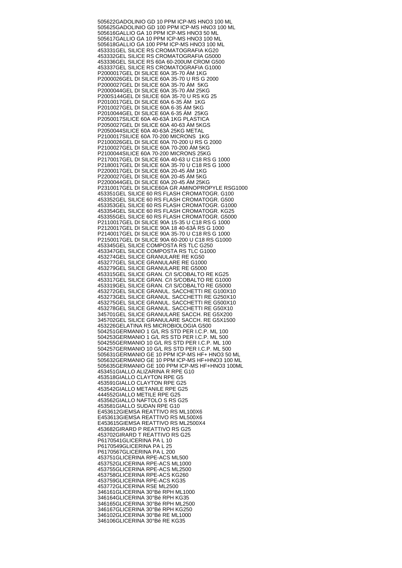505622 GADOLINIO GD 10 PPM ICP-MS HNO3 100 ML 505625 GADOLINIO GD 100 PPM ICP-MS HNO3 100 ML 505616 GALLIO GA 10 PPM ICP-MS HNO3 50 ML 505617 GALLIO GA 10 PPM ICP-MS HNO3 100 ML 505618 GALLIO GA 100 PPM ICP-MS HNO3 100 ML 453331 GEL SILICE RS CROMATOGRAFIA KG20 453332 GEL SILICE RS CROMATOGRAFIA G5000 453336 GEL SILICE RS 60A 60-200UM CROM G500 453337 GEL SILICE RS CROMATOGRAFIA G1000 P2000017 GEL DI SILICE 60A 35-70 ÁM 1KG P2000026 GEL DI SILICE 60A 35-70 U RS G 2000 P2000027 GEL DI SILICE 60A 35-70 ÁM 5KG P2000044 GEL DI SILICE 60A 35-70 ÁM 25KG P200S144 GEL DI SILICE 60A 35-70 U RS KG 25 P2010017 GEL DI SILICE 60A 6-35 ÁM 1KG P2010027 GEL DI SILICE 60A 6-35 ÁM 5KG P2010044 GEL DI SILICE 60A 6-35 ÁM 25KG P2050017 SILICE 60A 40-63Á 1KG PLASTICA P2050027 GEL DI SILICE 60A 40-63 ÁM 5KGS P2050044 SILICE 60A 40-63Á 25KG METAL P2100017 SILICE 60A 70-200 MICRONS 1KG P2100026 GEL DI SILICE 60A 70-200 U RS G 2000 P2100027 GEL DI SILICE 60A 70-200 ÁM 5KG P2100044 SILICE 60A 70-200 MICRONS 25KG P2170017 GEL DI SILICE 60A 40-63 U C18 RS G 1000 P2180017 GEL DI SILICE 60A 35-70 U C18 RS G 1000 P2200017 GEL DI SILICE 60A 20-45 ÁM 1KG P2200027 GEL DI SILICE 60A 20-45 ÁM 5KG P2200044 GEL DI SILICE 60A 20-45 ÁM 25KG P2310017 GEL DI SILICE60A GR AMINOPROPYLE RSG1000 453351 GEL SILICE 60 RS FLASH CROMATOGR. G100 453352 GEL SILICE 60 RS FLASH CROMATOGR. G500 453353 GEL SILICE 60 RS FLASH CROMATOGR. G1000 453354 GEL SILICE 60 RS FLASH CROMATOGR. KG25 453355 GEL SILICE 60 RS FLASH CROMATOGR. G5000 P2110017 GEL DI SILICE 90A 15-35 U C18 RS G 1000 P2120017 GEL DI SILICE 90A 18 40-63Á RS G 1000 P2140017 GEL DI SILICE 90A 35-70 U C18 RS G 1000 P2150017 GEL DI SILICE 90A 60-200 U C18 RS G1000 453345 GEL SILICE COMPOSTA RS TLC G250 453347 GEL SILICE COMPOSTA RS TLC G1000 453274 GEL SILICE GRANULARE RE KG50 453277 GEL SILICE GRANULARE RE G1000 453279 GEL SILICE GRANULARE RE G5000 453315 GEL SILICE GRAN. C/I S/COBALTO RE KG25 453317 GEL SILICE GRAN. C/I S/COBALTO RE G1000 453319 GEL SILICE GRAN. C/I S/COBALTO RE G5000 453272 GEL SILICE GRANUL. SACCHETTI RE G100X10 453273 GEL SILICE GRANUL. SACCHETTI RE G250X10 453275 GEL SILICE GRANUL. SACCHETTI RE G500X10 453278 GEL SILICE GRANUL. SACCHETTI RE G50X10 345701 GEL SILICE GRANULARE SACCH. RE G5X200 345702 GEL SILICE GRANULARE SACCH. RE G5X1500 453226 GELATINA RS MICROBIOLOGIA G500 504251 GERMANIO 1 G/L RS STD PER I.C.P. ML 100 504253 GERMANIO 1 G/L RS STD PER I.C.P. ML 500 504255 GERMANIO 10 G/L RS STD PER I.C.P. ML 100 504257 GERMANIO 10 G/L RS STD PER I.C.P. ML 500 505631 GERMANIO GE 10 PPM ICP-MS HF+ HNO3 50 ML 505632 GERMANIO GE 10 PPM ICP-MS HF+HNO3 100 ML 505635 GERMANIO GE 100 PPM ICP-MS HF+HNO3 100ML 453451 GIALLO ALIZARINA R RPE G10 453518 GIALLO CLAYTON RPE G5 453591 GIALLO CLAYTON RPE G25 453542 GIALLO METANILE RPE G25 444552 GIALLO METILE RPE G25 453562 GIALLO NAFTOLO S RS G25 453581 GIALLO SUDAN RPE G10 E453612 GIEMSA REATTIVO RS ML100X6 E453613 GIEMSA REATTIVO RS ML500X6 E453615 GIEMSA REATTIVO RS ML2500X4 453682 GIRARD P REATTIVO RS G25 453702 GIRARD T REATTIVO RS G25 P6170541 GLICERINA PA L 10 P6170549 GLICERINA PA L 25 P6170567 GLICERINA PA L 200 453751 GLICERINA RPE-ACS ML500 453752 GLICERINA RPE-ACS ML1000 453755 GLICERINA RPE-ACS ML2500 453758 GLICERINA RPE-ACS KG260 453759 GLICERINA RPE-ACS KG35 453772 GLICERINA RSE ML2500 346161 GLICERINA 30°Bé RPH ML1000 346164 GLICERINA 30°Bé RPH KG35 346165 GLICERINA 30°Bé RPH ML2500 346167 GLICERINA 30°Bé RPH KG250 346102 GLICERINA 30°Bé RE ML1000 346106 GLICERINA 30°Bé RE KG35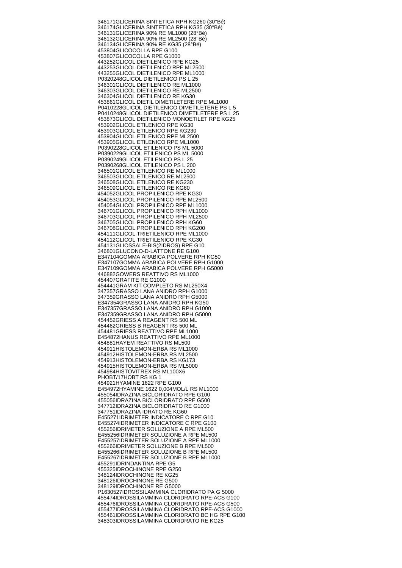346171 GLICERINA SINTETICA RPH KG260 (30°Bé) 346174 GLICERINA SINTETICA RPH KG35 (30°Bé) 346131 GLICERINA 90% RE ML1000 (28°Bé) 346132 GLICERINA 90% RE ML2500 (28°Bé) 346134 GLICERINA 90% RE KG35 (28°Bé) 453804 GLICOCOLLA RPE G100 453807 GLICOCOLLA RPE G1000 443252 GLICOL DIETILENICO RPE KG25 443253 GLICOL DIETILENICO RPE ML2500 443255 GLICOL DIETILENICO RPE ML1000 P0320248 GLICOL DIETILENICO PS L 25 346301 GLICOL DIETILENICO RE ML1000 346303 GLICOL DIETILENICO RE ML2500 346304 GLICOL DIETILENICO RE KG30 453861 GLICOL DIETIL DIMETILETERE RPE ML1000 P0410228 GLICOL DIETILENICO DIMETILETERE PS L 5 P0410248 GLICOL DIETILENICO DIMETILETERE PS L 25 453873 GLICOL DIETILENICO MONOETILET RPE KG25 453902 GLICOL ETILENICO RPE KG30 453903 GLICOL ETILENICO RPE KG230 453904 GLICOL ETILENICO RPE ML2500 453905 GLICOL ETILENICO RPE ML1000 P0390228 GLICOL ETILENICO PS ML 5000 P0390229 GLICOL ETILENICO PS ML 5000 P0390249 GLICOL ETILENICO PS L 25 P0390268 GLICOL ETILENICO PS L 200 346501 GLICOL ETILENICO RE ML1000 346503 GLICOL ETILENICO RE ML2500 346508 GLICOL ETILENICO RE KG230 346509 GLICOL ETILENICO RE KG60 454052 GLICOL PROPILENICO RPE KG30 454053 GLICOL PROPILENICO RPE ML2500 454054 GLICOL PROPILENICO RPE ML1000 346701 GLICOL PROPILENICO RPH ML1000 346703 GLICOL PROPILENICO RPH ML2500 346705 GLICOL PROPILENICO RPH KG60 346708 GLICOL PROPILENICO RPH KG200 454111 GLICOL TRIETILENICO RPE ML1000 454112 GLICOL TRIETILENICO RPE KG30 454131 GLIOSSALE-BIS(2IDROS) RPE G10 346801 GLUCONO-D-LATTONE RE G100 E347104 GOMMA ARABICA POLVERE RPH KG50 E347107 GOMMA ARABICA POLVERE RPH G1000 E347109 GOMMA ARABICA POLVERE RPH G5000 446882 GOWERS REATTIVO RS ML1000 454407 GRAFITE RE G1000 454441 GRAM KIT COMPLETO RS ML250X4 347357 GRASSO LANA ANIDRO RPH G1000 347359 GRASSO LANA ANIDRO RPH G5000 E347354 GRASSO LANA ANIDRO RPH KG50 E347357 GRASSO LANA ANIDRO RPH G1000 E347359 GRASSO LANA ANIDRO RPH G5000 454452 GRIESS A REAGENT RS 500 ML 454462 GRIESS B REAGENT RS 500 ML 454481 GRIESS REATTIVO RPE ML1000 E454872 HANUS REATTIVO RPE ML1000 454881 HAYEM REATTIVO RS ML500 454911 HISTOLEMON-ERBA RS ML1000 454912 HISTOLEMON-ERBA RS ML2500 454913 HISTOLEMON-ERBA RS KG173 454915 HISTOLEMON-ERBA RS ML5000 454984 HISTOVITREX RS ML100X6 PHOBT/17 HOBT RS KG 1 454921 HYAMINE 1622 RPE G100 E454972 HYAMINE 1622 0,004MOL/L RS ML1000 455054 IDRAZINA BICLORIDRATO RPE G100 455056 IDRAZINA BICLORIDRATO RPE G500 347712 IDRAZINA BICLORIDRATO RE G1000 347751 IDRAZINA IDRATO RE KG60 E455271 IDRIMETER INDICATORE C RPE G10 E455274 IDRIMETER INDICATORE C RPE G100 455256 IDRIMETER SOLUZIONE A RPE ML500 E455256 IDRIMETER SOLUZIONE A RPE ML500 E455257 IDRIMETER SOLUZIONE A RPE ML1000 455266 IDRIMETER SOLUZIONE B RPE ML500 E455266 IDRIMETER SOLUZIONE B RPE ML500 E455267 IDRIMETER SOLUZIONE B RPE ML1000 455291 IDRINDANTINA RPE G5 455325 IDROCHINONE RPE G250 348124 IDROCHINONE RE KG25 348126 IDROCHINONE RE G500 348129 IDROCHINONE RE G5000 P1630527 IDROSSILAMMINA CLORIDRATO PA G 5000 455474 IDROSSILAMMINA CLORIDRATO RPE-ACS G100 455476 IDROSSILAMMINA CLORIDRATO RPE-ACS G500 455477 IDROSSILAMMINA CLORIDRATO RPE-ACS G1000 455461 IDROSSILAMMINA CLORIDRATO BC HG RPE G100 348303 IDROSSILAMMINA CLORIDRATO RE KG25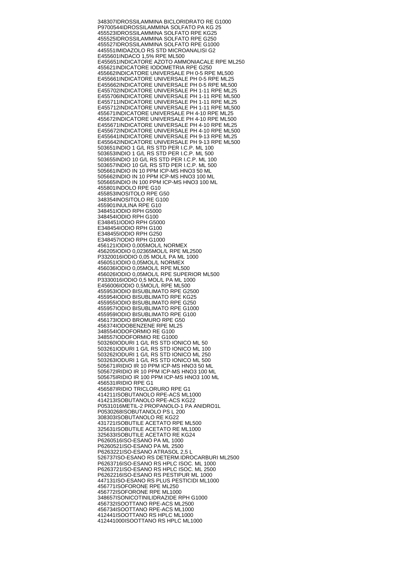348307 IDROSSILAMMINA BICLORIDRATO RE G1000 P9700544 IDROSSILAMMINA SOLFATO PA KG 25 455523 IDROSSILAMMINA SOLFATO RPE KG25 455525 IDROSSILAMMINA SOLFATO RPE G250 455527 IDROSSILAMMINA SOLFATO RPE G1000 445551 IMIDAZOLO RS STD MICROANALISI G2 E455601 INDACO 1,5% RPE ML500 E455651 INDICATORE AZOTO AMMONIACALE RPE ML250 455621 INDICATORE IODOMETRIA RPE G250 455662 INDICATORE UNIVERSALE PH 0-5 RPE ML500 E455661 INDICATORE UNIVERSALE PH 0-5 RPE ML25 E455662 INDICATORE UNIVERSALE PH 0-5 RPE ML500 E455702 INDICATORE UNIVERSALE PH 1-11 RPE ML25 E455706 INDICATORE UNIVERSALE PH 1-11 RPE ML500 E455711 INDICATORE UNIVERSALE PH 1-11 RPE ML25 E455712 INDICATORE UNIVERSALE PH 1-11 RPE ML500 455671 INDICATORE UNIVERSALE PH 4-10 RPE ML25 455672 INDICATORE UNIVERSALE PH 4-10 RPE ML500 E455671 INDICATORE UNIVERSALE PH 4-10 RPE ML25 E455672 INDICATORE UNIVERSALE PH 4-10 RPE ML500 E455641 INDICATORE UNIVERSALE PH 9-13 RPE ML25 E455642 INDICATORE UNIVERSALE PH 9-13 RPE ML500 503651 INDIO 1 G/L RS STD PER I.C.P. ML 100 503653 INDIO 1 G/L RS STD PER I.C.P. ML 500 503655 INDIO 10 G/L RS STD PER I.C.P. ML 100 503657 INDIO 10 G/L RS STD PER I.C.P. ML 500 505661 INDIO IN 10 PPM ICP-MS HNO3 50 ML 505662 INDIO IN 10 PPM ICP-MS HNO3 100 ML 505665 INDIO IN 100 PPM ICP-MS HNO3 100 ML 455801 INDOLO RPE G10 455853 INOSITOLO RPE G50 348354 INOSITOLO RE G100 455901 INULINA RPF G10 348451 IODIO RPH G5000 348454 IODIO RPH G100 E348451 IODIO RPH G5000 E348454 IODIO RPH G100 E348455 IODIO RPH G250 E348457 IODIO RPH G1000 456121 IODIO 0,005MOL/L NORMEX 456205 IODIO 0,02365MOL/L RPE ML2500 P3320016 IODIO 0,05 MOL/L PA ML 1000 456051 IODIO 0,05MOL/L NORMEX 456036 IODIO 0,05MOL/L RPE ML500 456026 IODIO 0,05MOL/L RPE SUPERIOR ML500 P3330016 IODIO 0,5 MOL/L PA ML 1000 E456006 IODIO 0.5MOL/L RPE ML500 455953 IODIO BISUBLIMATO RPE G2500 455954 IODIO BISUBLIMATO RPE KG25 455955 IODIO BISUBLIMATO RPE G250 455957 IODIO BISUBLIMATO RPE G1000 455959 IODIO BISUBLIMATO RPE G100 456173 IODIO BROMURO RPE G50 456374 IODOBENZENE RPE ML25 348554 IODOFORMIO RE G100 348557 IODOFORMIO RE G1000 503260 IODURI 1 G/L RS STD IONICO ML 50 503261 IODURI 1 G/L RS STD IONICO ML 100 503262 IODURI 1 G/L RS STD IONICO ML 250 503263 IODURI 1 G/L RS STD IONICO ML 500 505671 IRIDIO IR 10 PPM ICP-MS HNO3 50 ML 505672 IRIDIO IR 10 PPM ICP-MS HNO3 100 ML 505675 IRIDIO IR 100 PPM ICP-MS HNO3 100 ML 456531 IRIDIO RPE G1 456587 IRIDIO TRICLORURO RPE G1 414211 ISOBUTANOLO RPE-ACS ML1000 414213 ISOBUTANOLO RPE-ACS KG22 P0531016 METIL-2 PROPANOLO-1 PA ANIDRO1L P0530268 ISOBUTANOLO PS L 200 308303 ISOBUTANOLO RE KG22 431721 ISOBUTILE ACETATO RPE ML500 325631 ISOBUTILE ACETATO RE ML1000 325633 ISOBUTILE ACETATO RE KG24 P6260516 ISO-ESANO PA ML 1000 P6260521 ISO-ESANO PA ML 2500 P6263221 ISO-ESANO ATRASOL 2,5 L 526737 ISO-ESANO RS DETERM.IDROCARBURI ML2500 P6263716 ISO-ESANO RS HPLC ISOC. ML 1000 P6263721 ISO-ESANO RS HPLC ISOC. ML 2500 P6262216 ISO-ESANO RS PESTIPUR ML 1000 447131 ISO-ESANO RS PLUS PESTICIDI ML1000 456771 ISOFORONE RPE ML250 456772 ISOFORONE RPE ML1000 348657 ISONICOTINILIDRAZIDE RPH G1000 456732 ISOOTTANO RPE-ACS ML2500 456734 ISOOTTANO RPE-ACS ML1000 412441 ISOOTTANO RS HPLC ML1000 412441000 ISOOTTANO RS HPLC ML1000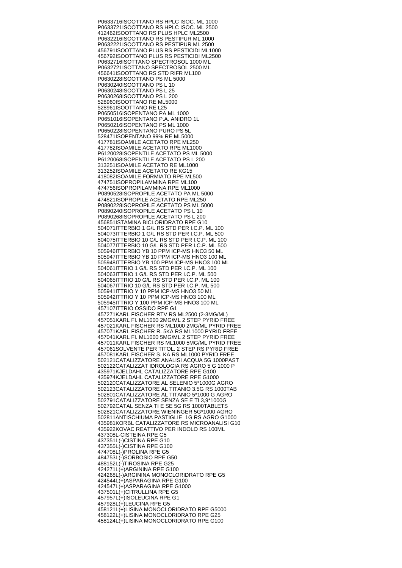P0633716 ISOOTTANO RS HPLC ISOC. ML 1000 P0633721 ISOOTTANO RS HPLC ISOC. ML 2500 412462 ISOOTTANO RS PLUS HPLC ML2500 P0632216 ISOOTTANO RS PESTIPUR ML 1000 P0632221 ISOOTTANO RS PESTIPUR ML 2500 456791 ISOOTTANO PLUS RS PESTICIDI ML1000 456792 ISOOTTANO PLUS RS PESTICIDI ML2500 P0632716 ISOTTANO SPECTROSOL 1000 ML P0632721 ISOTTANO SPECTROSOL 2500 ML 456641 ISOOTTANO RS STD RIFR ML100 P0630228 ISOOTTANO PS ML 5000 P0630240 ISOOTTANO PS L 10 P0630248 ISOOTTANO PS L 25 P0630268 ISOOTTANO PS L 200 528960 ISOOTTANO RE ML5000 528961 ISOOTTANO RE L25 P0650516 ISOPENTANO PA ML 1000 P0651016 ISOPENTANO P.A. ANIDRO 1L P0650216 ISOPENTANO PS ML 1000 P0650228 ISOPENTANO PURO PS 5L 528471 ISOPENTANO 99% RE ML5000 417781 ISOAMILE ACETATO RPE ML250 417782 ISOAMILE ACETATO RPE ML1000 P6120028 ISOPENTILE ACETATO PS ML 5000 P6120068 ISOPENTILE ACETATO PS L 200 313251 ISOAMILE ACETATO RE ML1000 313252 ISOAMILE ACETATO RE KG15 418082 ISOAMILE FORMIATO RPE ML500 474751 ISOPROPILAMMINA RPE ML100 474756 ISOPROPILAMMINA RPE ML1000 P0890528 ISOPROPILE ACETATO PA ML 5000 474821 ISOPROPILE ACETATO RPE ML250 P0890228 ISOPROPILE ACETATO PS ML 5000 P0890240 ISOPROPILE ACETATO PS L 10 P0890268 ISOPROPILE ACETATO PS L 200 456851 ISTAMINA BICLORIDRATO RPE G10 504071 ITTERBIO 1 G/L RS STD PER I.C.P. ML 100 504073 ITTERBIO 1 G/L RS STD PER I.C.P. ML 500 504075 ITTERBIO 10 G/L RS STD PER I.C.P. ML 100 504077 ITTERBIO 10 G/L RS STD PER I.C.P. ML 500 505946 ITTERBIO YB 10 PPM ICP-MS HNO3 50 ML 505947 ITTERBIO YB 10 PPM ICP-MS HNO3 100 ML 505948 ITTERBIO YB 100 PPM ICP-MS HNO3 100 ML 504061 ITTRIO 1 G/L RS STD PER I.C.P. ML 100 504063 ITTRIO 1 G/L RS STD PER I.C.P. ML 500 504065 ITTRIO 10 G/L RS STD PER I.C.P. ML 100 504067 ITTRIO 10 G/L RS STD PER I.C.P. ML 500 505941 ITTRIO Y 10 PPM ICP-MS HNO3 50 ML 505942 ITTRIO Y 10 PPM ICP-MS HNO3 100 ML 505945 ITTRIO Y 100 PPM ICP-MS HNO3 100 ML 457107 ITTRIO OSSIDO RPE G1 457271 KARL FISCHER RTV RS ML2500 (2-3MG/ML) 457051 KARL FI. ML1000 2MG/ML 2 STEP PYRID FREE 457021 KARL FISCHER RS ML1000 2MG/ML PYRID FREE 457071 KARL FISCHER R. 5KA RS ML1000 PYRID FREE 457041 KARL FI. ML1000 5MG/ML 2 STEP PYRID FREE 457011 KARL FISCHER RS ML1000 5MG/ML PYRID FREE 457061 SOLVENTE PER TITOL. 2 STEP RS PYRID FREE 457081 KARL FISCHER S. KA RS ML1000 PYRID FREE 502121 CATALIZZATORE ANALISI ACQUA 5G 1000PAST 502122 CATALIZZAT IDROLOGIA RS AGRO 5 G 1000 P 435971 KJELDAHL CATALIZZATORE RPE G100 435974 KJELDAHL CATALIZZATORE RPE G1000 502120 CATALIZZATORE AL SELENIO 5\*1000G AGRO 502123 CATALIZZATORE AL TITANIO 3.5G RS 1000TAB 502801 CATALIZZATORE AL TITANIO 5\*1000 G AGRO 502791 CATALIZZATORE SENZA SE E TI 3,9\*1000G 502792 CATAL SENZA TI E SE 5G RS 1000TABLETS 502821 CATALIZZATORE WIENINGER 5G\*1000 AGRO 502811 ANTISCHIUMA PASTIGLIE 1G RS AGRO G1000 435981 KORBL CATALIZZATORE RS MICROANALISI G10 435922 KOVAC REATTIVO PER INDOLO RS 100ML 437308 L-CISTEINA RPE G5 437351 L(-)CISTINA RPE G10 437355 L(-)CISTINA RPE G100 474708 L(-)PROLINA RPE G5 484753 L(-)SORBOSIO RPE G50 488152 L(-)TIROSINA RPE G25 424271  $L(\dot{+})$ ARGININA RPE G100 424268 L(-) ARGININA MONOCLORIDRATO RPE G5 424544 L(+)ASPARAGINA RPE G100 424547 L(+)ASPARAGINA RPE G1000 437501 L(+)CITRULLINA RPE G5 457957 L(+)ISOLEUCINA RPE G1 457928 L(+)LEUCINA RPE G5 458121 L(+)LISINA MONOCLORIDRATO RPE G5000 458122 L(+)LISINA MONOCLORIDRATO RPE G25 458124 L(+)LISINA MONOCLORIDRATO RPE G100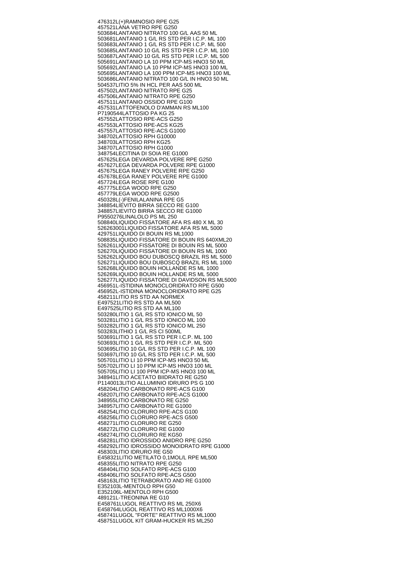476312 L(+)RAMNOSIO RPE G25 457521 LANA VETRO RPE G250 503684 LANTANIO NITRATO 100 G/L AAS 50 ML 503681 LANTANIO 1 G/L RS STD PER I.C.P. ML 100 503683 LANTANIO 1 G/L RS STD PER I.C.P. ML 500 503685 LANTANIO 10 G/L RS STD PER I.C.P. ML 100 503687 LANTANIO 10 G/L RS STD PER I.C.P. ML 500 505691 LANTANIO LA 10 PPM ICP-MS HNO3 50 ML 505692 LANTANIO LA 10 PPM ICP-MS HNO3 100 ML 505695 LANTANIO LA 100 PPM ICP-MS HNO3 100 ML 503686 LANTANIO NITRATO 100 G/L IN HNO3 50 ML 504537 LITIO 5% IN HCL PER AAS 500 ML 457502 LANTANIO NITRATO RPE G25 457506 LANTANIO NITRATO RPE G250 457511 LANTANIO OSSIDO RPE G100 457531 LATTOFENOLO D'AMMAN RS ML100 P7190544 LATTOSIO PA KG 25 457552 LATTOSIO RPE-ACS G250 457553 LATTOSIO RPE-ACS KG25 457557 LATTOSIO RPE-ACS G1000 348702 LATTOSIO RPH G10000 348703 LATTOSIO RPH KG25 348707 LATTOSIO RPH G1000 348754 LECITINA DI SOIA RE G1000 457625 LEGA DEVARDA POLVERE RPE G250 457627 LEGA DEVARDA POLVERE RPE G1000 457675 LEGA RANEY POLVERE RPE G250 457678 LEGA RANEY POLVERE RPE G1000 457724 LEGA ROSE RPE G100 457775 LEGA WOOD RPE G250 457779 LEGA WOOD RPE G2500 450328 L(-)FENILALANINA RPE G5 348854 LIEVITO BIRRA SECCO RE G100 348857 LIEVITO BIRRA SECCO RE G1000 P9550276 LINALOLO PS ML 250 508840 LIQUIDO FISSATORE AFA RS 480 X ML 30 526263001 LIQUIDO FISSATORE AFA RS ML 5000 429751 LIQUIDO DI BOUIN RS ML1000 508835 LIQUIDO FISSATORE DI BOUIN RS 640XML20 526261 LIQUIDO FISSATORE DI BOUIN RS ML 5000 526270 LIQUIDO FISSATORE DI BOUIN RS ML 1000 526262 LIQUIDO BOU DUBOSCQ BRAZIL RS ML 5000 526271 LIQUIDO BOU DUBOSCQ BRAZIL RS ML 1000 526268 LIQUIDO BOUIN HOLLANDE RS ML 1000 526269 LIQUIDO BOUIN HOLLANDE RS ML 5000 526277 LIQUIDO FISSATORE DI DAVIDSON RS ML5000 456951 L-ISTIDINA MONOCLORIDRATO RPE G500 456952 L-ISTIDINA MONOCLORIDRATO RPE G25 458211 LITIO RS STD AA NORMEX E497521 LITIO RS STD AA ML500 E497525 LITIO RS STD AA ML100 503280 LITIO 1 G/L RS STD IONICO ML 50 503281 LITIO 1 G/L RS STD IONICO ML 100 503282 LITIO 1 G/L RS STD IONICO ML 250 503283 LITHIO 1 G/L RS CI 500ML 503691 LITIO 1 G/L RS STD PER I.C.P. ML 100 503693 LITIO 1 G/L RS STD PER I.C.P. ML 500 503695 LITIO 10 G/L RS STD PER I.C.P. ML 100 503697 LITIO 10 G/L RS STD PER I.C.P. ML 500 505701 LITIO LI 10 PPM ICP-MS HNO3 50 ML 505702 LITIO LI 10 PPM ICP-MS HNO3 100 ML 505705 LITIO LI 100 PPM ICP-MS HNO3 100 ML 348941 LITIO ACETATO BIIDRATO RE G250 P1140013 LITIO ALLUMINIO IDRURO PS G 100 458204 LITIO CARBONATO RPE-ACS G100 458207 LITIO CARBONATO RPE-ACS G1000 348955 LITIO CARBONATO RE G250 348957 LITIO CARBONATO RE G1000 458254 LITIO CLORURO RPE-ACS G100 458256 LITIO CLORURO RPE-ACS G500 458271 LITIO CLORURO RE G250 458272 LITIO CLORURO RE G1000 458274 LITIO CLORURO RE KG50 458281 LITIO IDROSSIDO ANIDRO RPE G250 458292 LITIO IDROSSIDO MONOIDRATO RPE G1000 458303 LITIO IDRURO RE G50 E458321 LITIO METILATO 0,1MOL/L RPE ML500 458355 LITIO NITRATO RPE G250 458404 LITIO SOLFATO RPE-ACS G100 458406 LITIO SOLFATO RPE-ACS G500 458163 LITIO TETRABORATO AND RE G1000 E352103 L-MENTOLO RPH G50 E352106 L-MENTOLO RPH G500 489121 L-TREONINA RE G10 E458761 LUGOL REATTIVO RS ML 250X6 E458764 LUGOL REATTIVO RS ML1000X6 458741 LUGOL "FORTE" REATTIVO RS ML1000 458751 LUGOL KIT GRAM-HUCKER RS ML250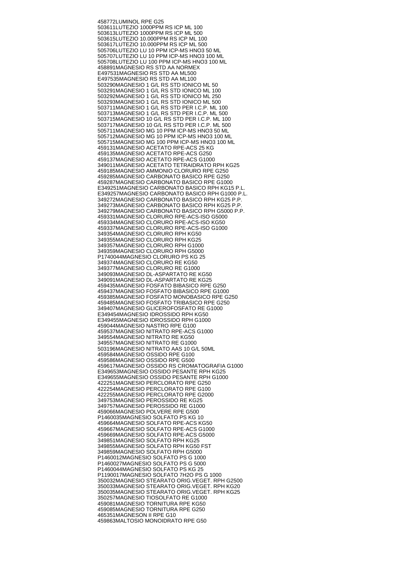458772 LUMINOL RPE G25 503611 LUTEZIO 1000PPM RS ICP ML 100 503613 LUTEZIO 1000PPM RS ICP ML 500 503615 LUTEZIO 10.000PPM RS ICP ML 100 503617 LUTEZIO 10.000PPM RS ICP ML 500 505706 LUTEZIO LU 10 PPM ICP-MS HNO3 50 ML 505707 LUTEZIO LU 10 PPM ICP-MS HNO3 100 ML 505708 LUTEZIO LU 100 PPM ICP-MS HNO3 100 ML 458891 MAGNESIO RS STD AA NORMEX E497531 MAGNESIO RS STD AA ML500 E497535 MAGNESIO RS STD AA ML100 503290 MAGNESIO 1 G/L RS STD IONICO ML 50 503291 MAGNESIO 1 G/L RS STD IONICO ML 100 503292 MAGNESIO 1 G/L RS STD IONICO ML 250 503293 MAGNESIO 1 G/L RS STD IONICO ML 500 503711 MAGNESIO 1 G/L RS STD PER I.C.P. ML 100 503713 MAGNESIO 1 G/L RS STD PER I.C.P. ML 500 503715 MAGNESIO 10 G/L RS STD PER I.C.P. ML 100 503717 MAGNESIO 10 G/L RS STD PER I.C.P. ML 500 505711 MAGNESIO MG 10 PPM ICP-MS HNO3 50 ML 505712 MAGNESIO MG 10 PPM ICP-MS HNO3 100 ML 505715 MAGNESIO MG 100 PPM ICP-MS HNO3 100 ML 459131 MAGNESIO ACETATO RPE-ACS 25 KG 459135 MAGNESIO ACETATO RPE-ACS G250 459137 MAGNESIO ACETATO RPE-ACS G1000 349011 MAGNESIO ACETATO TETRAIDRATO RPH KG25 459185 MAGNESIO AMMONIO CLORURO RPE G250 459285 MAGNESIO CARBONATO BASICO RPE G250 459287 MAGNESIO CARBONATO BASICO RPE G1000 E349251 MAGNESIO CARBONATO BASICO RPH KG15 P.L. E349257 MAGNESIO CARBONATO BASICO RPH G1000 P.L. 349272 MAGNESIO CARBONATO BASICO RPH KG25 P.P. 349273 MAGNESIO CARBONATO BASICO RPH KG25 P.P. 349279 MAGNESIO CARBONATO BASICO RPH G5000 P.P. 459331 MAGNESIO CLORURO RPE-ACS-ISO G5000 459334 MAGNESIO CLORURO RPE-ACS-ISO KG50 459337 MAGNESIO CLORURO RPE-ACS-ISO G1000 349354 MAGNESIO CLORURO RPH KG50 349355 MAGNESIO CLORURO RPH KG25 349357 MAGNESIO CLORURO RPH G1000 349359 MAGNESIO CLORURO RPH G5000 P1740044 MAGNESIO CLORURO PS KG 25 349374 MAGNESIO CLORURO RE KG50 349377 MAGNESIO CLORURO RE G1000 349093 MAGNESIO DL-ASPARTATO RE KG50 349091 MAGNESIO DL-ASPARTATO RE KG25 459435 MAGNESIO FOSFATO BIBASICO RPE G250 459437 MAGNESIO FOSFATO BIBASICO RPE G1000 459385 MAGNESIO FOSFATO MONOBASICO RPE G250 459485 MAGNESIO FOSFATO TRIBASICO RPE G250 349407 MAGNESIO GLICEROFOSFATO RE G1000 E349454 MAGNESIO IDROSSIDO RPH KG50 E349455 MAGNESIO IDROSSIDO RPH G1000 459044 MAGNESIO NASTRO RPE G100 459537 MAGNESIO NITRATO RPE-ACS G1000 349554 MAGNESIO NITRATO RE KG50 349557 MAGNESIO NITRATO RE G1000 503196 MAGNESIO NITRATO AAS 10 G/L 50ML 459584 MAGNESIO OSSIDO RPE G100 459586 MAGNESIO OSSIDO RPE G500 459617 MAGNESIO OSSIDO RS CROMATOGRAFIA G1000 E349653 MAGNESIO OSSIDO PESANTE RPH KG25 E349655 MAGNESIO OSSIDO PESANTE RPH G1000 422251 MAGNESIO PERCLORATO RPE G250 422254 MAGNESIO PERCLORATO RPE G100 422255 MAGNESIO PERCLORATO RPE G2000 349753 MAGNESIO PEROSSIDO RE KG25 349757 MAGNESIO PEROSSIDO RE G1000 459066 MAGNESIO POLVERE RPE G500 P1460035 MAGNESIO SOLFATO PS KG 10 459664 MAGNESIO SOLFATO RPE-ACS KG50 459667 MAGNESIO SOLFATO RPE-ACS G1000 459669 MAGNESIO SOLFATO RPE-ACS G5000 349851 MAGNESIO SOLFATO RPH KG25 349855 MAGNESIO SOLFATO RPH KG50 FST 349859 MAGNESIO SOLFATO RPH G5000 P1460012 MAGNESIO SOLFATO PS G 1000 P1460027 MAGNESIO SOLFATO PS G 5000 P1460044 MAGNESIO SOLFATO PS KG 25 P1190017 MAGNESIO SOLFATO 7H2O PS G 1000 350032 MAGNESIO STEARATO ORIG.VEGET. RPH G2500 350033 MAGNESIO STEARATO ORIG.VEGET. RPH KG20 350035 MAGNESIO STEARATO ORIG.VEGET. RPH KG25 350257 MAGNESIO TIOSOLFATO RE G1000 459081 MAGNESIO TORNITURA RPE KG50 459085 MAGNESIO TORNITURA RPE G250 465351 MAGNESON II RPE G10 459863 MALTOSIO MONOIDRATO RPE G50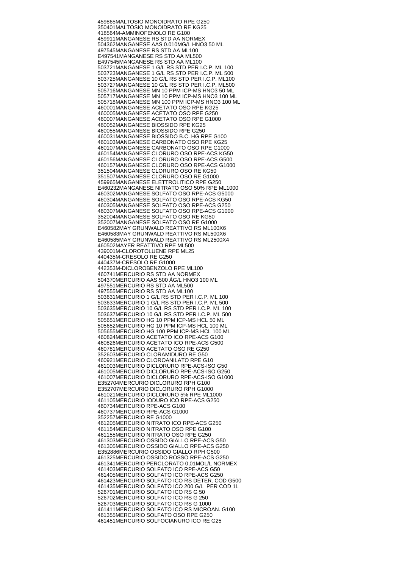459865 MALTOSIO MONOIDRATO RPE G250 350401 MALTOSIO MONOIDRATO RE KG25 418564 M-AMMINOFENOLO RE G100 459911 MANGANESE RS STD AA NORMEX 504362 MANGANESE AAS 0.010MG/L HNO3 50 ML 497545 MANGANESE RS STD AA ML100 E497541 MANGANESE RS STD AA ML500 E497545 MANGANESE RS STD AA ML100 503721 MANGANESE 1 G/L RS STD PER I.C.P. ML 100 503723 MANGANESE 1 G/L RS STD PER I.C.P. ML 500 503725 MANGANESE 10 G/L RS STD PER I.C.P. ML100 503727 MANGANESE 10 G/L RS STD PER I.C.P. ML500 505716 MANGANESE MN 10 PPM ICP-MS HNO3 50 ML 505717 MANGANESE MN 10 PPM ICP-MS HNO3 100 ML 505718 MANGANESE MN 100 PPM ICP-MS HNO3 100 ML 460001 MANGANESE ACETATO OSO RPE KG25 460005 MANGANESE ACETATO OSO RPE G250 460007 MANGANESE ACETATO OSO RPE G1000 460052 MANGANESE BIOSSIDO RPE KG25 460055 MANGANESE BIOSSIDO RPE G250 460031 MANGANESE BIOSSIDO B.C. HG RPE G100 460103 MANGANESE CARBONATO OSO RPE KG25 460107 MANGANESE CARBONATO OSO RPE G1000 460154 MANGANESE CLORURO OSO RPE-ACS KG50 460156 MANGANESE CLORURO OSO RPE-ACS G500 460157 MANGANESE CLORURO OSO RPE-ACS G1000 351504 MANGANESE CLORURO OSO RE KG50 351507 MANGANESE CLORURO OSO RE G1000 459965 MANGANESE ELETTROLITICO RPE G250 E460232 MANGANESE NITRATO OSO 50% RPE ML1000 460302 MANGANESE SOLFATO OSO RPE-ACS G5000 460304 MANGANESE SOLFATO OSO RPE-ACS KG50 460305 MANGANESE SOLFATO OSO RPE-ACS G250 460307 MANGANESE SOLFATO OSO RPE-ACS G1000 352004 MANGANESE SOLFATO OSO RE KG50 352007 MANGANESE SOLFATO OSO RE G1000 E460582 MAY GRUNWALD REATTIVO RS ML100X6 E460583 MAY GRUNWALD REATTIVO RS ML500X6 E460585 MAY GRUNWALD REATTIVO RS ML2500X4 460502 MAYER REATTIVO RPE ML500 439001 M-CLOROTOLUENE RPE ML25 440435 M-CRESOLO RE G250 440437 M-CRESOLO RE G1000 442353 M-DICLOROBENZOLO RPE ML100 460741 MERCURIO RS STD AA NORMEX 504370 MERCURIO AAS 500 ÁG/L HNO3 100 ML 497551 MERCURIO RS STD AA ML500 497555 MERCURIO RS STD AA ML100 503631 MERCURIO 1 G/L RS STD PER I.C.P. ML 100 503633 MERCURIO 1 G/L RS STD PER I.C.P. ML 500 503635 MERCURIO 10 G/L RS STD PER I.C.P. ML 100 503637 MERCURIO 10 G/L RS STD PER I.C.P. ML 500 505651 MERCURIO HG 10 PPM ICP-MS HCL 50 ML 505652 MERCURIO HG 10 PPM ICP-MS HCL 100 ML 505655 MERCURIO HG 100 PPM ICP-MS HCL 100 ML 460824 MERCURIO ACETATO ICO RPE-ACS G100 460826 MERCURIO ACETATO ICO RPE-ACS G500 460781 MERCURIO ACETATO OSO RE G250 352603 MERCURIO CLORAMIDURO RE G50 460921 MERCURIO CLOROANILATO RPE G10 461003 MERCURIO DICLORURO RPE-ACS-ISO G50 461005 MERCURIO DICLORURO RPE-ACS-ISO G250 461007 MERCURIO DICLORURO RPE-ACS-ISO G1000 E352704 MERCURIO DICLORURO RPH G100 E352707 MERCURIO DICLORURO RPH G1000 461021 MERCURIO DICLORURO 5% RPE ML1000 461105 MERCURIO IODURO ICO RPE-ACS G250 460734 MERCURIO RPE-ACS G100 460737 MERCURIO RPE-ACS G1000 352257 MERCURIO RE G1000 461205 MERCURIO NITRATO ICO RPE-ACS G250 461154 MERCURIO NITRATO OSO RPE G100 461155 MERCURIO NITRATO OSO RPE G250 461303 MERCURIO OSSIDO GIALLO RPE-ACS G50 461305 MERCURIO OSSIDO GIALLO RPE-ACS G250 E352886 MERCURIO OSSIDO GIALLO RPH G500 461325 MERCURIO OSSIDO ROSSO RPE-ACS G250 461341 MERCURIO PERCLORATO 0,01MOL/L NORMEX 461403 MERCURIO SOLFATO ICO RPE-ACS G50 461405 MERCURIO SOLFATO ICO RPE-ACS G250 461423 MERCURIO SOLFATO ICO RS DETER. COD G500 461435 MERCURIO SOLFATO ICO 200 G/L PER COD 1L 526701 MERCURIO SOLFATO ICO RS G 50 526702 MERCURIO SOLFATO ICO RS G 250 526703 MERCURIO SOLFATO ICO RS G 1000 461411 MERCURIO SOLFATO ICO RS MICROAN. G100 461355 MERCURIO SOLFATO OSO RPE G250 461451 MERCURIO SOLFOCIANURO ICO RE G25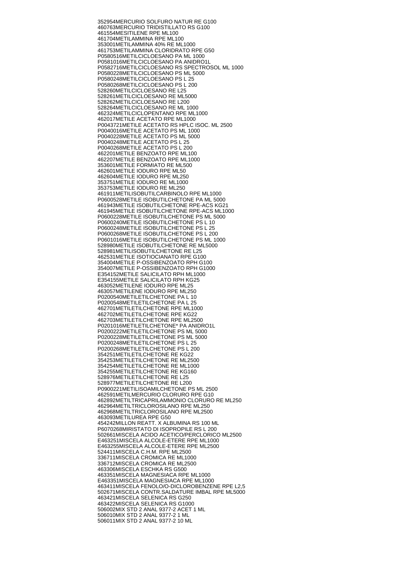352954 MERCURIO SOLFURO NATUR RE G100 460763 MERCURIO TRIDISTILLATO RS G100 461554 MESITILENE RPE ML100 461704 METILAMMINA RPE ML100 353001 METILAMMINA 40% RE ML1000 461753 METILAMMINA CLORIDRATO RPE G50 P0580516 METILCICLOESANO PA ML 1000 P0581016 METILCICLOESANO PA ANIDRO1L P0582716 METILCICLOESANO RS SPECTROSOL ML 1000 P0580228 METILCICLOESANO PS ML 5000 P0580248 METILCICLOESANO PS L 25 P0580268 METILCICLOESANO PS L 200 528260 METILCICLOESANO RE L25 528261 METILCICLOESANO RE ML5000 528262 METILCICLOESANO RE L200 528264 METILCICLOESANO RE ML 1000 462324 METILCICLOPENTANO RPE ML1000 462017 METILE ACETATO RPE ML1000 P0043721 METILE ACETATO RS HPLC ISOC. ML 2500 P0040016 METILE ACETATO PS ML 1000 P0040228 METILE ACETATO PS ML 5000 P0040248 METILE ACETATO PS L 25 P0040268 METILE ACETATO PS L 200 462201 METILE BENZOATO RPE ML100 462207 METILE BENZOATO RPE ML1000 353601 METILE FORMIATO RE ML500 462601 METILE IODURO RPE ML50 462604 METILE IODURO RPE ML250 353751 METILE IODURO RE ML1000 353753 METILE IODURO RE ML250 461911 METILISOBUTILCARBINOLO RPE ML1000 P0600528 METILE ISOBUTILCHETONE PA ML 5000 461943 METILE ISOBUTILCHETONE RPE-ACS KG21 461945 METILE ISOBUTILCHETONE RPE-ACS ML1000 P0600228 METILE ISOBUTILCHETONE PS ML 5000 P0600240 METILE ISOBUTILCHETONE PS L 10 P0600248 METILE ISOBUTILCHETONE PS L 25 P0600268 METILE ISOBUTILCHETONE PS L 200 P0601016 METILE ISOBUTILCHETONE PS ML 1000 528980 METILE ISOBUTILCHETONE RE ML5000 528981 METILISOBUTILCHETONE RE L25 462531 METILE ISOTIOCIANATO RPE G100 354004 METILE P-OSSIBENZOATO RPH G100 354007 METILE P-OSSIBENZOATO RPH G1000 E354152 METILE SALICILATO RPH ML1000 E354155 METILE SALICILATO RPH KG25 463052 METILENE IODURO RPE ML25 463057 METILENE IODURO RPE ML250 P0200540 METILETILCHETONE PA L 10 P0200548 METILETILCHETONE PA L 25 462701 METILETILCHETONE RPE ML1000 462702 METILETILCHETONE RPE KG22 462703 METILETILCHETONE RPE ML2500 P0201016 METILETILCHETONE\* PA ANIDRO1L P0200222 METILETILCHETONE PS ML 5000 P0200228 METILETILCHETONE PS ML 5000 P0200248 METILETILCHETONE PS L 25 P0200268 METILETILCHETONE PS L 200 354251 METILETILCHETONE RE KG22 354253 METILETILCHETONE RE ML2500 354254 METILETILCHETONE RE ML1000 354255 METILETILCHETONE RE KG160 528976 METILETILCHETONE RE L25 528977 METILETILCHETONE RE L200 P0900221 METILISOAMILCHETONE PS ML 2500 462591 METILMERCURIO CLORURO RPE G10 462892 METILTRICAPRILAMMONIO CLORURO RE ML250 462964 METILTRICLOROSILANO RPE ML250 462968 METILTRICLOROSILANO RPE ML2500 463093 METILUREA RPE G50 454242 MILLON REATT. X ALBUMINA RS 100 ML P6070268 MIRISTATO DI ISOPROPILE RS L 200 502661 MISCELA ACIDO ACETICO/PERCLORICO ML2500 E463251 MISCELA ALCOLE-ETERE RPE ML1000 E463255 MISCELA ALCOLE-ETERE RPE ML2500 524411 MISCELA C.H.M. RPE ML2500 336711 MISCELA CROMICA RE ML1000 336712 MISCELA CROMICA RE ML2500 463306 MISCELA ESCHKA RS G500 463351 MISCELA MAGNESIACA RPE ML1000 E463351 MISCELA MAGNESIACA RPE ML1000 463411 MISCELA FENOLO/O-DICLOROBENZENE RPE L2,5 502671 MISCELA CONTR.SALDATURE IMBAL RPE ML5000 463421 MISCELA SELENICA RS G250 463422 MISCELA SELENICA RS G1000 506002 MIX STD 2 ANAL 9377-2 ACET 1 ML 506010 MIX STD 2 ANAL 9377-2 1 ML 506011 MIX STD 2 ANAL 9377-2 10 ML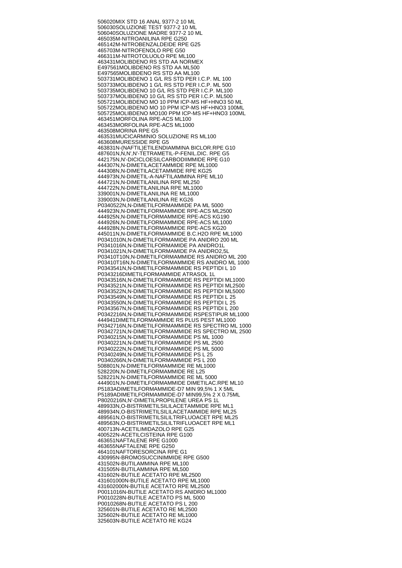506020 MIX STD 16 ANAL 9377-2 10 ML 506030 SOLUZIONE TEST 9377-2 10 ML 506040 SOLUZIONE MADRE 9377-2 10 ML 465035 M-NITROANILINA RPE G250 465142 M-NITROBENZALDEIDE RPE G25 465703 M-NITROFENOLO RPE G50 466311 M-NITROTOLUOLO RPE ML100 463431 MOLIBDENO RS STD AA NORMEX E497561 MOLIBDENO RS STD AA ML500 E497565 MOLIBDENO RS STD AA ML100 503731 MOLIBDENO 1 G/L RS STD PER I.C.P. ML 100 503733 MOLIBDENO 1 G/L RS STD PER I.C.P. ML 500 503735 MOLIBDENO 10 G/L RS STD PER I.C.P. ML100 503737 MOLIBDENO 10 G/L RS STD PER I.C.P. ML500 505721 MOLIBDENO MO 10 PPM ICP-MS HF+HNO3 50 ML 505722 MOLIBDENO MO 10 PPM ICP-MS HF+HNO3 100ML 505725 MOLIBDENO MO100 PPM ICP-MS HF+HNO3 100ML 463451 MORFOLINA RPE-ACS ML100 463453 MORFOLINA RPE-ACS ML1000 463508 MORINA RPE G5 463531 MUCICARMINIO SOLUZIONE RS ML100 463608 MURESSIDE RPE G5 463831 N-(NAFTIL)ETILENDIAMMINA BICLOR.RPE G10 487601 N,N,N',N'-TETRAMETIL-P-FENIL.DIC. RPE G5 442175 N,N'-DICICLOESILCARBODIIMMIDE RPE G10 444307 N,N-DIMETILACETAMMIDE RPE ML1000 444308 N,N-DIMETILACETAMMIDE RPE KG25 444973 N,N-DIMETIL-A-NAFTILAMMINA RPE ML10 444721 N,N-DIMETILANILINA RPE ML250 444722 N,N-DIMETILANILINA RPE ML1000 339001 N,N-DIMETILANILINA RE ML1000 339003 N,N-DIMETILANILINA RE KG26 P0340522 N,N-DIMETILFORMAMMIDE PA ML 5000 444923 N,N-DIMETILFORMAMMIDE RPE-ACS ML2500 444925 N,N-DIMETILFORMAMMIDE RPE-ACS KG190 444926 N,N-DIMETILFORMAMMIDE RPE-ACS ML1000 444928 N,N-DIMETILFORMAMMIDE RPE-ACS KG20 445011 N,N-DIMETILFORMAMMIDE B.C.H2O RPE ML1000 P0341010 N,N-DIMETILFORMAMIDE PA ANIDRO 200 ML P0341016 N,N-DIMETILFORMAMIDE PA ANIDRO1L P0341021 N,N-DIMETILFORMAMIDE PA ANIDRO2,5L P03410T10 N,N-DIMETILFORMAMMIDE RS ANIDRO ML 200 P03410T16 N,N-DIMETILFORMAMMIDE RS ANIDRO ML 1000 P0343541 N,N-DIMETILFORMAMMIDE RS PEPTIDI L 10 P0343216 DIMETILFORMAMMIDE ATRASOL 1L P0343516 N,N-DIMETILFORMAMMIDE RS PEPTIDI ML1000 P0343521 N,N-DIMETILFORMAMMIDE RS PEPTIDI ML2500 P0343522 N,N-DIMETILFORMAMMIDE RS PEPTIDI ML5000 P0343549 N,N-DIMETILFORMAMMIDE RS PEPTIDI L 25 P0343550 N,N-DIMETILFORMAMMIDE RS PEPTIDI L 25 P0343567 N,N-DIMETILFORMAMMIDE RS PEPTIDI L 200 P0342216 N,N-DIMETILFORMAMMIDE RSPESTIPUR ML1000 444941 DIMETILFORMAMMIDE RS PLUS PEST ML1000 P0342716 N,N-DIMETILFORMAMMIDE RS SPECTRO ML 1000 P0342721 N,N-DIMETILFORMAMMIDE RS SPECTRO ML 2500 P0340215 N,N-DIMETILFORMAMMIDE PS ML 1000 P0340221 N,N-DIMETILFORMAMMIDE PS ML 2500 P0340222 N,N-DIMETILFORMAMMIDE PS ML 5000 P0340249 N,N-DIMETILFORMAMMIDE PS L 25 P0340266 N,N-DIMETILFORMAMMIDE PS L 200 508801 N,N-DIMETILFORMAMMIDE RE ML1000 528220 N,N-DIMETILFORMAMMIDE RE L25 528221 N,N-DIMETILFORMAMMIDE RE ML 5000 444901 N,N-DIMETILFORMAMMIDE DIMETILAC.RPE ML10 P5183A DIMETILFORMAMMIDE-D7 MIN 99,5% 1 X 5ML P5189A DIMETILFORMAMMIDE-D7 MIN99,5% 2 X 0.75ML P8020216 N,N'-DIMETILPROPILENE UREA PS 1L 489933 N,O-BISTRIMETILSILILACETAMMIDE RPE ML1 489934 N,O-BISTRIMETILSILILACETAMMIDE RPE ML25 489561 N,O-BISTRIMETILSILILTRIFLUOACET RPE ML25 489563 N,O-BISTRIMETILSILILTRIFLUOACET RPE ML1 400713 N-ACETILIMIDAZOLO RPE G25 400522 N-ACETILCISTEINA RPE G100 463651 NAFTALENE RPE G1000 463655 NAFTALENE RPE G250 464101 NAFTORESORCINA RPE G1 430995 N-BROMOSUCCINIMMIDE RPE G500 431502 N-BUTILAMMINA RPE ML100 431505 N-BUTILAMMINA RPE ML500 431602 N-BUTILE ACETATO RPE ML2500 431601000 N-BUTILE ACETATO RPE ML1000 431602000 N-BUTILE ACETATO RPE ML2500 P0011016 N-BUTILE ACETATO RS ANIDRO ML1000 P0010228 N-BUTILE ACETATO PS ML 5000 P0010268 N-BUTILE ACETATO PS L 200 325601 N-BUTILE ACETATO RE ML2500 325602 N-BUTILE ACETATO RE ML1000 325603 N-BUTILE ACETATO RE KG24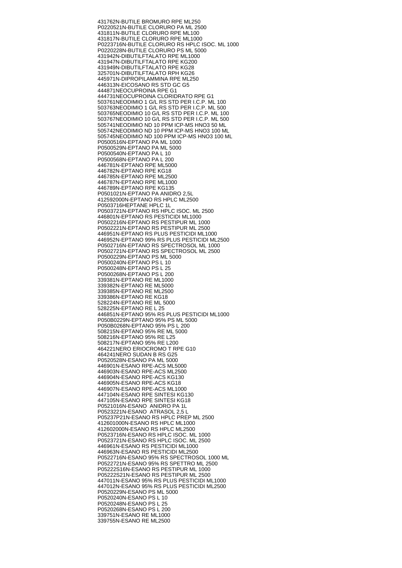431762 N-BUTILE BROMURO RPE ML250 P0220521 N-BUTILE CLORURO PA ML 2500 431811 N-BUTILE CLORURO RPE ML100 431817 N-BUTILE CLORURO RPE ML1000 P0223716 N-BUTILE CLORURO RS HPLC ISOC. ML 1000 P0220228 N-BUTILE CLORURO PS ML 5000 431942 N-DIBUTILFTALATO RPE ML1000 431947 N-DIBUTILFTALATO RPE KG200 431949 N-DIBUTILFTALATO RPE KG28 325701 N-DIBUTILFTALATO RPH KG26 445971 N-DIPROPILAMMINA RPE ML250 446313 N-EICOSANO RS STD GC G5 444871 NEOCUPROINA RPE G1 444731 NEOCUPROINA CLORIDRATO RPE G1 503761 NEODIMIO 1 G/L RS STD PER I.C.P. ML 100 503763 NEODIMIO 1 G/L RS STD PER I.C.P. ML 500 503765 NEODIMIO 10 G/L RS STD PER I.C.P. ML 100 503767 NEODIMIO 10 G/L RS STD PER I.C.P. ML 500 505741 NEODIMIO ND 10 PPM ICP-MS HNO3 50 ML 505742 NEODIMIO ND 10 PPM ICP-MS HNO3 100 ML 505745 NEODIMIO ND 100 PPM ICP-MS HNO3 100 ML P0500516 N-EPTANO PA ML 1000 P0500529 N-EPTANO PA ML 5000 P0500540 N-EPTANO PA L 10 P0500568 N-EPTANO PA L 200 446781 N-EPTANO RPE ML5000 446782 N-EPTANO RPE KG18 446785 N-EPTANO RPE ML2500 446787 N-EPTANO RPE ML1000 446789 N-EPTANO RPE KG135 P0501021 N-EPTANO PA ANIDRO 2,5L 412592000 N-EPTANO RS HPLC ML2500 P0503716 HEPTANE HPLC 1L P0503721 N-EPTANO RS HPLC ISOC. ML 2500 446801 N-EPTANO RS PESTICIDI ML1000 P0502216 N-EPTANO RS PESTIPUR ML 1000 P0502221 N-EPTANO RS PESTIPUR ML 2500 446951 N-EPTANO RS PLUS PESTICIDI ML1000 446952 N-EPTANO 99% RS PLUS PESTICIDI ML2500 P0502716 N-EPTANO RS SPECTROSOL ML 1000 P0502721 N-EPTANO RS SPECTROSOL ML 2500 P0500229 N-EPTANO PS ML 5000 P0500240 N-EPTANO PS L 10 P0500248 N-EPTANO PS L 25 P0500268 N-EPTANO PS L 200 339381 N-EPTANO RE ML1000 339382 N-EPTANO RE ML5000 339385 N-EPTANO RE ML2500 339386 N-EPTANO RE KG18 528224 N-EPTANO RE ML 5000 528225 N-EPTANO RE L 25 446851 N-EPTANO 95% RS PLUS PESTICIDI ML1000 P050B0229 N-EPTANO 95% PS ML 5000 P050B0268 N-EPTANO 95% PS L 200 508215 N-EPTANO 95% RE ML 5000 508216 N-EPTANO 95% RE L25 508217 N-EPTANO 95% RE L200 464221 NERO ERIOCROMO T RPE G10 464241 NERO SUDAN B RS G25 P0520528 N-ESANO PA ML 5000 446901 N-ESANO RPE-ACS ML5000 446903 N-ESANO RPE-ACS ML2500 446904 N-ESANO RPE-ACS KG130 446905 N-ESANO RPE-ACS KG18 446907 N-ESANO RPE-ACS ML1000 447104 N-ESANO RPE SINTESI KG130 447105 N-ESANO RPE SINTESI KG18 P0521016 N-ESANO ANIDRO PA 1L P0523221 N-ESANO ATRASOL 2,5 L P05237P21 N-ESANO RS HPLC PREP ML 2500 412601000 N-ESANO RS HPLC ML1000 412602000 N-ESANO RS HPLC ML2500 P0523716 N-ESANO RS HPLC ISOC. ML 1000 P0523721 N-ESANO RS HPLC ISOC. ML 2500 446961 N-ESANO RS PESTICIDI ML1000 446963 N-ESANO RS PESTICIDI ML2500 P0522716 N-ESANO 95% RS SPECTROSOL 1000 ML P0522721 N-ESANO 95% RS SPETTRO ML 2500 P05222S16 N-ESANO RS PESTIPUR ML 1000 P05222S21 N-ESANO RS PESTIPUR ML 2500 447011 N-ESANO 95% RS PLUS PESTICIDI ML1000 447012 N-ESANO 95% RS PLUS PESTICIDI ML2500 P0520229 N-ESANO PS ML 5000 P0520240 N-ESANO PS L 10 P0520248 N-ESANO PS L 25 P0520268 N-ESANO PS L 200 339751 N-ESANO RE ML1000 339755 N-ESANO RE ML2500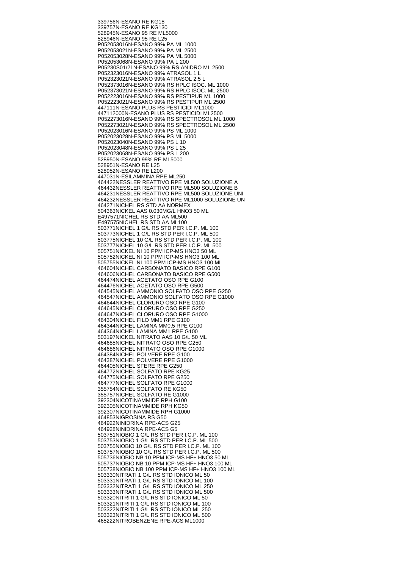339756 N-ESANO RE KG18 339757 N-ESANO RE KG130 528945 N-ESANO 95 RE ML5000 528946 N-ESANO 95 RE L25 P052053016 N-ESANO 99% PA ML 1000 P052053021 N-ESANO 99% PA ML 2500 P052053028 N-ESANO 99% PA ML 5000 P052053068 N-ESANO 99% PA L 200 P05230S01/21 N-ESANO 99% RS ANIDRO ML 2500 P052323016 N-ESANO 99% ATRASOL 1 L P052323021 N-ESANO 99% ATRASOL 2,5 L P052373016 N-ESANO 99% RS HPLC ISOC. ML 1000 P052373021 N-ESANO 99% RS HPLC ISOC. ML 2500 P052223016 N-ESANO 99% RS PESTIPUR ML 1000 P052223021 N-ESANO 99% RS PESTIPUR ML 2500 447111 N-ESANO PLUS RS PESTICIDI ML1000 447112000 N-ESANO PLUS RS PESTICIDI ML2500 P052273016 N-ESANO 99% RS SPECTROSOL ML 1000 P052273021 N-ESANO 99% RS SPECTROSOL ML 2500 P052023016 N-ESANO 99% PS ML 1000 P052023028 N-ESANO 99% PS ML 5000 P052023040 N-ESANO 99% PS L 10 P052023048 N-ESANO 99% PS L 25 P052023068 N-ESANO 99% PS L 200 528950 N-ESANO 99% RE ML5000 528951 N-ESANO RE L25 528952 N-ESANO RE L200 447031 N-ESILAMMINA RPE ML250 464422 NESSLER REATTIVO RPE ML500 SOLUZIONE A 464432 NESSLER REATTIVO RPE ML500 SOLUZIONE B 464231 NESSLER REATTIVO RPE ML500 SOLUZIONE UNI 464232 NESSLER REATTIVO RPE ML1000 SOLUZIONE UN 464271 NICHEL RS STD AA NORMEX 504363 NICKEL AAS 0.030MG/L HNO3 50 ML E497571 NICHEL RS STD AA ML500 E497575 NICHEL RS STD AA ML100 503771 NICHEL 1 G/L RS STD PER I.C.P. ML 100 503773 NICHEL 1 G/L RS STD PER I.C.P. ML 500 503775 NICHEL 10 G/L RS STD PER I.C.P. ML 100 503777 NICHEL 10 G/L RS STD PER I.C.P. ML 500 505751 NICKEL NI 10 PPM ICP-MS HNO3 50 ML 505752 NICKEL NI 10 PPM ICP-MS HNO3 100 ML 505755 NICKEL NI 100 PPM ICP-MS HNO3 100 ML 464604 NICHEL CARBONATO BASICO RPE G100 464606 NICHEL CARBONATO BASICO RPE G500 464474 NICHEL ACETATO OSO RPE G100 464476 NICHEL ACETATO OSO RPE G500 464545 NICHEL AMMONIO SOLFATO OSO RPE G250 464547 NICHEL AMMONIO SOLFATO OSO RPE G1000 464644 NICHEL CLORURO OSO RPE G100 464645 NICHEL CLORURO OSO RPE G250 464647 NICHEL CLORURO OSO RPE G1000 464304 NICHEL FILO MM1 RPE G100 464344 NICHEL LAMINA MM0,5 RPE G100 464364 NICHEL LAMINA MM1 RPE G100 503197 NICKEL NITRATO AAS 10 G/L 50 ML 464685 NICHEL NITRATO OSO RPE G250 464686 NICHEL NITRATO OSO RPE G1000 464384 NICHEL POLVERE RPE G100 464387 NICHEL POLVERE RPE G1000 464405 NICHEL SFERE RPE G250 464772 NICHEL SOLFATO RPE KG25 464775 NICHEL SOLFATO RPE G250 464777 NICHEL SOLFATO RPE G1000 355754 NICHEL SOLFATO RE KG50 355757 NICHEL SOLFATO RE G1000 392304 NICOTINAMMIDE RPH G100 392305 NICOTINAMMIDE RPH KG50 392307 NICOTINAMMIDE RPH G1000 464853 NIGROSINA RS G50 464922 NINIDRINA RPE-ACS G25 464928 NINIDRINA RPE-ACS G5 503751 NIOBIO 1 G/L RS STD PER I.C.P. ML 100 503753 NIOBIO 1 G/L RS STD PER I.C.P. ML 500 503755 NIOBIO 10 G/L RS STD PER I.C.P. ML 100 503757 NIOBIO 10 G/L RS STD PER I.C.P. ML 500 505736 NIOBIO NB 10 PPM ICP-MS HF+ HNO3 50 ML 505737 NIOBIO NB 10 PPM ICP-MS HF+ HNO3 100 ML 505738 NIOBIO NB 100 PPM ICP-MS HF+ HNO3 100 ML 503330 NITRATI 1 G/L RS STD IONICO ML 50 503331 NITRATI 1 G/L RS STD IONICO ML 100 503332 NITRATI 1 G/L RS STD IONICO ML 250 503333 NITRATI 1 G/L RS STD IONICO ML 500 503320 NITRITI 1 G/L RS STD IONICO ML 50 503321 NITRITI 1 G/L RS STD IONICO ML 100 503322 NITRITI 1 G/L RS STD IONICO ML 250 503323 NITRITI 1 G/L RS STD IONICO ML 500 465222 NITROBENZENE RPE-ACS ML1000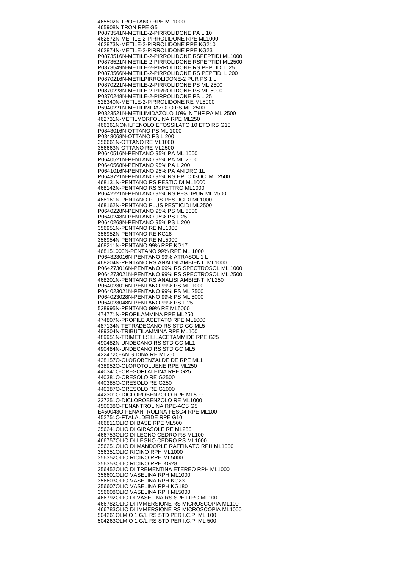465502 NITROETANO RPE ML1000 465908 NITRON RPE G5 P0873541 N-METILE-2-PIRROLIDONE PA L 10 462872 N-METILE-2-PIRROLIDONE RPE ML1000 462873 N-METILE-2-PIRROLIDONE RPE KG210 462874 N-METILE-2-PIRROLIDONE RPE KG23 P0873516 N-METILE-2-PIRROLIDONE RSPEPTIDI ML1000 P0873521 N-METILE-2-PIRROLIDONE RSPEPTIDI ML2500 P0873549 N-METILE-2-PIRROLIDONE RS PEPTIDI L 25 P0873566 N-METILE-2-PIRROLIDONE RS PEPTIDI L 200 P0870216 N-METILPIRROLIDONE-2 PUR PS 1 L P0870221 N-METILE-2-PIRROLIDONE PS ML 2500 P0870228 N-METILE-2-PIRROLIDONE PS ML 5000 P0870248 N-METILE-2-PIRROLIDONE PS L 25 528340 N-METILE-2-PIRROLIDONE RE ML5000 P6940221 N-METILIMIDAZOLO PS ML 2500 P0823521 N-METILIMIDAZOLO 10% IN THF PA ML 2500 462731 N-METILMORFOLINA RPE ML250 466361 NONILFENOLO ETOSSILATO 10 ETO RS G10 P0843016 N-OTTANO PS ML 1000 P0843068 N-OTTANO PS L 200 356661 N-OTTANO RE ML1000 356663 N-OTTANO RE ML2500 P0640516 N-PENTANO 95% PA ML 1000 P0640521 N-PENTANO 95% PA ML 2500 P0640568 N-PENTANO 95% PA L 200 P0641016 N-PENTANO 95% PA ANIDRO 1L P0643721 N-PENTANO 95% RS HPLC ISOC. ML 2500 468131 N-PENTANO RS PESTICIDI ML1000 468142 N-PENTANO RS SPETTRO ML1000 P0642221 N-PENTANO 95% RS PESTIPUR ML 2500 468161 N-PENTANO PLUS PESTICIDI ML1000 468162 N-PENTANO PLUS PESTICIDI ML2500 P0640228 N-PENTANO 95% PS ML 5000 P0640248 N-PENTANO 95% PS L 25 P0640268 N-PENTANO 95% PS L 200 356951 N-PENTANO RE ML1000 356952 N-PENTANO RE KG16 356954 N-PENTANO RE ML5000 468211 N-PENTANO 99% RPE KG17 468151000 N-PENTANO 99% RPE ML 1000 P064323016 N-PENTANO 99% ATRASOL 1 L 468204 N-PENTANO RS ANALISI AMBIENT. ML1000 P064273016 N-PENTANO 99% RS SPECTROSOL ML 1000 P064273021 N-PENTANO 99% RS SPECTROSOL ML 2500 468201 N-PENTANO RS ANALISI AMBIENT. ML250 P064023016 N-PENTANO 99% PS ML 1000 P064023021 N-PENTANO 99% PS ML 2500 P064023028 N-PENTANO 99% PS ML 5000 P064023048 N-PENTANO 99% PS L 25 528995 N-PENTANO 99% RE ML5000 474771 N-PROPILAMMINA RPE ML250 474807 N-PROPILE ACETATO RPE ML1000 487134 N-TETRADECANO RS STD GC ML5 489304 N-TRIBUTILAMMINA RPE ML100 489951 N-TRIMETILSILILACETAMMIDE RPE G25 490482 N-UNDECANO RS STD GC ML1 490484 N-UNDECANO RS STD GC ML5 422472 O-ANISIDINA RE ML250 438157 O-CLOROBENZALDEIDE RPE ML1 438952 O-CLOROTOLUENE RPE ML250 440341 O-CRESOFTALEINA RPE G25 440381 O-CRESOLO RE G2500 440385 O-CRESOLO RE G250 440387 O-CRESOLO RE G1000 442301 O-DICLOROBENZOLO RPE ML500 337251 O-DICLOROBENZOLO RE ML1000 450038 O-FENANTROLINA RPE-ACS G5 E450043 O-FENANTROLINA-FESO4 RPE ML100 452751 O-FTALALDEIDE RPE G10 466811 OLIO DI BASE RPE ML500 356241 OLIO DI GIRASOLE RE ML250 466753 OLIO DI LEGNO CEDRO RS ML100 466757 OLIO DI LEGNO CEDRO RS ML1000 356251 OLIO DI MANDORLE RAFFINATO RPH ML1000 356351 OLIO RICINO RPH ML1000 356352 OLIO RICINO RPH ML5000 356353 OLIO RICINO RPH KG28 356452 OLIO DI TREMENTINA ETEREO RPH ML1000 356601 OLIO VASELINA RPH ML1000 356603 OLIO VASELINA RPH KG23 356607 OLIO VASELINA RPH KG180 356608 OLIO VASELINA RPH ML5000 466792 OLIO DI VASELINA RS SPETTRO ML100 466782 OLIO DI IMMERSIONE RS MICROSCOPIA ML100 466783 OLIO DI IMMERSIONE RS MICROSCOPIA ML1000 504261 OLMIO 1 G/L RS STD PER I.C.P. ML 100 504263 OLMIO 1 G/L RS STD PER I.C.P. ML 500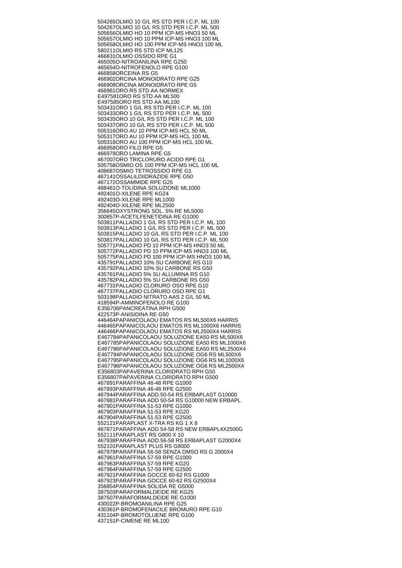504265 OLMIO 10 G/L RS STD PER I.C.P. ML 100 504267 OLMIO 10 G/L RS STD PER I.C.P. ML 500 505656 OLMIO HO 10 PPM ICP-MS HNO3 50 ML 505657 OLMIO HO 10 PPM ICP-MS HNO3 100 ML 505658 OLMIO HO 100 PPM ICP-MS HNO3 100 ML 580211 OLMIO RS STD ICP ML125 466831 OLMIO OSSIDO RPE G1 465005 O-NITROANILINA RPE G250 465654 O-NITROFENOLO RPE G100 466858 ORCEINA RS G5 466902 ORCINA MONOIDRATO RPE G25 466908 ORCINA MONOIDRATO RPE G5 466961 ORO RS STD AA NORMEX E497581 ORO RS STD AA ML500 E497585 ORO RS STD AA ML100 503431 ORO 1 G/L RS STD PER I.C.P. ML 100 503433 ORO 1 G/L RS STD PER I.C.P. ML 500 503435 ORO 10 G/L RS STD PER I.C.P. ML 100 503437 ORO 10 G/L RS STD PER I.C.P. ML 500 505316 ORO AU 10 PPM ICP-MS HCL 50 ML 505317 ORO AU 10 PPM ICP-MS HCL 100 ML 505318 ORO AU 100 PPM ICP-MS HCL 100 ML 466958 ORO FILO RPE G5 466978 ORO LAMINA RPE G5 467007 ORO TRICLORURO ACIDO RPE G1 505758 OSMIO OS 100 PPM ICP-MS HCL 100 ML 408687 OSMIO TETROSSIDO RPE G1 467141 OSSALILDIIDRAZIDE RPE G50 467172 OSSAMMIDE RPE G25 488461 O-TOLIDINA SOLUZIONE ML1000 492401 O-XILENE RPE KG24 492403 O-XILENE RPE ML1000 492404 O-XILENE RPE ML2500 356645 OXYSTRONG SOL. 5% RE ML5000 300857 P-ACETILFENETIDINA RE G1000 503811 PALLADIO 1 G/L RS STD PER I.C.P. ML 100 503813 PALLADIO 1 G/L RS STD PER I.C.P. ML 500 503815 PALLADIO 10 G/L RS STD PER I.C.P. ML 100 503817 PALLADIO 10 G/L RS STD PER I.C.P. ML 500 505771 PALLADIO PD 10 PPM ICP-MS HNO3 50 ML 505772 PALLADIO PD 10 PPM ICP-MS HNO3 100 ML 505775 PALLADIO PD 100 PPM ICP-MS HNO3 100 ML 435791 PALLADIO 10% SU CARBONE RS G10 435792 PALLADIO 10% SU CARBONE RS G50 435761 PALLADIO 5% SU ALLUMINA RS G10 435782 PALLADIO 5% SU CARBONE RS G50 467731 PALLADIO CLORURO OSO RPE G10 467737 PALLADIO CLORURO OSO RPE G1 503198 PALLADIO NITRATO AAS 2 G/L 50 ML 418594 P-AMMINOFENOLO RE G100 E356706 PANCREATINA RPH G500 422573 P-ANISIDINA RE G50 446464 PAPANICOLAOU EMATOS RS ML500X6 HARRIS 446465 PAPANICOLAOU EMATOS RS ML1000X6 HARRIS 446466 PAPANICOLAOU EMATOS RS ML2500X4 HARRIS E467784 PAPANICOLAOU SOLUZIONE EA50 RS ML500X6 E467785 PAPANICOLAOU SOLUZIONE EA50 RS ML1000X6 E467786 PAPANICOLAOU SOLUZIONE EA50 RS ML2500X4 E467794 PAPANICOLAOU SOLUZIONE OG6 RS ML500X6 E467795 PAPANICOLAOU SOLUZIONE OG6 RS ML1000X6 E467796 PAPANICOLAOU SOLUZIONE OG6 RS ML2500X4 E356803 PAPAVERINA CLORIDRATO RPH G50 E356807 PAPAVERINA CLORIDRATO RPH G500 467891 PARAFFINA 46-48 RPE G1000 467893 PARAFFINA 46-48 RPE G2500 467944 PARAFFINA ADD.50-54 RS ERBAPLAST G10000 467881 PARAFFINA ADD 50-54 RS G10000 NEW ERBAPL 467901 PARAFFINA 51-53 RPE G1000 467903 PARAFFINA 51-53 RPE KG20 467904 PARAFFINA 51-53 RPE G2500 552121 PARAPLAST X-TRA RS KG 1 X 8 467871 PARAFFINA ADD 54-58 RS NEW ERBAPL4X2500G 552111 PARAPLAST RS G800 X 10 467938 PARAFFINA ADD.56-58 RS ERBAPLAST G2000X4 552101 PARAPLAST PLUS RS G8000 467978 PARAFFINA 56-58 SENZA DMSO RS G 2000X4 467961 PARAFFINA 57-59 RPE G1000 467963 PARAFFINA 57-59 RPE KG20 467964 PARAFFINA 57-59 RPE G2500 467921 PARAFFINA GOCCE 60-62 RS G1000 467923 PARAFFINA GOCCE 60-62 RS G2500X4 356854 PARAFFINA SOLIDA RE G5000 387503 PARAFORMALDEIDE RE KG25 387507 PARAFORMALDEIDE RE G1000 430022 P-BROMOANILINA RPE G25 430361 P-BROMOFENACILE BROMURO RPE G10 431104 P-BROMOTOLUENE RPE G100 437151 P-CIMENE RE ML100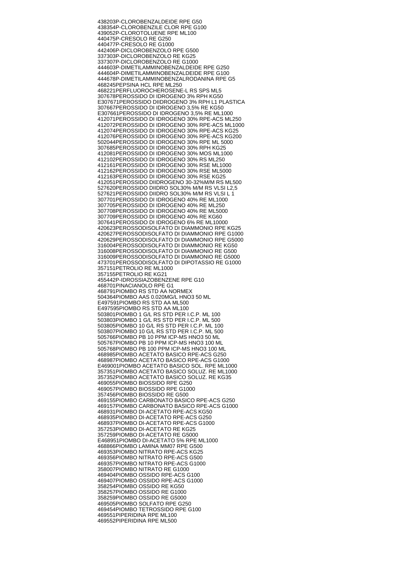438203 P-CLOROBENZALDEIDE RPE G50 438354 P-CLOROBENZILE CLOR RPE G100 439052 P-CLOROTOLUENE RPE ML100 440475 P-CRESOLO RE G250 440477 P-CRESOLO RE G1000 442406 P-DICLOROBENZOLO RPE G500 337303 P-DICLOROBENZOLO RE KG25 337307 P-DICLOROBENZOLO RE G1000 444603 P-DIMETILAMMINOBENZALDEIDE RPE G250 444604 P-DIMETILAMMINOBENZALDEIDE RPE G100 444678 P-DIMETILAMMINOBENZALRODANINA RPE G5 468245 PEPSINA HCL RPE ML250 468221 PERFLUOROCHEROSENE-L RS SPS ML5 307678 PEROSSIDO DI IDROGENO 3% RPH KG50 E307671 PEROSSIDO DIIDROGENO 3% RPH L1 PLASTICA 307667 PEROSSIDO DI IDROGENO 3,5% RE KG50 E307661 PEROSSIDO DI IDROGENO 3,5% RE ML1000 412071 PEROSSIDO DI IDROGENO 30% RPE-ACS ML250 412072 PEROSSIDO DI IDROGENO 30% RPE-ACS ML1000 412074 PEROSSIDO DI IDROGENO 30% RPE-ACS KG25 412076 PEROSSIDO DI IDROGENO 30% RPE-ACS KG200 502044 PEROSSIDO DI IDROGENO 30% RPE ML 5000 307685 PEROSSIDO DI IDROGENO 30% RPH KG25 412081 PEROSSIDO DI IDROGENO 30% MOS ML1000 412102 PEROSSIDO DI IDROGENO 30% RS ML250 412161 PEROSSIDO DI IDROGENO 30% RSE ML1000 412162 PEROSSIDO DI IDROGENO 30% RSE ML5000 412163 PEROSSIDO DI IDROGENO 30% RSE KG25 412051 PEROSSIDO DIIDROGENO 30-32%M/M RS ML500 527620 PEROSSIDO DIIDRO SOL30% M/M RS VLSI L2,5 527621 PEROSSIDO DIIDRO SOL30% M/M RS VLSI L 1 307701 PEROSSIDO DI IDROGENO 40% RE ML1000 307705 PEROSSIDO DI IDROGENO 40% RE ML250 307708 PEROSSIDO DI IDROGENO 40% RE ML5000 307709 PEROSSIDO DI IDROGENO 40% RE KG60 307641 PEROSSIDO DI IDROGENO 6% RE ML10000 420623 PEROSSODISOLFATO DI DIAMMONIO RPE KG25 420627 PEROSSODISOLFATO DI DIAMMONIO RPE G1000 420629 PEROSSODISOLFATO DI DIAMMONIO RPE G5000 316004 PEROSSODISOLFATO DI DIAMMONIO RE KG50 316008 PEROSSODISOLFATO DI DIAMMONIO RE G500 316009 PEROSSODISOLFATO DI DIAMMONIO RE G5000 473701 PEROSSODISOLFATO DI DIPOTASSIO RE G1000 357151 PETROLIO RE ML1000 357155 PETROLIO RE KG21 455442 P-IDROSSIAZOBENZENE RPE G10 468701 PINACIANOLO RPE G1 468791 PIOMBO RS STD AA NORMEX 504364 PIOMBO AAS 0.020MG/L HNO3 50 ML E497591 PIOMBO RS STD AA ML500 E497595 PIOMBO RS STD AA ML100 503801 PIOMBO 1 G/L RS STD PER I.C.P. ML 100 503803 PIOMBO 1 G/L RS STD PER I.C.P. ML 500 503805 PIOMBO 10 G/L RS STD PER I.C.P. ML 100 503807 PIOMBO 10 G/L RS STD PER I.C.P. ML 500 505766 PIOMBO PB 10 PPM ICP-MS HNO3 50 ML 505767 PIOMBO PB 10 PPM ICP-MS HNO3 100 ML 505768 PIOMBO PB 100 PPM ICP-MS HNO3 100 ML 468985 PIOMBO ACETATO BASICO RPE-ACS G250 468987 PIOMBO ACETATO BASICO RPE-ACS G1000 E469001 PIOMBO ACETATO BASICO SOL. RPE ML1000 357351 PIOMBO ACETATO BASICO SOLUZ. RE ML1000 357352 PIOMBO ACETATO BASICO SOLUZ. RE KG35 469055 PIOMBO BIOSSIDO RPE G250 469057 PIOMBO BIOSSIDO RPE G1000 357456 PIOMBO BIOSSIDO RE G500 469155 PIOMBO CARBONATO BASICO RPE-ACS G250 469157 PIOMBO CARBONATO BASICO RPE-ACS G1000 468931 PIOMBO DI-ACETATO RPE-ACS KG50 468935 PIOMBO DI-ACETATO RPE-ACS G250 468937 PIOMBO DI-ACETATO RPE-ACS G1000 357253 PIOMBO DI-ACETATO RE KG25 357259 PIOMBO DI-ACETATO RE G5000 E468951 PIOMBO DI-ACETATO 5% RPE ML1000 468866 PIOMBO LAMINA MM07 RPE G500 469353 PIOMBO NITRATO RPE-ACS KG25 469356 PIOMBO NITRATO RPE-ACS G500 469357 PIOMBO NITRATO RPE-ACS G1000 358007 PIOMBO NITRATO RE G1000 469404 PIOMBO OSSIDO RPE-ACS G100 469407 PIOMBO OSSIDO RPE-ACS G1000 358254 PIOMBO OSSIDO RE KG50 358257 PIOMBO OSSIDO RE G1000 358259 PIOMBO OSSIDO RE G5000 469505 PIOMBO SOLFATO RPE G250 469454 PIOMBO TETROSSIDO RPE G100 469551 PIPERIDINA RPE ML100 469552 PIPERIDINA RPE ML500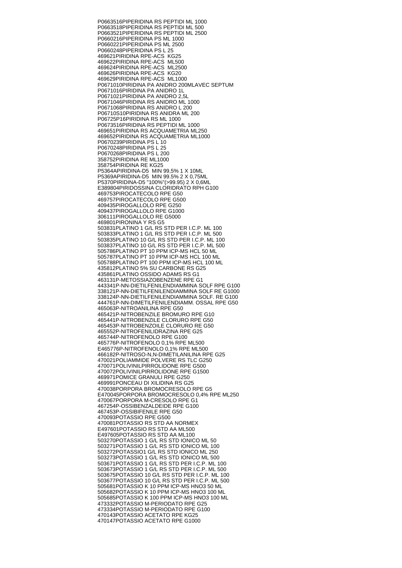P0663516 PIPERIDINA RS PEPTIDI ML 1000 P0663518 PIPERIDINA RS PEPTIDI ML 500 P0663521 PIPERIDINA RS PEPTIDI ML 2500 P0660216 PIPERIDINA PS ML 1000 P0660221 PIPERIDINA PS ML 2500 P0660248 PIPERIDINA PS L 25 469621 PIRIDINA RPE-ACS KG25 469622 PIRIDINA RPE-ACS ML500 469624 PIRIDINA RPE-ACS ML2500 469626 PIRIDINA RPE-ACS KG20 469629 PIRIDINA RPE-ACS ML1000 P0671010 PIRIDINA PA ANIDRO 200MLAVEC SEPTUM P0671016 PIRIDINA PA ANIDRO 1L P0671021 PIRIDINA PA ANIDRO 2,5L P0671046 PIRIDINA RS ANIDRO ML 1000 P0671068 PIRIDINA RS ANIDRO L 200 P06710S10 PIRIDINA RS ANIDRA ML 200 P06725P16 PIRIDINA RS ML 1000 P0673516 PIRIDINA RS PEPTIDI ML 1000 469651 PIRIDINA RS ACQUAMETRIA ML250 469652 PIRIDINA RS ACQUAMETRIA ML1000 P0670239 PIRIDINA PS L 10 P0670248 PIRIDINA PS L 25 P0670268 PIRIDINA PS L 200 358752 PIRIDINA RE ML1000 358754 PIRIDINA RE KG25 P5364A PIRIDINA-D5 MIN 99,5% 1 X 10ML P5369A PIRIDINA-D5 MIN 99.5% 2 X 0,75ML P5370 PIRIDINA-D5 "100%"(>99.95) 2 X 0,6ML E389804 PIRIDOSSINA CLORIDRATO RPH G100 469753 PIROCATECOLO RPE G50 469757 PIROCATECOLO RPE G500 409435 PIROGALLOLO RPE G250 409437 PIROGALLOLO RPE G1000 306111 PIROGALLOLO RE G5000 469801 PIRONINA Y RS G5 503831 PLATINO 1 G/L RS STD PER I.C.P. ML 100 503833 PLATINO 1 G/L RS STD PER I.C.P. ML 500 503835 PLATINO 10 G/L RS STD PER I.C.P. ML 100 503837 PLATINO 10 G/L RS STD PER I.C.P. ML 500 505786 PLATINO PT 10 PPM ICP-MS HCL 50 ML 505787 PLATINO PT 10 PPM ICP-MS HCL 100 ML 505788 PLATINO PT 100 PPM ICP-MS HCL 100 ML 435812 PLATINO 5% SU CARBONE RS G25 435861 PLATINO OSSIDO ADAMS RS G1 463131 P-METOSSIAZOBENZENE RPE G1 443341 P-NN-DIETILFENILENDIAMMINA SOLF RPE G100 338121 P-NN-DIETILFENILENDIAMMINA SOLF RE G1000 338124 P-NN-DIETILFENILENDIAMMINA SOLF. RE G100 444761 P-NN-DIMETILFENILENDIAMM. OSSAL RPE G50 465063 P-NITROANILINA RPE G50 465421 P-NITROBENZILE BROMURO RPE G10 465441 P-NITROBENZILE CLORURO RPE G50 465453 P-NITROBENZOILE CLORURO RE G50 465552 P-NITROFENILIDRAZINA RPE G25 465744 P-NITROFENOLO RPE G100 465776 P-NITROFENOLO 0,1% RPE ML500 E465776 P-NITROFENOLO 0,1% RPE ML500 466182 P-NITROSO-N,N-DIMETILANILINA RPE G25 470021 POLIAMMIDE POLVERE RS TLC G250 470071 POLIVINILPIRROLIDONE RPE G500 470072 POLIVINILPIRROLIDONE RPE G1500 469971 POMICE GRANULI RPE G250 469991 PONCEAU DI XILIDINA RS G25 470038 PORPORA BROMOCRESOLO RPE G5 E470045 PORPORA BROMOCRESOLO 0,4% RPE ML250 470067 PORPORA M-CRESOLO RPE G1 467254 P-OSSIBENZALDEIDE RPE G100 467453 P-OSSIBIFENILE RPE G50 470093 POTASSIO RPE G500 470081 POTASSIO RS STD AA NORMEX E497601 POTASSIO RS STD AA ML500 E497605 POTASSIO RS STD AA ML100 503270 POTASSIO 1 G/L RS STD IONICO ML 50 503271 POTASSIO 1 G/L RS STD IONICO ML 100 503272 POTASSIO1 G/L RS STD IONICO ML 250 503273 POTASSIO 1 G/L RS STD IONICO ML 500 503671 POTASSIO 1 G/L RS STD PER I.C.P. ML 100 503673 POTASSIO 1 G/L RS STD PER I.C.P. ML 500 503675 POTASSIO 10 G/L RS STD PER I.C.P. ML 100 503677 POTASSIO 10 G/L RS STD PER I.C.P. ML 500 505681 POTASSIO K 10 PPM ICP-MS HNO3 50 ML 505682 POTASSIO K 10 PPM ICP-MS HNO3 100 ML 505685 POTASSIO K 100 PPM ICP-MS HNO3 100 ML 473332 POTASSIO M-PERIODATO RPE G25 473334 POTASSIO M-PERIODATO RPE G100 470143 POTASSIO ACETATO RPE KG25 470147 POTASSIO ACETATO RPE G1000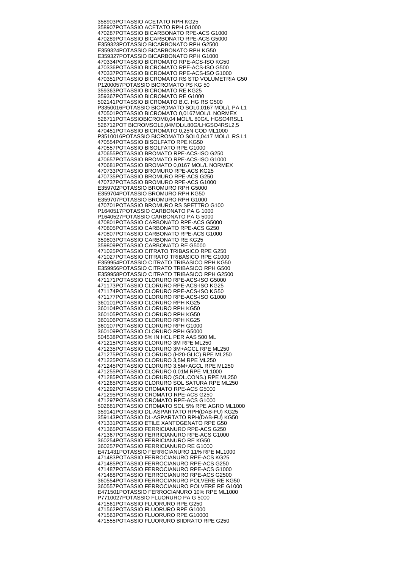358903 POTASSIO ACETATO RPH KG25 358907 POTASSIO ACETATO RPH G1000 470287 POTASSIO BICARBONATO RPE-ACS G1000 470289 POTASSIO BICARBONATO RPE-ACS G5000 E359323 POTASSIO BICARBONATO RPH G2500 E359324 POTASSIO BICARBONATO RPH KG50 E359327 POTASSIO BICARBONATO RPH G1000 470334 POTASSIO BICROMATO RPE-ACS-ISO KG50 470336 POTASSIO BICROMATO RPE-ACS-ISO G500 470337 POTASSIO BICROMATO RPE-ACS-ISO G1000 470351 POTASSIO BICROMATO RS STD VOLUMETRIA G50 P1200057 POTASSIO BICROMATO PS KG 50 359363 POTASSIO BICROMATO RE KG25 359367 POTASSIO BICROMATO RE G1000 502141 POTASSIO BICROMATO B.C. HG RS G500 P3350016 POTASSIO BICROMATO SOL0,0167 MOL/L PA L1 470501 POTASSIO BICROMATO 0,0167MOL/L NORMEX 526711 POTASSIOBICROM0,04 MOL/L 80G/L HGSO4RSL1 526712 POT BICROMSOL0,04MOL/L80G/LHGSO4RSL2,5 470451 POTASSIO BICROMATO 0,25N COD ML1000 P3510016 POTASSIO BICROMATO SOL0,0417 MOL/L RS L1 470554 POTASSIO BISOLFATO RPE KG50 470557 POTASSIO BISOLFATO RPE G1000 470655 POTASSIO BROMATO RPE-ACS-ISO G250 470657 POTASSIO BROMATO RPE-ACS-ISO G1000 470681 POTASSIO BROMATO 0,0167 MOL/L NORMEX 470733 POTASSIO BROMURO RPE-ACS KG25 470735 POTASSIO BROMURO RPE-ACS G250 470737 POTASSIO BROMURO RPE-ACS G1000 E359702 POTASSIO BROMURO RPH G5000 E359704 POTASSIO BROMURO RPH KG50 E359707 POTASSIO BROMURO RPH G1000 470701 POTASSIO BROMURO RS SPETTRO G100 P1640517 POTASSIO CARBONATO PA G 1000 P1640527 POTASSIO CARBONATO PA G 5000 470801 POTASSIO CARBONATO RPE-ACS G5000 470805 POTASSIO CARBONATO RPE-ACS G250 470807 POTASSIO CARBONATO RPE-ACS G1000 359803 POTASSIO CARBONATO RE KG25 359809 POTASSIO CARBONATO RE G5000 471025 POTASSIO CITRATO TRIBASICO RPE G250 471027 POTASSIO CITRATO TRIBASICO RPE G1000 E359954 POTASSIO CITRATO TRIBASICO RPH KG50 E359956 POTASSIO CITRATO TRIBASICO RPH G500 E359958 POTASSIO CITRATO TRIBASICO RPH G2500 471171 POTASSIO CLORURO RPE-ACS-ISO G5000 471173 POTASSIO CLORURO RPE-ACS-ISO KG25 471174 POTASSIO CLORURO RPE-ACS-ISO KG50 471177 POTASSIO CLORURO RPE-ACS-ISO G1000 360101 POTASSIO CLORURO RPH KG25 360104 POTASSIO CLORURO RPH KG50 360105 POTASSIO CLORURO RPH KG50 360106 POTASSIO CLORURO RPH KG25 360107 POTASSIO CLORURO RPH G1000 360109 POTASSIO CLORURO RPH G5000 504538 POTASSIO 5% IN HCL PER AAS 500 ML 471215 POTASSIO CLORURO 3M RPE ML250 471235 POTASSIO CLORURO 3M+AGCL RPE ML250 471275 POTASSIO CLORURO (H20-GLIC) RPE ML250 471225 POTASSIO CLORURO 3,5M RPE ML250 471245 POTASSIO CLORURO 3,5M+AGCL RPE ML250 471255 POTASSIO CLORURO 0,01M RPE ML1000 471285 POTASSIO CLORURO (SOL.CONS.) RPE ML250 471265 POTASSIO CLORURO SOL SATURA RPE ML250 471292 POTASSIO CROMATO RPE-ACS G5000 471295 POTASSIO CROMATO RPE-ACS G250 471297 POTASSIO CROMATO RPE-ACS G1000 502681 POTASSIO CROMATO SOL 5% RPE AGRO ML1000 359141 POTASSIO DL-ASPARTATO RPH(DAB-FU) KG25 359143 POTASSIO DL-ASPARTATO RPH(DAB-FU) KG50 471331 POTASSIO ETILE XANTOGENATO RPE G50 471365 POTASSIO FERRICIANURO RPE-ACS G250 471367 POTASSIO FERRICIANURO RPE-ACS G1000 360254 POTASSIO FERRICIANURO RE KG50 360257 POTASSIO FERRICIANURO RE G1000 E471431 POTASSIO FERRICIANURO 11% RPE ML1000 471483 POTASSIO FERROCIANURO RPE-ACS KG25 471485 POTASSIO FERROCIANURO RPE-ACS G250 471487 POTASSIO FERROCIANURO RPE-ACS G1000 471488 POTASSIO FERROCIANURO RPE-ACS G2500 360554 POTASSIO FERROCIANURO POLVERE RE KG50 360557 POTASSIO FERROCIANURO POLVERE RE G1000 E471501 POTASSIO FERROCIANURO 10% RPE ML1000 P7710027 POTASSIO FLUORURO PA G 5000 471561 POTASSIO FLUORURO RPE G250 471562 POTASSIO FLUORURO RPE G1000 471563 POTASSIO FLUORURO RPE G10000 471555 POTASSIO FLUORURO BIIDRATO RPE G250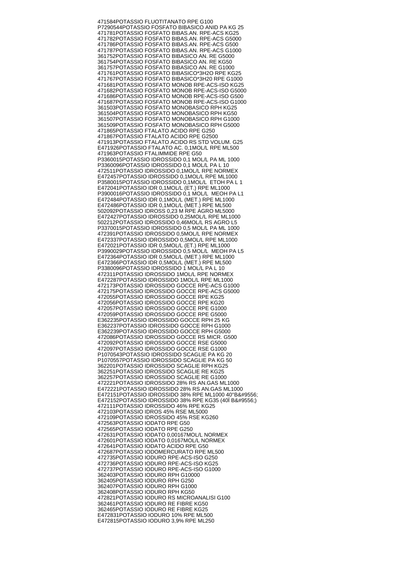471584 POTASSIO FLUOTITANATO RPE G100 P7290544 POTASSIO FOSFATO BIBASICO ANID PA KG 25 471781 POTASSIO FOSFATO BIBAS.AN. RPE-ACS KG25 471782 POTASSIO FOSFATO BIBAS.AN. RPE-ACS G5000 471786 POTASSIO FOSFATO BIBAS.AN. RPE-ACS G500 471787 POTASSIO FOSFATO BIBAS.AN. RPE-ACS G1000 361752 POTASSIO FOSFATO BIBASICO AN. RE G5000 361754 POTASSIO FOSFATO BIBASICO AN. RE KG50 361757 POTASSIO FOSFATO BIBASICO AN. RE G1000 471761 POTASSIO FOSFATO BIBASICO\*3H2O RPE KG25 471767 POTASSIO FOSFATO BIBASICO\*3H20 RPE G1000 471681 POTASSIO FOSFATO MONOB RPE-ACS-ISO KG25 471682 POTASSIO FOSFATO MONOB RPE-ACS-ISO G5000 471686 POTASSIO FOSFATO MONOB RPE-ACS-ISO G500 471687 POTASSIO FOSFATO MONOB RPE-ACS-ISO G1000 361503 POTASSIO FOSFATO MONOBASICO RPH KG25 361504 POTASSIO FOSFATO MONOBASICO RPH KG50 361507 POTASSIO FOSFATO MONOBASICO RPH G1000 361509 POTASSIO FOSFATO MONOBASICO RPH G5000 471865 POTASSIO FTALATO ACIDO RPE G250 471867 POTASSIO FTALATO ACIDO RPE G2500 471913 POTASSIO FTALATO ACIDO RS STD VOLUM. G25 E471926 POTASSIO FTALATO AC. 0,1MOL/L RPE ML500 471963 POTASSIO FTALIMMIDE RPE G50 P3360015 POTASSIO IDROSSIDO 0,1 MOL/L PA ML 1000 P3360096 POTASSIO IDROSSIDO 0,1 MOL/L PA L 10 472511 POTASSIO IDROSSIDO 0,1MOL/L RPE NORMEX E472457 POTASSIO IDROSSIDO 0,1MOL/L RPE ML1000 P3580015 POTASSIO IDROSSIDO 0,1MOL/L ETOH PA L 1 E472041 POTASSIO IDR 0,1MOL/L (ET.) RPE ML1000 P3900016 POTASSIO IDROSSIDO 0,1 MOL/L MEOH PA L1 E472484 POTASSIO IDR 0,1MOL/L (MET.) RPE ML1000 E472486 POTASSIO IDR 0,1MOL/L (MET.) RPE ML500 502092 POTASSIO IDROSS 0,23 M RPE AGRO ML5000 E472427 POTASSIO IDROSSIDO 0,25MOL/L RPE ML1000 502212 POTASSIO IDROSSIDO 0,46MOL/L RS AGRO L5 P3370015 POTASSIO IDROSSIDO 0,5 MOL/L PA ML 1000 472391 POTASSIO IDROSSIDO 0,5MOL/L RPE NORMEX E472337 POTASSIO IDROSSIDO 0,5MOL/L RPE ML1000 E472021 POTASSIO IDR 0,5MOL/L (ET.) RPE ML1000 P3990029 POTASSIO IDROSSIDO 0.5 MOL/L MEOH PA L5 E472364 POTASSIO IDR 0,5MOL/L (MET.) RPE ML1000 E472366 POTASSIO IDR 0,5MOL/L (MET.) RPE ML500 P3380096 POTASSIO IDROSSIDO 1 MOL/L PA L 10 472311 POTASSIO IDROSSIDO 1MOL/L RPE NORMEX E472287 POTASSIO IDROSSIDO 1MOL/L RPE ML1000 472173 POTASSIO IDROSSIDO GOCCE RPE-ACS G1000 472175 POTASSIO IDROSSIDO GOCCE RPE-ACS G5000 472055 POTASSIO IDROSSIDO GOCCE RPE KG25 472056 POTASSIO IDROSSIDO GOCCE RPE KG20 472057 POTASSIO IDROSSIDO GOCCE RPE G1000 472059 POTASSIO IDROSSIDO GOCCE RPE G5000 E362235 POTASSIO IDROSSIDO GOCCE RPH 25 KG E362237 POTASSIO IDROSSIDO GOCCE RPH G1000 E362239 POTASSIO IDROSSIDO GOCCE RPH G5000 472086 POTASSIO IDROSSIDO GOCCE RS MICR. G500 472092 POTASSIO IDROSSIDO GOCCE RSE G5000 472097 POTASSIO IDROSSIDO GOCCE RSE G1000 P1070543 POTASSIO IDROSSIDO SCAGLIE PA KG 20 P1070557 POTASSIO IDROSSIDO SCAGLIE PA KG 50 362201 POTASSIO IDROSSIDO SCAGLIE RPH KG25 362251 POTASSIO IDROSSIDO SCAGLIE RE KG25 362257 POTASSIO IDROSSIDO SCAGLIE RE G1000 472221 POTASSIO IDROSSIDO 28% RS AN.GAS ML1000 E472221 POTASSIO IDROSSIDO 28% RS AN.GAS ML1000 E472151 POTASSIO IDROSSIDO 38% RPE ML1000 40°B╔ E472152 POTASSIO IDROSSIDO 38% RPE KG35 (40Ï B╔) 472111 POTASSIO IDROSSIDO 46% RPE KG25 472103 POTASSIO IDROS 45% RSE ML5000 472109 POTASSIO IDROSSIDO 45% RSE KG260 472563 POTASSIO IODATO RPE G50 472565 POTASSIO IODATO RPE G250 472631 POTASSIO IODATO 0,00167MOL/L NORMEX 472601 POTASSIO IODATO 0,0167MOL/L NORMEX 472641 POTASSIO IODATO ACIDO RPE G50 472687 POTASSIO IODOMERCURATO RPE ML500 472735 POTASSIO IODURO RPE-ACS-ISO G250 472736 POTASSIO IODURO RPE-ACS-ISO KG25 472737 POTASSIO IODURO RPE-ACS-ISO G1000 362403 POTASSIO IODURO RPH G10000 362405 POTASSIO IODURO RPH G250 362407 POTASSIO IODURO RPH G1000 362408 POTASSIO IODURO RPH KG50 472821 POTASSIO IODURO RS MICROANALISI G100 362461 POTASSIO IODURO RE FIBRE KG50 362465 POTASSIO IODURO RE FIBRE KG25 E472831 POTASSIO IODURO 10% RPE ML500 E472815 POTASSIO IODURO 3,9% RPE ML250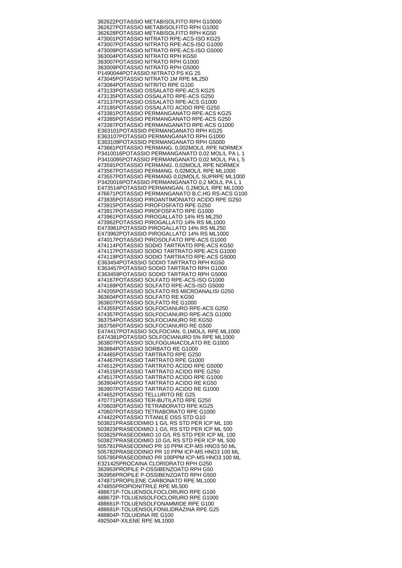362622 POTASSIO METABISOLFITO RPH G10000 362627 POTASSIO METABISOLFITO RPH G1000 362628 POTASSIO METABISOLFITO RPH KG50 473001 POTASSIO NITRATO RPE-ACS-ISO KG25 473007 POTASSIO NITRATO RPE-ACS-ISO G1000 473009 POTASSIO NITRATO RPE-ACS-ISO G5000 363004 POTASSIO NITRATO RPH KG50 363007 POTASSIO NITRATO RPH G1000 363009 POTASSIO NITRATO RPH G5000 P1490044 POTASSIO NITRATO PS KG 25 473045 POTASSIO NITRATO 1M RPE ML250 473084 POTASSIO NITRITO RPE G100 473133 POTASSIO OSSALATO RPE-ACS KG25 473135 POTASSIO OSSALATO RPE-ACS G250 473137 POTASSIO OSSALATO RPE-ACS G1000 473185 POTASSIO OSSALATO ACIDO RPE G250 473381 POTASSIO PERMANGANATO RPE-ACS KG25 473385 POTASSIO PERMANGANATO RPE-ACS G250 473387 POTASSIO PERMANGANATO RPE-ACS G1000 E363101 POTASSIO PERMANGANATO RPH KG25 E363107 POTASSIO PERMANGANATO RPH G1000 E363109 POTASSIO PERMANGANATO RPH G5000 473661 POTASSIO PERMANG. 0,002MOL/L RPE NORMEX P3410016 POTASSIO PERMANGANATO 0,02 MOL/L PA L 1 P3410095 POTASSIO PERMANGANATO 0,02 MOL/L PA L 5 473591 POTASSIO PERMANG. 0,02MOL/L RPE NORMEX 473567 POTASSIO PERMANG. 0,02MOL/L RPE ML1000 473557 POTASSIO PERMANG 0,02MOL/L SUPRPE ML1000 P3420016 POTASSIO PERMANGANATO 0,2 MOL/L PA L 1 E473514 POTASSIO PERMANGAN. 0,2MOL/L RPE ML1000 476671 POTASSIO PERMANGANATO B.C.HG RS-ACS G100 473835 POTASSIO PIROANTIMONIATO ACIDO RPE G250 473915 POTASSIO PIROFOSFATO RPE G250 473917 POTASSIO PIROFOSFATO RPE G1000 473961 POTASSIO PIROGALLATO 14% RS ML250 473962 POTASSIO PIROGALLATO 14% RS ML1000 E473961 POTASSIO PIROGALLATO 14% RS ML250 E473962 POTASSIO PIROGALLATO 14% RS ML1000 474017 POTASSIO PIROSOLFATO RPE-ACS G1000 474114 POTASSIO SODIO TARTRATO RPE-ACS KG50 474117 POTASSIO SODIO TARTRATO RPE-ACS G1000 474119 POTASSIO SODIO TARTRATO RPE-ACS G5000 E363454 POTASSIO SODIO TARTRATO RPH KG50 E363457 POTASSIO SODIO TARTRATO RPH G1000 E363459 POTASSIO SODIO TARTRATO RPH G5000 474167 POTASSIO SOLFATO RPE-ACS-ISO G1000 474169 POTASSIO SOLFATO RPE-ACS-ISO G5000 474205 POTASSIO SOLFATO RS MICROANALISI G250 363604 POTASSIO SOLFATO RE KG50 363607 POTASSIO SOLFATO RE G1000 474355 POTASSIO SOLFOCIANURO RPE-ACS G250 474357 POTASSIO SOLFOCIANURO RPE-ACS G1000 363754 POTASSIO SOLFOCIANURO RE KG50 363756 POTASSIO SOLFOCIANURO RE G500 E474417 POTASSIO SOLFOCIAN. 0,1MOL/L RPE ML1000 E474381 POTASSIO SOLFOCIANURO 5% RPE ML1000 363807 POTASSIO SOLFOGUAIACOLATO RE G1000 363884 POTASSIO SORBATO RE G1000 474465 POTASSIO TARTRATO RPE G250 474467 POTASSIO TARTRATO RPE G1000 474512 POTASSIO TARTRATO ACIDO RPE G5000 474515 POTASSIO TARTRATO ACIDO RPE G250 474517 POTASSIO TARTRATO ACIDO RPE G1000 363904 POTASSIO TARTRATO ACIDO RE KG50 363907 POTASSIO TARTRATO ACIDO RE G1000 474652 POTASSIO TELLURITO RE G25 470771 POTASSIO TER-BUTILATO RPE G250 470603 POTASSIO TETRABORATO RPE KG25 470607 POTASSIO TETRABORATO RPE G1000 474422 POTASSIO TITANILE OSS STD G10 503821 PRASEODIMIO 1 G/L RS STD PER ICP ML 100 503823 PRASEODIMIO 1 G/L RS STD PER ICP ML 500 503825 PRASEODIMIO 10 G/L RS STD PER ICP ML 100 503827 PRASEODIMIO 10 G/L RS STD PER ICP ML 500 505781 PRASEODINIO PR 10 PPM ICP-MS HNO3 50 ML 505782 PRASEODINIO PR 10 PPM ICP-MS HNO3 100 ML 505785 PRASEODINIO PR 100PPM ICP-MS HNO3 100 ML E321425 PROCAINA CLORIDRATO RPH G250 363953 PROPILE P-OSSIBENZOATO RPH G50 363956 PROPILE P-OSSIBENZOATO RPH G500 474871 PROPILENE CARBONATO RPE ML1000 474855 PROPIONITRILE RPE ML500 488671 P-TOLUENSOLFOCLORURO RPE G100 488672 P-TOLUENSOLFOCLORURO RPE G1000 488661 P-TOLUENSOLFONAMMIDE RPE G100 488681 P-TOLUENSOLFONILIDRAZINA RPE G25 488804 P-TOLUIDINA RE G100 492504 P-XILENE RPE ML1000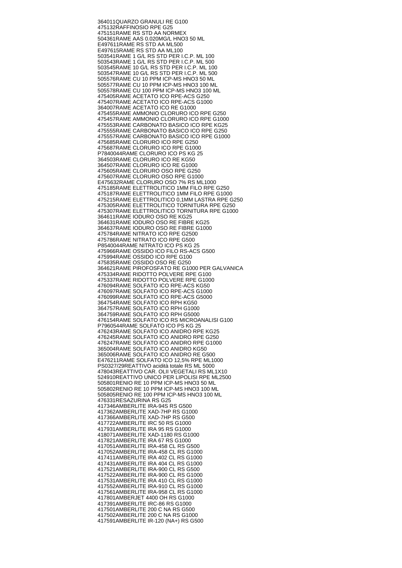364011 QUARZO GRANULI RE G100 475132 RAFFINOSIO RPE G25 475151 RAME RS STD AA NORMEX 504361 RAME AAS 0.020MG/L HNO3 50 ML E497611 RAME RS STD AA ML500 E497615 RAME RS STD AA ML100 503541 RAME 1 G/L RS STD PER I.C.P. ML 100 503543 RAME 1 G/L RS STD PER I.C.P. ML 500 503545 RAME 10 G/L RS STD PER I.C.P. ML 100 503547 RAME 10 G/L RS STD PER I.C.P. ML 500 505576 RAME CU 10 PPM ICP-MS HNO3 50 ML 505577 RAME CU 10 PPM ICP-MS HNO3 100 ML 505578 RAME CU 100 PPM ICP-MS HNO3 100 ML 475405 RAME ACETATO ICO RPE-ACS G250 475407 RAME ACETATO ICO RPE-ACS G1000 364007 RAME ACETATO ICO RE G1000 475455 RAME AMMONIO CLORURO ICO RPE G250 475457 RAME AMMONIO CLORURO ICO RPE G1000 475553 RAME CARBONATO BASICO ICO RPE KG25 475555 RAME CARBONATO BASICO ICO RPE G250 475557 RAME CARBONATO BASICO ICO RPE G1000 475685 RAME CLORURO ICO RPE G250 475687 RAME CLORURO ICO RPE G1000 P7840044 RAME CLORURO ICO PS KG 25 364503 RAME CLORURO ICO RE KG50 364507 RAME CLORURO ICO RE G1000 475605 RAME CLORURO OSO RPE G250 475607 RAME CLORURO OSO RPE G1000 E475632 RAME CLORURO OSO 7% RS ML1000 475185 RAME ELETTROLITICO 1MM FILO RPE G250 475187 RAME ELETTROLITICO 1MM FILO RPE G1000 475215 RAME ELETTROLITICO 0,1MM LASTRA RPE G250 475305 RAME ELETTROLITICO TORNITURA RPE G250 475307 RAME ELETTROLITICO TORNITURA RPE G1000 364611 RAME IODURO OSO RE KG25 364631 RAME IODURO OSO RE FIBRE KG25 364637 RAME IODURO OSO RE FIBRE G1000 475784 RAME NITRATO ICO RPE G2500 475786 RAME NITRATO ICO RPE G500 P8540044 RAME NITRATO ICO PS KG 25 475966 RAME OSSIDO ICO FILO RS-ACS G500 475994 RAME OSSIDO ICO RPE G100 475835 RAME OSSIDO OSO RE G250 364621 RAME PIROFOSFATO RE G1000 PER GALVANICA 475334 RAME RIDOTTO POLVERE RPE G100 475337 RAME RIDOTTO POLVERE RPE G1000 476094 RAME SOLFATO ICO RPE-ACS KG50 476097 RAME SOLFATO ICO RPE-ACS G1000 476099 RAME SOLFATO ICO RPE-ACS G5000 364754 RAME SOLFATO ICO RPH KG50 364757 RAME SOLFATO ICO RPH G1000 364759 RAME SOLFATO ICO RPH G5000 476154 RAME SOLFATO ICO RS MICROANALISI G100 P7960544 RAME SOLFATO ICO PS KG 25 476243 RAME SOLFATO ICO ANIDRO RPE KG25 476245 RAME SOLFATO ICO ANIDRO RPE G250 476247 RAME SOLFATO ICO ANIDRO RPE G1000 365004 RAME SOLFATO ICO ANIDRO KG50 365006 RAME SOLFATO ICO ANIDRO RE G500 E476211 RAME SOLFATO ICO 12,5% RPE ML1000 PS0327/29 REATTIVO acidità totale RS ML 5000 478043 REATTIVO CAR. OLII VEGETALI RS ML1X10 524910 REATTIVO UNICO PER LIPOLISI RPE ML2500 505801 RENIO RE 10 PPM ICP-MS HNO3 50 ML 505802 RENIO RE 10 PPM ICP-MS HNO3 100 ML 505805 RENIO RE 100 PPM ICP-MS HNO3 100 ML 476331 RESAZURINA RS G25 417346 AMBERLITE IRA-94S RS G500 417362 AMBERLITE XAD-7HP RS G1000 417366 AMBERLITE XAD-7HP RS G500 417722 AMBERLITE IRC 50 RS G1000 417931 AMBERLITE IRA 95 RS G1000 418071 AMBERLITE XAD-1180 RS G1000 417821 AMBERLITE IRA 67 RS G1000 417051 AMBERLITE IRA-458 CL RS G500 417052 AMBERLITE IRA-458 CL RS G1000 417411 AMBERLITE IRA 402 CL RS G1000 417431 AMBERLITE IRA 404 CL RS G1000 417521 AMBERLITE IRA-900 CL RS G500 417522 AMBERLITE IRA-900 CL RS G1000 417531 AMBERLITE IRA 410 CL RS G1000 417552 AMBERLITE IRA-910 CL RS G1000 417561 AMBERLITE IRA-958 CL RS G1000 417801 AMBERJET 4400 OH RS G1000 417391 AMBERLITE IRC-86 RS G1000 417501 AMBERLITE 200 C NA RS G500 417502 AMBERLITE 200 C NA RS G1000 417591 AMBERLITE IR-120 (NA+) RS G500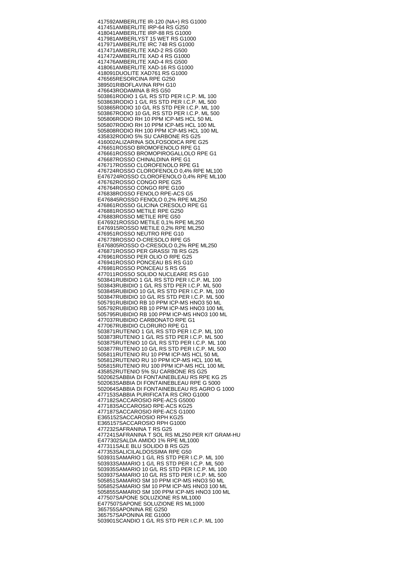417592 AMBERLITE IR-120 (NA+) RS G1000 417451 AMBERLITE IRP-64 RS G250 418041 AMBERLITE IRP-88 RS G1000 417981 AMBERLYST 15 WET RS G1000 417971 AMBERLITE IRC 748 RS G1000 417471 AMBERLITE XAD-2 RS G500 417472 AMBERLITE XAD 4 RS G1000 417476 AMBERLITE XAD-4 RS G500 418061 AMBERLITE XAD-16 RS G1000 418091 DUOLITE XAD761 RS G1000 476565 RESORCINA RPE G250 389501 RIBOFLAVINA RPH G10 476643 RODAMINA B RS G50 503861 RODIO 1 G/L RS STD PER I.C.P. ML 100 503863 RODIO 1 G/L RS STD PER I.C.P. ML 500 503865 RODIO 10 G/L RS STD PER I.C.P. ML 100 503867 RODIO 10 G/L RS STD PER I.C.P. ML 500 505806 RODIO RH 10 PPM ICP-MS HCL 50 ML 505807 RODIO RH 10 PPM ICP-MS HCL 100 ML 505808 RODIO RH 100 PPM ICP-MS HCL 100 ML 435832 RODIO 5% SU CARBONE RS G25 416002 ALIZARINA SOLFOSODICA RPE G25 476651 ROSSO BROMOFENOLO RPE G1 476661 ROSSO BROMOPIROGALLOLO RPE G1 476687 ROSSO CHINALDINA RPE G1 476717 ROSSO CLOROFENOLO RPE G1 476724 ROSSO CLOROFENOLO 0,4% RPE ML100 E476724 ROSSO CLOROFENOLO 0,4% RPE ML100 476762 ROSSO CONGO RPE G25 476764 ROSSO CONGO RPE G100 476838 ROSSO FENOLO RPE-ACS G5 E476845 ROSSO FENOLO 0,2% RPE ML250 476861 ROSSO GLICINA CRESOLO RPE G1 476881 ROSSO METILE RPE G250 476883 ROSSO METILE RPE G50 E476921 ROSSO METILE 0,1% RPE ML250 E476915 ROSSO METILE 0,2% RPE ML250 476951 ROSSO NEUTRO RPE G10 476778 ROSSO O-CRESOLO RPE G5 E476805 ROSSO O-CRESOLO 0,2% RPE ML250 476871 ROSSO PER GRASSI 7B RS G25 476961 ROSSO PER OLIO O RPE G25 476941 ROSSO PONCEAU BS RS G10 476981 ROSSO PONCEAU S RS G5 477011 ROSSO SOLIDO NUCLEARE RS G10 503841 RUBIDIO 1 G/L RS STD PER I.C.P. ML 100 503843 RUBIDIO 1 G/L RS STD PER I.C.P. ML 500 503845 RUBIDIO 10 G/L RS STD PER I.C.P. ML 100 503847 RUBIDIO 10 G/L RS STD PER I.C.P. ML 500 505791 RUBIDIO RB 10 PPM ICP-MS HNO3 50 ML 505792 RUBIDIO RB 10 PPM ICP-MS HNO3 100 ML 505795 RUBIDIO RB 100 PPM ICP-MS HNO3 100 ML 477037 RUBIDIO CARBONATO RPE G1 477067 RUBIDIO CLORURO RPE G1 503871 RUTENIO 1 G/L RS STD PER I.C.P. ML 100 503873 RUTENIO 1 G/L RS STD PER I.C.P. ML 500 503875 RUTENIO 10 G/L RS STD PER I.C.P. ML 100 503877 RUTENIO 10 G/L RS STD PER I.C.P. ML 500 505811 RUTENIO RU 10 PPM ICP-MS HCL 50 ML 505812 RUTENIO RU 10 PPM ICP-MS HCL 100 ML 505815 RUTENIO RU 100 PPM ICP-MS HCL 100 ML 435852 RUTENIO 5% SU CARBONE RS G25 502062 SABBIA DI FONTAINEBLEAU RS RPE KG 25 502063 SABBIA DI FONTAINEBLEAU RPE G 5000 502064 SABBIA DI FONTAINEBLEAU RS AGRO G 1000 477153 SABBIA PURIFICATA RS CRO G1000 477182 SACCAROSIO RPE-ACS G5000 477183 SACCAROSIO RPE-ACS KG25 477187 SACCAROSIO RPE-ACS G1000 E365152 SACCAROSIO RPH KG25 E365157 SACCAROSIO RPH G1000 477232 SAFRANINA T RS G25 477241 SAFRANINA T SOL RS ML250 PER KIT GRAM-HU E477302 SALDA AMIDO 1% RPE ML1000 477311 SALE BLU SOLIDO B RS G25 477353 SALICILALDOSSIMA RPE G50 503931 SAMARIO 1 G/L RS STD PER I.C.P. ML 100 503933 SAMARIO 1 G/L RS STD PER I.C.P. ML 500 503935 SAMARIO 10 G/L RS STD PER I.C.P. ML 100 503937 SAMARIO 10 G/L RS STD PER I.C.P. ML 500 505851 SAMARIO SM 10 PPM ICP-MS HNO3 50 ML 505852 SAMARIO SM 10 PPM ICP-MS HNO3 100 ML 505855 SAMARIO SM 100 PPM ICP-MS HNO3 100 ML 477507 SAPONE SOLUZIONE RS ML1000 E477507 SAPONE SOLUZIONE RS ML1000 365755 SAPONINA RE G250 365757 SAPONINA RE G1000 503901 SCANDIO 1 G/L RS STD PER I.C.P. ML 100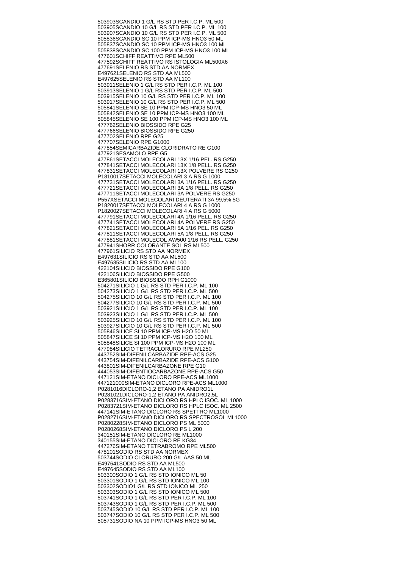503903 SCANDIO 1 G/L RS STD PER I.C.P. ML 500 503905 SCANDIO 10 G/L RS STD PER I.C.P. ML 100 503907 SCANDIO 10 G/L RS STD PER I.C.P. ML 500 505836 SCANDIO SC 10 PPM ICP-MS HNO3 50 ML 505837 SCANDIO SC 10 PPM ICP-MS HNO3 100 ML 505838 SCANDIO SC 100 PPM ICP-MS HNO3 100 ML 477601 SCHIFF REATTIVO RPE ML500 477592 SCHIFF REATTIVO RS ISTOLOGIA ML500X6 477691 SELENIO RS STD AA NORMEX E497621 SELENIO RS STD AA ML500 E497625 SELENIO RS STD AA ML100 503911 SELENIO 1 G/L RS STD PER I.C.P. ML 100 503913 SELENIO 1 G/L RS STD PER I.C.P. ML 500 503915 SELENIO 10 G/L RS STD PER I.C.P. ML 100 503917 SELENIO 10 G/L RS STD PER I.C.P. ML 500 505841 SELENIO SE 10 PPM ICP-MS HNO3 50 ML 505842 SELENIO SE 10 PPM ICP-MS HNO3 100 ML 505845 SELENIO SE 100 PPM ICP-MS HNO3 100 ML 477762 SELENIO BIOSSIDO RPE G25 477766 SELENIO BIOSSIDO RPE G250 477702 SELENIO RPE G25 477707 SELENIO RPE G1000 477854 SEMICARBAZIDE CLORIDRATO RE G100 477921 SESAMOLO RPE G5 477861 SETACCI MOLECOLARI 13X 1/16 PEL. RS G250 477841 SETACCI MOLECOLARI 13X 1/8 PELL. RS G250 477831 SETACCI MOLECOLARI 13X POLVERE RS G250 P1810017 SETACCI MOLECOLARI 3 A RS G 1000 477731 SETACCI MOLECOLARI 3A 1/16 PELL. RS G250 477721 SETACCI MOLECOLARI 3A 1/8 PELL. RS G250 477711 SETACCI MOLECOLARI 3A POLVERE RS G250 P557X SETACCI MOLECOLARI DEUTERATI 3A 99,5% 5G P1820017 SETACCI MOLECOLARI 4 A RS G 1000 P1820027 SETACCI MOLECOLARI 4 A RS G 5000 477791 SETACCI MOLECOLARI 4A 1/16 PELL. RS G250 477741 SETACCI MOLECOLARI 4A POLVERE RS G250 477821 SETACCI MOLECOLARI 5A 1/16 PEL. RS G250 477811 SETACCI MOLECOLARI 5A 1/8 PELL. RS G250 477881 SETACCI MOLECOL AW500 1/16 RS PELL. G250 477941 SHORR COLORANTE SOL RS ML500 477961 SILICIO RS STD AA NORMEX E497631 SILICIO RS STD AA ML500 E497635 SILICIO RS STD AA ML100 422104 SILICIO BIOSSIDO RPE G100 422106 SILICIO BIOSSIDO RPE G500 E365801 SILICIO BIOSSIDO RPH G1000 504271 SILICIO 1 G/L RS STD PER I.C.P. ML 100 504273 SILICIO 1 G/L RS STD PER I.C.P. ML 500 504275 SILICIO 10 G/L RS STD PER I.C.P. ML 100 504277 SILICIO 10 G/L RS STD PER I.C.P. ML 500 503921 SILICIO 1 G/L RS STD PER I.C.P. ML 100 503923 SILICIO 1 G/L RS STD PER I.C.P. ML 500 503925 SILICIO 10 G/L RS STD PER I.C.P. ML 100 503927 SILICIO 10 G/L RS STD PER I.C.P. ML 500 505846 SILICE SI 10 PPM ICP-MS H2O 50 ML 505847 SILICE SI 10 PPM ICP-MS H2O 100 ML 505848 SILICE SI 100 PPM ICP-MS H2O 100 ML 477984 SILICIO TETRACLORURO RPE ML250 443752 SIM-DIFENILCARBAZIDE RPE-ACS G25 443754 SIM-DIFENILCARBAZIDE RPE-ACS G100 443801 SIM-DIFENILCARBAZONE RPE G10 444053 SIM-DIFENTIOCARBAZONE RPE-ACS G50 447121 SIM-ETANO DICLORO RPE-ACS ML1000 447121000 SIM-ETANO DICLORO RPE-ACS ML1000 P0281016 DICLORO-1,2 ETANO PA ANIDRO1L P0281021 DICLORO-1,2 ETANO PA ANIDRO2,5L P0283716 SIM-ETANO DICLORO RS HPLC ISOC. ML 1000 P0283721 SIM-ETANO DICLORO RS HPLC ISOC. ML 2500 447141 SIM-ETANO DICLORO RS SPETTRO ML1000 P0282716 SIM-ETANO DICLORO RS SPECTROSOL ML1000 P0280228 SIM-ETANO DICLORO PS ML 5000 P0280268 SIM-ETANO DICLORO PS L 200 340151 SIM-ETANO DICLORO RE ML1000 340155 SIM-ETANO DICLORO RE KG34 447276 SIM-ETANO TETRABROMO RPE ML500 478101 SODIO RS STD AA NORMEX 503744 SODIO CLORURO 200 G/L AAS 50 ML E497641 SODIO RS STD AA ML500 E497645 SODIO RS STD AA ML100 503300 SODIO 1 G/L RS STD IONICO ML 50 503301 SODIO 1 G/L RS STD IONICO ML 100 503302 SODIO1 G/L RS STD IONICO ML 250 503303 SODIO 1 G/L RS STD IONICO ML 500 503741 SODIO 1 G/L RS STD PER I.C.P. ML 100 503743 SODIO 1 G/L RS STD PER I.C.P. ML 500 503745 SODIO 10 G/L RS STD PER I.C.P. ML 100 503747 SODIO 10 G/L RS STD PER I.C.P. ML 500 505731 SODIO NA 10 PPM ICP-MS HNO3 50 ML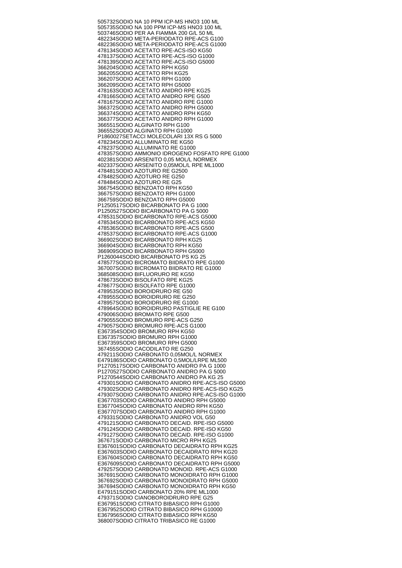505732 SODIO NA 10 PPM ICP-MS HNO3 100 ML 505735 SODIO NA 100 PPM ICP-MS HNO3 100 ML 503746 SODIO PER AA FIAMMA 200 G/L 50 ML 482234 SODIO META-PERIODATO RPE-ACS G100 482236 SODIO META-PERIODATO RPE-ACS G1000 478134 SODIO ACETATO RPE-ACS-ISO KG50 478137 SODIO ACETATO RPE-ACS-ISO G1000 478139 SODIO ACETATO RPE-ACS-ISO G5000 366204 SODIO ACETATO RPH KG50 366205 SODIO ACETATO RPH KG25 366207 SODIO ACETATO RPH G1000 366209 SODIO ACETATO RPH G5000 478163 SODIO ACETATO ANIDRO RPE KG25 478166 SODIO ACETATO ANIDRO RPE G500 478167 SODIO ACETATO ANIDRO RPE G1000 366372 SODIO ACETATO ANIDRO RPH G5000 366374 SODIO ACETATO ANIDRO RPH KG50 366377 SODIO ACETATO ANIDRO RPH G1000 366551 SODIO ALGINATO RPH G100 366552 SODIO ALGINATO RPH G1000 P1860027 SETACCI MOLECOLARI 13X RS G 5000 478234 SODIO ALLUMINATO RE KG50 478237 SODIO ALLUMINATO RE G1000 478357 SODIO AMMONIO IDROGENO FOSFATO RPE G1000 402381 SODIO ARSENITO 0,05 MOL/L NORMEX 402337 SODIO ARSENITO 0,05MOL/L RPE ML1000 478481 SODIO AZOTURO RE G2500 478482 SODIO AZOTURO RE G250 478484 SODIO AZOTURO RE G25 366754 SODIO BENZOATO RPH KG50 366757 SODIO BENZOATO RPH G1000 366759 SODIO BENZOATO RPH G5000 P1250517 SODIO BICARBONATO PA G 1000 P1250527 SODIO BICARBONATO PA G 5000 478531 SODIO BICARBONATO RPE-ACS G5000 478534 SODIO BICARBONATO RPE-ACS KG50 478536 SODIO BICARBONATO RPE-ACS G500 478537 SODIO BICARBONATO RPE-ACS G1000 366902 SODIO BICARBONATO RPH KG25 366904 SODIO BICARBONATO RPH KG50 366909 SODIO BICARBONATO RPH G5000 P1260044 SODIO BICARBONATO PS KG 25 478577 SODIO BICROMATO BIIDRATO RPE G1000 367007 SODIO BICROMATO BIIDRATO RE G1000 368508 SODIO BIFLUORURO RE KG50 478673 SODIO BISOLFATO RPE KG25 478677 SODIO BISOLFATO RPE G1000 478953 SODIO BOROIDRURO RE G50 478955 SODIO BOROIDRURO RE G250 478957 SODIO BOROIDRURO RE G1000 478964 SODIO BOROIDRURO PASTIGLIE RE G100 479006 SODIO BROMATO RPE G500 479055 SODIO BROMURO RPE-ACS G250 479057 SODIO BROMURO RPE-ACS G1000 E367354 SODIO BROMURO RPH KG50 E367357 SODIO BROMURO RPH G1000 E367359 SODIO BROMURO RPH G5000 367455 SODIO CACODILATO RE G250 479211 SODIO CARBONATO 0,05MOL/L NORMEX E479186 SODIO CARBONATO 0,5MOL/LRPE ML500 P1270517 SODIO CARBONATO ANIDRO PA G 1000 P1270527 SODIO CARBONATO ANIDRO PA G 5000 P1270544 SODIO CARBONATO ANIDRO PA KG 25 479301 SODIO CARBONATO ANIDRO RPE-ACS-ISO G5000 479302 SODIO CARBONATO ANIDRO RPE-ACS-ISO KG25 479307 SODIO CARBONATO ANIDRO RPE-ACS-ISO G1000 E367703 SODIO CARBONATO ANIDRO RPH G5000 E367704 SODIO CARBONATO ANIDRO RPH KG50 E367707 SODIO CARBONATO ANIDRO RPH G1000 479331 SODIO CARBONATO ANIDRO VOL G50 479121 SODIO CARBONATO DECAID. RPE-ISO G5000 479124 SODIO CARBONATO DECAID. RPE-ISO KG50 479127 SODIO CARBONATO DECAID. RPE-ISO G1000 367671 SODIO CARBONATO MICRO RPH KG25 E367601 SODIO CARBONATO DECAIDRATO RPH KG25 E367603 SODIO CARBONATO DECAIDRATO RPH KG20 E367604 SODIO CARBONATO DECAIDRATO RPH KG50 E367609 SODIO CARBONATO DECAIDRATO RPH G5000 479257 SODIO CARBONATO MONOID. RPE-ACS G1000 367691 SODIO CARBONATO MONOIDRATO RPH G1000 367692 SODIO CARBONATO MONOIDRATO RPH G5000 367694 SODIO CARBONATO MONOIDRATO RPH KG50 E479151 SODIO CARBONATO 20% RPE ML1000 479371 SODIO CIANOBOROIDRURO RPE G25 E367951 SODIO CITRATO BIBASICO RPH G1000 E367952 SODIO CITRATO BIBASICO RPH G10000 E367956 SODIO CITRATO BIBASICO RPH KG50 368007 SODIO CITRATO TRIBASICO RE G1000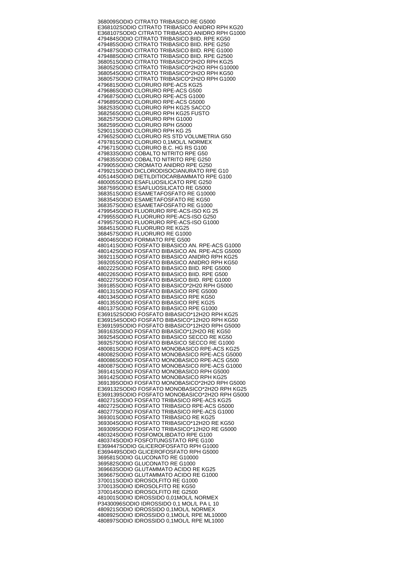368009 SODIO CITRATO TRIBASICO RE G5000 E368102 SODIO CITRATO TRIBASICO ANIDRO RPH KG20 E368107 SODIO CITRATO TRIBASICO ANIDRO RPH G1000 479484 SODIO CITRATO TRIBASICO BIID. RPE KG50 479485 SODIO CITRATO TRIBASICO BIID. RPE G250 479487 SODIO CITRATO TRIBASICO BIID. RPE G1000 479488 SODIO CITRATO TRIBASICO BIID. RPE G2500 368051 SODIO CITRATO TRIBASICO\*2H2O RPH KG25 368052 SODIO CITRATO TRIBASICO\*2H2O RPH G10000 368054 SODIO CITRATO TRIBASICO\*2H2O RPH KG50 368057 SODIO CITRATO TRIBASICO\*2H2O RPH G1000 479681 SODIO CLORURO RPE-ACS KG25 479686 SODIO CLORURO RPE-ACS G500 479687 SODIO CLORURO RPE-ACS G1000 479689 SODIO CLORURO RPE-ACS G5000 368253 SODIO CLORURO RPH KG25 SACCO 368256 SODIO CLORURO RPH KG25 FUSTO 368257 SODIO CLORURO RPH G1000 368259 SODIO CLORURO RPH G5000 529011 SODIO CLORURO RPH KG 25 479652 SODIO CLORURO RS STD VOLUMETRIA G50 479781 SODIO CLORURO 0,1MOL/L NORMEX 479671 SODIO CLORURO B.C. HG RS G100 479833 SODIO COBALTO NITRITO RPE G50 479835 SODIO COBALTO NITRITO RPE G250 479905 SODIO CROMATO ANIDRO RPE G250 479921 SODIO DICLORODISOCIANURATO RPE G10 405144 SODIO DIETILDITIOCARBAMMATO RPE G100 480005 SODIO ESAFLUOSILICATO RPE G250 368759 SODIO ESAFLUOSILICATO RE G5000 368351 SODIO ESAMETAFOSFATO RE G10000 368354 SODIO ESAMETAFOSFATO RE KG50 368357 SODIO ESAMETAFOSFATO RE G1000 479954 SODIO FLUORURO RPE-ACS-ISO KG 25 479955 SODIO FLUORURO RPE-ACS-ISO G250 479957 SODIO FLUORURO RPE-ACS-ISO G1000 368451 SODIO FLUORURO RE KG25 368457 SODIO FLUORURO RE G1000 480046 SODIO FORMIATO RPE G500 480141 SODIO FOSFATO BIBASICO AN. RPE-ACS G1000 480142 SODIO FOSFATO BIBASICO AN. RPE-ACS G5000 369211 SODIO FOSFATO BIBASICO ANIDRO RPH KG25 369205 SODIO FOSFATO BIBASICO ANIDRO RPH KG50 480222 SODIO FOSFATO BIBASICO BIID. RPE G5000 480226 SODIO FOSFATO BIBASICO BIID. RPE G500 480227 SODIO FOSFATO BIBASICO BIID. RPE G1000 369185 SODIO FOSFATO BIBASICO\*2H20 RPH G5000 480131 SODIO FOSFATO BIBASICO RPE G5000 480134 SODIO FOSFATO BIBASICO RPE KG50 480135 SODIO FOSFATO BIBASICO RPE KG25 480137 SODIO FOSFATO BIBASICO RPE G1000 E369152 SODIO FOSFATO BIBASICO\*12H2O RPH KG25 E369154 SODIO FOSFATO BIBASICO\*12H2O RPH KG50 E369159 SODIO FOSFATO BIBASICO\*12H2O RPH G5000 369163 SODIO FOSFATO BIBASICO\*12H2O RE KG50 369254 SODIO FOSFATO BIBASICO SECCO RE KG50 369257 SODIO FOSFATO BIBASICO SECCO RE G1000 480081 SODIO FOSFATO MONOBASICO RPE-ACS KG25 480082 SODIO FOSFATO MONOBASICO RPE-ACS G5000 480086 SODIO FOSFATO MONOBASICO RPE-ACS G500 480087 SODIO FOSFATO MONOBASICO RPE-ACS G1000 369141 SODIO FOSFATO MONOBASICO RPH G5000 369142 SODIO FOSFATO MONOBASICO RPH KG25 369139 SODIO FOSFATO MONOBASICO\*2H2O RPH G5000 E369132 SODIO FOSFATO MONOBASICO\*2H2O RPH KG25 E369139 SODIO FOSFATO MONOBASICO\*2H2O RPH G5000 480271 SODIO FOSFATO TRIBASICO RPE-ACS KG25 480272 SODIO FOSFATO TRIBASICO RPE-ACS G5000 480277 SODIO FOSFATO TRIBASICO RPE-ACS G1000 369301 SODIO FOSFATO TRIBASICO RE KG25 369304 SODIO FOSFATO TRIBASICO\*12H2O RE KG50 369309 SODIO FOSFATO TRIBASICO\*12H2O RE G5000 480324 SODIO FOSFOMOLIBDATO RPE G100 480374 SODIO FOSFOTUNGSTATO RPE G100 E369447 SODIO GLICEROFOSFATO RPH G1000 E369449 SODIO GLICEROFOSFATO RPH G5000 369581 SODIO GLUCONATO RE G10000 369582 SODIO GLUCONATO RE G1000 369663 SODIO GLUTAMMATO ACIDO RE KG25 369667 SODIO GLUTAMMATO ACIDO RE G1000 370011 SODIO IDROSOLFITO RE G1000 370013 SODIO IDROSOLFITO RE KG50 370014 SODIO IDROSOLFITO RE G2500 481001 SODIO IDROSSIDO 0,01MOL/L NORMEX P3430096 SODIO IDROSSIDO 0,1 MOL/L PA L 10 480921 SODIO IDROSSIDO 0,1MOL/L NORMEX 480892 SODIO IDROSSIDO 0,1MOL/L RPE ML10000 480897 SODIO IDROSSIDO 0,1MOL/L RPE ML1000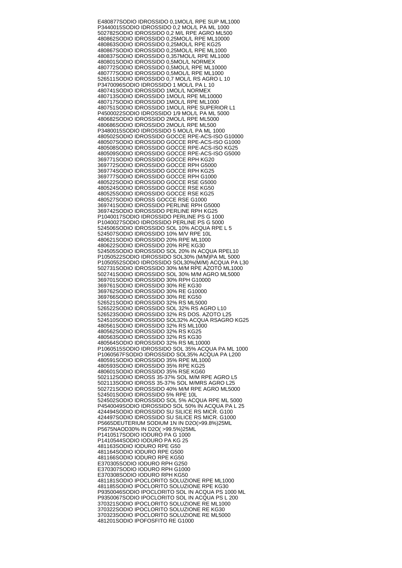E480877 SODIO IDROSSIDO 0,1MOL/L RPE SUP ML1000 P3440015 SODIO IDROSSIDO 0,2 MOL/L PA ML 1000 502782 SODIO IDROSSIDO 0,2 M/L RPE AGRO ML500 480862 SODIO IDROSSIDO 0,25MOL/L RPE ML10000 480863 SODIO IDROSSIDO 0,25MOL/L RPE KG25 480867 SODIO IDROSSIDO 0,25MOL/L RPE ML1000 480837 SODIO IDROSSIDO 0,357MOL/L RPE ML1000 480801 SODIO IDROSSIDO 0,5MOL/L NORMEX 480772 SODIO IDROSSIDO 0,5MOL/L RPE ML10000 480777 SODIO IDROSSIDO 0,5MOL/L RPE ML1000 526511 SODIO IDROSSIDO 0,7 MOL/L RS AGRO L 10 P3470096 SODIO IDROSSIDO 1 MOL/L PA L 10 480741 SODIO IDROSSIDO 1MOL/L NORMEX 480713 SODIO IDROSSIDO 1MOL/L RPE ML10000 480717 SODIO IDROSSIDO 1MOL/L RPE ML1000 480751 SODIO IDROSSIDO 1MOL/L RPE SUPERIOR L1 P4500022 SODIO IDROSSIDO 1/9 MOL/L PA ML 5000 480682 SODIO IDROSSIDO 2MOL/L RPE ML5000 480686 SODIO IDROSSIDO 2MOL/L RPE ML500 P3480015 SODIO IDROSSIDO 5 MOL/L PA ML 1000 480502 SODIO IDROSSIDO GOCCE RPE-ACS-ISO G10000 480507 SODIO IDROSSIDO GOCCE RPE-ACS-ISO G1000 480508 SODIO IDROSSIDO GOCCE RPE-ACS-ISO KG25 480509 SODIO IDROSSIDO GOCCE RPE-ACS-ISO G5000 369771 SODIO IDROSSIDO GOCCE RPH KG20 369772 SODIO IDROSSIDO GOCCE RPH G5000 369774 SODIO IDROSSIDO GOCCE RPH KG25 369777 SODIO IDROSSIDO GOCCE RPH G1000 480522 SODIO IDROSSIDO GOCCE RSE G5000 480524 SODIO IDROSSIDO GOCCE RSE KG50 480525 SODIO IDROSSIDO GOCCE RSE KG25 480527 SODIO IDROSS GOCCE RSE G1000 369741 SODIO IDROSSIDO PERLINE RPH G5000 369742 SODIO IDROSSIDO PERLINE RPH KG25 P1040017 SODIO IDROSSIDO PERLINE PS G 1000 P1040027 SODIO IDROSSIDO PERLINE PS G 5000 524506 SODIO IDROSSIDO SOL 10% ACQUA RPE L 5 524507 SODIO IDROSSIDO 10% M/V RPE 10L 480621 SODIO IDROSSIDO 20% RPE ML1000 480622 SODIO IDROSSIDO 20% RPE KG30 524505 SODIO IDROSSIDO SOL 20% IN ACQUA RPEL10 P1050522 SODIO IDROSSIDO SOL30% (M/M)PA ML 5000 P1050552 SODIO IDROSSIDO SOL30%(M/M) ACQUA PA L30 502731 SODIO IDROSSIDO 30% M/M RPE AZOTO ML1000 502741 SODIO IDROSSIDO SOL 30% M/M AGRO ML5000 369701 SODIO IDROSSIDO 30% RPH G10000 369761 SODIO IDROSSIDO 30% RE KG30 369762 SODIO IDROSSIDO 30% RE G10000 369766 SODIO IDROSSIDO 30% RE KG50 526521 SODIO IDROSSIDO 32% RS ML5000 526522 SODIO IDROSSIDO SOL 32% RS AGRO L10 526523 SODIO IDROSSIDO 32% RS DOS. AZOTO L25 524510 SODIO IDROSSIDO SOL32% ACQUA RSAGRO KG25 480561 SODIO IDROSSIDO 32% RS ML1000 480562 SODIO IDROSSIDO 32% RS KG25 480563 SODIO IDROSSIDO 32% RS KG30 480564 SODIO IDROSSIDO 32% RS ML10000 P1060515 SODIO IDROSSIDO SOL 35% ACQUA PA ML 1000 P1060567F SODIO IDROSSIDO SOL35% ACQUA PA L200 480591 SODIO IDROSSIDO 35% RPE ML1000 480593 SODIO IDROSSIDO 35% RPE KG25 480601 SODIO IDROSSIDO 35% RSE KG60 502112 SODIO IDROSS 35-37% SOL M/M RPE AGRO L5 502113 SODIO IDROSS 35-37% SOL M/MRS AGRO L25 502721 SODIO IDROSSIDO 40% M/M RPE AGRO ML5000 524501 SODIO IDROSSIDO 5% RPE 10L 524502 SODIO IDROSSIDO SOL 5% ACQUA RPE ML 5000 P4540049 SODIO IDROSSIDO SOL 50% IN ACQUA PA L 25 424494 SODIO IDROSSIDO SU SILICE RS MICR. G100 424497 SODIO IDROSSIDO SU SILICE RS MICR. G1000 P5665 DEUTERIUM SODIUM 1N IN D2O(>99.8%)25ML P5675 NAOD30% IN D2O( >99.5%)25ML P1410517 SODIO IODURO PA G 1000 P1410544 SODIO IODURO PA KG 25 481163 SODIO IODURO RPE G50 481164 SODIO IODURO RPE G500 481166 SODIO IODURO RPE KG50 E370305 SODIO IODURO RPH G250 E370307 SODIO IODURO RPH G1000 E370308 SODIO IODURO RPH KG50 481181 SODIO IPOCLORITO SOLUZIONE RPE ML1000 481185 SODIO IPOCLORITO SOLUZIONE RPE KG30 P9350046 SODIO IPOCLORITO SOL IN ACQUA PS 1000 ML P9350067 SODIO IPOCLORITO SOL IN ACQUA PS L 200 370321 SODIO IPOCLORITO SOLUZIONE RE ML1000 370322 SODIO IPOCLORITO SOLUZIONE RE KG30 370323 SODIO IPOCLORITO SOLUZIONE RE ML5000 481201 SODIO IPOFOSFITO RE G1000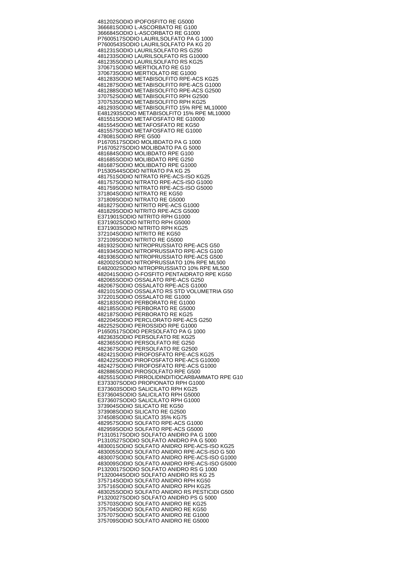481202 SODIO IPOFOSFITO RE G5000 366681 SODIO L-ASCORBATO RE G100 366684 SODIO L-ASCORBATO RE G1000 P7600517 SODIO LAURILSOLFATO PA G 1000 P7600543 SODIO LAURILSOLFATO PA KG 20 481231 SODIO LAURILSOLFATO RS G250 481233 SODIO LAURILSOLFATO RS G10000 481235 SODIO LAURILSOLFATO RS KG25 370671 SODIO MERTIOLATO RE G10 370673 SODIO MERTIOLATO RE G1000 481283 SODIO METABISOLFITO RPE-ACS KG25 481287 SODIO METABISOLFITO RPE-ACS G1000 481288 SODIO METABISOLFITO RPE-ACS G2500 370752 SODIO METABISOLFITO RPH G2500 370753 SODIO METABISOLFITO RPH KG25 481293 SODIO METABISOLFITO 15% RPE ML10000 E481293 SODIO METABISOLFITO 15% RPE ML10000 481551 SODIO METAFOSFATO RE G10000 481554 SODIO METAFOSFATO RE KG50 481557 SODIO METAFOSFATO RE G1000 478081 SODIO RPE G500 P1670517 SODIO MOLIBDATO PA G 1000 P1670527 SODIO MOLIBDATO PA G 5000 481684 SODIO MOLIBDATO RPE G100 481685 SODIO MOLIBDATO RPE G250 481687 SODIO MOLIBDATO RPE G1000 P1530544 SODIO NITRATO PA KG 25 481751 SODIO NITRATO RPE-ACS-ISO KG25 481757 SODIO NITRATO RPE-ACS-ISO G1000 481759 SODIO NITRATO RPE-ACS-ISO G5000 371804 SODIO NITRATO RE KG50 371809 SODIO NITRATO RE G5000 481827 SODIO NITRITO RPE-ACS G1000 481829 SODIO NITRITO RPE-ACS G5000 E371901 SODIO NITRITO RPH G1000 E371902 SODIO NITRITO RPH G5000 E371903 SODIO NITRITO RPH KG25 372104 SODIO NITRITO RE KG50 372109 SODIO NITRITO RE G5000 481932 SODIO NITROPRUSSIATO RPE-ACS G50 481934 SODIO NITROPRUSSIATO RPE-ACS G100 481936 SODIO NITROPRUSSIATO RPE-ACS G500 482002 SODIO NITROPRUSSIATO 10% RPE ML500 E482002 SODIO NITROPRUSSIATO 10% RPE ML500 482041 SODIO O-FOSFITO PENTAIDRATO RPE KG50 482065 SODIO OSSALATO RPE-ACS G250 482067 SODIO OSSALATO RPE-ACS G1000 482101 SODIO OSSALATO RS STD VOLUMETRIA G50 372201 SODIO OSSALATO RE G1000 482183 SODIO PERBORATO RE G1000 482185 SODIO PERBORATO RE G5000 482187 SODIO PERBORATO RE KG25 482204 SODIO PERCLORATO RPE-ACS G250 482252 SODIO PEROSSIDO RPE G1000 P1650517 SODIO PERSOLFATO PA G 1000 482363 SODIO PERSOLFATO RE KG25 482365 SODIO PERSOLFATO RE G250 482367 SODIO PERSOLFATO RE G2500 482421 SODIO PIROFOSFATO RPE-ACS KG25 482422 SODIO PIROFOSFATO RPE-ACS G10000 482427 SODIO PIROFOSFATO RPE-ACS G1000 482886 SODIO PIROSOLFATO RPE G500 482551 SODIO PIRROLIDINDITIOCARBAMMATO RPE G10 E373307 SODIO PROPIONATO RPH G1000 E373603 SODIO SALICILATO RPH KG25 E373604 SODIO SALICILATO RPH G5000 E373607 SODIO SALICILATO RPH G1000 373904 SODIO SILICATO RE KG50 373908 SODIO SILICATO RE G2500 374508 SODIO SILICATO 35% KG75 482957 SODIO SOLFATO RPE-ACS G1000 482959 SODIO SOLFATO RPE-ACS G5000 P1310517 SODIO SOLFATO ANIDRO PA G 1000 P1310527 SODIO SOLFATO ANIDRO PA G 5000 483001 SODIO SOLFATO ANIDRO RPE-ACS-ISO KG25 483005 SODIO SOLFATO ANIDRO RPE-ACS-ISO G 500 483007 SODIO SOLFATO ANIDRO RPE-ACS-ISO G1000 483009 SODIO SOLFATO ANIDRO RPE-ACS-ISO G5000 P1320017 SODIO SOLFATO ANIDRO RS G 1000 P1320044 SODIO SOLFATO ANIDRO RS KG 25 375714 SODIO SOLFATO ANIDRO RPH KG50 375716 SODIO SOLFATO ANIDRO RPH KG25 483025 SODIO SOLFATO ANIDRO RS PESTICIDI G500 P1320027 SODIO SOLFATO ANIDRO PS G 5000 375703 SODIO SOLFATO ANIDRO RE KG25 375704 SODIO SOLFATO ANIDRO RE KG50 375707 SODIO SOLFATO ANIDRO RE G1000 375709 SODIO SOLFATO ANIDRO RE G5000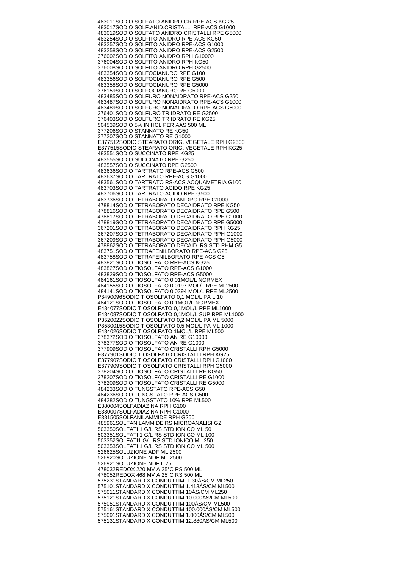483011 SODIO SOLFATO ANIDRO CR RPE-ACS KG 25 483017 SODIO SOLF.ANID.CRISTALLI RPE-ACS G1000 483019 SODIO SOLFATO ANIDRO CRISTALLI RPE G5000 483254 SODIO SOLFITO ANIDRO RPE-ACS KG50 483257 SODIO SOLFITO ANIDRO RPE-ACS G1000 483258 SODIO SOLFITO ANIDRO RPE-ACS G2500 376002 SODIO SOLFITO ANIDRO RPH G10000 376004 SODIO SOLFITO ANIDRO RPH KG50 376008 SODIO SOLFITO ANIDRO RPH G2500 483354 SODIO SOLFOCIANURO RPE G100 483356 SODIO SOLFOCIANURO RPE G500 483358 SODIO SOLFOCIANURO RPE G5000 376159 SODIO SOLFOCIANURO RE G5000 483485 SODIO SOLFURO NONAIDRATO RPE-ACS G250 483487 SODIO SOLFURO NONAIDRATO RPE-ACS G1000 483489 SODIO SOLFURO NONAIDRATO RPE-ACS G5000 376401 SODIO SOLFURO TRIIDRATO RE G2500 376403 SODIO SOLFURO TRIIDRATO RE KG25 504539 SODIO 5% IN HCL PER AAS 500 ML 377206 SODIO STANNATO RE KG50 377207 SODIO STANNATO RE G1000 E377512 SODIO STEARATO ORIG. VEGETALE RPH G2500 E377515 SODIO STEARATO ORIG. VEGETALE RPH KG25 483551 SODIO SUCCINATO RPE KG25 483555 SODIO SUCCINATO RPE G250 483557 SODIO SUCCINATO RPE G2500 483636 SODIO TARTRATO RPE-ACS G500 483637 SODIO TARTRATO RPE-ACS G1000 483561 SODIO TARTRATO RS-ACS ACQUAMETRIA G100 483703 SODIO TARTRATO ACIDO RPE KG25 483706 SODIO TARTRATO ACIDO RPE G500 483736 SODIO TETRABORATO ANIDRO RPE G1000 478814 SODIO TETRABORATO DECAIDRATO RPE KG50 478816 SODIO TETRABORATO DECAIDRATO RPE G500 478817 SODIO TETRABORATO DECAIDRATO RPE G1000 478819 SODIO TETRABORATO DECAIDRATO RPE G5000 367201 SODIO TETRABORATO DECAIDRATO RPH KG25 367207 SODIO TETRABORATO DECAIDRATO RPH G1000 367209 SODIO TETRABORATO DECAIDRATO RPH G5000 478862 SODIO TETRABORATO DECAID. RS STD PHM G5 483751 SODIO TETRAFENILBORATO RPE-ACS G25 483758 SODIO TETRAFENILBORATO RPE-ACS G5 483821 SODIO TIOSOLFATO RPE-ACS KG25 483827 SODIO TIOSOLFATO RPE-ACS G1000 483829 SODIO TIOSOLFATO RPE-ACS G5000 484161 SODIO TIOSOLFATO 0,01MOL/L NORMEX 484155 SODIO TIOSOLFATO 0,0197 MOL/L RPE ML2500 484141 SODIO TIOSOLFATO 0,0394 MOL/L RPE ML2500 P3490096 SODIO TIOSOLFATO 0,1 MOL/L PA L 10 484121 SODIO TIOSOLFATO 0,1MOL/L NORMEX E484077 SODIO TIOSOLFATO 0,1MOL/L RPE ML1000 E484087 SODIO TIOSOLFATO 0,1MOL/L SUP RPE ML1000 P3520022 SODIO TIOSOLFATO 0,2 MOL/L PA ML 5000 P3530015 SODIO TIOSOLFATO 0,5 MOL/L PA ML 1000 E484026 SODIO TIOSOLFATO 1MOL/L RPE ML500 378372 SODIO TIOSOLFATO AN RE G10000 378377 SODIO TIOSOLFATO AN RE G1000 377909 SODIO TIOSOLFATO CRISTALLI RPH G5000 E377901 SODIO TIOSOLFATO CRISTALLI RPH KG25 E377907 SODIO TIOSOLFATO CRISTALLI RPH G1000 E377909 SODIO TIOSOLFATO CRISTALLI RPH G5000 378204 SODIO TIOSOLFATO CRISTALLI RE KG50 378207 SODIO TIOSOLFATO CRISTALLI RE G1000 378209 SODIO TIOSOLFATO CRISTALLI RE G5000 484233 SODIO TUNGSTATO RPE-ACS G50 484236 SODIO TUNGSTATO RPE-ACS G500 484282 SODIO TUNGSTATO 10% RPE ML500 E380004 SOLFADIAZINA RPH G100 E380007 SOLEADIAZINA RPH G1000 E381505 SOLFANILAMMIDE RPH G250 485961 SOLFANILAMMIDE RS MICROANALISI G2 503350 SOLFATI 1 G/L RS STD IONICO ML 50 503351 SOLFATI 1 G/L RS STD IONICO ML 100 503352 SOLFATI1 G/L RS STD IONICO ML 250 503353 SOLFATI 1 G/L RS STD IONICO ML 500 526625 SOLUZIONE ADF ML 2500 526920 SOLUZIONE NDF ML 2500 526921 SOLUZIONE NDF L 25 478032 REDOX 220 MV A 25°C RS 500 ML 478052 REDOX 468 MV A 25°C RS 500 ML 575231 STANDARD X CONDUTTIM. 1.30ÁS/CM ML250 575101 STANDARD X CONDUTTIM.1.413ÁS/CM ML500 575011 STANDARD X CONDUTTIM.10ÁS/CM ML250 575121 STANDARD X CONDUTTIM.10.000ÁS/CM ML500 575051 STANDARD X CONDUTTIM.100ÁS/CM ML500 575161 STANDARD X CONDUTTIM.100.000ÁS/CM ML500 575091 STANDARD X CONDUTTIM.1.000ÁS/CM ML500 575131 STANDARD X CONDUTTIM.12.880ÁS/CM ML500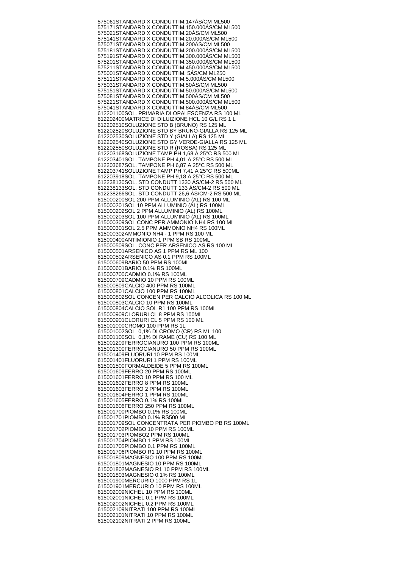575061 STANDARD X CONDUTTIM.147ÁS/CM ML500 575171 STANDARD X CONDUTTIM.150.000ÁS/CM ML500 575021 STANDARD X CONDUTTIM.20ÁS/CM ML500 575141 STANDARD X CONDUTTIM.20.000ÁS/CM ML500 575071 STANDARD X CONDUTTIM.200ÁS/CM ML500 575181 STANDARD X CONDUTTIM.200.000ÁS/CM ML500 575191 STANDARD X CONDUTTIM.300.000ÁS/CM ML500 575201 STANDARD X CONDUTTIM.350.000ÁS/CM ML500 575211 STANDARD X CONDUTTIM.450.000ÁS/CM ML500 575001 STANDARD X CONDUTTIM. 5ÁS/CM ML250 575111 STANDARD X CONDUTTIM.5.000ÁS/CM ML500 575031 STANDARD X CONDUTTIM.50ÁS/CM ML500 575151 STANDARD X CONDUTTIM.50.000ÁS/CM ML500 575081 STANDARD X CONDUTTIM.500ÁS/CM ML500 575221 STANDARD X CONDUTTIM.500.000ÁS/CM ML500 575041 STANDARD X CONDUTTIM.84ÁS/CM ML500 612201100 SOL. PRIMARIA DI OPALESCENZA RS 100 ML 612202400 MATRICE DI DILUIZIONE HCL 10 G/L RS 1 L 612202510 SOLUZIONE STD B (BRUNO) RS 125 ML 612202520 SOLUZIONE STD BY BRUNO-GIALLA RS 125 ML 612202530 SOLUZIONE STD Y (GIALLA) RS 125 ML 612202540 SOLUZIONE STD GY VERDE-GIALLA RS 125 ML 612202550 SOLUZIONE STD R (ROSSA) RS 125 ML 612203168 SOLUZIONE TAMP PH 1,68 A 25°C RS 500 ML 612203401 SOL. TAMPONE PH 4,01 A 25°C RS 500 ML 612203687 SOL. TAMPONE PH 6,87 A 25°C RS 500 ML 612203741 SOLUZIONE TAMP PH 7,41 A 25°C RS 500ML 612203918 SOL. TAMPONE PH 9,18 A 25°C RS 500 ML 612238130 SOL. STD CONDUTT 1330 ÁS/CM-2 RS 500 ML 612238133 SOL. STD CONDUTT 133 ÁS/CM-2 RS 500 ML 612238266 SOL. STD CONDUTT 26,6 ÁS/CM-2 RS 500 ML 615000200 SOL 200 PPM ALLUMINIO (AL) RS 100 ML 615000201 SOL 10 PPM ALLUMINIO (AL) RS 100ML 615000202 SOL 2 PPM ALLUMINIO (AL) RS 100ML 615000203 SOL 100 PPM ALLUMINIO (AL) RS 100ML 615000309 SOL CONC PER AMMONIO NH4 RS 100 ML 615000301 SOL 2.5 PPM AMMONIO NH4 RS 100ML 615000302 AMMONIO NH4 - 1 PPM RS 100 ML 615000400 ANTIMIONIO 1 PPM SB RS 100ML 615000509 SOL. CONC PER ARSENICO AS RS 100 ML 615000501 ARSENICO AS 1 PPM RS ML 100 615000502 ARSENICO AS 0.1 PPM RS 100ML 615000609 BARIO 50 PPM RS 100ML 615000601 BARIO 0.1% RS 100ML 615000700 CADMIO 0.1% RS 100ML 615000709 CADMIO 10 PPM RS 100ML 615000809 CALCIO 400 PPM RS 100ML 615000801 CALCIO 100 PPM RS 100ML 615000802 SOL CONCEN PER CALCIO ALCOLICA RS 100 ML 615000803 CALCIO 10 PPM RS 100ML 615000804 CALCIO SOL R1 100 PPM RS 100ML 615000909 CLORURI CL 8 PPM RS 100ML 615000901 CLORURI CL 5 PPM RS 100 ML 615001000 CROMO 100 PPM RS 1L 615001002 SOL 0,1% DI CROMO (CR) RS ML 100 615001100 SOL 0,1% DI RAME (CU) RS 100 ML 615001209 FERROCIANURO 100 PPM RS 100ML 615001300 FERROCIANURO 50 PPM RS 100ML 615001409 FLUORURI 10 PPM RS 100ML 615001401 FLUORURI 1 PPM RS 100ML 615001500 FORMALDEIDE 5 PPM RS 100ML 615001609 FERRO 20 PPM RS 100ML 615001601 FERRO 10 PPM RS 100 ML 615001602 FERRO 8 PPM RS 100ML 615001603 FERRO 2 PPM RS 100ML 615001604 FERRO 1 PPM RS 100ML 615001605 FERRO 0.1% RS 100ML 615001606 FERRO 250 PPM RS 100ML 615001700 PIOMBO 0.1% RS 100ML 615001701 PIOMBO 0.1% RS500 ML 615001709 SOL CONCENTRATA PER PIOMBO PB RS 100ML 615001702 PIOMBO 10 PPM RS 100ML 615001703 PIOMBO2 PPM RS 100ML 615001704 PIOMBO 1 PPM RS 100ML 615001705 PIOMBO 0.1 PPM RS 100ML 615001706 PIOMBO R1 10 PPM RS 100ML 615001809 MAGNESIO 100 PPM RS 100ML 615001801 MAGNESIO 10 PPM RS 100ML 615001802 MAGNESIO R1 10 PPM RS 100ML 615001803 MAGNESIO 0.1% RS 100ML 615001900 MERCURIO 1000 PPM RS 1L 615001901 MERCURIO 10 PPM RS 100ML 615002009 NICHEL 10 PPM RS 100ML 615002001 NICHEL 0.1 PPM RS 100ML 615002002 NICHEL 0.2 PPM RS 100ML 615002109 NITRATI 100 PPM RS 100ML 615002101 NITRATI 10 PPM RS 100ML 615002102 NITRATI 2 PPM RS 100ML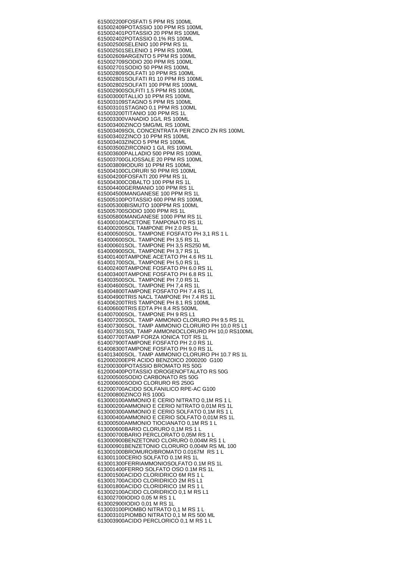615002200 FOSFATI 5 PPM RS 100ML 615002409 POTASSIO 100 PPM RS 100ML 615002401 POTASSIO 20 PPM RS 100ML 615002402 POTASSIO 0.1% RS 100ML 615002500 SELENIO 100 PPM RS 1L 615002501 SELENIO 1 PPM RS 100ML 615002609 ARGENTO 5 PPM RS 100ML 615002709 SODIO 200 PPM RS 100ML 615002701 SODIO 50 PPM RS 100ML 615002809 SOLFATI 10 PPM RS 100ML 615002801 SOLFATI R1 10 PPM RS 100ML 615002802 SOLFATI 100 PPM RS 100ML 615002900 SOLFITI 1.5 PPM RS 100ML 615003000 TALLIO 10 PPM RS 100ML 615003109 STAGNO 5 PPM RS 100ML 615003101 STAGNO 0.1 PPM RS 100ML 615003200 TITANIO 100 PPM RS 1L 615003300 VANADIO 1G/L RS 100ML 615003400 ZINCO 5MG/ML RS 100ML 615003409 SOL CONCENTRATA PER ZINCO ZN RS 100ML 615003402 ZINCO 10 PPM RS 100ML 615003403 ZINCO 5 PPM RS 100ML 615003500 ZIRCONIO 1 G/L RS 100ML 615003600 PALLADIO 500 PPM RS 100ML 615003700 GLIOSSALE 20 PPM RS 100ML 615003809 IODURI 10 PPM RS 100ML 615004100 CLORURI 50 PPM RS 100ML 615004200 FOSFATI 200 PPM RS 1L 615004300 COBALTO 100 PPM RS 1L 615004400 GERMANIO 100 PPM RS 1L 615004500 MANGANESE 100 PPM RS 1L 615005100 POTASSIO 600 PPM RS 100ML 615005300 BISMUTO 100PPM RS 100ML 615005700 SODIO 1000 PPM RS 1L 615005800 MANGANESE 1000 PPM RS 1L 614000100 ACETONE TAMPONATO RS 1L 614000200 SOL TAMPONE PH 2.0 RS 1L 614000500 SOL. TAMPONE FOSFATO PH 3,1 RS 1 L 614000600 SOL. TAMPONE PH 3,5 RS 1L 614000601 SOL. TAMPONE PH 3,5 RS250 ML 614000900 SOL. TAMPONE PH 3,7 RS 1L 614001400 TAMPONE ACETATO PH 4.6 RS 1L 614001700 SOL. TAMPONE PH 5,0 RS 1L 614002400 TAMPONE FOSFATO PH 6.0 RS 1L 614003400 TAMPONE FOSFATO PH 6.8 RS 1L 614003500 SOL. TAMPONE PH 7,0 RS 1L 614004600 SOL. TAMPONE PH 7,4 RS 1L 614004800 TAMPONE FOSFATO PH 7.4 RS 1L 614004900 TRIS NACL TAMPONE PH 7.4 RS 1L 614006200 TRIS TAMPONE PH 8.1 RS 100ML 614006600 TRIS EDTA PH 8.4 RS 500ML 614007000 SOL. TAMPONE PH 9 RS L1 614007200 SOL. TAMP AMMONIO CLORURO PH 9.5 RS 1L 614007300 SOL. TAMP AMMONIO CLORURO PH 10,0 RS L1 614007301 SOL TAMP AMMONIOCLORURO PH 10,0 RS100ML 614007700 TAMP FORZA IONICA TOT RS 1L 614007900 TAMPONE FOSFATO PH 2.0 RS 1L 614008300 TAMPONE FOSFATO PH 9.0 RS 1L 614013400 SOL. TAMP AMMONIO CLORURO PH 10.7 RS 1L 612000200 EPR ACIDO BENZOICO 2000200 G100 612000300 POTASSIO BROMATO RS 50G 612000400 POTASSIO IDROGENOFTALATO RS 50G 612000500 SODIO CARBONATO RS 50G 612000600 SODIO CLORURO RS 250G 612000700 ACIDO SOLFANILICO RPE-AC G100 612000800 ZINCO RS 100G 613000100 AMMONIO E CERIO NITRATO 0,1M RS 1 L 613000200 AMMONIO E CERIO NITRATO 0,01M RS 1L 613000300 AMMONIO E CERIO SOLFATO 0,1M RS 1 L 613000400 AMMONIO E CERIO SOLFATO 0,01M RS 1L 613000500 AMMONIO TIOCIANATO 0,1M RS 1 L 613000600 BARIO CLORURO 0,1M RS 1 L 613000700 BARIO PERCLORATO 0,05M RS 1 L 613000900 BENZETONIO CLORURO 0,004M RS 1 L 613000901 BENZETONIO CLORURO 0,004M RS ML 100 613001000 BROMURO/BROMATO 0.0167M RS 1 L 613001100 CERIO SOLFATO 0.1M RS 1L 613001300 FERRIAMMONIOSOLFATO 0.1M RS 1L 613001400 FERRO SOLFATO OSO 0.1M RS 1L 613001500 ACIDO CLORIDRICO 6M RS 1 L 613001700 ACIDO CLORIDRICO 2M RS L1 613001800 ACIDO CLORIDRICO 1M RS 1 L 613002100 ACIDO CLORIDRICO 0,1 M RS L1 613002700 IODIO 0,05 M RS 1 L 613002900 IODIO 0,01 M RS 1L 613003100 PIOMBO NITRATO 0,1 M RS 1 L 613003101 PIOMBO NITRATO 0,1 M RS 500 ML 613003900 ACIDO PERCLORICO 0,1 M RS 1 L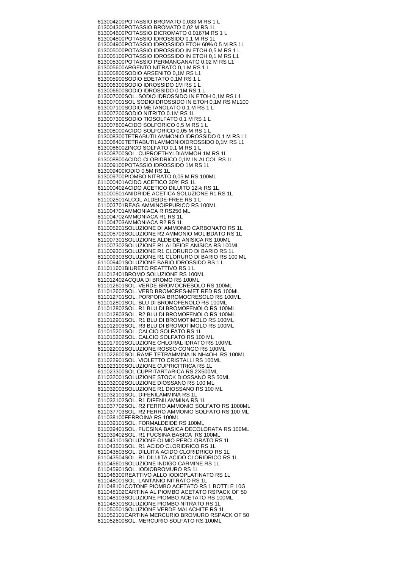613004200 POTASSIO BROMATO 0,033 M RS 1 L 613004300 POTASSIO BROMATO 0,02 M RS 1L 613004600 POTASSIO DICROMATO 0.0167M RS 1 L 613004800 POTASSIO IDROSSIDO 0,1 M RS 1L 613004900 POTASSIO IDROSSIDO ETOH 60% 0,5 M RS 1L 613005000 POTASSIO IDROSSIDO IN ETOH 0,5 M RS 1 L 613005100 POTASSIO IDROSSIDO IN ETOH 0,1 M RS L1 613005300 POTASSIO PERMANGANATO 0,02 M RS L1 613005600 ARGENTO NITRATO 0,1 M RS 1 L 613005800 SODIO ARSENITO 0,1M RS L1 613005900 SODIO EDETATO 0,1M RS 1 L 613006300 SODIO IDROSSIDO 1M RS 1 L 613006600 SODIO IDROSSIDO 0,1M RS 1 L 613007000 SOL. SODIO IDROSSIDO IN ETOH 0,1M RS L1 613007001 SOL SODIOIDROSSIDO IN ETOH 0,1M RS ML100 613007100 SODIO METANOLATO 0,1 M RS 1 L 613007200 SODIO NITRITO 0.1M RS 1L 613007300 SODIO TIOSOLFATO 0,1 M RS 1 L 613007800 ACIDO SOLFORICO 0,5 M RS 1 L 613008000 ACIDO SOLFORICO 0,05 M RS 1 L 613008300 TETRABUTILAMMONIO IDROSSIDO 0,1 M RS L1 613008400 TETRABUTILAMMONIOIDROSSIDO 0,1M RS L1 613008600 ZINCO SOLFATO 0,1 M RS 1 L 613008700 SOL. CUPROETHYLDIAMMOH 1M RS 1L 613008800 ACIDO CLORIDRICO 0,1M IN ALCOL RS 1L 613009100 POTASSIO IDROSSIDO 1M RS 1L 613009400 IODIO 0,5M RS 1L 613009700 PIOMBO NITRATO 0,05 M RS 100ML 611000401 ACIDO ACETICO 30% RS 1L 611000402 ACIDO ACETICO DILUITO 12% RS 1L 611000501 ANIDRIDE ACETICA SOLUZIONE R1 RS 1L 611002501 ALCOL ALDEIDE-FREE RS 1 L 611003701 REAG AMMINOIPPURICO RS 100ML 611004701 AMMONIACA R RS250 ML 611004702 AMMONIACA R1 RS 1L 611004703 AMMONIACA R2 RS 1L 611005201 SOLUZIONE DI AMMONIO CARBONATO RS 1L 611005703 SOLUZIONE R2 AMMONIO MOLIBDATO RS 1L 611007301 SOLUZIONE ALDEIDE ANISICA RS 100ML 611007302 SOLUZIONE R1 ALDEIDE ANISICA RS 100ML 611009301 SOLUZIONE R1 CLORURO DI BARIO RS 1L 611009303 SOLUZIONE R1 CLORURO DI BARIO RS 100 ML 611009401 SOLUZIONE BARIO IDROSSIDO RS 1 L 611011601 BIURETO REATTIVO RS 1 L 611012401 BROMO SOLUZIONE RS 100ML 611012402 ACQUA DI BROMO RS 100ML 611012601 SOL. VERDE BROMOCRESOLO RS 100ML 611012602 SOL. VERD BROMCRES-MET RED RS 100ML 611012701 SOL. PORPORA BROMOCRESOLO RS 100ML 611012801 SOL. BLU DI BROMOFENOLO RS 100ML 611012802 SOL. R1 BLU DI BROMOFENOLO RS 100ML 611012803 SOL. R2 BLU DI BROMOFENOLO RS 100ML 611012901 SOL. R1 BLU DI BROMOTIMOLO RS 100ML 611012903 SOL. R3 BLU DI BROMOTIMOLO RS 100ML 611015201 SOL. CALCIO SOLFATO RS 1L 611015202 SOL. CALCIO SOLFATO RS 100 ML 611017901 SOLUZIONE CHLORAL IDRATO RS 100ML 611022001 SOLUZIONE ROSSO CONGO RS 100ML 611022600 SOL.RAME TETRAMMINA IN NH4OH RS 100ML 611022901 SOL. VIOLETTO CRISTALLI RS 100ML 611023100 SOLUZIONE CUPRICITRICA RS 1L 611023300 SOL CUPRITARTARICA RS 2X500ML 611032001 SOLUZIONE STOCK DIOSSANO RS 50ML 611032002 SOLUZIONE DIOSSANO RS 100 ML 611032003 SOLUZIONE R1 DIOSSANO RS 100 ML 611032101 SOL. DIFENILAMMINA RS 1L 611032102 SOL. R1 DIFENILAMMINA RS 1L 611037702 SOL. R2 FERRO AMMONIO SOLFATO RS 1000ML 611037703 SOL. R2 FERRO AMMONIO SOLFATO RS 100 ML 611038100 FERROINA RS 100ML 611039101 SOL. FORMALDEIDE RS 100ML 611039401 SOL. FUCSINA BASICA DECOLORATA RS 100ML 611039402 SOL. R1 FUCSINA BASICA RS 100ML 611043101 SOLUZIONE OLMIO PERCLORATO RS 1L 611043501 SOL. R1 ACIDO CLORIDRICO RS 1L 611043503 SOL. DILUITA ACIDO CLORIDRICO RS 1L 611043504 SOL. R1 DILUITA ACIDO CLORIDRICO RS 1L 611045601 SOLUZIONE INDIGO CARMINE RS 1L 611045901 SOL. IODIOBROMURO RS 1L 611046300 REATTIVO ALLO IODIOPLATINATO RS 1L 611048001 SOL. LANTANIO NITRATO RS 1L 611048101 COTONE PIOMBO ACETATO RS 1 BOTTLE 10G 611048102 CARTINA AL PIOMBO ACETATO RSPACK OF 50 611048103 SOLUZIONE PIOMBO ACETATO RS 100ML 611048301 SOLUZIONE PIOMBO NITRATO RS 1L 611050501 SOLUZIONE VERDE MALACHITE RS 1L 611052101 CARTINA MERCURIO BROMURO RSPACK OF 50 611052600 SOL. MERCURIO SOLFATO RS 100ML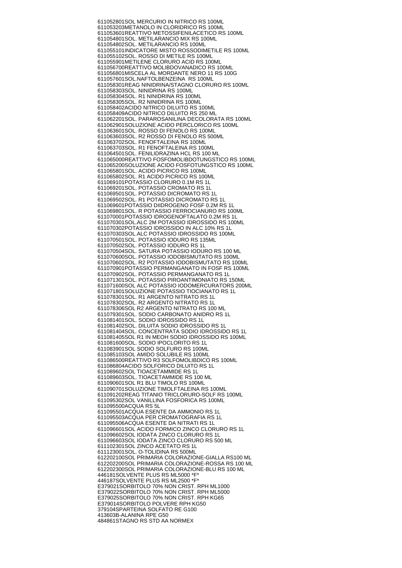611052801 SOL MERCURIO IN NITRICO RS 100ML 611053203 METANOLO IN CLORIDRICO RS 100ML 611053601 REATTIVO METOSSIFENILACETICO RS 100ML 611054801 SOL. METILARANCIO MIX RS 100ML 611054802 SOL. METILARANCIO RS 100ML 611055101 INDICATORE MISTO ROSSODIMETILE RS 100ML 611055102 SOL. ROSSO DI METILE RS 100ML 611055901 METILENE CLORURO ACID RS 100ML 611056700 REATTIVO MOLIBDOVANADICO RS 100ML 611056801 MISCELA AL MORDANTE NERO 11 RS 100G 611057601 SOL.NAFTOLBENZEINA RS 100ML 611058301 REAG NINIDRINA/STAGNO CLORURO RS 100ML 611058303 SOL. NINIDRINA RS 100ML 611058304 SOL. R1 NINIDRINA RS 100ML 611058305 SOL. R2 NINIDRINA RS 100ML 611058402 ACIDO NITRICO DILUITO RS 100ML 611058409 ACIDO NITRICO DILUITO RS 250 ML 611062201 SOL. PARAROSANILINA DECOLORATA RS 100ML 611062901 SOLUZIONE ACIDO PERCLORICO RS 100ML 611063601 SOL. ROSSO DI FENOLO RS 100ML 611063603 SOL. R2 ROSSO DI FENOLO RS 500ML 611063702 SOL. FENOFTALEINA RS 100ML 611063703 SOL. R1 FENOFTALEINA RS 100ML 611064501 SOL. FENILIDRAZINA HCL RS 100 ML 611065000 REATTIVO FOSFOMOLIBDOTUNGSTICO RS 100ML 611065200 SOLUZIONE ACIDO FOSFOTUNGSTICO RS 100ML 611065801 SOL. ACIDO PICRICO RS 100ML 611065802 SOL. R1 ACIDO PICRICO RS 100ML 611069101 POTASSIO CLORURO 0.1M RS 1L 611069201 SOL. POTASSIO CROMATO RS 1L 611069501 SOL. POTASSIO DICROMATO RS 1L 611069502 SOL. R1 POTASSIO DICROMATO RS 1L 611069601 POTASSIO DIIDROGENO FOSF 0.2M RS 1L 611069801 SOL. R POTASSIO FERROCIANURO RS 100ML 611070001 POTASSIO IDROGENOFTALATO 0.2M RS 1L 611070301 SOL.ALC 2M POTASSIO IDROSSIDO RS 100ML 611070302 POTASSIO IDROSSIDO IN ALC 10% RS 1L 611070303 SOL.ALC POTASSIO IDROSSIDO RS 100ML 611070501 SOL. POTASSIO IODURO RS 135ML 611070502 SOL. POTASSIO IODURO RS 1L 611070504 SOL. SATURA POTASSIO IODURO RS 100 ML 611070600 SOL. POTASSIO IODOBISMUTATO RS 100ML 611070602 SOL. R2 POTASSIO IODOBISMUTATO RS 100ML 611070901 POTASSIO PERMANGANATO IN FOSF RS 100ML 611070902 SOL. POTASSIO PERMANGANATO RS 1L 611071301 SOL. POTASSIO PIROANTIMONIATO RS 150ML 611071600 SOL ALC POTASSIO IODOMERCURATORS 200ML 611071801 SOLUZIONE POTASSIO TIOCIANATO RS 1L 611078301 SOL. R1 ARGENTO NITRATO RS 1L 611078302 SOL. R2 ARGENTO NITRATO RS 1L 611078306 SOL R2 ARGENTO NITRATO RS 100 ML 611079301 SOL. SODIO CARBONATO ANIDRO RS 1L 611081401 SOL. SODIO IDROSSIDO RS 1L 611081402 SOL. DILUITA SODIO IDROSSIDO RS 1L 611081404 SOL. CONCENTRATA SODIO IDROSSIDO RS 1L 611081405 SOL R1 IN MEOH SODIO IDROSSIDO RS 100ML 611081600 SOL. SODIO IPOCLORITO RS 1L 611083901 SOL SODIO SOLFURO RS 100ML 611085103 SOL AMIDO SOLUBILE RS 100ML 611086500 REATTIVO R3 SOLFOMOLIBDICO RS 100ML 611086804 ACIDO SOLFORICO DILUITO RS 1L 611089602 SOL TIOACETAMMIDE RS 1L 611089603 SOL. TIOACETAMMIDE RS 100 ML 611090601 SOL R1 BLU TIMOLO RS 100ML 611090701 SOLUZIONE TIMOLFTALEINA RS 100ML 611091202 REAG TITANIO TRICLORURO-SOLF RS 100ML 611095302 SOL VANILLINA FOSFORICA RS 100ML 611095500 ACQUA RS 5L 611095501 ACQUA ESENTE DA AMMONIO RS 1L 611095503 ACQUA PER CROMATOGRAFIA RS 1L 611095506 ACQUA ESENTE DA NITRATI RS 1L 611096601 SOL ACIDO FORMICO ZINCO CLORURO RS 1L 611096602 SOL IODATA ZINCO CLORURO RS 1L 611096603 SOL IODATA ZINCO CLORURO RS 500 ML 611102301 SOL ZINCO ACETATO RS 1L 611123001 SOL. O-TOLIDINA RS 500ML 612202100 SOL PRIMARIA COLORAZIONE-GIALLA RS100 ML 612202200 SOL PRIMARIA COLORAZIONE-ROSSA RS 100 ML 612202300 SOL PRIMARIA COLORAZIONE-BLU RS 100 ML 446181 SOLVENTE PLUS RS ML5000 \*F\* 446187 SOLVENTE PLUS RS ML2500 \*F\* E379021 SORBITOLO 70% NON CRIST. RPH ML1000 E379022 SORBITOLO 70% NON CRIST. RPH ML5000 E379025 SORBITOLO 70% NON CRIST. RPH KG65 E379014 SORBITOLO POLVERE RPH KG50 379104 SPARTEINA SOLFATO RE G100 413603 B-ALANINA RPE G50 484861 STAGNO RS STD AA NORMEX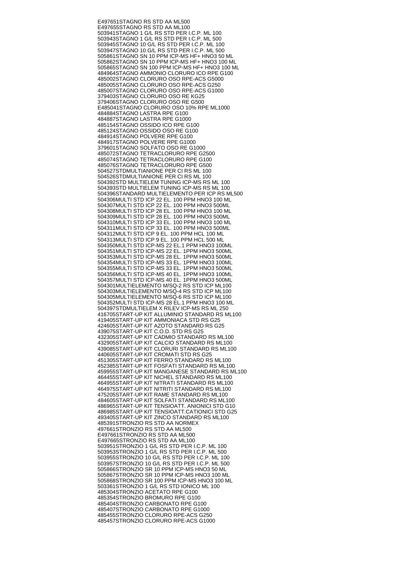E497651 STAGNO RS STD AA ML500 E497655 STAGNO RS STD AA ML100 503941 STAGNO 1 G/L RS STD PER I.C.P. ML 100 503943 STAGNO 1 G/L RS STD PER I.C.P. ML 500 503945 STAGNO 10 G/L RS STD PER I.C.P. ML 100 503947 STAGNO 10 G/L RS STD PER I.C.P. ML 500 505861 STAGNO SN 10 PPM ICP-MS HF+ HNO3 50 ML 505862 STAGNO SN 10 PPM ICP-MS HF+ HNO3 100 ML 505865 STAGNO SN 100 PPM ICP-MS HF+ HNO3 100 ML 484964 STAGNO AMMONIO CLORURO ICO RPE G100 485002 STAGNO CLORURO OSO RPE-ACS G5000 485005 STAGNO CLORURO OSO RPE-ACS G250 485007 STAGNO CLORURO OSO RPE-ACS G1000 379403 STAGNO CLORURO OSO RE KG25 379406 STAGNO CLORURO OSO RE G500 E485041 STAGNO CLORURO OSO 10% RPE ML1000 484884 STAGNO LASTRA RPE G100 484887 STAGNO LASTRA RPE G1000 485154 STAGNO OSSIDO ICO RPE G100 485124 STAGNO OSSIDO OSO RE G100 484914 STAGNO POLVERE RPE G100 484917 STAGNO POLVERE RPE G1000 379601 STAGNO SOLFATO OSO RE G1000 485072 STAGNO TETRACLORURO RPE G2500 485074 STAGNO TETRACLORURO RPE G100 485076 STAGNO TETRACLORURO RPE G500 504527 STDMULTIANIONE PER CI RS ML 100 504526 STDMULTIANIONE PER CI RS ML 100 504392 STD MULTIELEM TUNING ICP-MS RS ML 100 504393 STD MULTIELEM TUNING ICP-MS RS ML 100 504396 STANDARD MULTIELEMENTO PER ICP RS ML500 504306 MULTI STD ICP 22 EL. 100 PPM HNO3 100 ML 504307 MULTI STD ICP 22 EL. 100 PPM HNO3 500ML 504308 MULTI STD ICP 28 EL. 100 PPM HNO3 100 ML 504309 MULTI STD ICP 28 EL. 100 PPM HNO3 500ML 504310 MULTI STD ICP 33 EL. 100 PPM HNO3 100 ML 504311 MULTI STD ICP 33 EL. 100 PPM HNO3 500ML 504312 MULTI STD ICP 9 EL. 100 PPM HCL 100 ML 504313 MULTI STD ICP 9 EL. 100 PPM HCL 500 ML 504350 MULTI STD ICP-MS 22 EL.1 PPM HNO3 100ML 504351 MULTI STD ICP-MS 22 EL. 1PPM HNO3 500ML 504353 MULTI STD ICP-MS 28 EL. 1PPM HNO3 500ML 504354 MULTI STD ICP-MS 33 EL. 1PPM HNO3 100ML 504355 MULTI STD ICP-MS 33 EL. 1PPM HNO3 500ML 504356 MULTI STD ICP-MS 40 EL. 1PPM HNO3 100ML 504357 MULTI STD ICP-MS 40 EL. 1PPM HNO3 500ML 504301 MULTIELEMENTO M/SQ-2 RS STD ICP ML100 504303 MULTIELEMENTO M/SQ-4 RS STD ICP ML100 504305 MULTIELEMENTO M/SQ-6 RS STD ICP ML100 504352 MULTI STD ICP-MS 28 EL.1 PPM HNO3 100 ML 504397 STDMULTIELEM X RILEV ICP-MS RS ML 250 416705 START-UP KIT ALLUMINIO STANDARD RS ML100 419405 START-UP KIT AMMONIACA STD RS G25 424605 START-UP KIT AZOTO STANDARD RS G25 439075 START-UP KIT C.O.D. STD RS G25 432305 START-UP KIT CADMIO STANDARD RS ML100 432905 START-UP KIT CALCIO STANDARD RS ML100 439085 START-UP KIT CLORURI STANDARD RS ML100 440605 START-UP KIT CROMATI STD RS G25 451305 START-UP KIT FERRO STANDARD RS ML100 452385 START-UP KIT FOSFATI STANDARD RS ML100 459955 START-UP KIT MANGANESE STANDARD RS ML100 464455 START-UP KIT NICHEL STANDARD RS ML100 464955 START-UP KIT NITRATI STANDARD RS ML100 464975 START-UP KIT NITRITI STANDARD RS ML100 475205 START-UP KIT RAME STANDARD RS ML100 484605 START-UP KIT SOLFATI STANDARD RS ML100 486965 START-UP KIT TENSIOATT. ANIONICI STD G10 486985 START-UP KIT TENSIOATT.CATIONICI STD G25 493405 START-UP KIT ZINCO STANDARD RS ML100 485391 STRONZIO RS STD AA NORMEX 497661 STRONZIO RS STD AA ML500 E497661 STRONZIO RS STD AA ML500 E497665 STRONZIO RS STD AA ML100 503951 STRONZIO 1 G/L RS STD PER I.C.P. ML 100 503953 STRONZIO 1 G/L RS STD PER I.C.P. ML 500 503955 STRONZIO 10 G/L RS STD PER I.C.P. ML 100 503957 STRONZIO 10 G/L RS STD PER I.C.P. ML 500 505866 STRONZIO SR 10 PPM ICP-MS HNO3 50 ML 505867 STRONZIO SR 10 PPM ICP-MS HNO3 100 ML 505868 STRONZIO SR 100 PPM ICP-MS HNO3 100 ML 503361 STRONZIO 1 G/L RS STD IONICO ML 100 485304 STRONZIO ACETATO RPE G100 485354 STRONZIO BROMURO RPE G100 485404 STRONZIO CARBONATO RPE G100 485407 STRONZIO CARBONATO RPE G1000 485455 STRONZIO CLORURO RPE-ACS G250 485457 STRONZIO CLORURO RPE-ACS G1000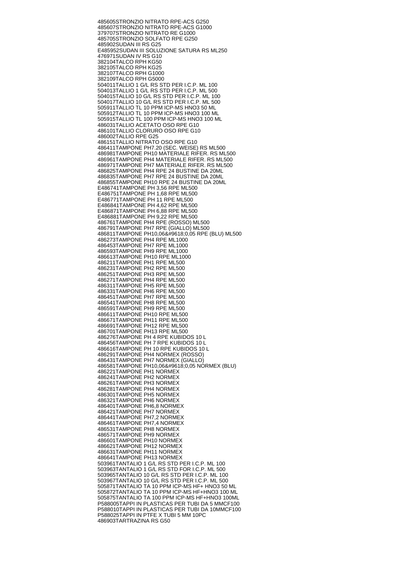485605 STRONZIO NITRATO RPE-ACS G250 485607 STRONZIO NITRATO RPE-ACS G1000 379707 STRONZIO NITRATO RE G1000 485705 STRONZIO SOLFATO RPE G250 485902 SUDAN III RS G25 E485952 SUDAN III SOLUZIONE SATURA RS ML250 476971 SUDAN IV RS G10 382104 TALCO RPH KG50 382105 TALCO RPH KG25 382107 TALCO RPH G1000 382109 TALCO RPH G5000 504011 TALLIO 1 G/L RS STD PER I.C.P. ML 100 504013 TALLIO 1 G/L RS STD PER I.C.P. ML 500 504015 TALLIO 10 G/L RS STD PER I.C.P. ML 100 504017 TALLIO 10 G/L RS STD PER I.C.P. ML 500 505911 TALLIO TL 10 PPM ICP-MS HNO3 50 ML 505912 TALLIO TL 10 PPM ICP-MS HNO3 100 ML 505915 TALLIO TL 100 PPM ICP-MS HNO3 100 ML 486031 TALLIO ACETATO OSO RPE G10 486101 TALLIO CLORURO OSO RPE G10 486002 TALLIO RPE G25 486151 TALLIO NITRATO OSO RPE G10 486411 TAMPONE PH7.20 (SEC. WEISE) RS ML500 486981 TAMPONE PH10 MATERIALE RIFER. RS ML500 486961 TAMPONE PH4 MATERIALE RIFER. RS ML500 486971 TAMPONE PH7 MATERIALE RIFER. RS ML500 486825 TAMPONE PH4 RPE 24 BUSTINE DA 20ML 486835 TAMPONE PH7 RPE 24 BUSTINE DA 20ML 486855 TAMPONE PH10 RPE 24 BUSTINE DA 20ML E486741 TAMPONE PH 3,56 RPE ML500 E486751 TAMPONE PH 1,68 RPE ML500 E486771 TAMPONE PH 11 RPE ML500 E486841 TAMPONE PH 4,62 RPE ML500 E486871 TAMPONE PH 6,88 RPE ML500 E486881 TAMPONE PH 9,22 RPE ML500 486761 TAMPONE PH4 RPE (ROSSO) ML500 486791 TAMPONE PH7 RPE (GIALLO) ML500 486811 TAMPONE PH10,06&#9618,0,05 RPE (BLU) ML500 486273 TAMPONE PH4 RPE ML1000 486453 TAMPONE PH7 RPE ML1000 486593 TAMPONE PH9 RPE ML1000 486613 TAMPONE PH10 RPE ML1000 486211 TAMPONE PH1 RPE ML500 486231 TAMPONE PH2 RPE ML500 486251 TAMPONE PH3 RPE ML500 486271 TAMPONE PH4 RPE ML500 486311 TAMPONE PH5 RPE ML500 486331 TAMPONE PH6 RPE ML500 486451 TAMPONE PH7 RPE ML500 486541 TAMPONE PH8 RPE ML500 486591 TAMPONE PH9 RPE ML500 486611 TAMPONE PH10 RPE ML500 486671 TAMPONE PH11 RPE ML500 486691 TAMPONE PH12 RPE ML500 486701 TAMPONE PH13 RPE ML500 486276 TAMPONE PH 4 RPE KUBIDOS 10 L 486456 TAMPONE PH 7 RPE KUBIDOS 10 L 486616 TAMPONE PH 10 RPE KUBIDOS 10 L 486291 TAMPONE PH4 NORMEX (ROSSO) 486431 TAMPONE PH7 NORMEX (GIALLO) 486581 TAMPONE PH10,06▒0,05 NORMEX (BLU) 486221 TAMPONE PH1 NORMEX 486241 TAMPONE PH2 NORMEX 486261 TAMPONE PH3 NORMEX 486281 TAMPONE PH4 NORMEX 486301 TAMPONE PH5 NORMEX 486321 TAMPONE PH6 NORMEX 486401 TAMPONE PH6,8 NORMEX 486421 TAMPONE PH7 NORMEX 486441 TAMPONE PH7,2 NORMEX 486461 TAMPONE PH7,4 NORMEX 486531 TAMPONE PH8 NORMEX 486571 TAMPONE PH9 NORMEX 486601 TAMPONE PH10 NORMEX 486621 TAMPONE PH12 NORMEX 486631 TAMPONE PH11 NORMEX 486641 TAMPONE PH13 NORMEX 503961 TANTALIO 1 G/L RS STD PER I.C.P. ML 100 503963 TANTALIO 1 G/L RS STD FOR I.C.P. ML 500 503965 TANTALIO 10 G/L RS STD PER I.C.P. ML 100 503967 TANTALIO 10 G/L RS STD PER I.C.P. ML 500 505871 TANTALIO TA 10 PPM ICP-MS HF+ HNO3 50 ML 505872 TANTALIO TA 10 PPM ICP-MS HF+HNO3 100 ML 505875 TANTALIO TA 100 PPM ICP-MS HF+HNO3 100ML P588005 TAPPI IN PLASTICAS PER TUBI DA 5 MMCF100 P588010 TAPPI IN PLASTICAS PER TUBI DA 10MMCF100 P588025 TAPPI IN PTFE X TUBI 5 MM 10PC 486903 TARTRAZINA RS G50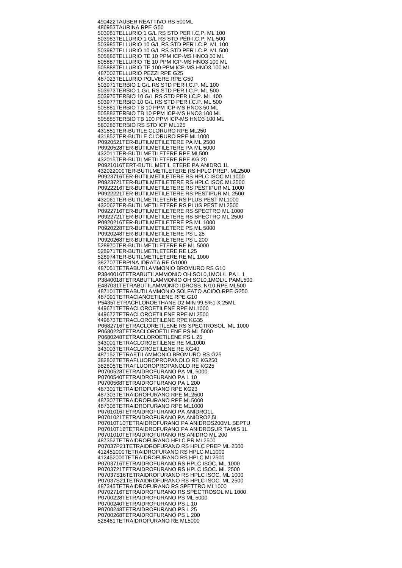490422 TAUBER REATTIVO RS 500ML 486953 TAURINA RPE G50 503981 TELLURIO 1 G/L RS STD PER I.C.P. ML 100 503983 TELLURIO 1 G/L RS STD PER I.C.P. ML 500 503985 TELLURIO 10 G/L RS STD PER I.C.P. ML 100 503987 TELLURIO 10 G/L RS STD PER I.C.P. ML 500 505886 TELLURIO TE 10 PPM ICP-MS HNO3 50 ML 505887 TELLURIO TE 10 PPM ICP-MS HNO3 100 ML 505888 TELLURIO TE 100 PPM ICP-MS HNO3 100 ML 487002 TELLURIO PEZZI RPE G25 487023 TELLURIO POLVERE RPE G50 503971 TERBIO 1 G/L RS STD PER I.C.P. ML 100 503973 TERBIO 1 G/L RS STD PER I.C.P. ML 500 503975 TERBIO 10 G/L RS STD PER I.C.P. ML 100 503977 TERBIO 10 G/L RS STD PER I.C.P. ML 500 505881 TERBIO TB 10 PPM ICP-MS HNO3 50 ML 505882 TERBIO TB 10 PPM ICP-MS HNO3 100 ML 505885 TERBIO TB 100 PPM ICP-MS HNO3 100 ML 580286 TERBIO RS STD ICP ML125 431851 TER-BUTILE CLORURO RPE ML250 431852 TER-BUTILE CLORURO RPE ML1000 P0920521 TER-BUTILMETILETERE PA ML 2500 P0920528 TER-BUTILMETILETERE PA ML 5000 432011 TER-BUTILMETILETERE RPE ML500 432015 TER-BUTILMETILETERE RPE KG 20 P0921016 TERT-BUTIL METIL ETERE PA ANIDRO 1L 432022000 TER-BUTILMETILETERE RS HPLC PREP. ML2500 P0923716 TER-BUTILMETILETERE RS HPLC ISOC ML1000 P0923721 TER-BUTILMETILETERE RS HPLC ISOC ML2500 P0922216 TER-BUTILMETILETERE RS PESTIPUR ML 1000 P0922221 TER-BUTILMETILETERE RS PESTIPUR ML 2500 432061 TER-BUTILMETILETERE RS PLUS PEST ML1000 432062 TER-BUTILMETILETERE RS PLUS PEST ML2500 P0922716 TER-BUTILMETILETERE RS SPECTRO ML 1000 P0922721 TER-BUTILMETILETERE RS SPECTRO ML 2500 P0920216 TER-BUTILMETILETERE PS ML 1000 P0920228 TER-BUTILMETILETERE PS ML 5000 P0920248 TER-BUTILMETILETERE PS L 25 P0920268 TER-BUTILMETILETERE PS L 200 528970 TER-BUTILMETILETERE RE ML 5000 528971 TER-BUTILMETILETERE RE L25 528974 TER-BUTILMETILETERE RE ML 1000 382707 TERPINA IDRATA RE G1000 487051 TETRABUTILAMMONIO BROMURO RS G10 P3840016 TETRABUTILAMMONIO OH SOL0,1MOL/L PA L 1 P3840018 TETRABUTILAMMONIO OH SOL0,1MOL/L PAML500 E487031 TETRABUTILAMMONIO IDROSS. N/10 RPE ML500 487101 TETRABUTILAMMONIO SOLFATO ACIDO RPE G250 487091 TETRACIANOETILENE RPE G10 P5435 TETRACHLOROETHANE D2 MIN 99,5%1 X 25ML 449671 TETRACLOROETILENE RPE ML1000 449672 TETRACLOROETILENE RPE ML2500 449673 TETRACLOROETILENE RPE KG35 P0682716 TETRACLORETILENE RS SPECTROSOL ML 1000 P0680228 TETRACLOROETILENE PS ML 5000 P0680248 TETRACLOROETILENE PS L 25 343001 TETRACLOROETILENE RE ML1000 343003 TETRACLOROETILENE RE KG40 487152 TETRAETILAMMONIO BROMURO RS G25 382802 TETRAFLUOROPROPANOLO RE KG250 382805 TETRAFLUOROPROPANOLO RE KG25 P0700528 TETRAIDROFURANO PA ML 5000 P0700540 TETRAIDROFURANO PA L 10 P0700568 TETRAIDROFURANO PA L 200 487301 TETRAIDROFURANO RPE KG23 487303 TETRAIDROFURANO RPE ML2500 487307 TETRAIDROFURANO RPE ML5000 487308 TETRAIDROFURANO RPE ML1000 P0701016 TETRAIDROFURANO PA ANIDRO1L P0701021 TETRAIDROFURANO PA ANIDRO2,5L P07010T10 TETRAIDROFURANO PA ANIDROS200ML SEPTU P07010T16 TETRAIDROFURANO PA ANIDROSUR TAMIS 1L P0701010 TETRAIDROFURANO RS ANIDRO ML 200 487352 TETRAIDROFURANO HPLC PR ML2500 P07037P21 TETRAIDROFURANO RS HPLC PREP ML 2500 412451000 TETRAIDROFURANO RS HPLC ML1000 412452000 TETRAIDROFURANO RS HPLC ML2500 P0703716 TETRAIDROFURANO RS HPLC ISOC. ML 1000 P0703721 TETRAIDROFURANO RS HPLC ISOC. ML 2500 P07037S16 TETRAIDROFURANO RS HPLC ISOC. ML 1000 P07037S21 TETRAIDROFURANO RS HPLC ISOC. ML 2500 487345 TETRAIDROFURANO RS SPETTRO ML1000 P0702716 TETRAIDROFURANO RS SPECTROSOL ML 1000 P0700228 TETRAIDROFURANO PS ML 5000 P0700240 TETRAIDROFURANO PS L 10 P0700248 TETRAIDROFURANO PS L 25 P0700268 TETRAIDROFURANO PS L 200 528481 TETRAIDROFURANO RE ML5000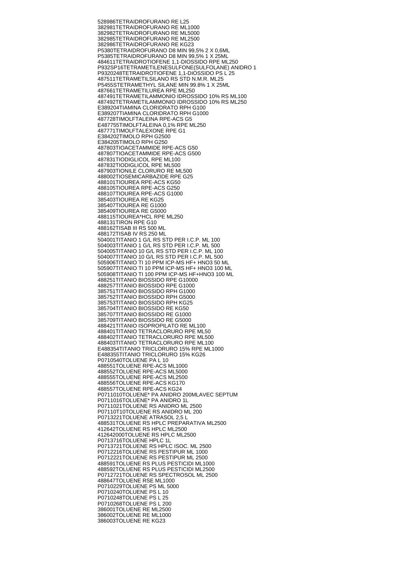528986 TETRAIDROFURANO RE L25 382981 TETRAIDROFURANO RE ML1000 382982 TETRAIDROFURANO RE ML5000 382985 TETRAIDROFURANO RE ML2500 382986 TETRAIDROFURANO RE KG23 P5380 TETRAIDROFURANO D8 MIN 99,5% 2 X 0,6ML P5385 TETRAIDROFURANO D8 MIN 99,5% 1 X 25ML 484611 TETRAIDROTIOFENE 1,1-DIOSSIDO RPE ML250 P932SP16 TETRAMETILENESULFONE(SULFOLANE) ANIDRO 1 P9320248 TETRAIDROTIOFENE 1,1-DIOSSIDO PS L25 487511 TETRAMETILSILANO RS STD N.M.R. ML25 P5455S TETRAMETHYL SILANE MIN 99.8% 1 X 25ML 487661 TETRAMETILUREA RPE ML250 487491 TETRAMETILAMMONIO IDROSSIDO 10% RS ML100 487492 TETRAMETILAMMONIO IDROSSIDO 10% RS ML250 E389204 TIAMINA CLORIDRATO RPH G100 E389207 TIAMINA CLORIDRATO RPH G1000 487728 TIMOLFTALEINA RPE-ACS G5 E487755 TIMOLFTALEINA 0,1% RPE ML250 487771 TIMOLFTALEXONE RPE G1 E384202 TIMOLO RPH G2500 **E384205 TIMOLO RPH G250** 487803 TIOACETAMMIDE RPE-ACS G50 487807 TIOACETAMMIDE RPE-ACS G500 487831 TIODIGLICOL RPE ML100 487832 TIODIGLICOL RPE ML500 487903 TIONILE CLORURO RE ML500 488002 TIOSEMICARBAZIDE RPE G25 488101 TIOUREA RPE-ACS KG50 488105 TIOUREA RPE-ACS G250 488107 TIOUREA RPE-ACS G1000 385403 TIOUREA RE KG25 385407 TIOUREA RE G1000 385409 TIOUREA RE G5000 488115 TIOUREA\*HCL RPE ML250 488131 TIRON RPE G10 488162 TISAB III RS 500 ML 488172 TISAB IV RS 250 ML 504001 TITANIO 1 G/L RS STD PER I.C.P. ML 100 504003 TITANIO 1 G/L RS STD PER I.C.P. ML 500 504005 TITANIO 10 G/L RS STD PER I.C.P. ML 100 504007 TITANIO 10 G/L RS STD PER I.C.P. ML 500 505906 TITANIO TI 10 PPM ICP-MS HF+ HNO3 50 ML 505907 TITANIO TI 10 PPM ICP-MS HF+ HNO3 100 ML 505908 TITANIO TI 100 PPM ICP-MS HF+HNO3 100 ML 488251 TITANIO BIOSSIDO RPE G10000 488257 TITANIO BIOSSIDO RPE G1000 385751 TITANIO BIOSSIDO RPH G1000 385752 TITANIO BIOSSIDO RPH G5000 385753 TITANIO BIOSSIDO RPH KG25 385704 TITANIO BIOSSIDO RE KG50 385707 TITANIO BIOSSIDO RE G1000 385709 TITANIO BIOSSIDO RE G5000 488421 TITANIO ISOPROPILATO RE ML100 488401 TITANIO TETRACLORURO RPE ML50 488402 TITANIO TETRACLORURO RPE ML500 488403 TITANIO TETRACLORURO RPE ML100 E488354 TITANIO TRICLORURO 15% RPE ML1000 E488355 TITANIO TRICLORURO 15% KG26 P0710540 TOLUENE PA L 10 488551 TOLUENE RPE-ACS ML1000 488552 TOLUENE RPE-ACS ML5000 488555 TOLUENE RPE-ACS ML2500 488556 TOLUENE RPE-ACS KG170 488557 TOLUENE RPE-ACS KG24 P0711010 TOLUENE\* PA ANIDRO 200MLAVEC SEPTUM P0711016 TOLUENE\* PA ANIDRO 1L P0711021 TOLUENE RS ANIDRO ML 2500 P07110T10 TOLUENE RS ANIDRO ML 200 P0713221 TOLUENE ATRASOL 2,5 L 488531 TOLUENE RS HPLC PREPARATIVA ML2500 412642 TOLUENE RS HPLC ML2500 412642000 TOLUENE RS HPLC ML2500 P0713716 TOLUENE HPLC 1L P0713721 TOLUENE RS HPLC ISOC. ML 2500 P0712216 TOLUENE RS PESTIPUR ML 1000 P0712221 TOLUENE RS PESTIPUR ML 2500 488591 TOLUENE RS PLUS PESTICIDI ML1000 488592 TOLUENE RS PLUS PESTICIDI ML2500 P0712721 TOLUENE RS SPECTROSOL ML 2500 488647 TOLUENE RSE ML1000 P0710229 TOLUENE PS ML 5000 P0710240 TOLUENE PS L 10 P0710248 TOLUENE PS L 25 P0710268 TOLUENE PS L 200 386001 TOLUENE RE ML2500 386002 TOLUENE RE ML1000 386003 TOLUENE RE KG23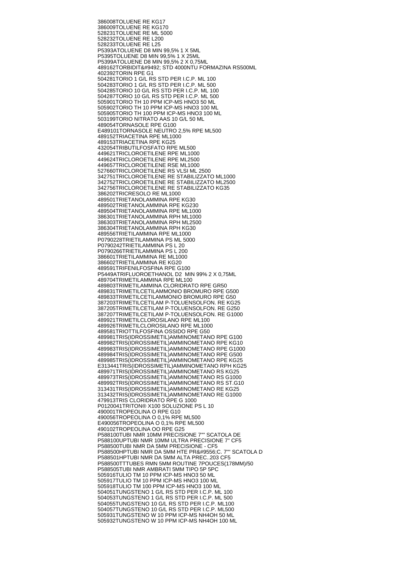386008 TOLUENE RE KG17 386009 TOLUENE RE KG170 528231 TOLUENE RE ML 5000 528232 TOLUENE RE L200 528233 TOLUENE RE L25 P5393A TOLUENE D8 MIN 99,5% 1 X 5ML P5395 TOLUENE D8 MIN 99,5% 1 X 25ML P5399A TOLUENE D8 MIN 99,5% 2 X 0,75ML 489162 TORBIDIT└ STD 4000NTU FORMAZINA RS500ML 402392 TORIN RPE G1 504281 TORIO 1 G/L RS STD PER I.C.P. ML 100 504283 TORIO 1 G/L RS STD PER I.C.P. ML 500 504285 TORIO 10 G/L RS STD PER I.C.P. ML 100 504287 TORIO 10 G/L RS STD PER I.C.P. ML 500 505901 TORIO TH 10 PPM ICP-MS HNO3 50 ML 505902 TORIO TH 10 PPM ICP-MS HNO3 100 ML 505905 TORIO TH 100 PPM ICP-MS HNO3 100 ML 503199 TORIO NITRATO AAS 10 G/L 50 ML 489054 TORNASOLE RPE G100 E489101 TORNASOLE NEUTRO 2,5% RPE ML500 489152 TRIACETINA RPE ML1000 489153 TRIACETINA RPE KG25 432054 TRIBUTILFOSFATO RPE ML500 449621 TRICLOROETILENE RPE ML1000 449624 TRICLOROETILENE RPE ML2500 449657 TRICLOROETILENE RSE ML1000 527660 TRICLOROETILENE RS VLSI ML 2500 342751 TRICLOROETILENE RE STABILIZZATO ML1000 342752 TRICLOROETILENE RE STABILIZZATO ML2500 342756 TRICLOROETILENE RE STABILIZZATO KG35 386202 TRICRESOLO RE ML1000 489501 TRIETANOLAMMINA RPE KG30 489502 TRIETANOLAMMINA RPE KG230 489504 TRIETANOLAMMINA RPE ML1000 386301 TRIETANOLAMMINA RPH ML1000 386303 TRIETANOLAMMINA RPH ML2500 386304 TRIETANOLAMMINA RPH KG30 489556 TRIETILAMMINA RPE ML1000 P0790228 TRIETILAMMINA PS ML 5000 P0790242 TRIETILAMMINA PS L 20 P0790266 TRIETILAMMINA PS L 200 386601 TRIETILAMMINA RE ML1000 386602 TRIETILAMMINA RE KG20 489591 TRIFENILFOSFINA RPE G100 P5449A TRIFLUOROETHANOL D2 MIN 99% 2 X 0,75ML 489704 TRIMETILAMMINA RPE ML100 489803 TRIMETILAMMINA CLORIDRATO RPE GR50 489831 TRIMETILCETILAMMONIO BROMURO RPE G500 489833 TRIMETILCETILAMMONIO BROMURO RPE G50 387203 TRIMETILCETILAM P-TOLUENSOLFON. RE KG25 387205 TRIMETILCETILAM P-TOLUENSOLFON. RE G250 387207 TRIMETILCETILAM P-TOLUENSOLFON. RE G1000 489921 TRIMETILCLOROSILANO RPE ML100 489926 TRIMETILCLOROSILANO RPE ML1000 489581 TRIOTTILFOSFINA OSSIDO RPE G50 489981 TRIS(IDROSSIMETIL)AMMINOMETANO RPE G100 489982 TRIS(IDROSSIMETIL)AMMINOMETANO RPE KG10 489983 TRIS(IDROSSIMETIL)AMMINOMETANO RPE G1000 489984 TRIS(IDROSSIMETIL)AMMINOMETANO RPE G500 489985 TRIS(IDROSSIMETIL)AMMINOMETANO RPE KG25 E313441 TRIS(IDROSSIMETIL)AMMINOMETANO RPH KG25 489971 TRIS(IDROSSIMETIL)AMMINOMETANO RS KG25 489973 TRIS(IDROSSIMETIL)AMMINOMETANO RS G1000 489992 TRIS(IDROSSIMETIL)AMMINOMETANO RS ST.G10 313431 TRIS(IDROSSIMETIL)AMMINOMETANO RE KG25 313432 TRIS(IDROSSIMETIL)AMMINOMETANO RE G1000 479913 TRIS CLORIDRATO RPE G 1000 P0120041 TRITON® X100 SOLUZIONE PS L 10 490001 TROPEOLINA O RPE G10 490056 TROPEOLINA O 0,1% RPE ML500 E490056 TROPEOLINA O 0,1% RPE ML500 490102 TROPEOLINA OO RPE G25 P588100 TUBI NMR 10MM PRECISIONE 7"" SCATOLA DE P588100UP TUBI NMR 10MM ULTRA PRECISIONE 7" CF5 P588500 TUBI NMR DA 5MM PRECISIONE - CF5 P588500HP TUBI NMR DA 5MM HTE PR╔C. 7"" SCATOLA D P588501HP TUBI NMR DA 5MM ALTA PREC..203 CF5 P588500TT TUBES RMN 5MM ROUTINE 7POUCES(178MM)/50 P588505 TUBI NMR AMBRATI 5MM TIPO 5P 5PC 505916 TULIO TM 10 PPM ICP-MS HNO3 50 ML 505917 TULIO TM 10 PPM ICP-MS HNO3 100 ML 505918 TULIO TM 100 PPM ICP-MS HNO3 100 ML 504051 TUNGSTENO 1 G/L RS STD PER I.C.P. ML 100 504053 TUNGSTENO 1 G/L RS STD PER I.C.P. ML 500 504055 TUNGSTENO 10 G/L RS STD PER I.C.P. ML100 504057 TUNGSTENO 10 G/L RS STD PER I.C.P. ML500 505931 TUNGSTENO W 10 PPM ICP-MS NH4OH 50 ML 505932 TUNGSTENO W 10 PPM ICP-MS NH4OH 100 ML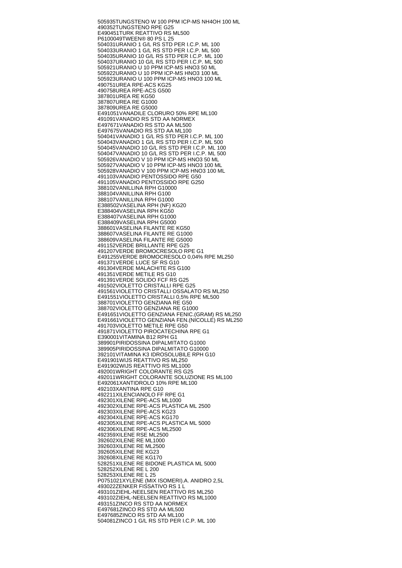505935 TUNGSTENO W 100 PPM ICP-MS NH4OH 100 ML 490352 TUNGSTENO RPE G25 E490451 TURK REATTIVO RS ML500 P6100049 TWEEN® 80 PS L 25 504031 URANIO 1 G/L RS STD PER I.C.P. ML 100 504033 URANIO 1 G/L RS STD PER I.C.P. ML 500 504035 URANIO 10 G/L RS STD PER I.C.P. ML 100 504037 URANIO 10 G/L RS STD PER I.C.P. ML 500 505921 URANIO U 10 PPM ICP-MS HNO3 50 ML 505922 URANIO U 10 PPM ICP-MS HNO3 100 ML 505923 URANIO U 100 PPM ICP-MS HNO3 100 ML 490751 UREA RPE-ACS KG25 490758 UREA RPE-ACS G500 387801 UREA RE KG50 387807 UREA RE G1000 387809 UREA RE G5000 E491051 VANADILE CLORURO 50% RPE ML100 491091 VANADIO RS STD AA NORMEX E497671 VANADIO RS STD AA ML500 E497675 VANADIO RS STD AA ML100 504041 VANADIO 1 G/L RS STD PER I.C.P. ML 100 504043 VANADIO 1 G/L RS STD PER I.C.P. ML 500 504045 VANADIO 10 G/L RS STD PER I.C.P. ML 100 504047 VANADIO 10 G/L RS STD PER I.C.P. ML 500 505926 VANADIO V 10 PPM ICP-MS HNO3 50 ML 505927 VANADIO V 10 PPM ICP-MS HNO3 100 ML 505928 VANADIO V 100 PPM ICP-MS HNO3 100 ML 491103 VANADIO PENTOSSIDO RPE G50 491105 VANADIO PENTOSSIDO RPE G250 388102 VANILLINA RPH G10000 388104 VANILLINA RPH G100 388107 VANILLINA RPH G1000 E388502 VASELINA RPH (NF) KG20 E388404 VASELINA RPH KG50 E388407 VASELINA RPH G1000 E388409 VASELINA RPH G5000 388601 VASELINA FILANTE RE KG50 388607 VASELINA FILANTE RE G1000 388609 VASELINA FILANTE RE G5000 491152 VERDE BRILLANTE RPE G25 491207 VERDE BROMOCRESOLO RPE G1 E491255 VERDE BROMOCRESOLO 0,04% RPE ML250 491371 VERDE LUCE SF RS G10 491304 VERDE MALACHITE RS G100 491351 VERDE METILE RS G10 491391 VERDE SOLIDO FCF RS G25 491502 VIOLETTO CRISTALLI RPE G25 491561 VIOLETTO CRISTALLI OSSALATO RS ML250 E491551 VIOLETTO CRISTALLI 0,5% RPE ML500 388701 VIOLETTO GENZIANA RE G50 388702 VIOLETTO GENZIANA RE G1000 E491651 VIOLETTO GENZIANA FENIC.(GRAM) RS ML250 E491661 VIOLETTO GENZIANA FEN.(NICOLLE) RS ML250 491703 VIOLETTO METILE RPE G50 491871 VIOLETTO PIROCATECHINA RPE G1 E390001 VITAMINA B12 RPH G1 389901 PIRIDOSSINA DIPALMITATO G1000 389905 PIRIDOSSINA DIPALMITATO G10000 392101 VITAMINA K3 IDROSOLUBILE RPH G10 E491901 WIJS REATTIVO RS ML250 E491902 WIJS REATTIVO RS ML1000 492001 WRIGHT COLORANTE RS G25 492011 WRIGHT COLORANTE SOLUZIONE RS ML100 E492061 XANTIDROLO 10% RPE ML100 492103 XANTINA RPE G10 492211 XILENCIANOLO FF RPE G1 492301 XILENE RPE-ACS ML1000 492302 XILENE RPE-ACS PLASTICA ML 2500 492303 XILENE RPE-ACS KG23 492304 XILENE RPE-ACS KG170 492305 XILENE RPE-ACS PLASTICA ML 5000 492306 XILENE RPE-ACS ML2500 492359 XILENE RSE ML2500 392602 XILENE RE ML1000 392603 XILENE RE ML2500 392605 XILENE RE KG23 392608 XILENE RE KG170 528251 XILENE RE BIDONE PLASTICA ML 5000 528252 XILENE RE L 200 528253 XILENE RE L 25 P0751021 XYLENE (MIX ISOMERI).A. ANIDRO 2,5L 493022 ZENKER FISSATIVO RS 1 L 493101 ZIEHL-NEELSEN REATTIVO RS ML250 493102 ZIEHL-NEELSEN REATTIVO RS ML1000 493151 ZINCO RS STD AA NORMEX E497681 ZINCO RS STD AA ML500 E497685 ZINCO RS STD AA ML100 504081 ZINCO 1 G/L RS STD PER I.C.P. ML 100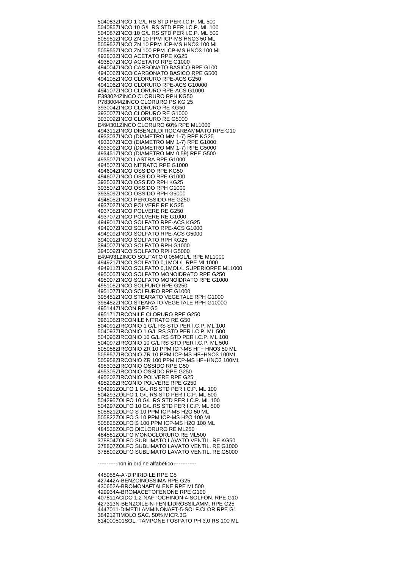504083 ZINCO 1 G/L RS STD PER I.C.P. ML 500 504085 ZINCO 10 G/L RS STD PER I.C.P. ML 100 504087 ZINCO 10 G/L RS STD PER I.C.P. ML 500 505951 ZINCO ZN 10 PPM ICP-MS HNO3 50 ML 505952 ZINCO ZN 10 PPM ICP-MS HNO3 100 ML 505955 ZINCO ZN 100 PPM ICP-MS HNO3 100 ML 493803 ZINCO ACETATO RPE KG25 493807 ZINCO ACETATO RPE G1000 494004 ZINCO CARBONATO BASICO RPE G100 494006 ZINCO CARBONATO BASICO RPE G500 494105 ZINCO CLORURO RPE-ACS G250 494106 ZINCO CLORURO RPE-ACS G10000 494107 ZINCO CLORURO RPE-ACS G1000 E393024 ZINCO CLORURO RPH KG50 P7830044 ZINCO CLORURO PS KG 25 393004 ZINCO CLORURO RE KG50 393007 ZINCO CLORURO RE G1000 393009 ZINCO CLORURO RE G5000 E494301 ZINCO CLORURO 60% RPE ML1000 494311 ZINCO DIBENZILDITIOCARBAMMATO RPE G10 493303 ZINCO (DIAMETRO MM 1-7) RPE KG25 493307 ZINCO (DIAMETRO MM 1-7) RPE G1000 493309 ZINCO (DIAMETRO MM 1-7) RPE G5000 493451 ZINCO (DIAMETRO MM 0,59) RPE G500 493507 ZINCO LASTRA RPE G1000 494507 ZINCO NITRATO RPE G1000 494604 ZINCO OSSIDO RPE KG50 494607 ZINCO OSSIDO RPE G1000 393503 ZINCO OSSIDO RPH KG25 393507 ZINCO OSSIDO RPH G1000 393509 ZINCO OSSIDO RPH G5000 494805 ZINCO PEROSSIDO RE G250 493702 ZINCO POLVERE RE KG25 493705 ZINCO POLVERE RE G250 493707 ZINCO POLVERE RE G1000 494901 ZINCO SOLFATO RPE-ACS KG25 494907 ZINCO SOLFATO RPE-ACS G1000 494909 ZINCO SOLFATO RPE-ACS G5000 394001 ZINCO SOLFATO RPH KG25 394007 ZINCO SOLFATO RPH G1000 394009 ZINCO SOLFATO RPH G5000 E494931 ZINCO SOLFATO 0,05MOL/L RPE ML1000 494921 ZINCO SOLFATO 0,1MOL/L RPE ML1000 494911 ZINCO SOLFATO 0,1MOL/L SUPERIORPE ML1000 495005 ZINCO SOLFATO MONOIDRATO RPE G250 495007 ZINCO SOLFATO MONOIDRATO RPE G1000 495105 ZINCO SOLFURO RPE G250 495107 ZINCO SOLFURO RPE G1000 395451 ZINCO STEARATO VEGETALE RPH G1000 395452 ZINCO STEARATO VEGETALE RPH G10000 495144 ZINCON RPE G5 495171 ZIRCONILE CLORURO RPE G250 396105 ZIRCONILE NITRATO RE G50 504091 ZIRCONIO 1 G/L RS STD PER I.C.P. ML 100 504093 ZIRCONIO 1 G/L RS STD PER I.C.P. ML 500 504095 ZIRCONIO 10 G/L RS STD PER I.C.P. ML 100 504097 ZIRCONIO 10 G/L RS STD PER I.C.P. ML 500 505956 ZIRCONIO ZR 10 PPM ICP-MS HF+ HNO3 50 ML 505957 ZIRCONIO ZR 10 PPM ICP-MS HF+HNO3 100ML 505958 ZIRCONIO ZR 100 PPM ICP-MS HF+HNO3 100ML 495303 ZIRCONIO OSSIDO RPE G50 495305 ZIRCONIO OSSIDO RPE G250 495202 ZIRCONIO POLVERE RPE G25 495206 ZIRCONIO POLVERE RPE G250 504291 ZOLFO 1 G/L RS STD PER I.C.P. ML 100 504293 ZOLFO 1 G/L RS STD PER I.C.P. ML 500 504295 ZOLFO 10 G/L RS STD PER I.C.P. ML 100 504297 ZOLFO 10 G/L RS STD PER I.C.P. ML 500 505821 ZOLFO S 10 PPM ICP-MS H2O 50 ML 505822 ZOLFO S 10 PPM ICP-MS H2O 100 ML 505825 ZOLFO S 100 PPM ICP-MS H2O 100 ML 484535 ZOLFO DICLORURO RE ML250 484581 ZOLFO MONOCLORURO RE ML500 378804 ZOLFO SUBLIMATO LAVATO VENTIL. RE KG50 378807 ZOLFO SUBLIMATO LAVATO VENTIL. RE G1000 378809 ZOLFO SUBLIMATO LAVATO VENTIL. RE G5000

-----------non in ordine alfabetico-------------

445958 A-A'-DIPIRIDILE RPE G5 427442 A-BENZOINOSSIMA RPE G25 430652 A-BROMONAFTALENE RPE ML500 429934 A-BROMACETOFENONE RPE G100 407811 ACIDO 1,2-NAFTOCHINON-4-SOLFON. RPE G10 427313 N-BENZOILE-N-FENILIDROSSILAMM. RPE G25 444701 1-DIMETILAMMINONAFT-5-SOLF.CLOR RPE G1 384212 TIMOLO SAC. 50% MICR.3G 614000501 SOL. TAMPONE FOSFATO PH 3,0 RS 100 ML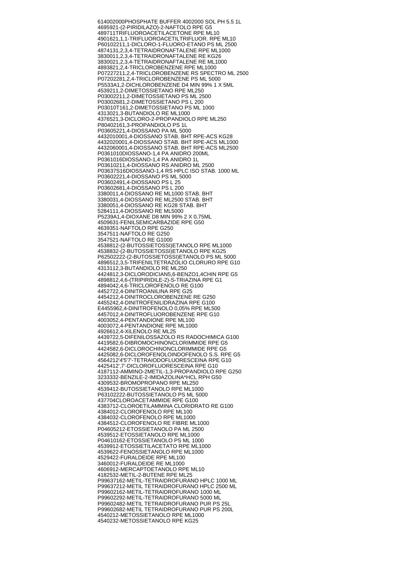614002000 PHOSPHATE BUFFER 4002000 SOL PH 5.5 1L 469592 1-(2-PIRIDILAZO)-2-NAFTOLO RPE G5 489711 TRIFLUOROACETILACETONE RPE ML10 490162 1,1,1-TRIFLUOROACETILTRIFLUOR. RPE ML10 P6010221 1,1-DICLORO-1-FLUORO-ETANO PS ML 2500 487413 1,2,3,4-TETRAIDRONAFTALENE RPE ML1000 383001 1,2,3,4-TETRAIDRONAFTALENE RE KG26 383002 1,2,3,4-TETRAIDRONAFTALENE RE ML1000 489382 1,2,4-TRICLOROBENZENE RPE ML1000 P0722721 1,2,4-TRICLOROBENZENE RS SPECTRO ML 2500 P0720228 1,2,4-TRICLOROBENZENE PS ML 5000 P5533A 1,2-DICHLOROBENZENE D4 MIN 99% 1 X 5ML 453921 1,2-DIMETOSSIETANO RPE ML250 P0300221 1,2-DIMETOSSIETANO PS ML 2500 P0300268 1,2-DIMETOSSIETANO PS L 200 P03010T16 1,2-DIMETOSSIETANO PS ML 1000 431302 1,3-BUTANDIOLO RE ML1000 437652 1,3-DICLORO-2-PROPANDIOLO RPE ML250 P8040216 1,3-PROPANDIOLO PS 1L P0360522 1,4-DIOSSANO PA ML 5000 443201000 1,4-DIOSSANO STAB. BHT RPE-ACS KG28 443202000 1,4-DIOSSANO STAB. BHT RPE-ACS ML1000 443206000 1,4-DIOSSANO STAB. BHT RPE-ACS ML2500 P0361010 DIOSSANO-1,4 PA ANIDRO 200ML P0361016 DIOSSANO-1,4 PA ANIDRO 1L P0361021 1,4-DIOSSANO RS ANIDRO ML 2500 P03637S16 DIOSSANO-1,4 RS HPLC ISO STAB. 1000 ML P0360222 1,4-DIOSSANO PS ML 5000 P0360249 1,4-DIOSSANO PS L 25 P0360268 1,4-DIOSSANO PS L 200 338001 1,4-DIOSSANO RE ML1000 STAB. BHT 338003 1,4-DIOSSANO RE ML2500 STAB. BHT 338005 1,4-DIOSSANO RE KG28 STAB. BHT 528411 1,4-DIOSSANO RE ML5000 P5239A 1,4-DIOXANE D8 MIN 99% 2 X 0,75ML 450963 1-FENILSEMICARBAZIDE RPE G50 463935 1-NAFTOLO RPE G250 354751 1-NAFTOLO RE G250 354752 1-NAFTOLO RE G1000 453881 2-(2-BUTOSSIETOSSI)ETANOLO RPE ML1000 453883 2-(2-BUTOSSIETOSSI)ETANOLO RPE KG25 P6250222 2-(2-BUTOSSIETOSSI)ETANOLO PS ML 5000 489651 2,3,5-TRIFENILTETRAZOLIO CLORURO RPE G10 431311 2,3-BUTANDIOLO RE ML250 442481 2,3-DICLORODICIAN5,6-BENZO1,4CHIN RPE G5 489881 2,4,6-(TRIPIRIDILE-2)-S-TRIAZINA RPE G1 489404 2,4,6-TRICLOROFENOLO RE G100 445272 2,4-DINITROANILINA RPE G25 445421 2,4-DINITROCLOROBENZENE RE G250 445524 2,4-DINITROFENILIDRAZINA RPE G100 E445596 2,4-DINITROFENOLO 0,05% RPE ML500 445701 2,4-DINITROFLUOROBENZENE RPE G10 400305 2,4-PENTANDIONE RPE ML100 400307 2,4-PENTANDIONE RPE ML1000 492661 2,4-XILENOLO RE ML25 443972 2,5-DIFENILOSSAZOLO RS RADOCHIMICA G100 441958 2,6-DIBROMOCHINONCLORIMMIDE RPE G5 442458 2,6-DICLOROCHINONCLORIMMIDE RPE G5 442508 2,6-DICLOROFENOLOINDOFENOLO S.S. RPE G5 456421 2'4'5'7'-TETRAIODOFLUORESCEINA RPE G10 442541 2',7'-DICLOROFLUORESCEINA RPE G10 418711 2-AMMINO-2METIL-1,3-PROPANDIOLO RPE G250 323333 2-BENZILE-2-IMIDAZOLINA\*HCL RPH G50 430953 2-BROMOPROPANO RPE ML250 453941 2-BUTOSSIETANOLO RPE ML1000 P6310222 2-BUTOSSIETANOLO PS ML 5000 437704 CLOROACETAMMIDE RPE G100 438371 2-CLOROETILAMMINA CLORIDRATO RE G100 438401 2-CLOROFENOLO RPE ML100 438403 2-CLOROFENOLO RPE ML1000 438451 2-CLOROFENOLO RE FIBRE ML1000 P0460521 2-ETOSSIETANOLO PA ML 2500 453951 2-ETOSSIETANOLO RPE ML1000 P0461016 2-ETOSSIETANOLO PS ML 1000 453991 2-ETOSSIETILACETATO RPE ML1000 453962 2-FENOSSIETANOLO RPE ML1000 452942 2-FURALDEIDE RPE ML100 346001 2-FURALDEIDE RE ML1000 460691 2-MERCAPTOETANOLO RPE ML10 418253 2-METIL-2-BUTENE RPE ML25 P9963716 2-METIL-TETRAIDROFURANO HPLC 1000 ML P9963721 2-METIL TETRAIDROFURANO HPLC 2500 ML P9960216 2-METIL-TETRAIDROFURANO 1000 ML P9960229 2-METIL-TETRAIDROFURANO 5000 ML P9960248 2-METIL TETRAIDROFURANO PUR PS 25L P9960268 2-METIL TETRAIDROFURANO PUR PS 200L 454021 2-METOSSIETANOLO RPE ML1000 454023 2-METOSSIETANOLO RPE KG25